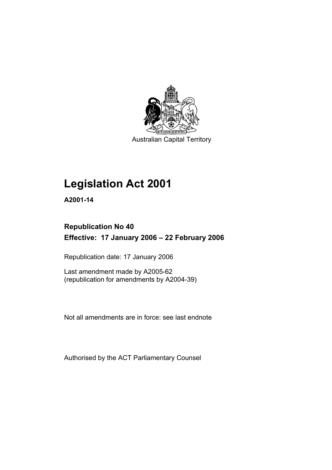

Australian Capital Territory

# **Legislation Act 2001**

**A2001-14** 

# **Republication No 40 Effective: 17 January 2006 – 22 February 2006**

Republication date: 17 January 2006

Last amendment made by A2005-62 (republication for amendments by A2004-39)

Not all amendments are in force: see last endnote

Authorised by the ACT Parliamentary Counsel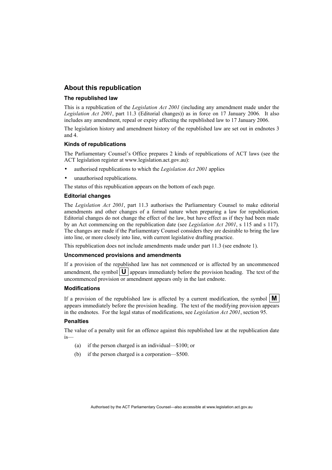## **About this republication**

#### **The republished law**

This is a republication of the *Legislation Act 2001* (including any amendment made under the *Legislation Act 2001*, part 11.3 (Editorial changes)) as in force on 17 January 2006*.* It also includes any amendment, repeal or expiry affecting the republished law to 17 January 2006.

The legislation history and amendment history of the republished law are set out in endnotes 3 and 4.

#### **Kinds of republications**

The Parliamentary Counsel's Office prepares 2 kinds of republications of ACT laws (see the ACT legislation register at www.legislation.act.gov.au):

- authorised republications to which the *Legislation Act 2001* applies
- unauthorised republications.

The status of this republication appears on the bottom of each page.

#### **Editorial changes**

The *Legislation Act 2001*, part 11.3 authorises the Parliamentary Counsel to make editorial amendments and other changes of a formal nature when preparing a law for republication. Editorial changes do not change the effect of the law, but have effect as if they had been made by an Act commencing on the republication date (see *Legislation Act 2001*, s 115 and s 117). The changes are made if the Parliamentary Counsel considers they are desirable to bring the law into line, or more closely into line, with current legislative drafting practice.

This republication does not include amendments made under part 11.3 (see endnote 1).

#### **Uncommenced provisions and amendments**

If a provision of the republished law has not commenced or is affected by an uncommenced amendment, the symbol  $\mathbf{U}$  appears immediately before the provision heading. The text of the uncommenced provision or amendment appears only in the last endnote.

#### **Modifications**

If a provision of the republished law is affected by a current modification, the symbol  $\mathbf{M}$ appears immediately before the provision heading. The text of the modifying provision appears in the endnotes. For the legal status of modifications, see *Legislation Act 2001*, section 95.

#### **Penalties**

The value of a penalty unit for an offence against this republished law at the republication date is—

- (a) if the person charged is an individual—\$100; or
- (b) if the person charged is a corporation—\$500.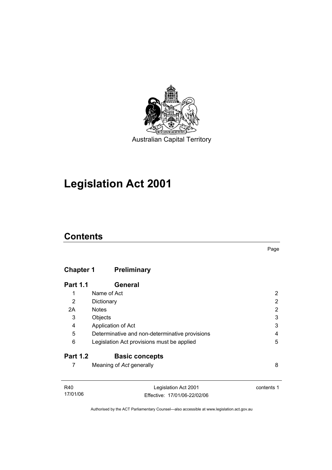

# **Legislation Act 2001**

# **Contents**

# **Chapter 1 Preliminary**

| <b>Part 1.1</b> | General                                        |   |
|-----------------|------------------------------------------------|---|
| 1               | Name of Act                                    |   |
| 2               | Dictionary                                     | 2 |
| 2A              | <b>Notes</b>                                   | 2 |
| 3               | Objects                                        | 3 |
| 4               | Application of Act                             | 3 |
| 5               | Determinative and non-determinative provisions | 4 |
| 6               | Legislation Act provisions must be applied     | 5 |
| <b>Part 1.2</b> | <b>Basic concepts</b>                          |   |
|                 | Meaning of Act generally                       | 8 |

| R40      | Legislation Act 2001         | contents 1 |
|----------|------------------------------|------------|
| 17/01/06 | Effective: 17/01/06-22/02/06 |            |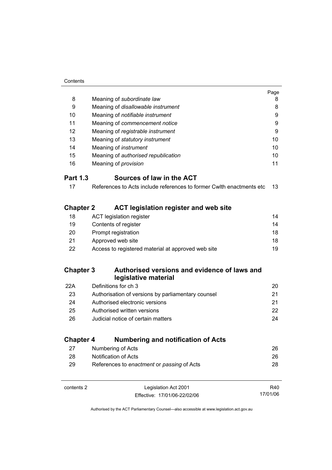| Contents |
|----------|
|          |

|                  |                                                                      | Page |
|------------------|----------------------------------------------------------------------|------|
| 8                | Meaning of subordinate law                                           | 8    |
| 9                | Meaning of disallowable instrument                                   | 8    |
| 10               | Meaning of notifiable instrument                                     | 9    |
| 11               | Meaning of commencement notice                                       | 9    |
| 12               | Meaning of registrable instrument                                    | 9    |
| 13               | Meaning of statutory instrument                                      | 10   |
| 14               | Meaning of <i>instrument</i>                                         | 10   |
| 15               | Meaning of authorised republication                                  | 10   |
| 16               | Meaning of <i>provision</i>                                          | 11   |
| <b>Part 1.3</b>  | Sources of law in the ACT                                            |      |
| 17               | References to Acts include references to former Cwlth enactments etc | 13   |
| <b>Chapter 2</b> | <b>ACT legislation register and web site</b>                         |      |
| 18               | <b>ACT legislation register</b>                                      | 14   |
| 19               | Contents of register                                                 | 14   |
| 20               | Prompt registration                                                  | 18   |
| 21               | Approved web site                                                    | 18   |
| 22               | Access to registered material at approved web site                   | 19   |
| <b>Chapter 3</b> | Authorised versions and evidence of laws and<br>legislative material |      |
| 22A              | Definitions for ch 3                                                 | 20   |
| 23               | Authorisation of versions by parliamentary counsel                   | 21   |
| 24               | Authorised electronic versions                                       | 21   |
| 25               | Authorised written versions                                          | 22   |
| 26               | Judicial notice of certain matters                                   | 24   |
| <b>Chapter 4</b> | <b>Numbering and notification of Acts</b>                            |      |
| 27               | Numbering of Acts                                                    | 26   |
| 28               | Notification of Acts                                                 | 26   |
| 29               | References to enactment or passing of Acts                           | 28   |
|                  |                                                                      |      |

| contents 2 | Legislation Act 2001         | R40      |
|------------|------------------------------|----------|
|            | Effective: 17/01/06-22/02/06 | 17/01/06 |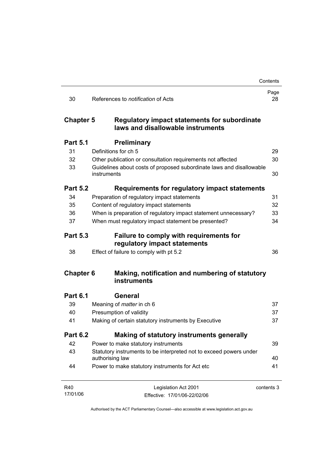|                  |                                                                                       | Contents   |
|------------------|---------------------------------------------------------------------------------------|------------|
| 30               | References to <i>notification</i> of Acts                                             | Page<br>28 |
| <b>Chapter 5</b> | Regulatory impact statements for subordinate<br>laws and disallowable instruments     |            |
| <b>Part 5.1</b>  | <b>Preliminary</b>                                                                    |            |
| 31               | Definitions for ch 5                                                                  | 29         |
| 32               | Other publication or consultation requirements not affected                           | 30         |
| 33               | Guidelines about costs of proposed subordinate laws and disallowable<br>instruments   | 30         |
| <b>Part 5.2</b>  | Requirements for regulatory impact statements                                         |            |
| 34               | Preparation of regulatory impact statements                                           | 31         |
| 35               | Content of regulatory impact statements                                               | 32         |
| 36               | When is preparation of regulatory impact statement unnecessary?                       | 33         |
| 37               | When must regulatory impact statement be presented?                                   | 34         |
| <b>Part 5.3</b>  | <b>Failure to comply with requirements for</b><br>regulatory impact statements        |            |
| 38               | Effect of failure to comply with pt 5.2                                               | 36         |
| <b>Chapter 6</b> | Making, notification and numbering of statutory<br>instruments                        |            |
| <b>Part 6.1</b>  | General                                                                               |            |
| 39               | Meaning of <i>matter</i> in ch 6                                                      | 37         |
| 40               | Presumption of validity                                                               | 37         |
| 41               | Making of certain statutory instruments by Executive                                  | 37         |
| <b>Part 6.2</b>  | Making of statutory instruments generally                                             |            |
| 42               | Power to make statutory instruments                                                   | 39         |
| 43               | Statutory instruments to be interpreted not to exceed powers under<br>authorising law | 40         |
| 44               | Power to make statutory instruments for Act etc                                       | 41         |
| R40              | Legislation Act 2001                                                                  | contents 3 |
| 17/01/06         | Effective: 17/01/06-22/02/06                                                          |            |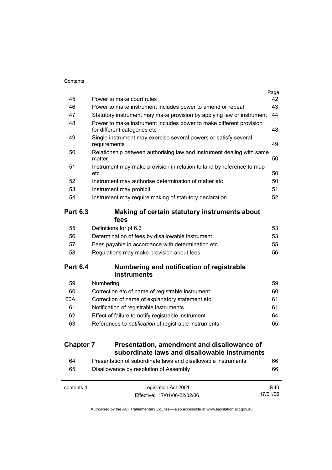|                  |                                                                                                     | Page |
|------------------|-----------------------------------------------------------------------------------------------------|------|
| 45               | Power to make court rules                                                                           | 42   |
| 46               | Power to make instrument includes power to amend or repeal                                          | 43   |
| 47               | Statutory instrument may make provision by applying law or instrument                               | 44   |
| 48               | Power to make instrument includes power to make different provision<br>for different categories etc | 48   |
| 49               | Single instrument may exercise several powers or satisfy several<br>requirements                    | 49   |
| 50               | Relationship between authorising law and instrument dealing with same<br>matter                     | 50   |
| 51               | Instrument may make provision in relation to land by reference to map<br>etc                        | 50   |
| 52               | Instrument may authorise determination of matter etc                                                | 50   |
| 53               | Instrument may prohibit                                                                             | 51   |
| 54               | Instrument may require making of statutory declaration                                              | 52   |
| <b>Part 6.3</b>  | Making of certain statutory instruments about<br>fees                                               |      |
| 55               | Definitions for pt 6.3                                                                              | 53   |
| 56               | Determination of fees by disallowable instrument                                                    | 53   |
| 57               | Fees payable in accordance with determination etc                                                   | 55   |
| 58               | Regulations may make provision about fees                                                           | 56   |
| <b>Part 6.4</b>  | Numbering and notification of registrable<br>instruments                                            |      |
| 59               | Numbering                                                                                           | 59   |
| 60               | Correction etc of name of registrable instrument                                                    | 60   |
| 60A              | Correction of name of explanatory statement etc                                                     | 61   |
| 61               | Notification of registrable instruments                                                             | 61   |
| 62               | Effect of failure to notify registrable instrument                                                  | 64   |
| 63               | References to notification of registrable instruments                                               | 65   |
| <b>Chapter 7</b> | Presentation, amendment and disallowance of                                                         |      |
|                  | subordinate laws and disallowable instruments                                                       |      |
| 64               | Presentation of subordinate laws and disallowable instruments                                       | 66   |
| 65               | Disallowance by resolution of Assembly                                                              | 66   |

| contents 4 | Legislation Act 2001         | R40      |
|------------|------------------------------|----------|
|            | Effective: 17/01/06-22/02/06 | 17/01/06 |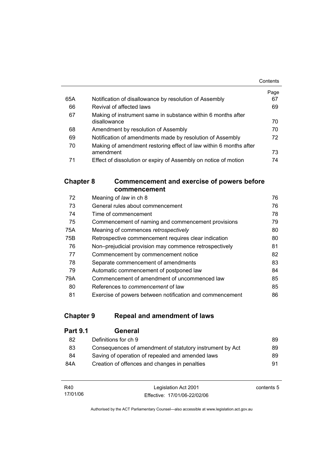|     |                                                                   | Contents |
|-----|-------------------------------------------------------------------|----------|
|     |                                                                   | Page     |
| 65A | Notification of disallowance by resolution of Assembly            | 67       |
| 66  | Revival of affected laws                                          | 69       |
| 67  | Making of instrument same in substance within 6 months after      |          |
|     | disallowance                                                      | 70       |
| 68  | Amendment by resolution of Assembly                               | 70       |
| 69  | Notification of amendments made by resolution of Assembly         | 72       |
| 70  | Making of amendment restoring effect of law within 6 months after |          |
|     | amendment                                                         | 73       |
| 71  | Effect of dissolution or expiry of Assembly on notice of motion   | 74       |

## **Chapter 8 Commencement and exercise of powers before commencement**

| Meaning of law in ch 8                                   | 76 |
|----------------------------------------------------------|----|
| General rules about commencement                         | 76 |
| Time of commencement                                     | 78 |
| Commencement of naming and commencement provisions       | 79 |
| Meaning of commences retrospectively                     | 80 |
| Retrospective commencement requires clear indication     | 80 |
| Non-prejudicial provision may commence retrospectively   | 81 |
| Commencement by commencement notice                      | 82 |
| Separate commencement of amendments                      | 83 |
| Automatic commencement of postponed law                  | 84 |
| Commencement of amendment of uncommenced law             | 85 |
| References to <i>commencement</i> of law                 | 85 |
| Exercise of powers between notification and commencement | 86 |
|                                                          |    |

# **Chapter 9 Repeal and amendment of laws**

| <b>Part 9.1</b> | General                                                  |    |
|-----------------|----------------------------------------------------------|----|
| 82              | Definitions for ch 9                                     | 89 |
| 83              | Consequences of amendment of statutory instrument by Act | 89 |
| 84              | Saving of operation of repealed and amended laws         | 89 |
| 84A             | Creation of offences and changes in penalties            | 91 |

| R40      | Legislation Act 2001         | contents 5 |
|----------|------------------------------|------------|
| 17/01/06 | Effective: 17/01/06-22/02/06 |            |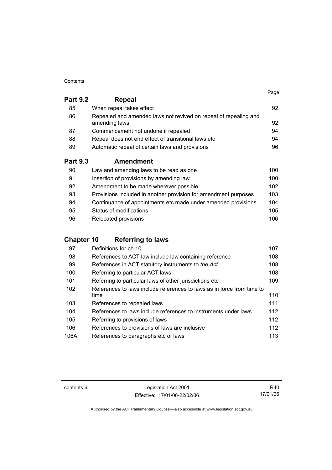#### **Contents**

|                 |                                                                                   | Page |
|-----------------|-----------------------------------------------------------------------------------|------|
| <b>Part 9.2</b> | Repeal                                                                            |      |
| 85              | When repeal takes effect                                                          | 92   |
| 86              | Repealed and amended laws not revived on repeal of repealing and<br>amending laws | 92   |
| 87              | Commencement not undone if repealed                                               | 94   |
| 88              | Repeal does not end effect of transitional laws etc                               | 94   |
| 89              | Automatic repeal of certain laws and provisions                                   | 96   |
| <b>Part 9.3</b> | Amendment                                                                         |      |
| 90              | Law and amending laws to be read as one                                           | 100  |
| 91              | Insertion of provisions by amending law                                           | 100  |
| 92              | Amendment to be made wherever possible                                            | 102  |
| 93              | Provisions included in another provision for amendment purposes                   | 103  |

| 94 | Continuance of appointments etc made under amended provisions | 104 |
|----|---------------------------------------------------------------|-----|
| 95 | Status of modifications                                       | 105 |
| 96 | Relocated provisions                                          | 106 |

# **Chapter 10 Referring to laws**

| 97   | Definitions for ch 10                                                  | 107 |
|------|------------------------------------------------------------------------|-----|
| 98   | References to ACT law include law containing reference                 | 108 |
| 99   | References in ACT statutory instruments to the Act                     | 108 |
| 100  | Referring to particular ACT laws                                       | 108 |
| 101  | Referring to particular laws of other jurisdictions etc                | 109 |
| 102  | References to laws include references to laws as in force from time to |     |
|      | time                                                                   | 110 |
| 103  | References to repealed laws                                            | 111 |
| 104  | References to laws include references to instruments under laws        | 112 |
| 105  | Referring to provisions of laws                                        | 112 |
| 106  | References to provisions of laws are inclusive                         | 112 |
| 106A | References to paragraphs etc of laws                                   | 113 |

contents 6 Legislation Act 2001 Effective: 17/01/06-22/02/06

R40 17/01/06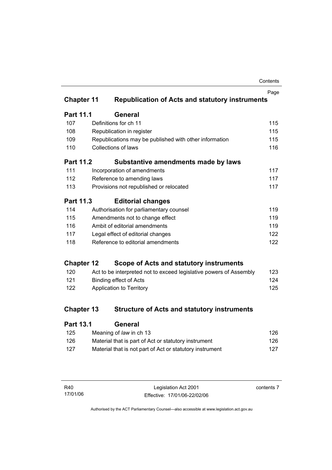| Contents |
|----------|
|----------|

|                   |                                                                    | Page |
|-------------------|--------------------------------------------------------------------|------|
| <b>Chapter 11</b> | <b>Republication of Acts and statutory instruments</b>             |      |
| <b>Part 11.1</b>  | <b>General</b>                                                     |      |
| 107               | Definitions for ch 11                                              | 115  |
| 108               | Republication in register                                          | 115  |
| 109               | Republications may be published with other information             | 115  |
| 110               | <b>Collections of laws</b>                                         | 116  |
| <b>Part 11.2</b>  | Substantive amendments made by laws                                |      |
| 111               | Incorporation of amendments                                        | 117  |
| 112               | Reference to amending laws                                         | 117  |
| 113               | Provisions not republished or relocated                            | 117  |
| <b>Part 11.3</b>  | <b>Editorial changes</b>                                           |      |
| 114               | Authorisation for parliamentary counsel                            | 119  |
| 115               | Amendments not to change effect                                    | 119  |
| 116               | Ambit of editorial amendments                                      | 119  |
| 117               | Legal effect of editorial changes                                  | 122  |
| 118               | Reference to editorial amendments                                  | 122  |
| <b>Chapter 12</b> | Scope of Acts and statutory instruments                            |      |
| 120               | Act to be interpreted not to exceed legislative powers of Assembly | 123  |
| 121               | <b>Binding effect of Acts</b>                                      | 124  |
| 122               | Application to Territory                                           | 125  |
|                   |                                                                    |      |
| <b>Chapter 13</b> | <b>Structure of Acts and statutory instruments</b>                 |      |
| <b>Part 13.1</b>  | General                                                            |      |
|                   |                                                                    |      |

| 125 | Meaning of law in ch 13                                  | 126 |
|-----|----------------------------------------------------------|-----|
| 126 | Material that is part of Act or statutory instrument     | 126 |
| 127 | Material that is not part of Act or statutory instrument | 127 |

| R40      | Legislation Act 2001         |
|----------|------------------------------|
| 17/01/06 | Effective: 17/01/06-22/02/06 |

contents 7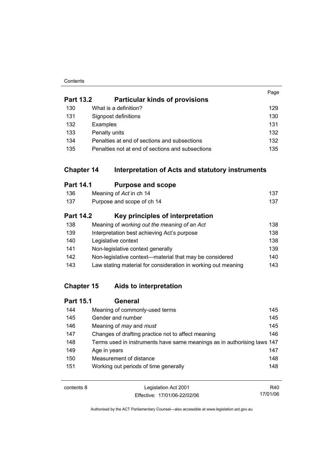#### **Contents**

|                  |                                                                       | Page |
|------------------|-----------------------------------------------------------------------|------|
| <b>Part 13.2</b> | <b>Particular kinds of provisions</b>                                 |      |
| 130              | What is a definition?                                                 | 129  |
| 131              | Signpost definitions                                                  | 130  |
| 132              | Examples                                                              | 131  |
| 133              | Penalty units                                                         | 132  |
| 134              | Penalties at end of sections and subsections                          | 132  |
| 135              | Penalties not at end of sections and subsections                      | 135  |
|                  | <b>Chapter 14</b><br>Interpretation of Acts and statutory instruments |      |
| <b>Part 14.1</b> | <b>Purpose and scope</b>                                              |      |
| 136              | Meaning of Act in ch 14                                               | 137  |
| 137              | Purpose and scope of ch 14                                            | 137  |
| <b>Part 14.2</b> | Key principles of interpretation                                      |      |
| 138              | Meaning of working out the meaning of an Act                          | 138  |
| 139              | Interpretation best achieving Act's purpose                           | 138  |
| 140              | Legislative context                                                   | 138  |
| 141              | Non-legislative context generally                                     | 139  |
| 142              | Non-legislative context-material that may be considered               | 140  |
| 143              | Law stating material for consideration in working out meaning         | 143  |

# **Chapter 15 Aids to interpretation**

| <b>Part 15.1</b> | General                                                                 |     |
|------------------|-------------------------------------------------------------------------|-----|
| 144              | Meaning of commonly-used terms                                          | 145 |
| 145              | Gender and number                                                       | 145 |
| 146              | Meaning of <i>may</i> and <i>must</i>                                   | 145 |
| 147              | Changes of drafting practice not to affect meaning                      | 146 |
| 148              | Terms used in instruments have same meanings as in authorising laws 147 |     |
| 149              | Age in years                                                            | 147 |
| 150              | Measurement of distance                                                 | 148 |
| 151              | Working out periods of time generally                                   | 148 |
|                  |                                                                         |     |

| contents 8 | Legislation Act 2001         | R40.     |
|------------|------------------------------|----------|
|            | Effective: 17/01/06-22/02/06 | 17/01/06 |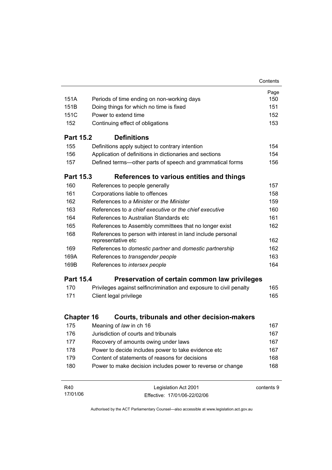|                   |                                                                                   | Contents   |
|-------------------|-----------------------------------------------------------------------------------|------------|
|                   |                                                                                   | Page       |
| 151A              | Periods of time ending on non-working days                                        | 150        |
| 151B              | Doing things for which no time is fixed                                           | 151        |
| 151C              | Power to extend time                                                              | 152        |
| 152               | Continuing effect of obligations                                                  | 153        |
| <b>Part 15.2</b>  | <b>Definitions</b>                                                                |            |
| 155               | Definitions apply subject to contrary intention                                   | 154        |
| 156               | Application of definitions in dictionaries and sections                           | 154        |
| 157               | Defined terms—other parts of speech and grammatical forms                         | 156        |
| <b>Part 15.3</b>  | References to various entities and things                                         |            |
| 160               | References to people generally                                                    | 157        |
| 161               | Corporations liable to offences                                                   | 158        |
| 162               | References to a Minister or the Minister                                          | 159        |
| 163               | References to a chief executive or the chief executive                            | 160        |
| 164               | References to Australian Standards etc                                            | 161        |
| 165               | References to Assembly committees that no longer exist                            | 162        |
| 168               | References to person with interest in land include personal<br>representative etc | 162        |
| 169               | References to domestic partner and domestic partnership                           | 162        |
| 169A              | References to transgender people                                                  | 163        |
| 169B              | References to intersex people                                                     | 164        |
| <b>Part 15.4</b>  | Preservation of certain common law privileges                                     |            |
| 170               | Privileges against selfincrimination and exposure to civil penalty                | 165        |
| 171               | Client legal privilege                                                            | 165        |
| <b>Chapter 16</b> | Courts, tribunals and other decision-makers                                       |            |
| 175               | Meaning of law in ch 16                                                           | 167        |
| 176               | Jurisdiction of courts and tribunals                                              | 167        |
| 177               | Recovery of amounts owing under laws                                              | 167        |
| 178               | Power to decide includes power to take evidence etc                               | 167        |
| 179               | Content of statements of reasons for decisions                                    | 168        |
| 180               | Power to make decision includes power to reverse or change                        | 168        |
| R40<br>17/01/06   | Legislation Act 2001<br>Fffective: 17/01/06-22/02/06                              | contents 9 |

Effective: 17/01/06-22/02/06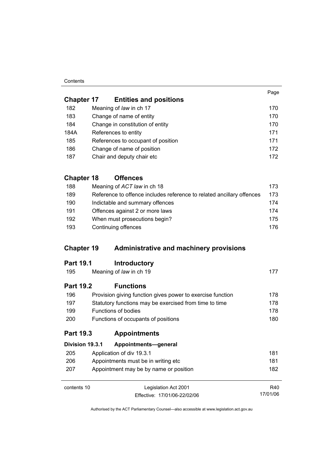#### **Contents**

17/01/06

| <b>Chapter 17</b> | <b>Entities and positions</b>      |     |
|-------------------|------------------------------------|-----|
| 182               | Meaning of law in ch 17            | 170 |
| 183               | Change of name of entity           | 170 |
| 184               | Change in constitution of entity   | 170 |
| 184A              | References to entity               | 171 |
| 185               | References to occupant of position | 171 |
| 186               | Change of name of position         | 172 |
| 187               | Chair and deputy chair etc         | 172 |

# **Chapter 18 Offences**

| 188 | Meaning of ACT law in ch 18                                           | 173. |
|-----|-----------------------------------------------------------------------|------|
| 189 | Reference to offence includes reference to related ancillary offences | 173  |
| 190 | Indictable and summary offences                                       | 174  |
| 191 | Offences against 2 or more laws                                       | 174  |
| 192 | When must prosecutions begin?                                         | 175  |
| 193 | Continuing offences                                                   | 176. |

## **Chapter 19 Administrative and machinery provisions**

| 195              | Meaning of law in ch 19 |  |
|------------------|-------------------------|--|
| <b>Part 19.2</b> | <b>Functions</b>        |  |

| 196        | Provision giving function gives power to exercise function | 178. |
|------------|------------------------------------------------------------|------|
| 197        | Statutory functions may be exercised from time to time     | 178. |
| 199        | Functions of bodies                                        | 178  |
| <b>200</b> | Functions of occupants of positions                        | 180. |

## **Part 19.3 Appointments**

| Division 19.3.1 | Appointments-general                   |     |
|-----------------|----------------------------------------|-----|
| 205             | Application of div 19.3.1              | 181 |
| 206             | Appointments must be in writing etc.   | 181 |
| 207             | Appointment may be by name or position | 182 |
|                 |                                        |     |
| contents 10     | Legislation Act 2001                   | R40 |

contents 10 Legislation Act 2001 Effective: 17/01/06-22/02/06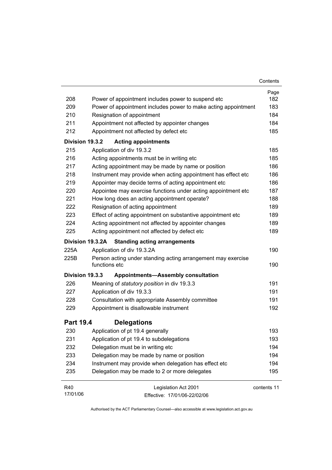|                  |                                                                               | Contents    |
|------------------|-------------------------------------------------------------------------------|-------------|
|                  |                                                                               | Page        |
| 208              | Power of appointment includes power to suspend etc                            | 182         |
| 209              | Power of appointment includes power to make acting appointment                | 183         |
| 210              | Resignation of appointment                                                    | 184         |
| 211              | Appointment not affected by appointer changes                                 | 184         |
| 212              | Appointment not affected by defect etc                                        | 185         |
| Division 19.3.2  | <b>Acting appointments</b>                                                    |             |
| 215              | Application of div 19.3.2                                                     | 185         |
| 216              | Acting appointments must be in writing etc                                    | 185         |
| 217              | Acting appointment may be made by name or position                            | 186         |
| 218              | Instrument may provide when acting appointment has effect etc                 | 186         |
| 219              | Appointer may decide terms of acting appointment etc                          | 186         |
| 220              | Appointee may exercise functions under acting appointment etc                 | 187         |
| 221              | How long does an acting appointment operate?                                  | 188         |
| 222              | Resignation of acting appointment                                             | 189         |
| 223              | Effect of acting appointment on substantive appointment etc                   | 189         |
| 224              | Acting appointment not affected by appointer changes                          | 189         |
| 225              | Acting appointment not affected by defect etc                                 | 189         |
| Division 19.3.2A | <b>Standing acting arrangements</b>                                           |             |
| 225A             | Application of div 19.3.2A                                                    | 190         |
| 225B             | Person acting under standing acting arrangement may exercise<br>functions etc | 190         |
| Division 19.3.3  | <b>Appointments-Assembly consultation</b>                                     |             |
| 226              | Meaning of statutory position in div 19.3.3                                   | 191         |
| 227              | Application of div 19.3.3                                                     | 191         |
| 228              | Consultation with appropriate Assembly committee                              | 191         |
| 229              | Appointment is disallowable instrument                                        | 192         |
| <b>Part 19.4</b> | <b>Delegations</b>                                                            |             |
| 230              | Application of pt 19.4 generally                                              | 193         |
| 231              | Application of pt 19.4 to subdelegations                                      | 193         |
| 232              | Delegation must be in writing etc                                             | 194         |
| 233              | Delegation may be made by name or position                                    | 194         |
| 234              | Instrument may provide when delegation has effect etc                         | 194         |
| 235              | Delegation may be made to 2 or more delegates                                 | 195         |
| R40              | Legislation Act 2001                                                          | contents 11 |
| 17/01/06         |                                                                               |             |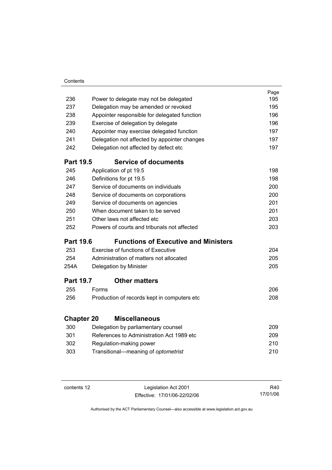| Contents |
|----------|
|          |

| 236               |       |                                                                                  | Page<br>195 |
|-------------------|-------|----------------------------------------------------------------------------------|-------------|
| 237               |       | Power to delegate may not be delegated<br>Delegation may be amended or revoked   | 195         |
| 238               |       |                                                                                  | 196         |
| 239               |       | Appointer responsible for delegated function                                     | 196         |
|                   |       | Exercise of delegation by delegate                                               | 197         |
| 240               |       | Appointer may exercise delegated function                                        |             |
| 241               |       | Delegation not affected by appointer changes                                     | 197         |
| 242               |       | Delegation not affected by defect etc                                            | 197         |
| <b>Part 19.5</b>  |       | <b>Service of documents</b>                                                      |             |
| 245               |       | Application of pt 19.5                                                           | 198         |
| 246               |       | Definitions for pt 19.5                                                          | 198         |
| 247               |       | Service of documents on individuals                                              | 200         |
| 248               |       | Service of documents on corporations                                             | 200         |
| 249               |       | Service of documents on agencies                                                 | 201         |
| 250               |       | When document taken to be served                                                 | 201         |
| 251               |       | Other laws not affected etc                                                      | 203         |
| 252               |       | Powers of courts and tribunals not affected                                      | 203         |
| <b>Part 19.6</b>  |       | <b>Functions of Executive and Ministers</b>                                      |             |
| 253               |       | <b>Exercise of functions of Executive</b>                                        | 204         |
| 254               |       | Administration of matters not allocated                                          | 205         |
| 254A              |       | Delegation by Minister                                                           | 205         |
| <b>Part 19.7</b>  |       | <b>Other matters</b>                                                             |             |
| 255               | Forms |                                                                                  | 206         |
| 256               |       | Production of records kept in computers etc                                      | 208         |
| <b>Chapter 20</b> |       | <b>Miscellaneous</b>                                                             |             |
| 300               |       |                                                                                  | 209         |
| 301               |       | Delegation by parliamentary counsel<br>References to Administration Act 1989 etc | 209         |
| 302               |       |                                                                                  | 210         |
| 303               |       | Regulation-making power                                                          | 210         |
|                   |       | Transitional-meaning of optometrist                                              |             |

| contents 12 |  |
|-------------|--|
|-------------|--|

Legislation Act 2001 Effective: 17/01/06-22/02/06

R40 17/01/06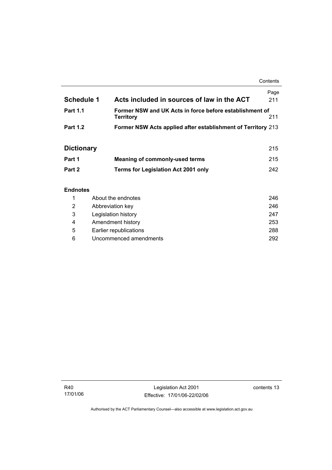**Contents** 

| <b>Schedule 1</b> | Acts included in sources of law in the ACT                                  | Page<br>211 |
|-------------------|-----------------------------------------------------------------------------|-------------|
| <b>Part 1.1</b>   | Former NSW and UK Acts in force before establishment of<br><b>Territory</b> | 211         |
| <b>Part 1.2</b>   | Former NSW Acts applied after establishment of Territory 213                |             |

# **Dictionary** 215

| Part 1 | Meaning of commonly-used terms             | 215 |
|--------|--------------------------------------------|-----|
| Part 2 | <b>Terms for Legislation Act 2001 only</b> | 242 |

## **Endnotes**

|   | About the endnotes     | 246 |
|---|------------------------|-----|
| 2 | Abbreviation key       | 246 |
| 3 | Legislation history    | 247 |
| 4 | Amendment history      | 253 |
| 5 | Earlier republications | 288 |
| 6 | Uncommenced amendments | 292 |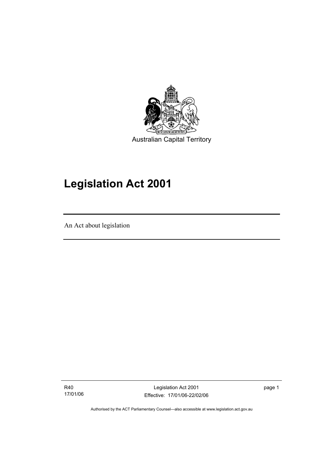

# **Legislation Act 2001**

An Act about legislation

I

R40 17/01/06

Legislation Act 2001 Effective: 17/01/06-22/02/06 page 1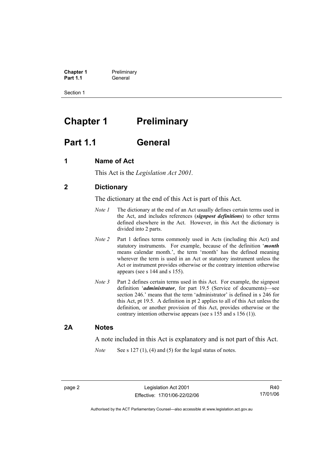**Chapter 1** Preliminary<br>**Part 1.1** General **Part 1.1** General

Section 1

# **Chapter 1** Preliminary

## **Part 1.1 General**

## **1 Name of Act**

This Act is the *Legislation Act 2001.* 

## **2 Dictionary**

The dictionary at the end of this Act is part of this Act.

- *Note 1* The dictionary at the end of an Act usually defines certain terms used in the Act, and includes references (*signpost definitions*) to other terms defined elsewhere in the Act. However, in this Act the dictionary is divided into 2 parts.
- *Note 2* Part 1 defines terms commonly used in Acts (including this Act) and statutory instruments. For example, because of the definition '*month* means calendar month.', the term 'month' has the defined meaning wherever the term is used in an Act or statutory instrument unless the Act or instrument provides otherwise or the contrary intention otherwise appears (see s 144 and s 155).
- *Note 3* Part 2 defines certain terms used in this Act. For example, the signpost definition '*administrator*, for part 19.5 (Service of documents)—see section 246.' means that the term 'administrator' is defined in s 246 for this Act, pt 19.5. A definition in pt 2 applies to all of this Act unless the definition, or another provision of this Act, provides otherwise or the contrary intention otherwise appears (see s 155 and s 156 (1)).

## **2A Notes**

A note included in this Act is explanatory and is not part of this Act.

*Note* See s 127 (1), (4) and (5) for the legal status of notes.

R40 17/01/06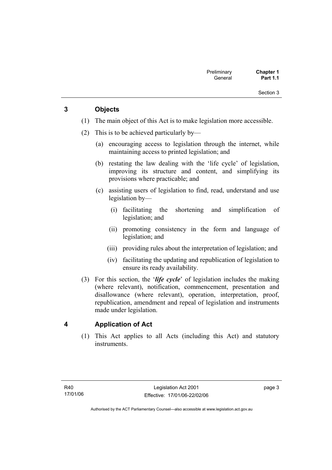## **3 Objects**

- (1) The main object of this Act is to make legislation more accessible.
- (2) This is to be achieved particularly by—
	- (a) encouraging access to legislation through the internet, while maintaining access to printed legislation; and
	- (b) restating the law dealing with the 'life cycle' of legislation, improving its structure and content, and simplifying its provisions where practicable; and
	- (c) assisting users of legislation to find, read, understand and use legislation by—
		- (i) facilitating the shortening and simplification of legislation; and
		- (ii) promoting consistency in the form and language of legislation; and
		- (iii) providing rules about the interpretation of legislation; and
		- (iv) facilitating the updating and republication of legislation to ensure its ready availability.
- (3) For this section, the '*life cycle*' of legislation includes the making (where relevant), notification, commencement, presentation and disallowance (where relevant), operation, interpretation, proof, republication, amendment and repeal of legislation and instruments made under legislation.

## **4 Application of Act**

 (1) This Act applies to all Acts (including this Act) and statutory instruments.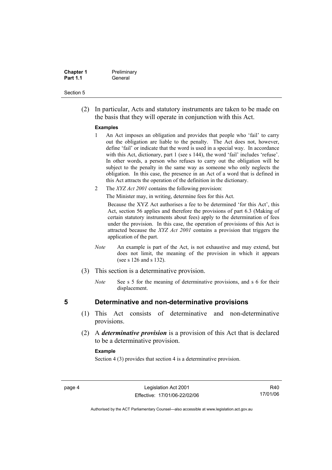| <b>Chapter 1</b> | Preliminary |
|------------------|-------------|
| <b>Part 1.1</b>  | General     |

 (2) In particular, Acts and statutory instruments are taken to be made on the basis that they will operate in conjunction with this Act.

#### **Examples**

- 1 An Act imposes an obligation and provides that people who 'fail' to carry out the obligation are liable to the penalty. The Act does not, however, define 'fail' or indicate that the word is used in a special way. In accordance with this Act, dictionary, part 1 (see s 144), the word 'fail' includes 'refuse'. In other words, a person who refuses to carry out the obligation will be subject to the penalty in the same way as someone who only neglects the obligation. In this case, the presence in an Act of a word that is defined in this Act attracts the operation of the definition in the dictionary.
- 2 The *XYZ Act 2001* contains the following provision:

The Minister may, in writing, determine fees for this Act.

Because the XYZ Act authorises a fee to be determined 'for this Act', this Act, section 56 applies and therefore the provisions of part 6.3 (Making of certain statutory instruments about fees) apply to the determination of fees under the provision. In this case, the operation of provisions of this Act is attracted because the *XYZ Act 2001* contains a provision that triggers the application of the part.

- *Note* An example is part of the Act, is not exhaustive and may extend, but does not limit, the meaning of the provision in which it appears (see s 126 and s 132).
- (3) This section is a determinative provision.
	- *Note* See s 5 for the meaning of determinative provisions, and s 6 for their displacement.

## **5 Determinative and non-determinative provisions**

- (1) This Act consists of determinative and non-determinative provisions.
- (2) A *determinative provision* is a provision of this Act that is declared to be a determinative provision.

#### **Example**

Section 4 (3) provides that section 4 is a determinative provision.

R40 17/01/06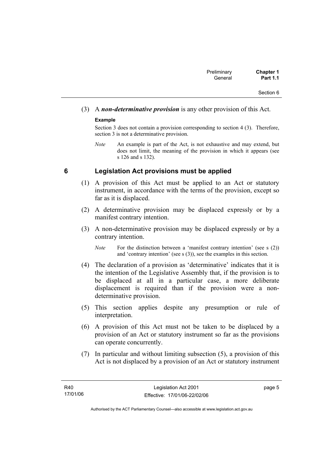# (3) A *non-determinative provision* is any other provision of this Act.

## **Example**

Section 3 does not contain a provision corresponding to section 4 (3). Therefore, section 3 is not a determinative provision.

*Note* An example is part of the Act, is not exhaustive and may extend, but does not limit, the meaning of the provision in which it appears (see s 126 and s 132).

## **6 Legislation Act provisions must be applied**

- (1) A provision of this Act must be applied to an Act or statutory instrument, in accordance with the terms of the provision, except so far as it is displaced.
- (2) A determinative provision may be displaced expressly or by a manifest contrary intention.
- (3) A non-determinative provision may be displaced expressly or by a contrary intention.

- (4) The declaration of a provision as 'determinative' indicates that it is the intention of the Legislative Assembly that, if the provision is to be displaced at all in a particular case, a more deliberate displacement is required than if the provision were a nondeterminative provision.
- (5) This section applies despite any presumption or rule of interpretation.
- (6) A provision of this Act must not be taken to be displaced by a provision of an Act or statutory instrument so far as the provisions can operate concurrently.
- (7) In particular and without limiting subsection (5), a provision of this Act is not displaced by a provision of an Act or statutory instrument

page 5

*Note* For the distinction between a 'manifest contrary intention' (see s (2)) and 'contrary intention' (see s (3)), see the examples in this section.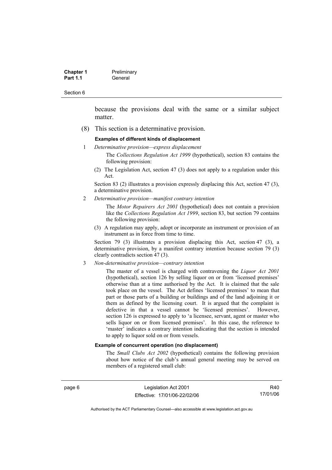| <b>Chapter 1</b> | Preliminary |  |
|------------------|-------------|--|
| <b>Part 1.1</b>  | General     |  |

because the provisions deal with the same or a similar subject matter.

(8) This section is a determinative provision.

#### **Examples of different kinds of displacement**

1 *Determinative provision—express displacement*

The *Collections Regulation Act 1999* (hypothetical), section 83 contains the following provision:

(2) The Legislation Act, section 47 (3) does not apply to a regulation under this Act.

Section 83 (2) illustrates a provision expressly displacing this Act, section 47 (3), a determinative provision.

2 *Determinative provision—manifest contrary intention*

The *Motor Repairers Act 2001* (hypothetical) does not contain a provision like the *Collections Regulation Act 1999*, section 83, but section 79 contains the following provision:

(3) A regulation may apply, adopt or incorporate an instrument or provision of an instrument as in force from time to time.

Section 79 (3) illustrates a provision displacing this Act, section 47 (3), a determinative provision, by a manifest contrary intention because section 79 (3) clearly contradicts section 47 (3).

3 *Non-determinative provision—contrary intention*

The master of a vessel is charged with contravening the *Liquor Act 2001* (hypothetical), section 126 by selling liquor on or from 'licensed premises' otherwise than at a time authorised by the Act. It is claimed that the sale took place on the vessel. The Act defines 'licensed premises' to mean that part or those parts of a building or buildings and of the land adjoining it or them as defined by the licensing court. It is argued that the complaint is defective in that a vessel cannot be 'licensed premises'. However, section 126 is expressed to apply to 'a licensee, servant, agent or master who sells liquor on or from licensed premises'. In this case, the reference to 'master' indicates a contrary intention indicating that the section is intended to apply to liquor sold on or from vessels.

#### **Example of concurrent operation (no displacement)**

The *Small Clubs Act 2002* (hypothetical) contains the following provision about how notice of the club's annual general meeting may be served on members of a registered small club:

page 6 Legislation Act 2001 Effective: 17/01/06-22/02/06

R40 17/01/06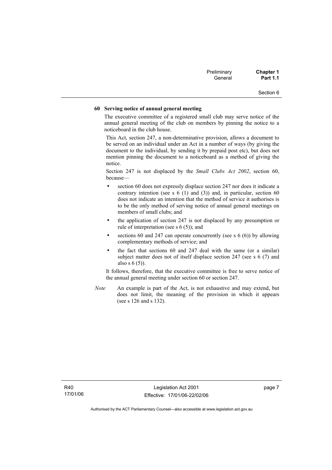| Preliminary | <b>Chapter 1</b> |
|-------------|------------------|
| General     | <b>Part 1.1</b>  |

#### **60 Serving notice of annual general meeting**

The executive committee of a registered small club may serve notice of the annual general meeting of the club on members by pinning the notice to a noticeboard in the club house.

This Act, section 247, a non-determinative provision, allows a document to be served on an individual under an Act in a number of ways (by giving the document to the individual, by sending it by prepaid post etc), but does not mention pinning the document to a noticeboard as a method of giving the notice.

Section 247 is not displaced by the *Small Clubs Act 2002*, section 60, because—

- section 60 does not expressly displace section 247 nor does it indicate a contrary intention (see s  $6(1)$  and  $(3)$ ) and, in particular, section  $60$ does not indicate an intention that the method of service it authorises is to be the only method of serving notice of annual general meetings on members of small clubs; and
- the application of section 247 is not displaced by any presumption or rule of interpretation (see s 6 (5)); and
- sections 60 and 247 can operate concurrently (see s  $6(6)$ ) by allowing complementary methods of service; and
- the fact that sections 60 and 247 deal with the same (or a similar) subject matter does not of itself displace section 247 (see s 6 (7) and also s 6 (5)).

It follows, therefore, that the executive committee is free to serve notice of the annual general meeting under section 60 or section 247.

*Note* An example is part of the Act, is not exhaustive and may extend, but does not limit, the meaning of the provision in which it appears (see s 126 and s 132).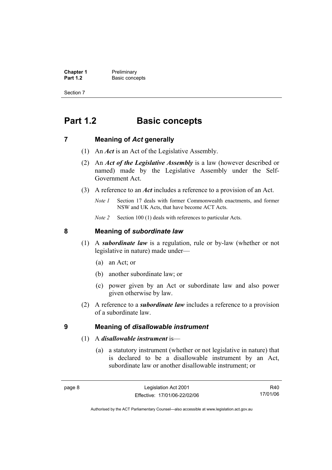**Chapter 1** Preliminary<br>**Part 1.2** Basic conce **Basic concepts** 

Section 7

# **Part 1.2 Basic concepts**

## **7 Meaning of** *Act* **generally**

- (1) An *Act* is an Act of the Legislative Assembly.
- (2) An *Act of the Legislative Assembly* is a law (however described or named) made by the Legislative Assembly under the Self-Government Act.
- (3) A reference to an *Act* includes a reference to a provision of an Act.
	- *Note 1* Section 17 deals with former Commonwealth enactments, and former NSW and UK Acts, that have become ACT Acts.
	- *Note 2* Section 100 (1) deals with references to particular Acts.

## **8 Meaning of** *subordinate law*

- (1) A *subordinate law* is a regulation, rule or by-law (whether or not legislative in nature) made under—
	- (a) an Act; or
	- (b) another subordinate law; or
	- (c) power given by an Act or subordinate law and also power given otherwise by law.
- (2) A reference to a *subordinate law* includes a reference to a provision of a subordinate law.

## **9 Meaning of** *disallowable instrument*

- (1) A *disallowable instrument* is—
	- (a) a statutory instrument (whether or not legislative in nature) that is declared to be a disallowable instrument by an Act, subordinate law or another disallowable instrument; or

R40 17/01/06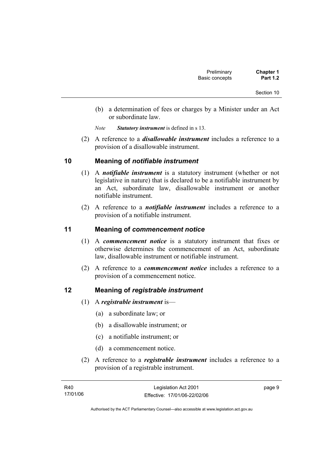- (b) a determination of fees or charges by a Minister under an Act or subordinate law.
- *Note Statutory instrument* is defined in s 13.
- (2) A reference to a *disallowable instrument* includes a reference to a provision of a disallowable instrument.

## **10 Meaning of** *notifiable instrument*

- (1) A *notifiable instrument* is a statutory instrument (whether or not legislative in nature) that is declared to be a notifiable instrument by an Act, subordinate law, disallowable instrument or another notifiable instrument.
- (2) A reference to a *notifiable instrument* includes a reference to a provision of a notifiable instrument.

## **11 Meaning of** *commencement notice*

- (1) A *commencement notice* is a statutory instrument that fixes or otherwise determines the commencement of an Act, subordinate law, disallowable instrument or notifiable instrument.
- (2) A reference to a *commencement notice* includes a reference to a provision of a commencement notice.

## **12 Meaning of** *registrable instrument*

- (1) A *registrable instrument* is—
	- (a) a subordinate law; or
	- (b) a disallowable instrument; or
	- (c) a notifiable instrument; or
	- (d) a commencement notice.
- (2) A reference to a *registrable instrument* includes a reference to a provision of a registrable instrument.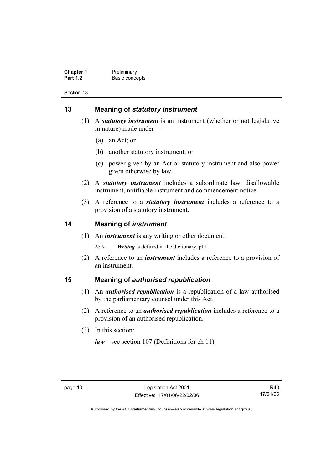**Chapter 1** Preliminary<br>**Part 1.2** Basic conce **Basic concepts** 

Section 13

## **13 Meaning of** *statutory instrument*

- (1) A *statutory instrument* is an instrument (whether or not legislative in nature) made under—
	- (a) an Act; or
	- (b) another statutory instrument; or
	- (c) power given by an Act or statutory instrument and also power given otherwise by law.
- (2) A *statutory instrument* includes a subordinate law, disallowable instrument, notifiable instrument and commencement notice.
- (3) A reference to a *statutory instrument* includes a reference to a provision of a statutory instrument.

## **14 Meaning of** *instrument*

(1) An *instrument* is any writing or other document.

*Note Writing* is defined in the dictionary, pt 1.

 (2) A reference to an *instrument* includes a reference to a provision of an instrument.

## **15 Meaning of** *authorised republication*

- (1) An *authorised republication* is a republication of a law authorised by the parliamentary counsel under this Act.
- (2) A reference to an *authorised republication* includes a reference to a provision of an authorised republication.
- (3) In this section:

*law*—see section 107 (Definitions for ch 11).

R40 17/01/06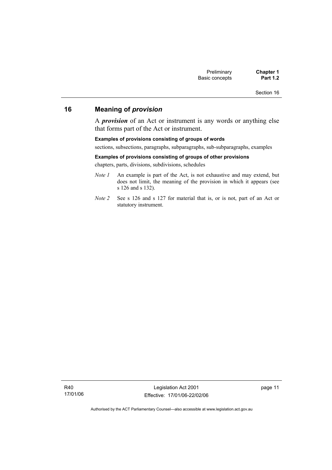## **16 Meaning of** *provision*

A *provision* of an Act or instrument is any words or anything else that forms part of the Act or instrument.

#### **Examples of provisions consisting of groups of words**

sections, subsections, paragraphs, subparagraphs, sub-subparagraphs, examples

#### **Examples of provisions consisting of groups of other provisions**

chapters, parts, divisions, subdivisions, schedules

- *Note 1* An example is part of the Act, is not exhaustive and may extend, but does not limit, the meaning of the provision in which it appears (see s 126 and s 132).
- *Note 2* See s 126 and s 127 for material that is, or is not, part of an Act or statutory instrument.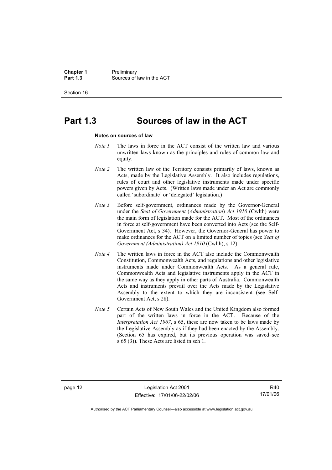**Chapter 1** Preliminary<br>**Part 1.3** Sources of **Part 1.3** Sources of law in the ACT

Section 16

# **Part 1.3 Sources of law in the ACT**

#### **Notes on sources of law**

- *Note 1* The laws in force in the ACT consist of the written law and various unwritten laws known as the principles and rules of common law and equity.
- *Note 2* The written law of the Territory consists primarily of laws, known as Acts, made by the Legislative Assembly. It also includes regulations, rules of court and other legislative instruments made under specific powers given by Acts. (Written laws made under an Act are commonly called 'subordinate' or 'delegated' legislation.)
- *Note 3* Before self-government, ordinances made by the Governor-General under the *Seat of Government* (*Administration*) *Act 1910* (Cwlth) were the main form of legislation made for the ACT. Most of the ordinances in force at self-government have been converted into Acts (see the Self-Government Act, s 34). However, the Governor-General has power to make ordinances for the ACT on a limited number of topics (see *Seat of Government (Administration) Act 1910* (Cwlth), s 12).
- *Note 4* The written laws in force in the ACT also include the Commonwealth Constitution, Commonwealth Acts, and regulations and other legislative instruments made under Commonwealth Acts. As a general rule, Commonwealth Acts and legislative instruments apply in the ACT in the same way as they apply in other parts of Australia. Commonwealth Acts and instruments prevail over the Acts made by the Legislative Assembly to the extent to which they are inconsistent (see Self-Government Act, s 28).
- *Note 5* Certain Acts of New South Wales and the United Kingdom also formed part of the written laws in force in the ACT. Because of the *Interpretation Act 1967*, s 65, these are now taken to be laws made by the Legislative Assembly as if they had been enacted by the Assembly. (Section 65 has expired, but its previous operation was saved–see s 65 (3)). These Acts are listed in sch 1.

R40 17/01/06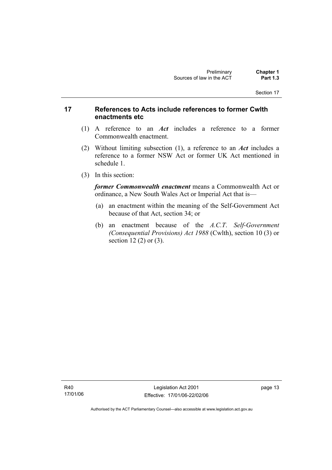## **17 References to Acts include references to former Cwlth enactments etc**

- (1) A reference to an *Act* includes a reference to a former Commonwealth enactment.
- (2) Without limiting subsection (1), a reference to an *Act* includes a reference to a former NSW Act or former UK Act mentioned in schedule 1.
- (3) In this section:

*former Commonwealth enactment* means a Commonwealth Act or ordinance, a New South Wales Act or Imperial Act that is—

- (a) an enactment within the meaning of the Self-Government Act because of that Act, section 34; or
- (b) an enactment because of the *A.C.T*. *Self-Government (Consequential Provisions) Act 1988* (Cwlth), section 10 (3) or section 12 (2) or (3).

R40 17/01/06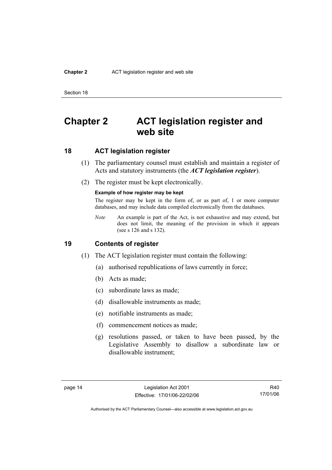#### **Chapter 2** ACT legislation register and web site

Section 18

# **Chapter 2 ACT legislation register and web site**

## **18 ACT legislation register**

- (1) The parliamentary counsel must establish and maintain a register of Acts and statutory instruments (the *ACT legislation register*).
- (2) The register must be kept electronically.

#### **Example of how register may be kept**

The register may be kept in the form of, or as part of, 1 or more computer databases, and may include data compiled electronically from the databases.

*Note* An example is part of the Act, is not exhaustive and may extend, but does not limit, the meaning of the provision in which it appears (see s 126 and s 132).

### **19 Contents of register**

- (1) The ACT legislation register must contain the following:
	- (a) authorised republications of laws currently in force;
	- (b) Acts as made;
	- (c) subordinate laws as made;
	- (d) disallowable instruments as made;
	- (e) notifiable instruments as made;
	- (f) commencement notices as made;
	- (g) resolutions passed, or taken to have been passed, by the Legislative Assembly to disallow a subordinate law or disallowable instrument;

R40 17/01/06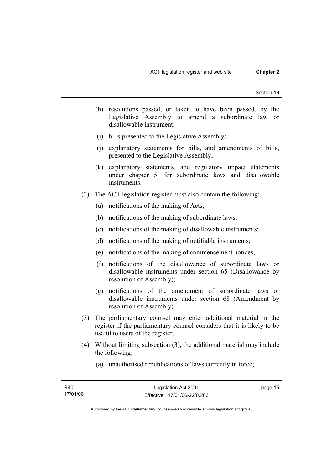- (h) resolutions passed, or taken to have been passed, by the Legislative Assembly to amend a subordinate law or disallowable instrument;
- (i) bills presented to the Legislative Assembly;
- (j) explanatory statements for bills, and amendments of bills, presented to the Legislative Assembly;
- (k) explanatory statements, and regulatory impact statements under chapter 5, for subordinate laws and disallowable instruments.
- (2) The ACT legislation register must also contain the following:
	- (a) notifications of the making of Acts;
	- (b) notifications of the making of subordinate laws;
	- (c) notifications of the making of disallowable instruments;
	- (d) notifications of the making of notifiable instruments;
	- (e) notifications of the making of commencement notices;
	- (f) notifications of the disallowance of subordinate laws or disallowable instruments under section 65 (Disallowance by resolution of Assembly);
	- (g) notifications of the amendment of subordinate laws or disallowable instruments under section 68 (Amendment by resolution of Assembly).
- (3) The parliamentary counsel may enter additional material in the register if the parliamentary counsel considers that it is likely to be useful to users of the register.
- (4) Without limiting subsection (3), the additional material may include the following:
	- (a) unauthorised republications of laws currently in force;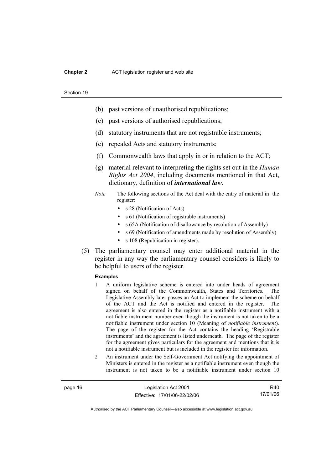#### **Chapter 2** ACT legislation register and web site

#### Section 19

- (b) past versions of unauthorised republications;
- (c) past versions of authorised republications;
- (d) statutory instruments that are not registrable instruments;
- (e) repealed Acts and statutory instruments;
- (f) Commonwealth laws that apply in or in relation to the ACT;
- (g) material relevant to interpreting the rights set out in the *Human Rights Act 2004*, including documents mentioned in that Act, dictionary, definition of *international law*.
- *Note* The following sections of the Act deal with the entry of material in the register:
	- s 28 (Notification of Acts)
	- s 61 (Notification of registrable instruments)
	- s 65A (Notification of disallowance by resolution of Assembly)
	- s 69 (Notification of amendments made by resolution of Assembly)
	- s 108 (Republication in register).
- (5) The parliamentary counsel may enter additional material in the register in any way the parliamentary counsel considers is likely to be helpful to users of the register.

#### **Examples**

- 1 A uniform legislative scheme is entered into under heads of agreement signed on behalf of the Commonwealth, States and Territories. The Legislative Assembly later passes an Act to implement the scheme on behalf of the ACT and the Act is notified and entered in the register. The agreement is also entered in the register as a notifiable instrument with a notifiable instrument number even though the instrument is not taken to be a notifiable instrument under section 10 (Meaning of *notifiable instrument*). The page of the register for the Act contains the heading 'Registrable instruments' and the agreement is listed underneath. The page of the register for the agreement gives particulars for the agreement and mentions that it is not a notifiable instrument but is included in the register for information.
- 2 An instrument under the Self-Government Act notifying the appointment of Ministers is entered in the register as a notifiable instrument even though the instrument is not taken to be a notifiable instrument under section 10

page 16 Legislation Act 2001 Effective: 17/01/06-22/02/06

R40 17/01/06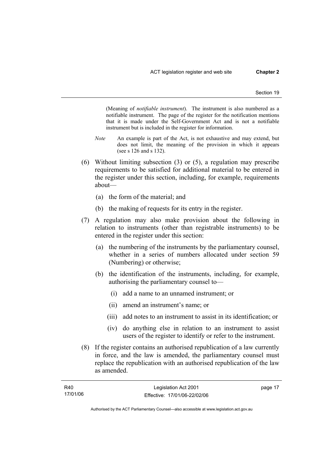(Meaning of *notifiable instrument*). The instrument is also numbered as a notifiable instrument. The page of the register for the notification mentions that it is made under the Self-Government Act and is not a notifiable instrument but is included in the register for information.

- *Note* An example is part of the Act, is not exhaustive and may extend, but does not limit, the meaning of the provision in which it appears (see s 126 and s 132).
- (6) Without limiting subsection (3) or (5), a regulation may prescribe requirements to be satisfied for additional material to be entered in the register under this section, including, for example, requirements about—
	- (a) the form of the material; and
	- (b) the making of requests for its entry in the register.
- (7) A regulation may also make provision about the following in relation to instruments (other than registrable instruments) to be entered in the register under this section:
	- (a) the numbering of the instruments by the parliamentary counsel, whether in a series of numbers allocated under section 59 (Numbering) or otherwise;
	- (b) the identification of the instruments, including, for example, authorising the parliamentary counsel to—
		- (i) add a name to an unnamed instrument; or
		- (ii) amend an instrument's name; or
		- (iii) add notes to an instrument to assist in its identification; or
		- (iv) do anything else in relation to an instrument to assist users of the register to identify or refer to the instrument.
- (8) If the register contains an authorised republication of a law currently in force, and the law is amended, the parliamentary counsel must replace the republication with an authorised republication of the law as amended.

| R40      | Legislation Act 2001         | page 17 |
|----------|------------------------------|---------|
| 17/01/06 | Effective: 17/01/06-22/02/06 |         |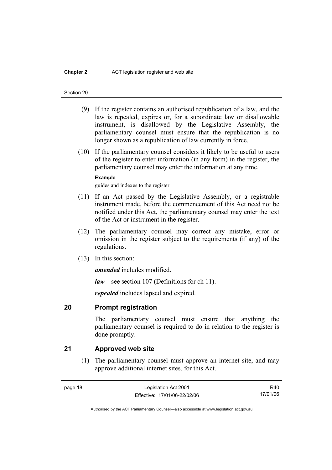#### **Chapter 2** ACT legislation register and web site

#### Section 20

- (9) If the register contains an authorised republication of a law, and the law is repealed, expires or, for a subordinate law or disallowable instrument, is disallowed by the Legislative Assembly, the parliamentary counsel must ensure that the republication is no longer shown as a republication of law currently in force.
- (10) If the parliamentary counsel considers it likely to be useful to users of the register to enter information (in any form) in the register, the parliamentary counsel may enter the information at any time.

#### **Example**

guides and indexes to the register

- (11) If an Act passed by the Legislative Assembly, or a registrable instrument made, before the commencement of this Act need not be notified under this Act, the parliamentary counsel may enter the text of the Act or instrument in the register.
- (12) The parliamentary counsel may correct any mistake, error or omission in the register subject to the requirements (if any) of the regulations.
- (13) In this section:

*amended* includes modified.

*law*—see section 107 (Definitions for ch 11).

*repealed* includes lapsed and expired.

### **20 Prompt registration**

The parliamentary counsel must ensure that anything the parliamentary counsel is required to do in relation to the register is done promptly.

## **21 Approved web site**

 (1) The parliamentary counsel must approve an internet site, and may approve additional internet sites, for this Act.

R40 17/01/06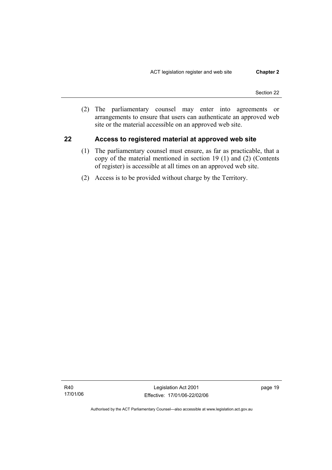(2) The parliamentary counsel may enter into agreements or arrangements to ensure that users can authenticate an approved web site or the material accessible on an approved web site.

## **22 Access to registered material at approved web site**

- (1) The parliamentary counsel must ensure, as far as practicable, that a copy of the material mentioned in section 19 (1) and (2) (Contents of register) is accessible at all times on an approved web site.
- (2) Access is to be provided without charge by the Territory.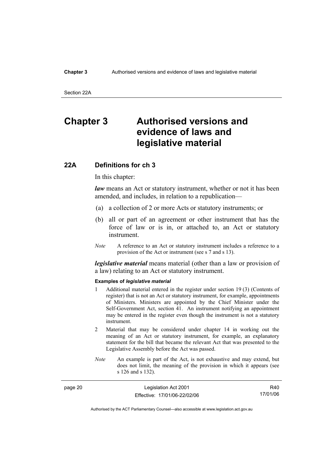#### **Chapter 3** Authorised versions and evidence of laws and legislative material

Section 22A

# **Chapter 3 Authorised versions and evidence of laws and legislative material**

### **22A Definitions for ch 3**

In this chapter:

*law* means an Act or statutory instrument, whether or not it has been amended, and includes, in relation to a republication—

- (a) a collection of 2 or more Acts or statutory instruments; or
- (b) all or part of an agreement or other instrument that has the force of law or is in, or attached to, an Act or statutory instrument.
- *Note* A reference to an Act or statutory instrument includes a reference to a provision of the Act or instrument (see s 7 and s 13).

*legislative material* means material (other than a law or provision of a law) relating to an Act or statutory instrument.

#### **Examples of** *legislative material*

- 1 Additional material entered in the register under section 19 (3) (Contents of register) that is not an Act or statutory instrument, for example, appointments of Ministers. Ministers are appointed by the Chief Minister under the Self-Government Act, section 41. An instrument notifying an appointment may be entered in the register even though the instrument is not a statutory instrument.
- 2 Material that may be considered under chapter 14 in working out the meaning of an Act or statutory instrument, for example, an explanatory statement for the bill that became the relevant Act that was presented to the Legislative Assembly before the Act was passed.
- *Note* An example is part of the Act, is not exhaustive and may extend, but does not limit, the meaning of the provision in which it appears (see s 126 and s 132).

| page 20 | Legislation Act 2001         | R40      |
|---------|------------------------------|----------|
|         | Effective: 17/01/06-22/02/06 | 17/01/06 |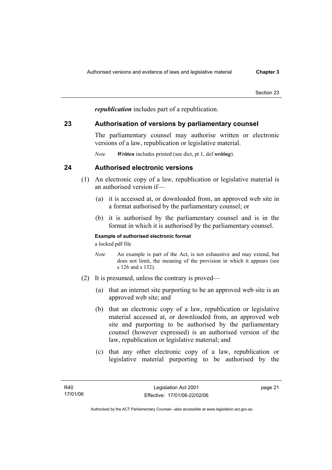*republication* includes part of a republication.

# **23 Authorisation of versions by parliamentary counsel**

The parliamentary counsel may authorise written or electronic versions of a law, republication or legislative material.

*Note Written* includes printed (see dict, pt 1, def *writing*).

# **24 Authorised electronic versions**

- (1) An electronic copy of a law, republication or legislative material is an authorised version if—
	- (a) it is accessed at, or downloaded from, an approved web site in a format authorised by the parliamentary counsel; or
	- (b) it is authorised by the parliamentary counsel and is in the format in which it is authorised by the parliamentary counsel.

### **Example of authorised electronic format**

a locked pdf file

- *Note* An example is part of the Act, is not exhaustive and may extend, but does not limit, the meaning of the provision in which it appears (see s 126 and s 132).
- (2) It is presumed, unless the contrary is proved—
	- (a) that an internet site purporting to be an approved web site is an approved web site; and
	- (b) that an electronic copy of a law, republication or legislative material accessed at, or downloaded from, an approved web site and purporting to be authorised by the parliamentary counsel (however expressed) is an authorised version of the law, republication or legislative material; and
	- (c) that any other electronic copy of a law, republication or legislative material purporting to be authorised by the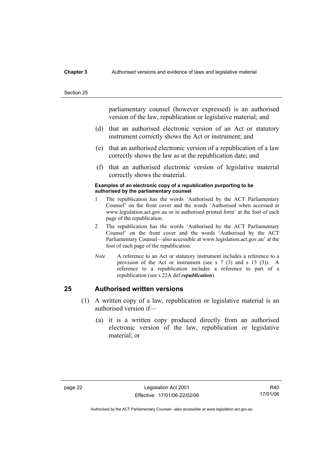#### **Chapter 3** Authorised versions and evidence of laws and legislative material

#### Section 25

parliamentary counsel (however expressed) is an authorised version of the law, republication or legislative material; and

- (d) that an authorised electronic version of an Act or statutory instrument correctly shows the Act or instrument; and
- (e) that an authorised electronic version of a republication of a law correctly shows the law as at the republication date; and
- (f) that an authorised electronic version of legislative material correctly shows the material.

#### **Examples of an electronic copy of a republication purporting to be authorised by the parliamentary counsel**

- 1 The republication has the words 'Authorised by the ACT Parliamentary Counsel' on the front cover and the words 'Authorised when accessed at www.legislation.act.gov.au or in authorised printed form' at the foot of each page of the republication.
- 2 The republication has the words 'Authorised by the ACT Parliamentary Counsel' on the front cover and the words 'Authorised by the ACT Parliamentary Counsel—also accessible at www.legislation.act.gov.au' at the foot of each page of the republication.
- *Note* A reference to an Act or statutory instrument includes a reference to a provision of the Act or instrument (see s 7 (3) and s 13 (3)). A reference to a republication includes a reference to part of a republication (see s 22A def *republication*).

# **25 Authorised written versions**

- (1) A written copy of a law, republication or legislative material is an authorised version if—
	- (a) it is a written copy produced directly from an authorised electronic version of the law, republication or legislative material; or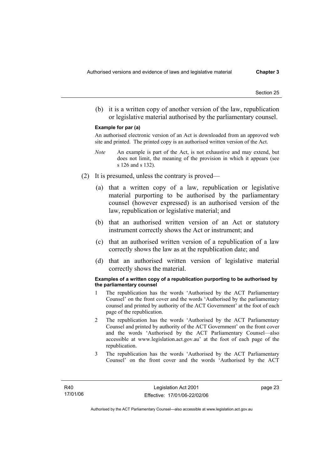(b) it is a written copy of another version of the law, republication or legislative material authorised by the parliamentary counsel.

#### **Example for par (a)**

An authorised electronic version of an Act is downloaded from an approved web site and printed. The printed copy is an authorised written version of the Act.

- *Note* An example is part of the Act, is not exhaustive and may extend, but does not limit, the meaning of the provision in which it appears (see s 126 and s 132).
- (2) It is presumed, unless the contrary is proved—
	- (a) that a written copy of a law, republication or legislative material purporting to be authorised by the parliamentary counsel (however expressed) is an authorised version of the law, republication or legislative material; and
	- (b) that an authorised written version of an Act or statutory instrument correctly shows the Act or instrument; and
	- (c) that an authorised written version of a republication of a law correctly shows the law as at the republication date; and
	- (d) that an authorised written version of legislative material correctly shows the material.

#### **Examples of a written copy of a republication purporting to be authorised by the parliamentary counsel**

- 1 The republication has the words 'Authorised by the ACT Parliamentary Counsel' on the front cover and the words 'Authorised by the parliamentary counsel and printed by authority of the ACT Government' at the foot of each page of the republication.
- 2 The republication has the words 'Authorised by the ACT Parliamentary Counsel and printed by authority of the ACT Government' on the front cover and the words 'Authorised by the ACT Parliamentary Counsel—also accessible at www.legislation.act.gov.au' at the foot of each page of the republication.
- 3 The republication has the words 'Authorised by the ACT Parliamentary Counsel' on the front cover and the words 'Authorised by the ACT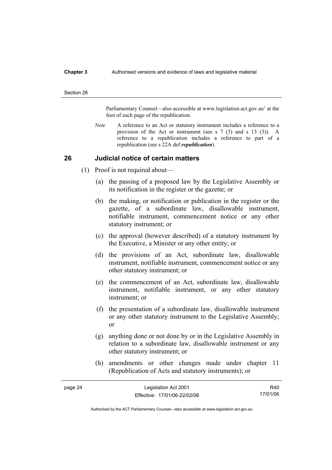#### **Chapter 3** Authorised versions and evidence of laws and legislative material

#### Section 26

Parliamentary Counsel—also accessible at www.legislation.act.gov.au' at the foot of each page of the republication.

*Note* A reference to an Act or statutory instrument includes a reference to a provision of the Act or instrument (see s 7 (3) and s 13 (3)). A reference to a republication includes a reference to part of a republication (see s 22A def *republication*).

### **26 Judicial notice of certain matters**

- (1) Proof is not required about—
	- (a) the passing of a proposed law by the Legislative Assembly or its notification in the register or the gazette; or
	- (b) the making, or notification or publication in the register or the gazette, of a subordinate law, disallowable instrument, notifiable instrument, commencement notice or any other statutory instrument; or
	- (c) the approval (however described) of a statutory instrument by the Executive, a Minister or any other entity; or
	- (d) the provisions of an Act, subordinate law, disallowable instrument, notifiable instrument, commencement notice or any other statutory instrument; or
	- (e) the commencement of an Act, subordinate law, disallowable instrument, notifiable instrument, or any other statutory instrument; or
	- (f) the presentation of a subordinate law, disallowable instrument or any other statutory instrument to the Legislative Assembly; or
	- (g) anything done or not done by or in the Legislative Assembly in relation to a subordinate law, disallowable instrument or any other statutory instrument; or
	- (h) amendments or other changes made under chapter 11 (Republication of Acts and statutory instruments); or

| page 24 | Legislation Act 2001         | R40      |
|---------|------------------------------|----------|
|         | Effective: 17/01/06-22/02/06 | 17/01/06 |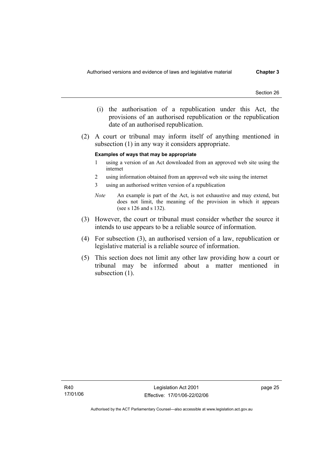- (i) the authorisation of a republication under this Act, the provisions of an authorised republication or the republication date of an authorised republication.
- (2) A court or tribunal may inform itself of anything mentioned in subsection (1) in any way it considers appropriate.

#### **Examples of ways that may be appropriate**

- 1 using a version of an Act downloaded from an approved web site using the internet
- 2 using information obtained from an approved web site using the internet
- 3 using an authorised written version of a republication
- *Note* An example is part of the Act, is not exhaustive and may extend, but does not limit, the meaning of the provision in which it appears (see s 126 and s 132).
- (3) However, the court or tribunal must consider whether the source it intends to use appears to be a reliable source of information.
- (4) For subsection (3), an authorised version of a law, republication or legislative material is a reliable source of information.
- (5) This section does not limit any other law providing how a court or tribunal may be informed about a matter mentioned in subsection  $(1)$ .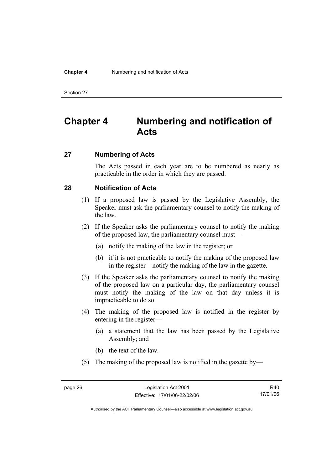#### **Chapter 4** Numbering and notification of Acts

Section 27

# **Chapter 4 Numbering and notification of Acts**

# **27 Numbering of Acts**

The Acts passed in each year are to be numbered as nearly as practicable in the order in which they are passed.

# **28 Notification of Acts**

- (1) If a proposed law is passed by the Legislative Assembly, the Speaker must ask the parliamentary counsel to notify the making of the law.
- (2) If the Speaker asks the parliamentary counsel to notify the making of the proposed law, the parliamentary counsel must—
	- (a) notify the making of the law in the register; or
	- (b) if it is not practicable to notify the making of the proposed law in the register—notify the making of the law in the gazette.
- (3) If the Speaker asks the parliamentary counsel to notify the making of the proposed law on a particular day, the parliamentary counsel must notify the making of the law on that day unless it is impracticable to do so.
- (4) The making of the proposed law is notified in the register by entering in the register—
	- (a) a statement that the law has been passed by the Legislative Assembly; and
	- (b) the text of the law.
- (5) The making of the proposed law is notified in the gazette by—

R40 17/01/06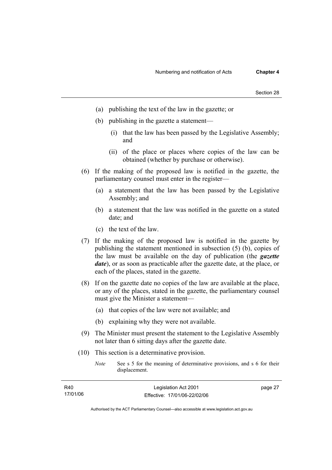- (a) publishing the text of the law in the gazette; or
- (b) publishing in the gazette a statement—
	- (i) that the law has been passed by the Legislative Assembly; and
	- (ii) of the place or places where copies of the law can be obtained (whether by purchase or otherwise).
- (6) If the making of the proposed law is notified in the gazette, the parliamentary counsel must enter in the register—
	- (a) a statement that the law has been passed by the Legislative Assembly; and
	- (b) a statement that the law was notified in the gazette on a stated date; and
	- (c) the text of the law.
- (7) If the making of the proposed law is notified in the gazette by publishing the statement mentioned in subsection (5) (b), copies of the law must be available on the day of publication (the *gazette date*), or as soon as practicable after the gazette date, at the place, or each of the places, stated in the gazette.
- (8) If on the gazette date no copies of the law are available at the place, or any of the places, stated in the gazette, the parliamentary counsel must give the Minister a statement—
	- (a) that copies of the law were not available; and
	- (b) explaining why they were not available.
- (9) The Minister must present the statement to the Legislative Assembly not later than 6 sitting days after the gazette date.
- (10) This section is a determinative provision.
	- *Note* See s 5 for the meaning of determinative provisions, and s 6 for their displacement.

| R40      | Legislation Act 2001         | page 27 |
|----------|------------------------------|---------|
| 17/01/06 | Effective: 17/01/06-22/02/06 |         |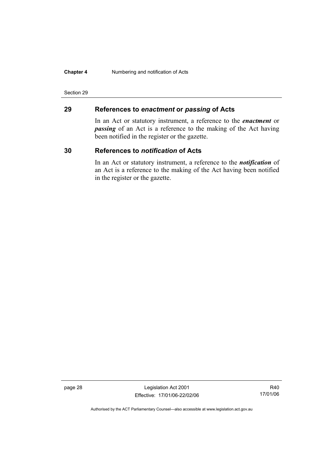#### **Chapter 4** Numbering and notification of Acts

#### Section 29

# **29 References to** *enactment* **or** *passing* **of Acts**

In an Act or statutory instrument, a reference to the *enactment* or *passing* of an Act is a reference to the making of the Act having been notified in the register or the gazette.

# **30 References to** *notification* **of Acts**

In an Act or statutory instrument, a reference to the *notification* of an Act is a reference to the making of the Act having been notified in the register or the gazette.

page 28 Legislation Act 2001 Effective: 17/01/06-22/02/06

R40 17/01/06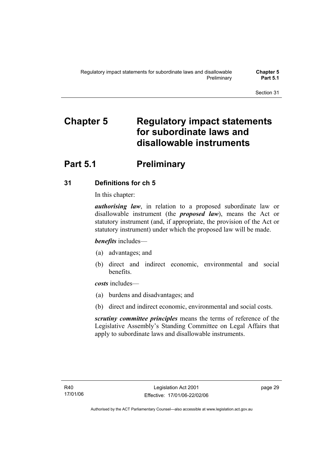# **Chapter 5 Regulatory impact statements for subordinate laws and disallowable instruments**

# **Part 5.1** Preliminary

# **31 Definitions for ch 5**

In this chapter:

*authorising law*, in relation to a proposed subordinate law or disallowable instrument (the *proposed law*), means the Act or statutory instrument (and, if appropriate, the provision of the Act or statutory instrument) under which the proposed law will be made.

*benefits* includes—

- (a) advantages; and
- (b) direct and indirect economic, environmental and social benefits.

*costs* includes—

- (a) burdens and disadvantages; and
- (b) direct and indirect economic, environmental and social costs.

*scrutiny committee principles* means the terms of reference of the Legislative Assembly's Standing Committee on Legal Affairs that apply to subordinate laws and disallowable instruments.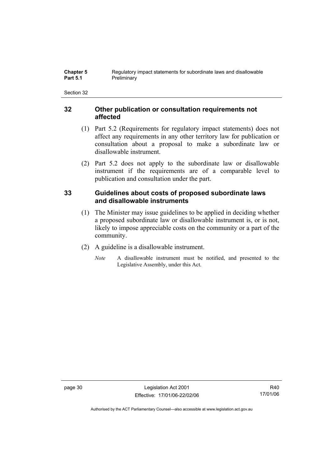# **32 Other publication or consultation requirements not affected**

- (1) Part 5.2 (Requirements for regulatory impact statements) does not affect any requirements in any other territory law for publication or consultation about a proposal to make a subordinate law or disallowable instrument.
- (2) Part 5.2 does not apply to the subordinate law or disallowable instrument if the requirements are of a comparable level to publication and consultation under the part.

# **33 Guidelines about costs of proposed subordinate laws and disallowable instruments**

- (1) The Minister may issue guidelines to be applied in deciding whether a proposed subordinate law or disallowable instrument is, or is not, likely to impose appreciable costs on the community or a part of the community.
- (2) A guideline is a disallowable instrument.
	- *Note* A disallowable instrument must be notified, and presented to the Legislative Assembly, under this Act.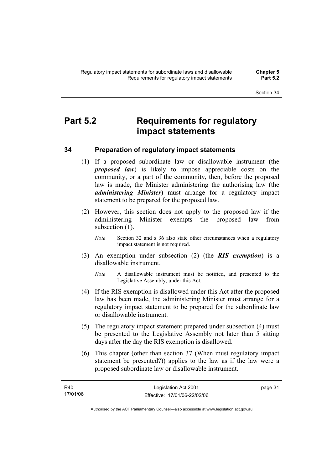# **Part 5.2 Requirements for regulatory impact statements**

# **34 Preparation of regulatory impact statements**

- (1) If a proposed subordinate law or disallowable instrument (the *proposed law*) is likely to impose appreciable costs on the community, or a part of the community, then, before the proposed law is made, the Minister administering the authorising law (the *administering Minister*) must arrange for a regulatory impact statement to be prepared for the proposed law.
- (2) However, this section does not apply to the proposed law if the administering Minister exempts the proposed law from subsection  $(1)$ .
	- *Note* Section 32 and s 36 also state other circumstances when a regulatory impact statement is not required.
- (3) An exemption under subsection (2) (the *RIS exemption*) is a disallowable instrument.
	- *Note* A disallowable instrument must be notified, and presented to the Legislative Assembly, under this Act.
- (4) If the RIS exemption is disallowed under this Act after the proposed law has been made, the administering Minister must arrange for a regulatory impact statement to be prepared for the subordinate law or disallowable instrument.
- (5) The regulatory impact statement prepared under subsection (4) must be presented to the Legislative Assembly not later than 5 sitting days after the day the RIS exemption is disallowed.
- (6) This chapter (other than section 37 (When must regulatory impact statement be presented?)) applies to the law as if the law were a proposed subordinate law or disallowable instrument.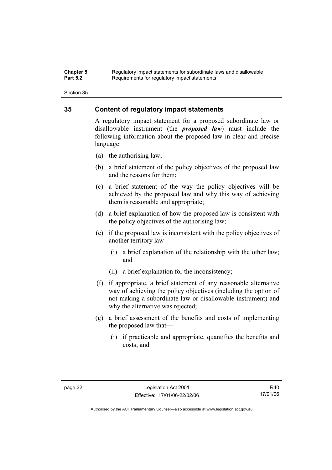#### **Chapter 5** Regulatory impact statements for subordinate laws and disallowable<br>**Part 5.2** Requirements for requistory impact statements Requirements for regulatory impact statements

Section 35

# **35 Content of regulatory impact statements**

A regulatory impact statement for a proposed subordinate law or disallowable instrument (the *proposed law*) must include the following information about the proposed law in clear and precise language:

- (a) the authorising law;
- (b) a brief statement of the policy objectives of the proposed law and the reasons for them;
- (c) a brief statement of the way the policy objectives will be achieved by the proposed law and why this way of achieving them is reasonable and appropriate;
- (d) a brief explanation of how the proposed law is consistent with the policy objectives of the authorising law;
- (e) if the proposed law is inconsistent with the policy objectives of another territory law—
	- (i) a brief explanation of the relationship with the other law; and
	- (ii) a brief explanation for the inconsistency;
- (f) if appropriate, a brief statement of any reasonable alternative way of achieving the policy objectives (including the option of not making a subordinate law or disallowable instrument) and why the alternative was rejected;
- (g) a brief assessment of the benefits and costs of implementing the proposed law that—
	- (i) if practicable and appropriate, quantifies the benefits and costs; and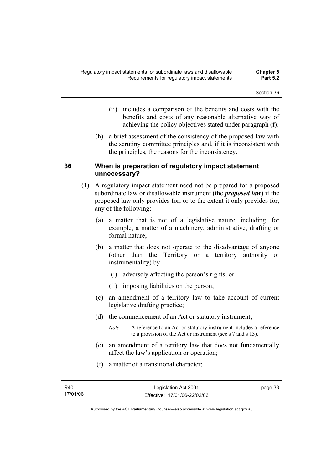- (ii) includes a comparison of the benefits and costs with the benefits and costs of any reasonable alternative way of achieving the policy objectives stated under paragraph (f);
- (h) a brief assessment of the consistency of the proposed law with the scrutiny committee principles and, if it is inconsistent with the principles, the reasons for the inconsistency.

# **36 When is preparation of regulatory impact statement unnecessary?**

- (1) A regulatory impact statement need not be prepared for a proposed subordinate law or disallowable instrument (the *proposed law*) if the proposed law only provides for, or to the extent it only provides for, any of the following:
	- (a) a matter that is not of a legislative nature, including, for example, a matter of a machinery, administrative, drafting or formal nature;
	- (b) a matter that does not operate to the disadvantage of anyone (other than the Territory or a territory authority or instrumentality) by—
		- (i) adversely affecting the person's rights; or
		- (ii) imposing liabilities on the person;
	- (c) an amendment of a territory law to take account of current legislative drafting practice;
	- (d) the commencement of an Act or statutory instrument;
		- *Note* A reference to an Act or statutory instrument includes a reference to a provision of the Act or instrument (see s 7 and s 13).
	- (e) an amendment of a territory law that does not fundamentally affect the law's application or operation;
	- (f) a matter of a transitional character;

page 33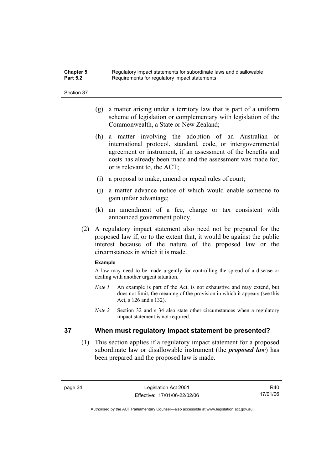| <b>Chapter 5</b> | Regulatory impact statements for subordinate laws and disallowable |
|------------------|--------------------------------------------------------------------|
| <b>Part 5.2</b>  | Requirements for regulatory impact statements                      |

- (g) a matter arising under a territory law that is part of a uniform scheme of legislation or complementary with legislation of the Commonwealth, a State or New Zealand;
- (h) a matter involving the adoption of an Australian or international protocol, standard, code, or intergovernmental agreement or instrument, if an assessment of the benefits and costs has already been made and the assessment was made for, or is relevant to, the ACT;
- (i) a proposal to make, amend or repeal rules of court;
- (j) a matter advance notice of which would enable someone to gain unfair advantage;
- (k) an amendment of a fee, charge or tax consistent with announced government policy.
- (2) A regulatory impact statement also need not be prepared for the proposed law if, or to the extent that, it would be against the public interest because of the nature of the proposed law or the circumstances in which it is made.

#### **Example**

A law may need to be made urgently for controlling the spread of a disease or dealing with another urgent situation.

- *Note 1* An example is part of the Act, is not exhaustive and may extend, but does not limit, the meaning of the provision in which it appears (see this Act, s 126 and s 132).
- *Note 2* Section 32 and s 34 also state other circumstances when a regulatory impact statement is not required.

# **37 When must regulatory impact statement be presented?**

 (1) This section applies if a regulatory impact statement for a proposed subordinate law or disallowable instrument (the *proposed law*) has been prepared and the proposed law is made.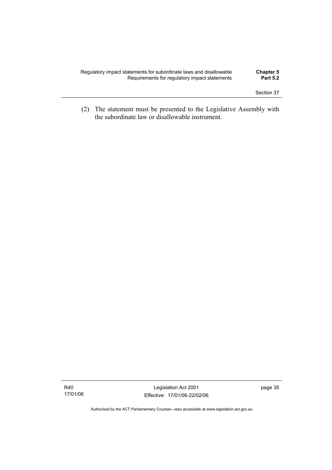| Regulatory impact statements for subordinate laws and disallowable | <b>Chapter 5</b> |
|--------------------------------------------------------------------|------------------|
| Requirements for regulatory impact statements                      | <b>Part 5.2</b>  |
|                                                                    |                  |

 (2) The statement must be presented to the Legislative Assembly with the subordinate law or disallowable instrument.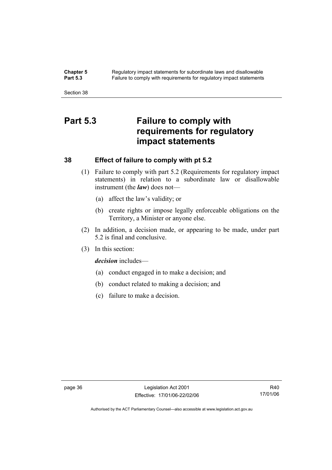**Chapter 5** Regulatory impact statements for subordinate laws and disallowable<br>**Part 5.3** Failure to comply with requirements for requilatory impact statements Failure to comply with requirements for regulatory impact statements

Section 38

# **Part 5.3 Failure to comply with requirements for regulatory impact statements**

# **38 Effect of failure to comply with pt 5.2**

- (1) Failure to comply with part 5.2 (Requirements for regulatory impact statements) in relation to a subordinate law or disallowable instrument (the *law*) does not—
	- (a) affect the law's validity; or
	- (b) create rights or impose legally enforceable obligations on the Territory, a Minister or anyone else.
- (2) In addition, a decision made, or appearing to be made, under part 5.2 is final and conclusive.
- (3) In this section:

*decision* includes—

- (a) conduct engaged in to make a decision; and
- (b) conduct related to making a decision; and
- (c) failure to make a decision.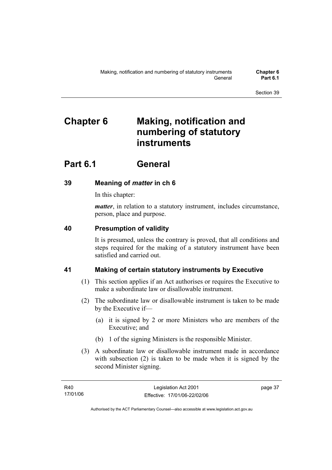# **Chapter 6 Making, notification and numbering of statutory instruments**

# **Part 6.1 General**

# **39 Meaning of** *matter* **in ch 6**

In this chapter:

*matter*, in relation to a statutory instrument, includes circumstance, person, place and purpose.

# **40 Presumption of validity**

It is presumed, unless the contrary is proved, that all conditions and steps required for the making of a statutory instrument have been satisfied and carried out.

# **41 Making of certain statutory instruments by Executive**

- (1) This section applies if an Act authorises or requires the Executive to make a subordinate law or disallowable instrument.
- (2) The subordinate law or disallowable instrument is taken to be made by the Executive if—
	- (a) it is signed by 2 or more Ministers who are members of the Executive; and
	- (b) 1 of the signing Ministers is the responsible Minister.
- (3) A subordinate law or disallowable instrument made in accordance with subsection (2) is taken to be made when it is signed by the second Minister signing.

page 37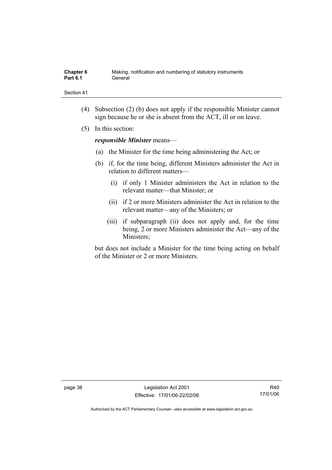| Chapter 6       | Making, notification and numbering of statutory instruments |
|-----------------|-------------------------------------------------------------|
| <b>Part 6.1</b> | General                                                     |

- (4) Subsection (2) (b) does not apply if the responsible Minister cannot sign because he or she is absent from the ACT, ill or on leave.
- (5) In this section:

*responsible Minister* means—

- (a) the Minister for the time being administering the Act; or
- (b) if, for the time being, different Ministers administer the Act in relation to different matters—
	- (i) if only 1 Minister administers the Act in relation to the relevant matter—that Minister; or
	- (ii) if 2 or more Ministers administer the Act in relation to the relevant matter—any of the Ministers; or
	- (iii) if subparagraph (ii) does not apply and, for the time being, 2 or more Ministers administer the Act—any of the Ministers;

but does not include a Minister for the time being acting on behalf of the Minister or 2 or more Ministers.

page 38 Legislation Act 2001 Effective: 17/01/06-22/02/06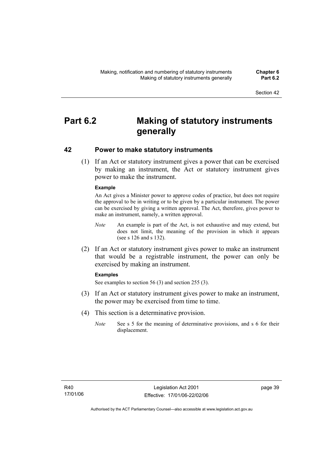# **Part 6.2 Making of statutory instruments generally**

# **42 Power to make statutory instruments**

 (1) If an Act or statutory instrument gives a power that can be exercised by making an instrument, the Act or statutory instrument gives power to make the instrument.

### **Example**

An Act gives a Minister power to approve codes of practice, but does not require the approval to be in writing or to be given by a particular instrument. The power can be exercised by giving a written approval. The Act, therefore, gives power to make an instrument, namely, a written approval.

- *Note* An example is part of the Act, is not exhaustive and may extend, but does not limit, the meaning of the provision in which it appears (see s 126 and s 132).
- (2) If an Act or statutory instrument gives power to make an instrument that would be a registrable instrument, the power can only be exercised by making an instrument.

#### **Examples**

See examples to section 56 (3) and section 255 (3).

- (3) If an Act or statutory instrument gives power to make an instrument, the power may be exercised from time to time.
- (4) This section is a determinative provision.
	- *Note* See s 5 for the meaning of determinative provisions, and s 6 for their displacement.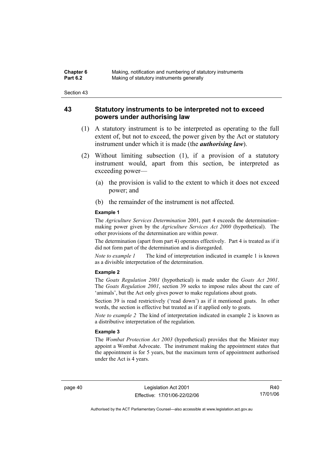| Chapter 6       | Making, notification and numbering of statutory instruments |
|-----------------|-------------------------------------------------------------|
| <b>Part 6.2</b> | Making of statutory instruments generally                   |

# **43 Statutory instruments to be interpreted not to exceed powers under authorising law**

- (1) A statutory instrument is to be interpreted as operating to the full extent of, but not to exceed, the power given by the Act or statutory instrument under which it is made (the *authorising law*).
- (2) Without limiting subsection (1), if a provision of a statutory instrument would, apart from this section, be interpreted as exceeding power—
	- (a) the provision is valid to the extent to which it does not exceed power; and
	- (b) the remainder of the instrument is not affected.

#### **Example 1**

The *Agriculture Services Determination* 2001, part 4 exceeds the determination– making power given by the *Agriculture Services Act 2000* (hypothetical). The other provisions of the determination are within power.

The determination (apart from part 4) operates effectively. Part 4 is treated as if it did not form part of the determination and is disregarded.

*Note to example 1* The kind of interpretation indicated in example 1 is known as a divisible interpretation of the determination.

#### **Example 2**

The *Goats Regulation 2001* (hypothetical) is made under the *Goats Act 2001*. The *Goats Regulation 2001*, section 39 seeks to impose rules about the care of 'animals', but the Act only gives power to make regulations about goats.

Section 39 is read restrictively ('read down') as if it mentioned goats. In other words, the section is effective but treated as if it applied only to goats.

*Note to example 2* The kind of interpretation indicated in example 2 is known as a distributive interpretation of the regulation.

#### **Example 3**

The *Wombat Protection Act 2003* (hypothetical) provides that the Minister may appoint a Wombat Advocate. The instrument making the appointment states that the appointment is for 5 years, but the maximum term of appointment authorised under the Act is 4 years.

page 40 Legislation Act 2001 Effective: 17/01/06-22/02/06

R40 17/01/06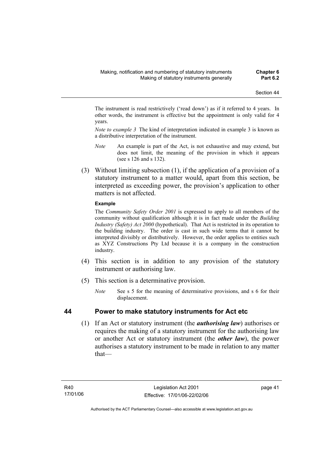The instrument is read restrictively ('read down') as if it referred to 4 years. In other words, the instrument is effective but the appointment is only valid for 4 years.

*Note to example 3* The kind of interpretation indicated in example 3 is known as a distributive interpretation of the instrument.

- *Note* An example is part of the Act, is not exhaustive and may extend, but does not limit, the meaning of the provision in which it appears (see s 126 and s 132).
- (3) Without limiting subsection (1), if the application of a provision of a statutory instrument to a matter would, apart from this section, be interpreted as exceeding power, the provision's application to other matters is not affected.

### **Example**

The *Community Safety Order 2001* is expressed to apply to all members of the community without qualification although it is in fact made under the *Building Industry (Safety) Act 2000* (hypothetical). That Act is restricted in its operation to the building industry. The order is cast in such wide terms that it cannot be interpreted divisibly or distributively. However, the order applies to entities such as XYZ Constructions Pty Ltd because it is a company in the construction industry.

- (4) This section is in addition to any provision of the statutory instrument or authorising law.
- (5) This section is a determinative provision.
	- *Note* See s 5 for the meaning of determinative provisions, and s 6 for their displacement.

# **44 Power to make statutory instruments for Act etc**

 (1) If an Act or statutory instrument (the *authorising law*) authorises or requires the making of a statutory instrument for the authorising law or another Act or statutory instrument (the *other law*), the power authorises a statutory instrument to be made in relation to any matter that—

page 41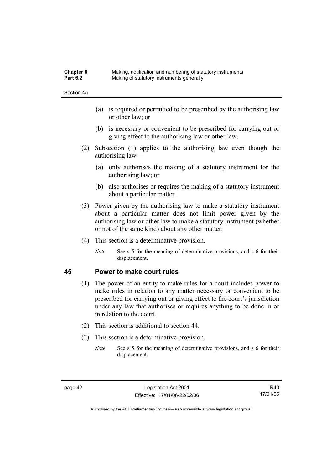| <b>Chapter 6</b> | Making, notification and numbering of statutory instruments |
|------------------|-------------------------------------------------------------|
| <b>Part 6.2</b>  | Making of statutory instruments generally                   |

- (a) is required or permitted to be prescribed by the authorising law or other law; or
- (b) is necessary or convenient to be prescribed for carrying out or giving effect to the authorising law or other law.
- (2) Subsection (1) applies to the authorising law even though the authorising law—
	- (a) only authorises the making of a statutory instrument for the authorising law; or
	- (b) also authorises or requires the making of a statutory instrument about a particular matter.
- (3) Power given by the authorising law to make a statutory instrument about a particular matter does not limit power given by the authorising law or other law to make a statutory instrument (whether or not of the same kind) about any other matter.
- (4) This section is a determinative provision.
	- *Note* See s 5 for the meaning of determinative provisions, and s 6 for their displacement.

## **45 Power to make court rules**

- (1) The power of an entity to make rules for a court includes power to make rules in relation to any matter necessary or convenient to be prescribed for carrying out or giving effect to the court's jurisdiction under any law that authorises or requires anything to be done in or in relation to the court.
- (2) This section is additional to section 44.
- (3) This section is a determinative provision.
	- *Note* See s 5 for the meaning of determinative provisions, and s 6 for their displacement.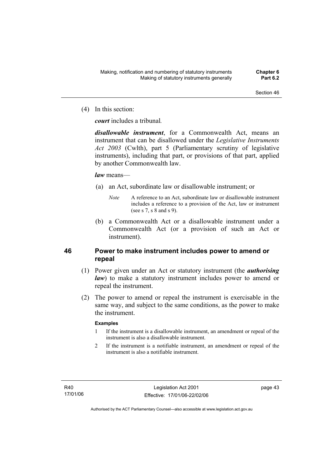(4) In this section:

*court* includes a tribunal*.*

*disallowable instrument*, for a Commonwealth Act, means an instrument that can be disallowed under the *Legislative Instruments Act 2003* (Cwlth), part 5 (Parliamentary scrutiny of legislative instruments), including that part, or provisions of that part, applied by another Commonwealth law.

### *law* means—

- (a) an Act, subordinate law or disallowable instrument; or
	- *Note* A reference to an Act, subordinate law or disallowable instrument includes a reference to a provision of the Act, law or instrument (see s 7, s 8 and s 9).
- (b) a Commonwealth Act or a disallowable instrument under a Commonwealth Act (or a provision of such an Act or instrument).

# **46 Power to make instrument includes power to amend or repeal**

- (1) Power given under an Act or statutory instrument (the *authorising law*) to make a statutory instrument includes power to amend or repeal the instrument.
- (2) The power to amend or repeal the instrument is exercisable in the same way, and subject to the same conditions, as the power to make the instrument.

### **Examples**

- 1 If the instrument is a disallowable instrument, an amendment or repeal of the instrument is also a disallowable instrument.
- 2 If the instrument is a notifiable instrument, an amendment or repeal of the instrument is also a notifiable instrument.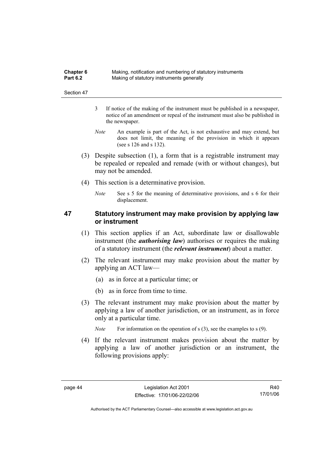| <b>Chapter 6</b> | Making, notification and numbering of statutory instruments |
|------------------|-------------------------------------------------------------|
| <b>Part 6.2</b>  | Making of statutory instruments generally                   |

- 3 If notice of the making of the instrument must be published in a newspaper, notice of an amendment or repeal of the instrument must also be published in the newspaper.
- *Note* An example is part of the Act, is not exhaustive and may extend, but does not limit, the meaning of the provision in which it appears (see s 126 and s 132).
- (3) Despite subsection (1), a form that is a registrable instrument may be repealed or repealed and remade (with or without changes), but may not be amended.
- (4) This section is a determinative provision.
	- *Note* See s 5 for the meaning of determinative provisions, and s 6 for their displacement.

# **47 Statutory instrument may make provision by applying law or instrument**

- (1) This section applies if an Act, subordinate law or disallowable instrument (the *authorising law*) authorises or requires the making of a statutory instrument (the *relevant instrument*) about a matter.
- (2) The relevant instrument may make provision about the matter by applying an ACT law—
	- (a) as in force at a particular time; or
	- (b) as in force from time to time.
- (3) The relevant instrument may make provision about the matter by applying a law of another jurisdiction, or an instrument, as in force only at a particular time.

*Note* For information on the operation of s (3), see the examples to s (9).

 (4) If the relevant instrument makes provision about the matter by applying a law of another jurisdiction or an instrument, the following provisions apply: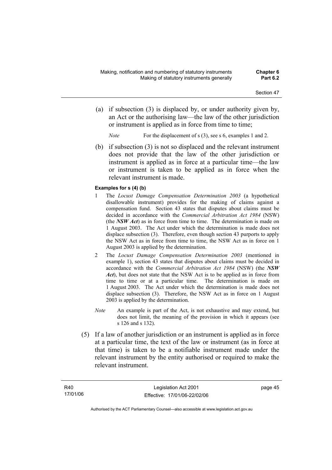- (a) if subsection (3) is displaced by, or under authority given by, an Act or the authorising law—the law of the other jurisdiction or instrument is applied as in force from time to time;
	- *Note* For the displacement of s (3), see s 6, examples 1 and 2.
- (b) if subsection (3) is not so displaced and the relevant instrument does not provide that the law of the other jurisdiction or instrument is applied as in force at a particular time—the law or instrument is taken to be applied as in force when the relevant instrument is made.

#### **Examples for s (4) (b)**

- 1 The *Locust Damage Compensation Determination 2003* (a hypothetical disallowable instrument) provides for the making of claims against a compensation fund. Section 43 states that disputes about claims must be decided in accordance with the *Commercial Arbitration Act 1984* (NSW) (the *NSW Act*) as in force from time to time. The determination is made on 1 August 2003. The Act under which the determination is made does not displace subsection (3). Therefore, even though section 43 purports to apply the NSW Act as in force from time to time, the NSW Act as in force on 1 August 2003 is applied by the determination.
- 2 The *Locust Damage Compensation Determination 2003* (mentioned in example 1), section 43 states that disputes about claims must be decided in accordance with the *Commercial Arbitration Act 1984* (NSW) (the *NSW Act*), but does not state that the NSW Act is to be applied as in force from time to time or at a particular time. The determination is made on 1 August 2003. The Act under which the determination is made does not displace subsection (3). Therefore, the NSW Act as in force on 1 August 2003 is applied by the determination.
- *Note* An example is part of the Act, is not exhaustive and may extend, but does not limit, the meaning of the provision in which it appears (see s 126 and s 132).
- (5) If a law of another jurisdiction or an instrument is applied as in force at a particular time, the text of the law or instrument (as in force at that time) is taken to be a notifiable instrument made under the relevant instrument by the entity authorised or required to make the relevant instrument.

page 45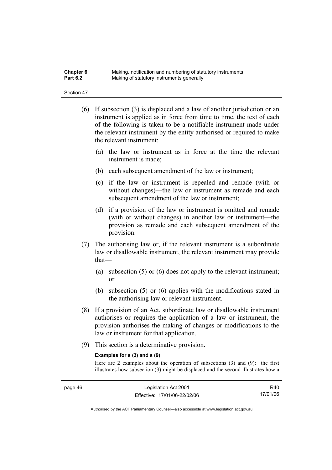| Chapter 6       | Making, notification and numbering of statutory instruments |
|-----------------|-------------------------------------------------------------|
| <b>Part 6.2</b> | Making of statutory instruments generally                   |

- (6) If subsection (3) is displaced and a law of another jurisdiction or an instrument is applied as in force from time to time, the text of each of the following is taken to be a notifiable instrument made under the relevant instrument by the entity authorised or required to make the relevant instrument:
	- (a) the law or instrument as in force at the time the relevant instrument is made;
	- (b) each subsequent amendment of the law or instrument;
	- (c) if the law or instrument is repealed and remade (with or without changes)—the law or instrument as remade and each subsequent amendment of the law or instrument;
	- (d) if a provision of the law or instrument is omitted and remade (with or without changes) in another law or instrument—the provision as remade and each subsequent amendment of the provision.
- (7) The authorising law or, if the relevant instrument is a subordinate law or disallowable instrument, the relevant instrument may provide that—
	- (a) subsection (5) or (6) does not apply to the relevant instrument; or
	- (b) subsection (5) or (6) applies with the modifications stated in the authorising law or relevant instrument.
- (8) If a provision of an Act, subordinate law or disallowable instrument authorises or requires the application of a law or instrument, the provision authorises the making of changes or modifications to the law or instrument for that application.
- (9) This section is a determinative provision.

#### **Examples for s (3) and s (9)**

Here are 2 examples about the operation of subsections (3) and (9): the first illustrates how subsection (3) might be displaced and the second illustrates how a

R40 17/01/06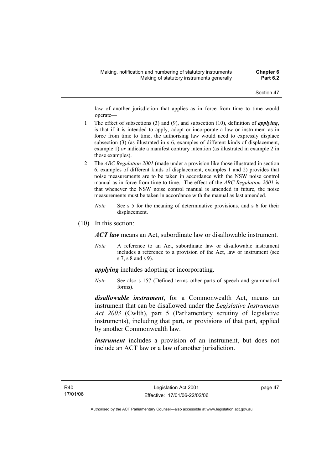law of another jurisdiction that applies as in force from time to time would operate—

- 1 The effect of subsections (3) and (9), and subsection (10), definition of *applying*, is that if it is intended to apply, adopt or incorporate a law or instrument as in force from time to time, the authorising law would need to expressly displace subsection (3) (as illustrated in s 6, examples of different kinds of displacement, example 1) *or* indicate a manifest contrary intention (as illustrated in example 2 in those examples).
- 2 The *ABC Regulation 2001* (made under a provision like those illustrated in section 6, examples of different kinds of displacement, examples 1 and 2) provides that noise measurements are to be taken in accordance with the NSW noise control manual as in force from time to time. The effect of the *ABC Regulation 2001* is that whenever the NSW noise control manual is amended in future, the noise measurements must be taken in accordance with the manual as last amended.
	- *Note* See s 5 for the meaning of determinative provisions, and s 6 for their displacement.
- (10) In this section:

*ACT law* means an Act, subordinate law or disallowable instrument.

*Note* A reference to an Act, subordinate law or disallowable instrument includes a reference to a provision of the Act, law or instrument (see s 7, s 8 and s 9).

*applying* includes adopting or incorporating.

*Note* See also s 157 (Defined terms–other parts of speech and grammatical forms).

*disallowable instrument*, for a Commonwealth Act, means an instrument that can be disallowed under the *Legislative Instruments Act 2003* (Cwlth), part 5 (Parliamentary scrutiny of legislative instruments), including that part, or provisions of that part, applied by another Commonwealth law.

*instrument* includes a provision of an instrument, but does not include an ACT law or a law of another jurisdiction.

page 47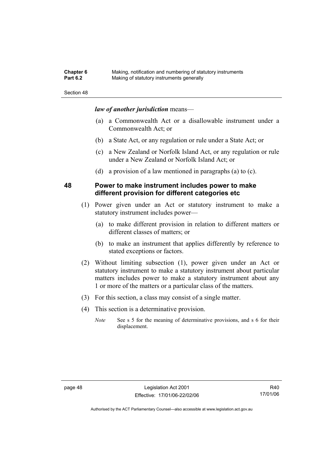| <b>Chapter 6</b> | Making, notification and numbering of statutory instruments |
|------------------|-------------------------------------------------------------|
| <b>Part 6.2</b>  | Making of statutory instruments generally                   |

# *law of another jurisdiction* means—

- (a) a Commonwealth Act or a disallowable instrument under a Commonwealth Act; or
- (b) a State Act, or any regulation or rule under a State Act; or
- (c) a New Zealand or Norfolk Island Act, or any regulation or rule under a New Zealand or Norfolk Island Act; or
- (d) a provision of a law mentioned in paragraphs (a) to (c).

## **48 Power to make instrument includes power to make different provision for different categories etc**

- (1) Power given under an Act or statutory instrument to make a statutory instrument includes power—
	- (a) to make different provision in relation to different matters or different classes of matters; or
	- (b) to make an instrument that applies differently by reference to stated exceptions or factors.
- (2) Without limiting subsection (1), power given under an Act or statutory instrument to make a statutory instrument about particular matters includes power to make a statutory instrument about any 1 or more of the matters or a particular class of the matters.
- (3) For this section, a class may consist of a single matter.
- (4) This section is a determinative provision.
	- *Note* See s 5 for the meaning of determinative provisions, and s 6 for their displacement.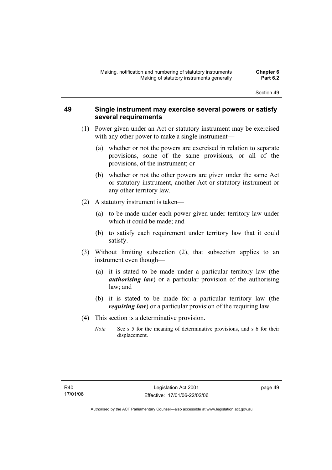# **49 Single instrument may exercise several powers or satisfy several requirements**

- (1) Power given under an Act or statutory instrument may be exercised with any other power to make a single instrument—
	- (a) whether or not the powers are exercised in relation to separate provisions, some of the same provisions, or all of the provisions, of the instrument; or
	- (b) whether or not the other powers are given under the same Act or statutory instrument, another Act or statutory instrument or any other territory law.
- (2) A statutory instrument is taken—
	- (a) to be made under each power given under territory law under which it could be made; and
	- (b) to satisfy each requirement under territory law that it could satisfy.
- (3) Without limiting subsection (2), that subsection applies to an instrument even though—
	- (a) it is stated to be made under a particular territory law (the *authorising law*) or a particular provision of the authorising law; and
	- (b) it is stated to be made for a particular territory law (the *requiring law*) or a particular provision of the requiring law.
- (4) This section is a determinative provision.
	- *Note* See s 5 for the meaning of determinative provisions, and s 6 for their displacement.

page 49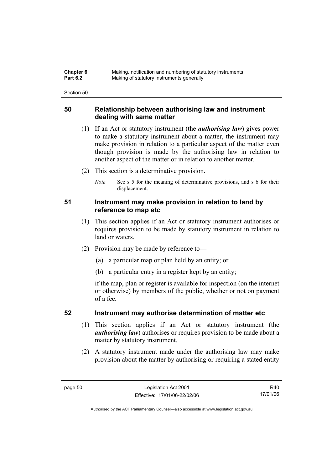| <b>Chapter 6</b> | Making, notification and numbering of statutory instruments |
|------------------|-------------------------------------------------------------|
| <b>Part 6.2</b>  | Making of statutory instruments generally                   |

# **50 Relationship between authorising law and instrument dealing with same matter**

- (1) If an Act or statutory instrument (the *authorising law*) gives power to make a statutory instrument about a matter, the instrument may make provision in relation to a particular aspect of the matter even though provision is made by the authorising law in relation to another aspect of the matter or in relation to another matter.
- (2) This section is a determinative provision.
	- *Note* See s 5 for the meaning of determinative provisions, and s 6 for their displacement.

# **51 Instrument may make provision in relation to land by reference to map etc**

- (1) This section applies if an Act or statutory instrument authorises or requires provision to be made by statutory instrument in relation to land or waters.
- (2) Provision may be made by reference to—
	- (a) a particular map or plan held by an entity; or
	- (b) a particular entry in a register kept by an entity;

if the map, plan or register is available for inspection (on the internet or otherwise) by members of the public, whether or not on payment of a fee.

# **52 Instrument may authorise determination of matter etc**

- (1) This section applies if an Act or statutory instrument (the *authorising law*) authorises or requires provision to be made about a matter by statutory instrument.
- (2) A statutory instrument made under the authorising law may make provision about the matter by authorising or requiring a stated entity

R40 17/01/06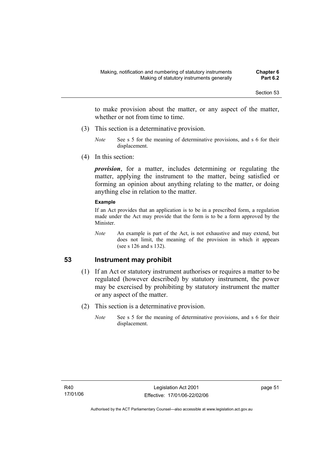to make provision about the matter, or any aspect of the matter, whether or not from time to time.

- (3) This section is a determinative provision.
	- *Note* See s 5 for the meaning of determinative provisions, and s 6 for their displacement.
- (4) In this section:

*provision*, for a matter, includes determining or regulating the matter, applying the instrument to the matter, being satisfied or forming an opinion about anything relating to the matter, or doing anything else in relation to the matter.

#### **Example**

If an Act provides that an application is to be in a prescribed form, a regulation made under the Act may provide that the form is to be a form approved by the Minister.

*Note* An example is part of the Act, is not exhaustive and may extend, but does not limit, the meaning of the provision in which it appears (see s 126 and s 132).

# **53 Instrument may prohibit**

- (1) If an Act or statutory instrument authorises or requires a matter to be regulated (however described) by statutory instrument, the power may be exercised by prohibiting by statutory instrument the matter or any aspect of the matter.
- (2) This section is a determinative provision.
	- *Note* See s 5 for the meaning of determinative provisions, and s 6 for their displacement.

page 51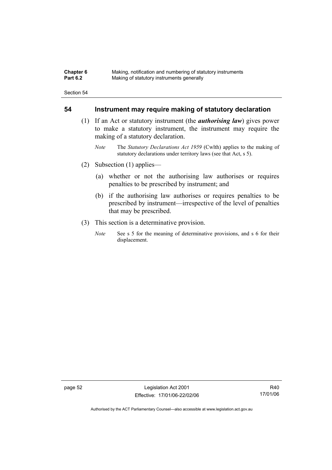| <b>Chapter 6</b> | Making, notification and numbering of statutory instruments |
|------------------|-------------------------------------------------------------|
| <b>Part 6.2</b>  | Making of statutory instruments generally                   |

## **54 Instrument may require making of statutory declaration**

- (1) If an Act or statutory instrument (the *authorising law*) gives power to make a statutory instrument, the instrument may require the making of a statutory declaration.
	- *Note* The *Statutory Declarations Act 1959* (Cwlth) applies to the making of statutory declarations under territory laws (see that Act, s 5).
- (2) Subsection (1) applies—
	- (a) whether or not the authorising law authorises or requires penalties to be prescribed by instrument; and
	- (b) if the authorising law authorises or requires penalties to be prescribed by instrument—irrespective of the level of penalties that may be prescribed.
- (3) This section is a determinative provision.
	- *Note* See s 5 for the meaning of determinative provisions, and s 6 for their displacement.

page 52 Legislation Act 2001 Effective: 17/01/06-22/02/06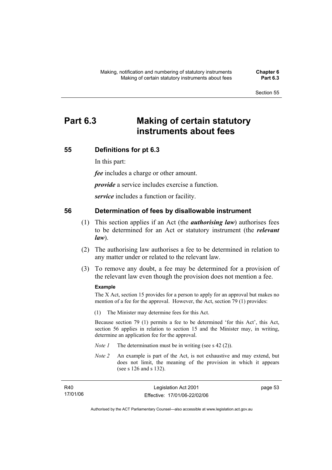# **Part 6.3 Making of certain statutory instruments about fees**

## **55 Definitions for pt 6.3**

In this part:

*fee* includes a charge or other amount.

*provide* a service includes exercise a function.

*service* includes a function or facility.

### **56 Determination of fees by disallowable instrument**

- (1) This section applies if an Act (the *authorising law*) authorises fees to be determined for an Act or statutory instrument (the *relevant law*).
- (2) The authorising law authorises a fee to be determined in relation to any matter under or related to the relevant law.
- (3) To remove any doubt, a fee may be determined for a provision of the relevant law even though the provision does not mention a fee.

#### **Example**

The X Act, section 15 provides for a person to apply for an approval but makes no mention of a fee for the approval. However, the Act, section 79 (1) provides:

(1) The Minister may determine fees for this Act.

Because section 79 (1) permits a fee to be determined 'for this Act', this Act, section 56 applies in relation to section 15 and the Minister may, in writing, determine an application fee for the approval.

- *Note 1* The determination must be in writing (see s 42 (2)).
- *Note 2* An example is part of the Act, is not exhaustive and may extend, but does not limit, the meaning of the provision in which it appears (see s 126 and s 132).

| R40      | Legislation Act 2001         | page 53 |
|----------|------------------------------|---------|
| 17/01/06 | Effective: 17/01/06-22/02/06 |         |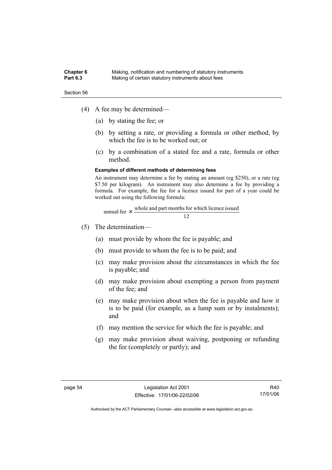#### **Chapter 6** Making, notification and numbering of statutory instruments<br>**Part 6.3** Making of certain statutory instruments about fees Making of certain statutory instruments about fees

Section 56

- (4) A fee may be determined—
	- (a) by stating the fee; or
	- (b) by setting a rate, or providing a formula or other method, by which the fee is to be worked out; or
	- (c) by a combination of a stated fee and a rate, formula or other method.

#### **Examples of different methods of determining fees**

An instrument may determine a fee by stating an amount (eg \$250), or a rate (eg \$7.50 per kilogram). An instrument may also determine a fee by providing a formula. For example, the fee for a licence issued for part of a year could be worked out using the following formula:

annual fee 
$$
\times
$$
  $\frac{\text{whole and part months for which licence issued}}{12}$ 

- (5) The determination—
	- (a) must provide by whom the fee is payable; and
	- (b) must provide to whom the fee is to be paid; and
	- (c) may make provision about the circumstances in which the fee is payable; and
	- (d) may make provision about exempting a person from payment of the fee; and
	- (e) may make provision about when the fee is payable and how it is to be paid (for example, as a lump sum or by instalments); and
	- (f) may mention the service for which the fee is payable; and
	- (g) may make provision about waiving, postponing or refunding the fee (completely or partly); and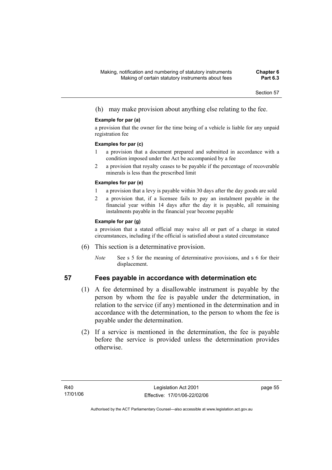(h) may make provision about anything else relating to the fee.

### **Example for par (a)**

a provision that the owner for the time being of a vehicle is liable for any unpaid registration fee

#### **Examples for par (c)**

- 1 a provision that a document prepared and submitted in accordance with a condition imposed under the Act be accompanied by a fee
- 2 a provision that royalty ceases to be payable if the percentage of recoverable minerals is less than the prescribed limit

### **Examples for par (e)**

- 1 a provision that a levy is payable within 30 days after the day goods are sold
- 2 a provision that, if a licensee fails to pay an instalment payable in the financial year within 14 days after the day it is payable, all remaining instalments payable in the financial year become payable

### **Example for par (g)**

a provision that a stated official may waive all or part of a charge in stated circumstances, including if the official is satisfied about a stated circumstance

- (6) This section is a determinative provision.
	- *Note* See s 5 for the meaning of determinative provisions, and s 6 for their displacement.

- **57 Fees payable in accordance with determination etc** 
	- (1) A fee determined by a disallowable instrument is payable by the person by whom the fee is payable under the determination, in relation to the service (if any) mentioned in the determination and in accordance with the determination, to the person to whom the fee is payable under the determination.
	- (2) If a service is mentioned in the determination, the fee is payable before the service is provided unless the determination provides otherwise.

page 55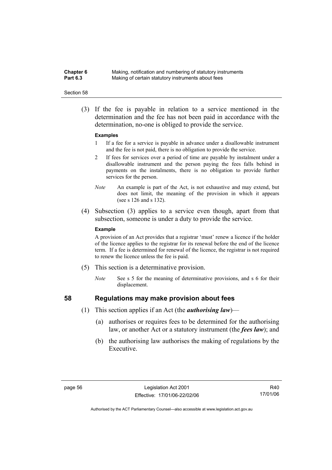**Chapter 6** Making, notification and numbering of statutory instruments<br>**Part 6.3** Making of certain statutory instruments about fees Making of certain statutory instruments about fees

#### Section 58

 (3) If the fee is payable in relation to a service mentioned in the determination and the fee has not been paid in accordance with the determination, no-one is obliged to provide the service.

#### **Examples**

- 1 If a fee for a service is payable in advance under a disallowable instrument and the fee is not paid, there is no obligation to provide the service.
- 2 If fees for services over a period of time are payable by instalment under a disallowable instrument and the person paying the fees falls behind in payments on the instalments, there is no obligation to provide further services for the person.
- *Note* An example is part of the Act, is not exhaustive and may extend, but does not limit, the meaning of the provision in which it appears (see s 126 and s 132).
- (4) Subsection (3) applies to a service even though, apart from that subsection, someone is under a duty to provide the service.

#### **Example**

A provision of an Act provides that a registrar 'must' renew a licence if the holder of the licence applies to the registrar for its renewal before the end of the licence term. If a fee is determined for renewal of the licence, the registrar is not required to renew the licence unless the fee is paid.

- (5) This section is a determinative provision.
	- *Note* See s 5 for the meaning of determinative provisions, and s 6 for their displacement.

- **58 Regulations may make provision about fees** 
	- (1) This section applies if an Act (the *authorising law*)—
		- (a) authorises or requires fees to be determined for the authorising law, or another Act or a statutory instrument (the *fees law*); and
		- (b) the authorising law authorises the making of regulations by the Executive.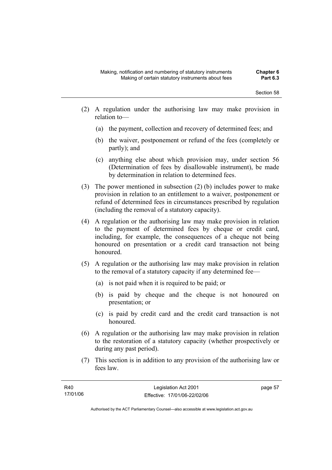- (2) A regulation under the authorising law may make provision in relation to—
	- (a) the payment, collection and recovery of determined fees; and
	- (b) the waiver, postponement or refund of the fees (completely or partly); and
	- (c) anything else about which provision may, under section 56 (Determination of fees by disallowable instrument), be made by determination in relation to determined fees.
- (3) The power mentioned in subsection (2) (b) includes power to make provision in relation to an entitlement to a waiver, postponement or refund of determined fees in circumstances prescribed by regulation (including the removal of a statutory capacity).
- (4) A regulation or the authorising law may make provision in relation to the payment of determined fees by cheque or credit card, including, for example, the consequences of a cheque not being honoured on presentation or a credit card transaction not being honoured.
- (5) A regulation or the authorising law may make provision in relation to the removal of a statutory capacity if any determined fee—
	- (a) is not paid when it is required to be paid; or
	- (b) is paid by cheque and the cheque is not honoured on presentation; or
	- (c) is paid by credit card and the credit card transaction is not honoured.
- (6) A regulation or the authorising law may make provision in relation to the restoration of a statutory capacity (whether prospectively or during any past period).
- (7) This section is in addition to any provision of the authorising law or fees law.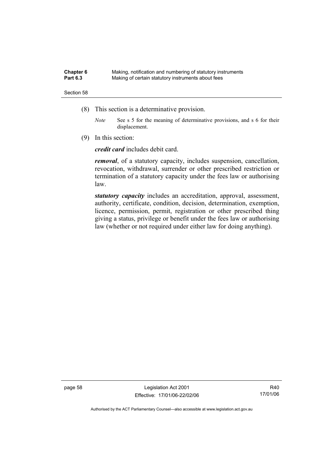| Chapter 6       | Making, notification and numbering of statutory instruments |
|-----------------|-------------------------------------------------------------|
| <b>Part 6.3</b> | Making of certain statutory instruments about fees          |

- (8) This section is a determinative provision.
	- *Note* See s 5 for the meaning of determinative provisions, and s 6 for their displacement.
- (9) In this section:

*credit card* includes debit card.

*removal*, of a statutory capacity, includes suspension, cancellation, revocation, withdrawal, surrender or other prescribed restriction or termination of a statutory capacity under the fees law or authorising law.

*statutory capacity* includes an accreditation, approval, assessment, authority, certificate, condition, decision, determination, exemption, licence, permission, permit, registration or other prescribed thing giving a status, privilege or benefit under the fees law or authorising law (whether or not required under either law for doing anything).

page 58 Legislation Act 2001 Effective: 17/01/06-22/02/06

R40 17/01/06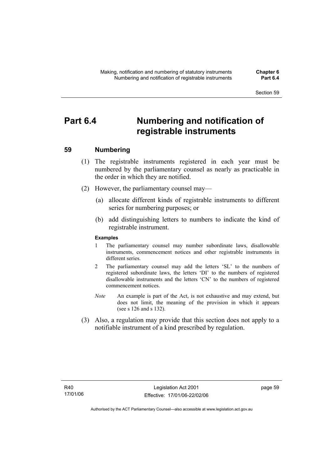# **Part 6.4 Numbering and notification of registrable instruments**

# **59 Numbering**

- (1) The registrable instruments registered in each year must be numbered by the parliamentary counsel as nearly as practicable in the order in which they are notified.
- (2) However, the parliamentary counsel may—
	- (a) allocate different kinds of registrable instruments to different series for numbering purposes; or
	- (b) add distinguishing letters to numbers to indicate the kind of registrable instrument.

### **Examples**

- 1 The parliamentary counsel may number subordinate laws, disallowable instruments, commencement notices and other registrable instruments in different series.
- 2 The parliamentary counsel may add the letters 'SL' to the numbers of registered subordinate laws, the letters 'DI' to the numbers of registered disallowable instruments and the letters 'CN' to the numbers of registered commencement notices.
- *Note* An example is part of the Act, is not exhaustive and may extend, but does not limit, the meaning of the provision in which it appears (see s 126 and s 132).
- (3) Also, a regulation may provide that this section does not apply to a notifiable instrument of a kind prescribed by regulation.

page 59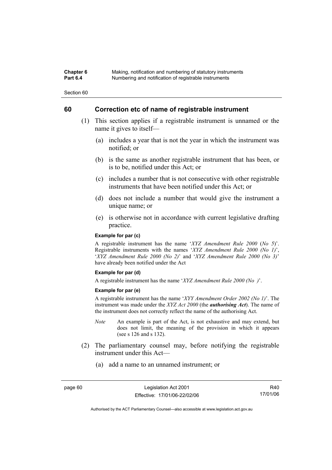### **Chapter 6** Making, notification and numbering of statutory instruments<br>**Part 6.4** Mumbering and notification of registrable instruments **Part 6.4** Numbering and notification of registrable instruments

Section 60

# **60 Correction etc of name of registrable instrument**

- (1) This section applies if a registrable instrument is unnamed or the name it gives to itself—
	- (a) includes a year that is not the year in which the instrument was notified; or
	- (b) is the same as another registrable instrument that has been, or is to be, notified under this Act; or
	- (c) includes a number that is not consecutive with other registrable instruments that have been notified under this Act; or
	- (d) does not include a number that would give the instrument a unique name; or
	- (e) is otherwise not in accordance with current legislative drafting practice.

### **Example for par (c)**

A registrable instrument has the name '*XYZ Amendment Rule 2000* (*No 5*)'. Registrable instruments with the names '*XYZ Amendment Rule 2000 (No 1)*', '*XYZ Amendment Rule 2000 (No 2)*' and '*XYZ Amendment Rule 2000 (No 3)*' have already been notified under the Act

#### **Example for par (d)**

A registrable instrument has the name '*XYZ Amendment Rule 2000 (No )*'.

#### **Example for par (e)**

A registrable instrument has the name '*XYY Amendment Order 2002 (No 1)*'. The instrument was made under the *XYZ Act 2000* (the *authorising Act*). The name of the instrument does not correctly reflect the name of the authorising Act.

- *Note* An example is part of the Act, is not exhaustive and may extend, but does not limit, the meaning of the provision in which it appears (see s 126 and s 132).
- (2) The parliamentary counsel may, before notifying the registrable instrument under this Act—
	- (a) add a name to an unnamed instrument; or

R40 17/01/06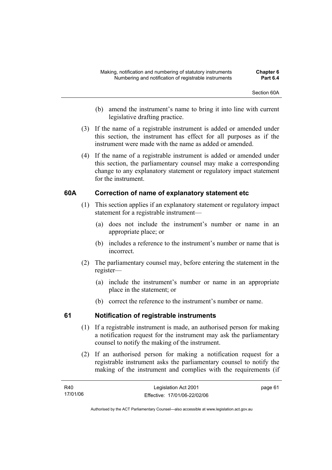- (b) amend the instrument's name to bring it into line with current legislative drafting practice.
- (3) If the name of a registrable instrument is added or amended under this section, the instrument has effect for all purposes as if the instrument were made with the name as added or amended.
- (4) If the name of a registrable instrument is added or amended under this section, the parliamentary counsel may make a corresponding change to any explanatory statement or regulatory impact statement for the instrument.

# **60A Correction of name of explanatory statement etc**

- (1) This section applies if an explanatory statement or regulatory impact statement for a registrable instrument—
	- (a) does not include the instrument's number or name in an appropriate place; or
	- (b) includes a reference to the instrument's number or name that is incorrect.
- (2) The parliamentary counsel may, before entering the statement in the register—
	- (a) include the instrument's number or name in an appropriate place in the statement; or
	- (b) correct the reference to the instrument's number or name.

# **61 Notification of registrable instruments**

- (1) If a registrable instrument is made, an authorised person for making a notification request for the instrument may ask the parliamentary counsel to notify the making of the instrument.
- (2) If an authorised person for making a notification request for a registrable instrument asks the parliamentary counsel to notify the making of the instrument and complies with the requirements (if

| R40      | Legislation Act 2001         | page 61 |
|----------|------------------------------|---------|
| 17/01/06 | Effective: 17/01/06-22/02/06 |         |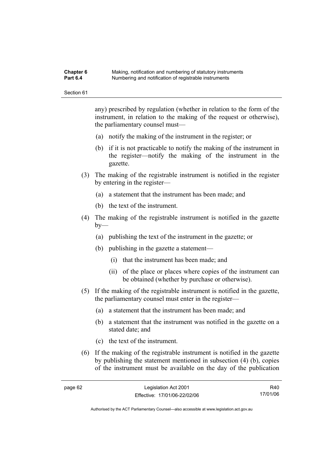#### **Chapter 6** Making, notification and numbering of statutory instruments<br>**Part 6.4** Mumbering and notification of registrable instruments **Part 6.4** Numbering and notification of registrable instruments

Section 61

any) prescribed by regulation (whether in relation to the form of the instrument, in relation to the making of the request or otherwise), the parliamentary counsel must—

- (a) notify the making of the instrument in the register; or
- (b) if it is not practicable to notify the making of the instrument in the register—notify the making of the instrument in the gazette.
- (3) The making of the registrable instrument is notified in the register by entering in the register—
	- (a) a statement that the instrument has been made; and
	- (b) the text of the instrument.
- (4) The making of the registrable instrument is notified in the gazette  $bv$ —
	- (a) publishing the text of the instrument in the gazette; or
	- (b) publishing in the gazette a statement—
		- (i) that the instrument has been made; and
		- (ii) of the place or places where copies of the instrument can be obtained (whether by purchase or otherwise).
- (5) If the making of the registrable instrument is notified in the gazette, the parliamentary counsel must enter in the register—
	- (a) a statement that the instrument has been made; and
	- (b) a statement that the instrument was notified in the gazette on a stated date; and
	- (c) the text of the instrument.
- (6) If the making of the registrable instrument is notified in the gazette by publishing the statement mentioned in subsection (4) (b), copies of the instrument must be available on the day of the publication

R40 17/01/06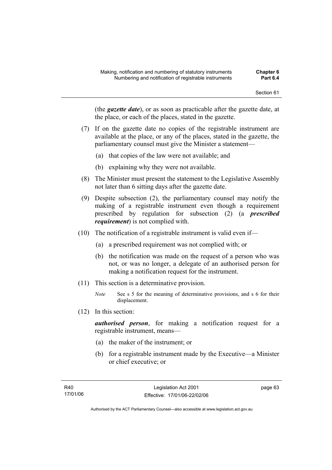(the *gazette date*), or as soon as practicable after the gazette date, at the place, or each of the places, stated in the gazette.

- (7) If on the gazette date no copies of the registrable instrument are available at the place, or any of the places, stated in the gazette, the parliamentary counsel must give the Minister a statement—
	- (a) that copies of the law were not available; and
	- (b) explaining why they were not available.
- (8) The Minister must present the statement to the Legislative Assembly not later than 6 sitting days after the gazette date.
- (9) Despite subsection (2), the parliamentary counsel may notify the making of a registrable instrument even though a requirement prescribed by regulation for subsection (2) (a *prescribed requirement*) is not complied with.
- (10) The notification of a registrable instrument is valid even if—
	- (a) a prescribed requirement was not complied with; or
	- (b) the notification was made on the request of a person who was not, or was no longer, a delegate of an authorised person for making a notification request for the instrument.
- (11) This section is a determinative provision.
	- *Note* See s 5 for the meaning of determinative provisions, and s 6 for their displacement.
- (12) In this section:

*authorised person*, for making a notification request for a registrable instrument, means—

- (a) the maker of the instrument; or
- (b) for a registrable instrument made by the Executive—a Minister or chief executive; or

page 63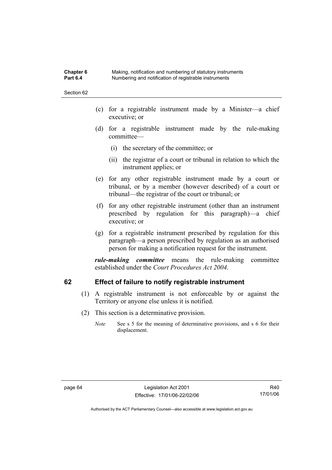**Chapter 6** Making, notification and numbering of statutory instruments<br>**Part 6.4** Mumbering and notification of registrable instruments **Part 6.4** Numbering and notification of registrable instruments

Section 62

- (c) for a registrable instrument made by a Minister—a chief executive; or
- (d) for a registrable instrument made by the rule-making committee—
	- (i) the secretary of the committee; or
	- (ii) the registrar of a court or tribunal in relation to which the instrument applies; or
- (e) for any other registrable instrument made by a court or tribunal, or by a member (however described) of a court or tribunal—the registrar of the court or tribunal; or
- (f) for any other registrable instrument (other than an instrument prescribed by regulation for this paragraph)—a chief executive; or
- (g) for a registrable instrument prescribed by regulation for this paragraph—a person prescribed by regulation as an authorised person for making a notification request for the instrument.

*rule-making committee* means the rule-making committee established under the *Court Procedures Act 2004*.

# **62 Effect of failure to notify registrable instrument**

- (1) A registrable instrument is not enforceable by or against the Territory or anyone else unless it is notified.
- (2) This section is a determinative provision.
	- *Note* See s 5 for the meaning of determinative provisions, and s 6 for their displacement.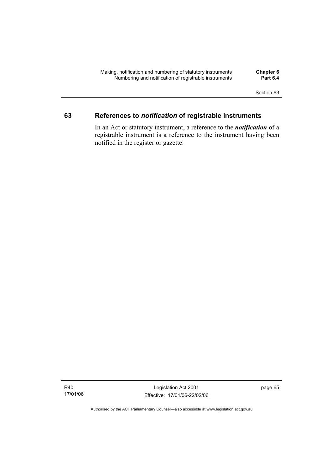# **63 References to** *notification* **of registrable instruments**

In an Act or statutory instrument, a reference to the *notification* of a registrable instrument is a reference to the instrument having been notified in the register or gazette.

Legislation Act 2001 Effective: 17/01/06-22/02/06 page 65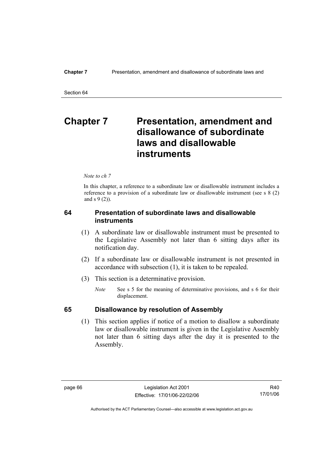# **Chapter 7** Presentation, amendment and **disallowance of subordinate laws and disallowable instruments**

*Note to ch 7* 

In this chapter, a reference to a subordinate law or disallowable instrument includes a reference to a provision of a subordinate law or disallowable instrument (see s 8 (2) and s 9 (2)).

# **64 Presentation of subordinate laws and disallowable instruments**

- (1) A subordinate law or disallowable instrument must be presented to the Legislative Assembly not later than 6 sitting days after its notification day.
- (2) If a subordinate law or disallowable instrument is not presented in accordance with subsection (1), it is taken to be repealed.
- (3) This section is a determinative provision.
	- *Note* See s 5 for the meaning of determinative provisions, and s 6 for their displacement.

# **65 Disallowance by resolution of Assembly**

 (1) This section applies if notice of a motion to disallow a subordinate law or disallowable instrument is given in the Legislative Assembly not later than 6 sitting days after the day it is presented to the Assembly.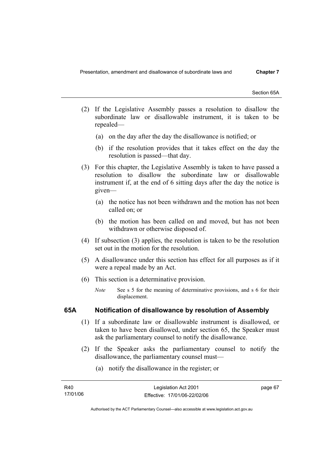Section 65A

- (2) If the Legislative Assembly passes a resolution to disallow the subordinate law or disallowable instrument, it is taken to be repealed—
	- (a) on the day after the day the disallowance is notified; or
	- (b) if the resolution provides that it takes effect on the day the resolution is passed—that day.
- (3) For this chapter, the Legislative Assembly is taken to have passed a resolution to disallow the subordinate law or disallowable instrument if, at the end of 6 sitting days after the day the notice is given—
	- (a) the notice has not been withdrawn and the motion has not been called on; or
	- (b) the motion has been called on and moved, but has not been withdrawn or otherwise disposed of.
- (4) If subsection (3) applies, the resolution is taken to be the resolution set out in the motion for the resolution.
- (5) A disallowance under this section has effect for all purposes as if it were a repeal made by an Act.
- (6) This section is a determinative provision.
	- *Note* See s 5 for the meaning of determinative provisions, and s 6 for their displacement.

# **65A Notification of disallowance by resolution of Assembly**

- (1) If a subordinate law or disallowable instrument is disallowed, or taken to have been disallowed, under section 65, the Speaker must ask the parliamentary counsel to notify the disallowance.
- (2) If the Speaker asks the parliamentary counsel to notify the disallowance, the parliamentary counsel must—
	- (a) notify the disallowance in the register; or

| R40      | Legislation Act 2001         | page 67 |
|----------|------------------------------|---------|
| 17/01/06 | Effective: 17/01/06-22/02/06 |         |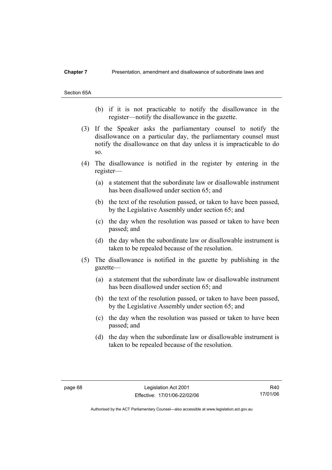#### **Chapter 7** Presentation, amendment and disallowance of subordinate laws and

Section 65A

- (b) if it is not practicable to notify the disallowance in the register—notify the disallowance in the gazette.
- (3) If the Speaker asks the parliamentary counsel to notify the disallowance on a particular day, the parliamentary counsel must notify the disallowance on that day unless it is impracticable to do so.
- (4) The disallowance is notified in the register by entering in the register—
	- (a) a statement that the subordinate law or disallowable instrument has been disallowed under section 65; and
	- (b) the text of the resolution passed, or taken to have been passed, by the Legislative Assembly under section 65; and
	- (c) the day when the resolution was passed or taken to have been passed; and
	- (d) the day when the subordinate law or disallowable instrument is taken to be repealed because of the resolution.
- (5) The disallowance is notified in the gazette by publishing in the gazette—
	- (a) a statement that the subordinate law or disallowable instrument has been disallowed under section 65; and
	- (b) the text of the resolution passed, or taken to have been passed, by the Legislative Assembly under section 65; and
	- (c) the day when the resolution was passed or taken to have been passed; and
	- (d) the day when the subordinate law or disallowable instrument is taken to be repealed because of the resolution.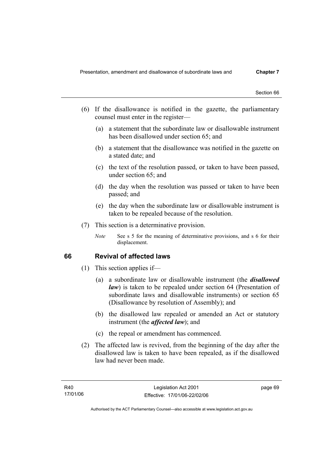- (6) If the disallowance is notified in the gazette, the parliamentary counsel must enter in the register—
	- (a) a statement that the subordinate law or disallowable instrument has been disallowed under section 65; and
	- (b) a statement that the disallowance was notified in the gazette on a stated date; and
	- (c) the text of the resolution passed, or taken to have been passed, under section 65; and
	- (d) the day when the resolution was passed or taken to have been passed; and
	- (e) the day when the subordinate law or disallowable instrument is taken to be repealed because of the resolution.
- (7) This section is a determinative provision.
	- *Note* See s 5 for the meaning of determinative provisions, and s 6 for their displacement.

# **66 Revival of affected laws**

- (1) This section applies if—
	- (a) a subordinate law or disallowable instrument (the *disallowed law*) is taken to be repealed under section 64 (Presentation of subordinate laws and disallowable instruments) or section 65 (Disallowance by resolution of Assembly); and
	- (b) the disallowed law repealed or amended an Act or statutory instrument (the *affected law*); and
	- (c) the repeal or amendment has commenced.
- (2) The affected law is revived, from the beginning of the day after the disallowed law is taken to have been repealed, as if the disallowed law had never been made.

page 69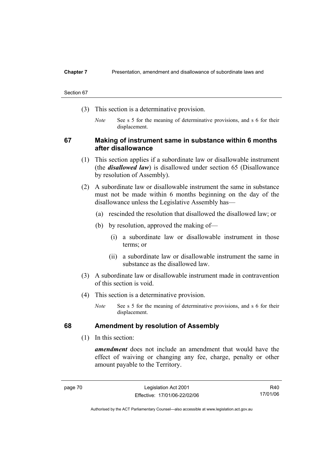#### **Chapter 7** Presentation, amendment and disallowance of subordinate laws and

#### Section 67

- (3) This section is a determinative provision.
	- *Note* See s 5 for the meaning of determinative provisions, and s 6 for their displacement.

# **67 Making of instrument same in substance within 6 months after disallowance**

- (1) This section applies if a subordinate law or disallowable instrument (the *disallowed law*) is disallowed under section 65 (Disallowance by resolution of Assembly).
- (2) A subordinate law or disallowable instrument the same in substance must not be made within 6 months beginning on the day of the disallowance unless the Legislative Assembly has—
	- (a) rescinded the resolution that disallowed the disallowed law; or
	- (b) by resolution, approved the making of—
		- (i) a subordinate law or disallowable instrument in those terms; or
		- (ii) a subordinate law or disallowable instrument the same in substance as the disallowed law.
- (3) A subordinate law or disallowable instrument made in contravention of this section is void.
- (4) This section is a determinative provision.
	- *Note* See s 5 for the meaning of determinative provisions, and s 6 for their displacement.

# **68 Amendment by resolution of Assembly**

(1) In this section:

*amendment* does not include an amendment that would have the effect of waiving or changing any fee, charge, penalty or other amount payable to the Territory.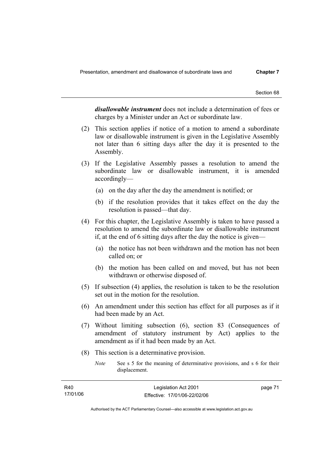*disallowable instrument* does not include a determination of fees or charges by a Minister under an Act or subordinate law.

- (2) This section applies if notice of a motion to amend a subordinate law or disallowable instrument is given in the Legislative Assembly not later than 6 sitting days after the day it is presented to the Assembly.
- (3) If the Legislative Assembly passes a resolution to amend the subordinate law or disallowable instrument, it is amended accordingly—
	- (a) on the day after the day the amendment is notified; or
	- (b) if the resolution provides that it takes effect on the day the resolution is passed—that day.
- (4) For this chapter, the Legislative Assembly is taken to have passed a resolution to amend the subordinate law or disallowable instrument if, at the end of 6 sitting days after the day the notice is given—
	- (a) the notice has not been withdrawn and the motion has not been called on; or
	- (b) the motion has been called on and moved, but has not been withdrawn or otherwise disposed of.
- (5) If subsection (4) applies, the resolution is taken to be the resolution set out in the motion for the resolution.
- (6) An amendment under this section has effect for all purposes as if it had been made by an Act.
- (7) Without limiting subsection (6), section 83 (Consequences of amendment of statutory instrument by Act) applies to the amendment as if it had been made by an Act.
- (8) This section is a determinative provision.
	- *Note* See s 5 for the meaning of determinative provisions, and s 6 for their displacement.

| R40      | Legislation Act 2001         | page 71 |
|----------|------------------------------|---------|
| 17/01/06 | Effective: 17/01/06-22/02/06 |         |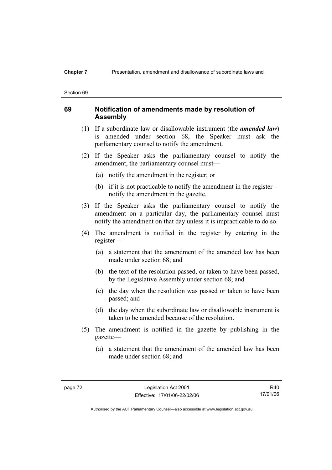# **Chapter 7** Presentation, amendment and disallowance of subordinate laws and

#### Section 69

# **69 Notification of amendments made by resolution of Assembly**

- (1) If a subordinate law or disallowable instrument (the *amended law*) is amended under section 68, the Speaker must ask the parliamentary counsel to notify the amendment.
- (2) If the Speaker asks the parliamentary counsel to notify the amendment, the parliamentary counsel must—
	- (a) notify the amendment in the register; or
	- (b) if it is not practicable to notify the amendment in the register notify the amendment in the gazette.
- (3) If the Speaker asks the parliamentary counsel to notify the amendment on a particular day, the parliamentary counsel must notify the amendment on that day unless it is impracticable to do so.
- (4) The amendment is notified in the register by entering in the register—
	- (a) a statement that the amendment of the amended law has been made under section 68; and
	- (b) the text of the resolution passed, or taken to have been passed, by the Legislative Assembly under section 68; and
	- (c) the day when the resolution was passed or taken to have been passed; and
	- (d) the day when the subordinate law or disallowable instrument is taken to be amended because of the resolution.
- (5) The amendment is notified in the gazette by publishing in the gazette—
	- (a) a statement that the amendment of the amended law has been made under section 68; and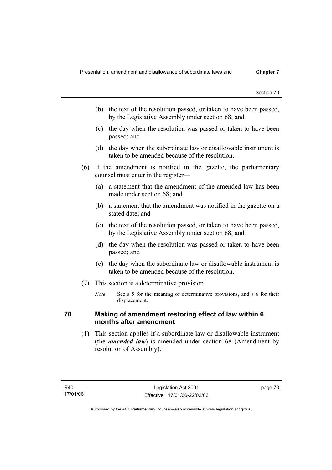- (b) the text of the resolution passed, or taken to have been passed, by the Legislative Assembly under section 68; and
- (c) the day when the resolution was passed or taken to have been passed; and
- (d) the day when the subordinate law or disallowable instrument is taken to be amended because of the resolution.
- (6) If the amendment is notified in the gazette, the parliamentary counsel must enter in the register—
	- (a) a statement that the amendment of the amended law has been made under section  $68^\circ$  and
	- (b) a statement that the amendment was notified in the gazette on a stated date; and
	- (c) the text of the resolution passed, or taken to have been passed, by the Legislative Assembly under section 68; and
	- (d) the day when the resolution was passed or taken to have been passed; and
	- (e) the day when the subordinate law or disallowable instrument is taken to be amended because of the resolution.
- (7) This section is a determinative provision.
	- *Note* See s 5 for the meaning of determinative provisions, and s 6 for their displacement.

# **70 Making of amendment restoring effect of law within 6 months after amendment**

 (1) This section applies if a subordinate law or disallowable instrument (the *amended law*) is amended under section 68 (Amendment by resolution of Assembly).

page 73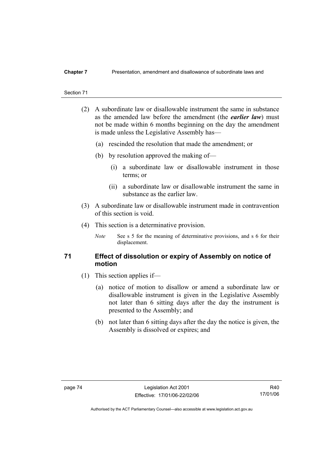- (2) A subordinate law or disallowable instrument the same in substance as the amended law before the amendment (the *earlier law*) must not be made within 6 months beginning on the day the amendment is made unless the Legislative Assembly has—
	- (a) rescinded the resolution that made the amendment; or
	- (b) by resolution approved the making of—
		- (i) a subordinate law or disallowable instrument in those terms; or
		- (ii) a subordinate law or disallowable instrument the same in substance as the earlier law.
- (3) A subordinate law or disallowable instrument made in contravention of this section is void.
- (4) This section is a determinative provision.
	- *Note* See s 5 for the meaning of determinative provisions, and s 6 for their displacement.

# **71 Effect of dissolution or expiry of Assembly on notice of motion**

- (1) This section applies if—
	- (a) notice of motion to disallow or amend a subordinate law or disallowable instrument is given in the Legislative Assembly not later than 6 sitting days after the day the instrument is presented to the Assembly; and
	- (b) not later than 6 sitting days after the day the notice is given, the Assembly is dissolved or expires; and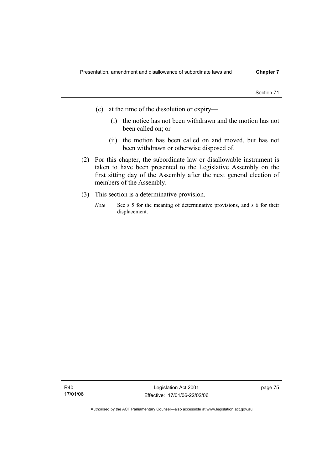- (c) at the time of the dissolution or expiry—
	- (i) the notice has not been withdrawn and the motion has not been called on; or
	- (ii) the motion has been called on and moved, but has not been withdrawn or otherwise disposed of.
- (2) For this chapter, the subordinate law or disallowable instrument is taken to have been presented to the Legislative Assembly on the first sitting day of the Assembly after the next general election of members of the Assembly.
- (3) This section is a determinative provision.
	- *Note* See s 5 for the meaning of determinative provisions, and s 6 for their displacement.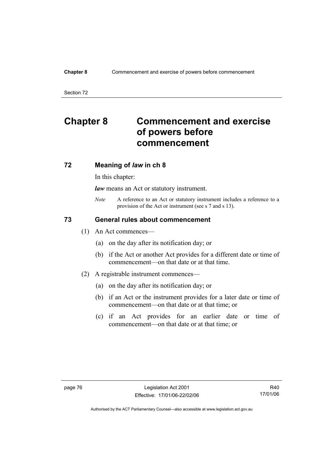### **Chapter 8** Commencement and exercise of powers before commencement

Section 72

# **Chapter 8 Commencement and exercise of powers before commencement**

# **72 Meaning of** *law* **in ch 8**

In this chapter:

*law* means an Act or statutory instrument.

*Note* A reference to an Act or statutory instrument includes a reference to a provision of the Act or instrument (see s 7 and s 13).

# **73 General rules about commencement**

- (1) An Act commences—
	- (a) on the day after its notification day; or
	- (b) if the Act or another Act provides for a different date or time of commencement—on that date or at that time.
- (2) A registrable instrument commences—
	- (a) on the day after its notification day; or
	- (b) if an Act or the instrument provides for a later date or time of commencement—on that date or at that time; or
	- (c) if an Act provides for an earlier date or time of commencement—on that date or at that time; or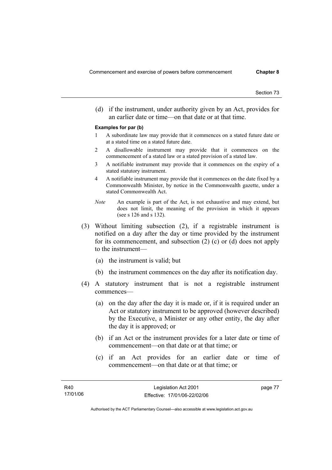(d) if the instrument, under authority given by an Act, provides for an earlier date or time—on that date or at that time.

#### **Examples for par (b)**

- 1 A subordinate law may provide that it commences on a stated future date or at a stated time on a stated future date.
- 2 A disallowable instrument may provide that it commences on the commencement of a stated law or a stated provision of a stated law.
- 3 A notifiable instrument may provide that it commences on the expiry of a stated statutory instrument.
- 4 A notifiable instrument may provide that it commences on the date fixed by a Commonwealth Minister, by notice in the Commonwealth gazette, under a stated Commonwealth Act.
- *Note* An example is part of the Act, is not exhaustive and may extend, but does not limit, the meaning of the provision in which it appears (see s 126 and s 132).
- (3) Without limiting subsection (2), if a registrable instrument is notified on a day after the day or time provided by the instrument for its commencement, and subsection (2) (c) or (d) does not apply to the instrument—
	- (a) the instrument is valid; but
	- (b) the instrument commences on the day after its notification day.
- (4) A statutory instrument that is not a registrable instrument commences—
	- (a) on the day after the day it is made or, if it is required under an Act or statutory instrument to be approved (however described) by the Executive, a Minister or any other entity, the day after the day it is approved; or
	- (b) if an Act or the instrument provides for a later date or time of commencement—on that date or at that time; or
	- (c) if an Act provides for an earlier date or time of commencement—on that date or at that time; or

page 77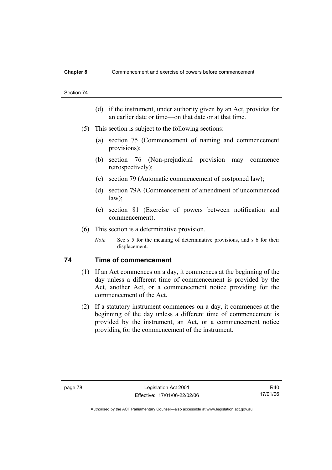- (d) if the instrument, under authority given by an Act, provides for an earlier date or time—on that date or at that time.
- (5) This section is subject to the following sections:
	- (a) section 75 (Commencement of naming and commencement provisions);
	- (b) section 76 (Non-prejudicial provision may commence retrospectively);
	- (c) section 79 (Automatic commencement of postponed law);
	- (d) section 79A (Commencement of amendment of uncommenced law);
	- (e) section 81 (Exercise of powers between notification and commencement).
- (6) This section is a determinative provision.
	- *Note* See s 5 for the meaning of determinative provisions, and s 6 for their displacement.

# **74 Time of commencement**

- (1) If an Act commences on a day, it commences at the beginning of the day unless a different time of commencement is provided by the Act, another Act, or a commencement notice providing for the commencement of the Act.
- (2) If a statutory instrument commences on a day, it commences at the beginning of the day unless a different time of commencement is provided by the instrument, an Act, or a commencement notice providing for the commencement of the instrument.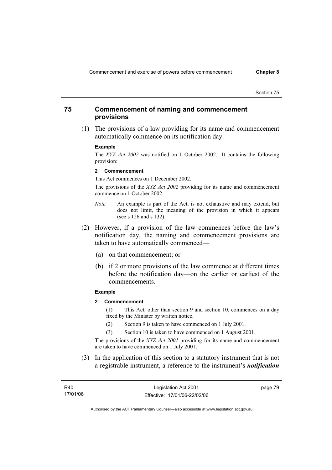# **75 Commencement of naming and commencement provisions**

 (1) The provisions of a law providing for its name and commencement automatically commence on its notification day.

#### **Example**

The *XYZ Act 2002* was notified on 1 October 2002. It contains the following provision:

#### **2 Commencement**

This Act commences on 1 December 2002.

The provisions of the *XYZ Act 2002* providing for its name and commencement commence on 1 October 2002.

- *Note* An example is part of the Act, is not exhaustive and may extend, but does not limit, the meaning of the provision in which it appears (see s 126 and s 132).
- (2) However, if a provision of the law commences before the law's notification day, the naming and commencement provisions are taken to have automatically commenced—
	- (a) on that commencement; or
	- (b) if 2 or more provisions of the law commence at different times before the notification day—on the earlier or earliest of the commencements.

### **Example**

**2 Commencement** 

(1) This Act, other than section 9 and section 10, commences on a day fixed by the Minister by written notice.

- (2) Section 9 is taken to have commenced on 1 July 2001.
- (3) Section 10 is taken to have commenced on 1 August 2001.

The provisions of the *XYZ Act 2001* providing for its name and commencement are taken to have commenced on 1 July 2001.

 (3) In the application of this section to a statutory instrument that is not a registrable instrument, a reference to the instrument's *notification* 

R40 17/01/06 Legislation Act 2001 Effective: 17/01/06-22/02/06 page 79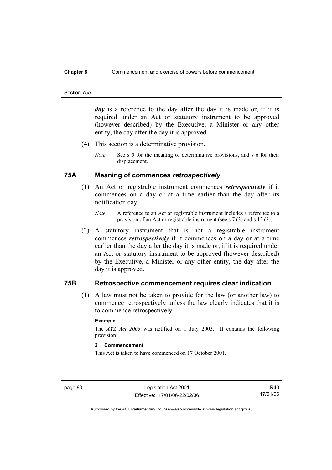#### **Chapter 8** Commencement and exercise of powers before commencement

#### Section 75A

*day* is a reference to the day after the day it is made or, if it is required under an Act or statutory instrument to be approved (however described) by the Executive, a Minister or any other entity, the day after the day it is approved.

- (4) This section is a determinative provision.
	- *Note* See s 5 for the meaning of determinative provisions, and s 6 for their displacement.

# **75A Meaning of commences** *retrospectively*

- (1) An Act or registrable instrument commences *retrospectively* if it commences on a day or at a time earlier than the day after its notification day.
	- *Note* A reference to an Act or registrable instrument includes a reference to a provision of an Act or registrable instrument (see s 7 (3) and s 12 (2)).
- (2) A statutory instrument that is not a registrable instrument commences *retrospectively* if it commences on a day or at a time earlier than the day after the day it is made or, if it is required under an Act or statutory instrument to be approved (however described) by the Executive, a Minister or any other entity, the day after the day it is approved.

# **75B Retrospective commencement requires clear indication**

 (1) A law must not be taken to provide for the law (or another law) to commence retrospectively unless the law clearly indicates that it is to commence retrospectively.

### **Example**

The *XYZ Act 2003* was notified on 1 July 2003. It contains the following provision:

## **2 Commencement**

This Act is taken to have commenced on 17 October 2001.

page 80 Legislation Act 2001 Effective: 17/01/06-22/02/06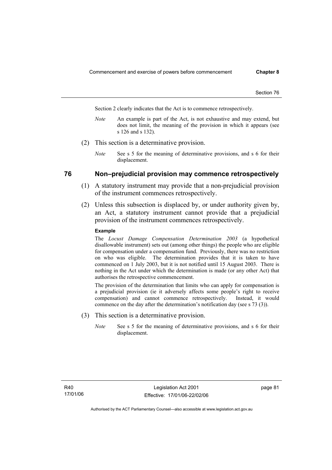Section 2 clearly indicates that the Act is to commence retrospectively.

- *Note* An example is part of the Act, is not exhaustive and may extend, but does not limit, the meaning of the provision in which it appears (see s 126 and s 132).
- (2) This section is a determinative provision.
	- *Note* See s 5 for the meaning of determinative provisions, and s 6 for their displacement.

## **76 Non–prejudicial provision may commence retrospectively**

- (1) A statutory instrument may provide that a non-prejudicial provision of the instrument commences retrospectively.
- (2) Unless this subsection is displaced by, or under authority given by, an Act, a statutory instrument cannot provide that a prejudicial provision of the instrument commences retrospectively.

#### **Example**

The *Locust Damage Compensation Determination 2003* (a hypothetical disallowable instrument) sets out (among other things) the people who are eligible for compensation under a compensation fund. Previously, there was no restriction on who was eligible. The determination provides that it is taken to have commenced on 1 July 2003, but it is not notified until 15 August 2003. There is nothing in the Act under which the determination is made (or any other Act) that authorises the retrospective commencement.

The provision of the determination that limits who can apply for compensation is a prejudicial provision (ie it adversely affects some people's right to receive compensation) and cannot commence retrospectively. Instead, it would commence on the day after the determination's notification day (see s 73 (3)).

- (3) This section is a determinative provision.
	- *Note* See s 5 for the meaning of determinative provisions, and s 6 for their displacement.

page 81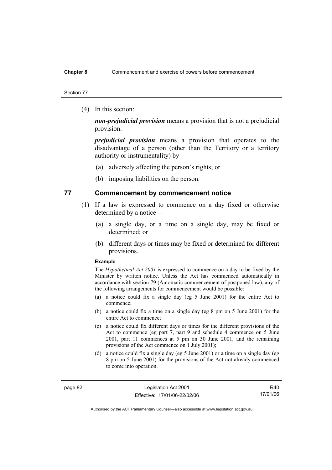### **Chapter 8** Commencement and exercise of powers before commencement

#### Section 77

(4) In this section:

*non-prejudicial provision* means a provision that is not a prejudicial provision.

*prejudicial provision* means a provision that operates to the disadvantage of a person (other than the Territory or a territory authority or instrumentality) by—

- (a) adversely affecting the person's rights; or
- (b) imposing liabilities on the person.

# **77 Commencement by commencement notice**

- (1) If a law is expressed to commence on a day fixed or otherwise determined by a notice—
	- (a) a single day, or a time on a single day, may be fixed or determined; or
	- (b) different days or times may be fixed or determined for different provisions.

#### **Example**

The *Hypothetical Act 2001* is expressed to commence on a day to be fixed by the Minister by written notice. Unless the Act has commenced automatically in accordance with section 79 (Automatic commencement of postponed law), any of the following arrangements for commencement would be possible:

- (a) a notice could fix a single day (eg 5 June 2001) for the entire Act to commence;
- (b) a notice could fix a time on a single day (eg 8 pm on 5 June 2001) for the entire Act to commence;
- (c) a notice could fix different days or times for the different provisions of the Act to commence (eg part 7, part 9 and schedule 4 commence on 5 June 2001, part 11 commences at 5 pm on 30 June 2001, and the remaining provisions of the Act commence on 1 July 2001);
- (d) a notice could fix a single day (eg 5 June 2001) or a time on a single day (eg 8 pm on 5 June 2001) for the provisions of the Act not already commenced to come into operation.

page 82 Legislation Act 2001 Effective: 17/01/06-22/02/06

R40 17/01/06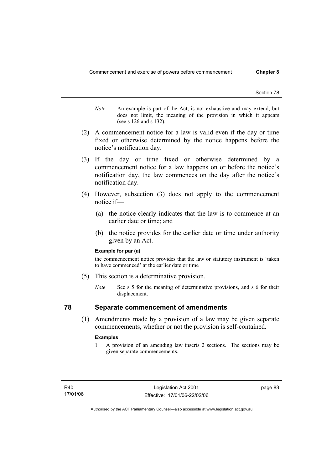- *Note* An example is part of the Act, is not exhaustive and may extend, but does not limit, the meaning of the provision in which it appears (see s 126 and s 132).
- (2) A commencement notice for a law is valid even if the day or time fixed or otherwise determined by the notice happens before the notice's notification day.
- (3) If the day or time fixed or otherwise determined by a commencement notice for a law happens on or before the notice's notification day, the law commences on the day after the notice's notification day.
- (4) However, subsection (3) does not apply to the commencement notice if—
	- (a) the notice clearly indicates that the law is to commence at an earlier date or time; and
	- (b) the notice provides for the earlier date or time under authority given by an Act.

#### **Example for par (a)**

the commencement notice provides that the law or statutory instrument is 'taken to have commenced' at the earlier date or time

- (5) This section is a determinative provision.
	- *Note* See s 5 for the meaning of determinative provisions, and s 6 for their displacement.

# **78 Separate commencement of amendments**

 (1) Amendments made by a provision of a law may be given separate commencements, whether or not the provision is self-contained.

#### **Examples**

1 A provision of an amending law inserts 2 sections. The sections may be given separate commencements.

page 83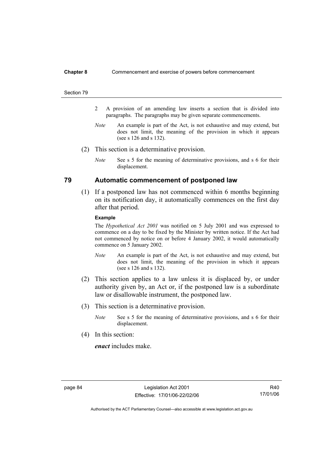#### **Chapter 8** Commencement and exercise of powers before commencement

#### Section 79

- 2 A provision of an amending law inserts a section that is divided into paragraphs. The paragraphs may be given separate commencements.
- *Note* An example is part of the Act, is not exhaustive and may extend, but does not limit, the meaning of the provision in which it appears (see s 126 and s 132).
- (2) This section is a determinative provision.
	- *Note* See s 5 for the meaning of determinative provisions, and s 6 for their displacement.

# **79 Automatic commencement of postponed law**

 (1) If a postponed law has not commenced within 6 months beginning on its notification day, it automatically commences on the first day after that period.

#### **Example**

The *Hypothetical Act 2001* was notified on 5 July 2001 and was expressed to commence on a day to be fixed by the Minister by written notice. If the Act had not commenced by notice on or before 4 January 2002, it would automatically commence on 5 January 2002.

- *Note* An example is part of the Act, is not exhaustive and may extend, but does not limit, the meaning of the provision in which it appears (see s 126 and s 132).
- (2) This section applies to a law unless it is displaced by, or under authority given by, an Act or, if the postponed law is a subordinate law or disallowable instrument, the postponed law.
- (3) This section is a determinative provision.
	- *Note* See s 5 for the meaning of determinative provisions, and s 6 for their displacement.
- (4) In this section:

*enact* includes make.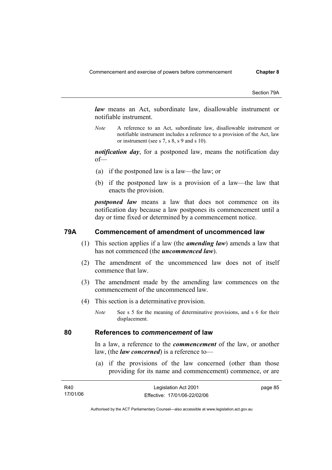Section 79A

*law* means an Act, subordinate law, disallowable instrument or notifiable instrument.

*Note* A reference to an Act, subordinate law, disallowable instrument or notifiable instrument includes a reference to a provision of the Act, law or instrument (see s 7, s 8, s 9 and s 10).

*notification day*, for a postponed law, means the notification day of—

- (a) if the postponed law is a law—the law; or
- (b) if the postponed law is a provision of a law—the law that enacts the provision.

*postponed law* means a law that does not commence on its notification day because a law postpones its commencement until a day or time fixed or determined by a commencement notice.

# **79A Commencement of amendment of uncommenced law**

- (1) This section applies if a law (the *amending law*) amends a law that has not commenced (the *uncommenced law*).
- (2) The amendment of the uncommenced law does not of itself commence that law.
- (3) The amendment made by the amending law commences on the commencement of the uncommenced law.
- (4) This section is a determinative provision.
	- *Note* See s 5 for the meaning of determinative provisions, and s 6 for their displacement.

## **80 References to** *commencement* **of law**

In a law, a reference to the *commencement* of the law, or another law, (the *law concerned*) is a reference to—

 (a) if the provisions of the law concerned (other than those providing for its name and commencement) commence, or are

| R40      | Legislation Act 2001         | page 85 |
|----------|------------------------------|---------|
| 17/01/06 | Effective: 17/01/06-22/02/06 |         |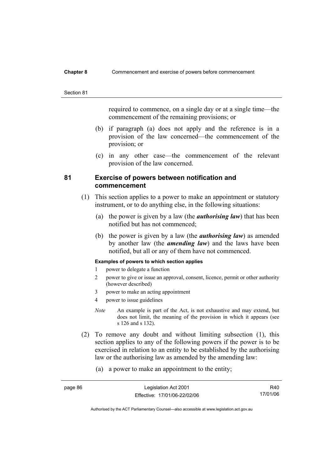#### **Chapter 8** Commencement and exercise of powers before commencement

#### Section 81

required to commence, on a single day or at a single time—the commencement of the remaining provisions; or

- (b) if paragraph (a) does not apply and the reference is in a provision of the law concerned—the commencement of the provision; or
- (c) in any other case—the commencement of the relevant provision of the law concerned.

# **81 Exercise of powers between notification and commencement**

- (1) This section applies to a power to make an appointment or statutory instrument, or to do anything else, in the following situations:
	- (a) the power is given by a law (the *authorising law*) that has been notified but has not commenced;
	- (b) the power is given by a law (the *authorising law*) as amended by another law (the *amending law*) and the laws have been notified, but all or any of them have not commenced.

### **Examples of powers to which section applies**

- 1 power to delegate a function
- 2 power to give or issue an approval, consent, licence, permit or other authority (however described)
- 3 power to make an acting appointment
- 4 power to issue guidelines
- *Note* An example is part of the Act, is not exhaustive and may extend, but does not limit, the meaning of the provision in which it appears (see s 126 and s 132).

- (2) To remove any doubt and without limiting subsection (1), this section applies to any of the following powers if the power is to be exercised in relation to an entity to be established by the authorising law or the authorising law as amended by the amending law:
	- (a) a power to make an appointment to the entity;

| page 86 | Legislation Act 2001         | R40      |
|---------|------------------------------|----------|
|         | Effective: 17/01/06-22/02/06 | 17/01/06 |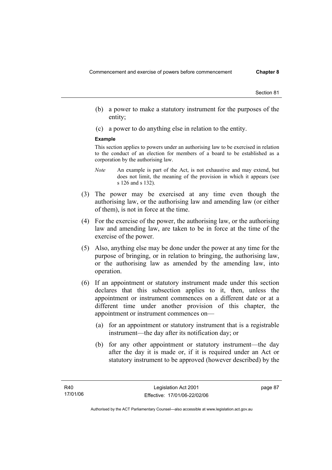- (b) a power to make a statutory instrument for the purposes of the entity;
- (c) a power to do anything else in relation to the entity.

#### **Example**

This section applies to powers under an authorising law to be exercised in relation to the conduct of an election for members of a board to be established as a corporation by the authorising law.

- *Note* An example is part of the Act, is not exhaustive and may extend, but does not limit, the meaning of the provision in which it appears (see s 126 and s 132).
- (3) The power may be exercised at any time even though the authorising law, or the authorising law and amending law (or either of them), is not in force at the time.
- (4) For the exercise of the power, the authorising law, or the authorising law and amending law, are taken to be in force at the time of the exercise of the power.
- (5) Also, anything else may be done under the power at any time for the purpose of bringing, or in relation to bringing, the authorising law, or the authorising law as amended by the amending law, into operation.
- (6) If an appointment or statutory instrument made under this section declares that this subsection applies to it, then, unless the appointment or instrument commences on a different date or at a different time under another provision of this chapter, the appointment or instrument commences on—
	- (a) for an appointment or statutory instrument that is a registrable instrument—the day after its notification day; or
	- (b) for any other appointment or statutory instrument—the day after the day it is made or, if it is required under an Act or statutory instrument to be approved (however described) by the

page 87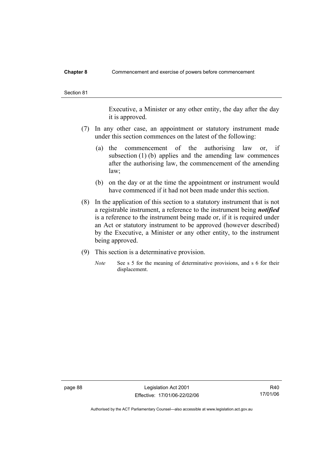### **Chapter 8** Commencement and exercise of powers before commencement

Executive, a Minister or any other entity, the day after the day it is approved.

- (7) In any other case, an appointment or statutory instrument made under this section commences on the latest of the following:
	- (a) the commencement of the authorising law or, if subsection (1) (b) applies and the amending law commences after the authorising law, the commencement of the amending law;
	- (b) on the day or at the time the appointment or instrument would have commenced if it had not been made under this section.
- (8) In the application of this section to a statutory instrument that is not a registrable instrument, a reference to the instrument being *notified*  is a reference to the instrument being made or, if it is required under an Act or statutory instrument to be approved (however described) by the Executive, a Minister or any other entity, to the instrument being approved.
- (9) This section is a determinative provision.
	- *Note* See s 5 for the meaning of determinative provisions, and s 6 for their displacement.

page 88 Legislation Act 2001 Effective: 17/01/06-22/02/06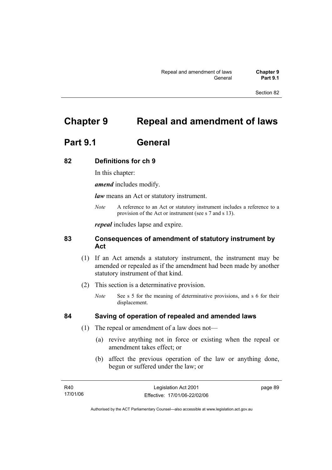# **Chapter 9 Repeal and amendment of laws**

# **Part 9.1 General**

# **82 Definitions for ch 9**

In this chapter:

*amend* includes modify.

*law* means an Act or statutory instrument.

*Note* A reference to an Act or statutory instrument includes a reference to a provision of the Act or instrument (see s 7 and s 13).

*repeal* includes lapse and expire.

# **83 Consequences of amendment of statutory instrument by Act**

- (1) If an Act amends a statutory instrument, the instrument may be amended or repealed as if the amendment had been made by another statutory instrument of that kind.
- (2) This section is a determinative provision.
	- *Note* See s 5 for the meaning of determinative provisions, and s 6 for their displacement.

# **84 Saving of operation of repealed and amended laws**

- (1) The repeal or amendment of a law does not—
	- (a) revive anything not in force or existing when the repeal or amendment takes effect; or
	- (b) affect the previous operation of the law or anything done, begun or suffered under the law; or

R40 17/01/06 Legislation Act 2001 Effective: 17/01/06-22/02/06 page 89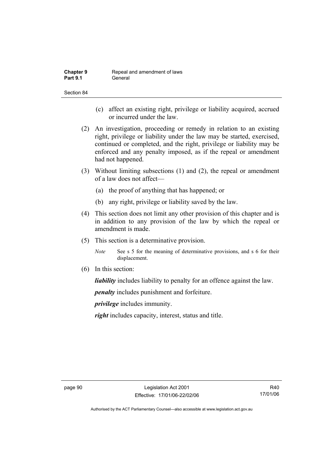| <b>Chapter 9</b> | Repeal and amendment of laws |
|------------------|------------------------------|
| <b>Part 9.1</b>  | General                      |

- (c) affect an existing right, privilege or liability acquired, accrued or incurred under the law.
- (2) An investigation, proceeding or remedy in relation to an existing right, privilege or liability under the law may be started, exercised, continued or completed, and the right, privilege or liability may be enforced and any penalty imposed, as if the repeal or amendment had not happened.
- (3) Without limiting subsections (1) and (2), the repeal or amendment of a law does not affect—
	- (a) the proof of anything that has happened; or
	- (b) any right, privilege or liability saved by the law.
- (4) This section does not limit any other provision of this chapter and is in addition to any provision of the law by which the repeal or amendment is made.
- (5) This section is a determinative provision.
	- *Note* See s 5 for the meaning of determinative provisions, and s 6 for their displacement.
- (6) In this section:

*liability* includes liability to penalty for an offence against the law.

*penalty* includes punishment and forfeiture.

*privilege* includes immunity.

*right* includes capacity, interest, status and title.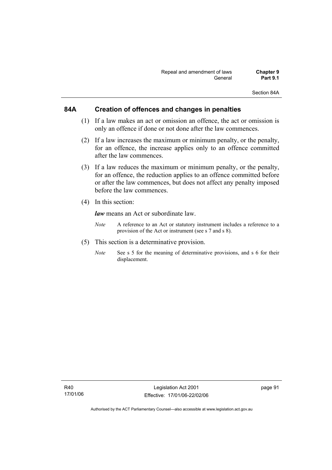Section 84A

# **84A Creation of offences and changes in penalties**

- (1) If a law makes an act or omission an offence, the act or omission is only an offence if done or not done after the law commences.
- (2) If a law increases the maximum or minimum penalty, or the penalty, for an offence, the increase applies only to an offence committed after the law commences.
- (3) If a law reduces the maximum or minimum penalty, or the penalty, for an offence, the reduction applies to an offence committed before or after the law commences, but does not affect any penalty imposed before the law commences.
- (4) In this section:

*law* means an Act or subordinate law.

- *Note* A reference to an Act or statutory instrument includes a reference to a provision of the Act or instrument (see s 7 and s 8).
- (5) This section is a determinative provision.
	- *Note* See s 5 for the meaning of determinative provisions, and s 6 for their displacement.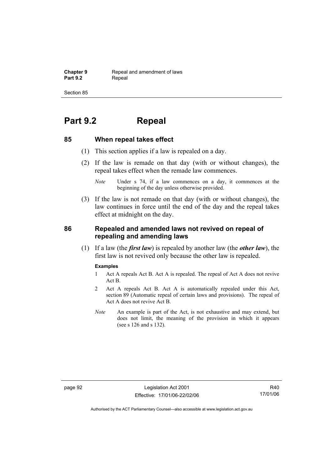**Chapter 9 Repeal and amendment of laws**<br>**Part 9.2 Repeal** Repeal

Section 85

# **Part 9.2 Repeal**

## **85 When repeal takes effect**

- (1) This section applies if a law is repealed on a day.
- (2) If the law is remade on that day (with or without changes), the repeal takes effect when the remade law commences.

 (3) If the law is not remade on that day (with or without changes), the law continues in force until the end of the day and the repeal takes effect at midnight on the day.

# **86 Repealed and amended laws not revived on repeal of repealing and amending laws**

 (1) If a law (the *first law*) is repealed by another law (the *other law*), the first law is not revived only because the other law is repealed.

#### **Examples**

- 1 Act A repeals Act B. Act A is repealed. The repeal of Act A does not revive Act B.
- 2 Act A repeals Act B. Act A is automatically repealed under this Act, section 89 (Automatic repeal of certain laws and provisions). The repeal of Act A does not revive Act B.
- *Note* An example is part of the Act, is not exhaustive and may extend, but does not limit, the meaning of the provision in which it appears (see s 126 and s 132).

*Note* Under s 74, if a law commences on a day, it commences at the beginning of the day unless otherwise provided.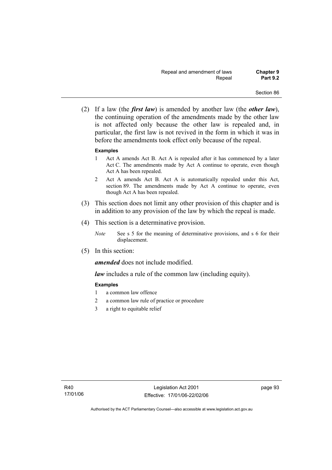(2) If a law (the *first law*) is amended by another law (the *other law*), the continuing operation of the amendments made by the other law is not affected only because the other law is repealed and, in particular, the first law is not revived in the form in which it was in before the amendments took effect only because of the repeal.

## **Examples**

- 1 Act A amends Act B. Act A is repealed after it has commenced by a later Act C. The amendments made by Act A continue to operate, even though Act A has been repealed.
- 2 Act A amends Act B. Act A is automatically repealed under this Act, section 89. The amendments made by Act A continue to operate, even though Act A has been repealed.
- (3) This section does not limit any other provision of this chapter and is in addition to any provision of the law by which the repeal is made.
- (4) This section is a determinative provision.
	- *Note* See s 5 for the meaning of determinative provisions, and s 6 for their displacement.
- (5) In this section:

*amended* does not include modified.

*law* includes a rule of the common law (including equity).

## **Examples**

- 1 a common law offence
- 2 a common law rule of practice or procedure
- 3 a right to equitable relief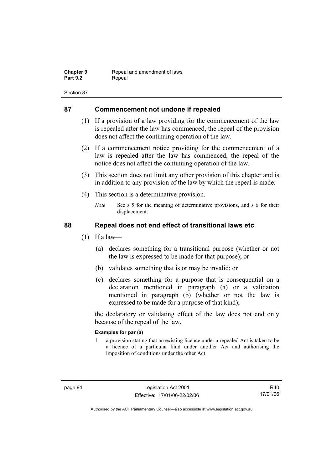| <b>Chapter 9</b> | Repeal and amendment of laws |
|------------------|------------------------------|
| <b>Part 9.2</b>  | Repeal                       |

# **87 Commencement not undone if repealed**

- (1) If a provision of a law providing for the commencement of the law is repealed after the law has commenced, the repeal of the provision does not affect the continuing operation of the law.
- (2) If a commencement notice providing for the commencement of a law is repealed after the law has commenced, the repeal of the notice does not affect the continuing operation of the law.
- (3) This section does not limit any other provision of this chapter and is in addition to any provision of the law by which the repeal is made.
- (4) This section is a determinative provision.
	- *Note* See s 5 for the meaning of determinative provisions, and s 6 for their displacement.

# **88 Repeal does not end effect of transitional laws etc**

- $(1)$  If a law—
	- (a) declares something for a transitional purpose (whether or not the law is expressed to be made for that purpose); or
	- (b) validates something that is or may be invalid; or
	- (c) declares something for a purpose that is consequential on a declaration mentioned in paragraph (a) or a validation mentioned in paragraph (b) (whether or not the law is expressed to be made for a purpose of that kind);

the declaratory or validating effect of the law does not end only because of the repeal of the law.

## **Examples for par (a)**

1 a provision stating that an existing licence under a repealed Act is taken to be a licence of a particular kind under another Act and authorising the imposition of conditions under the other Act

R40 17/01/06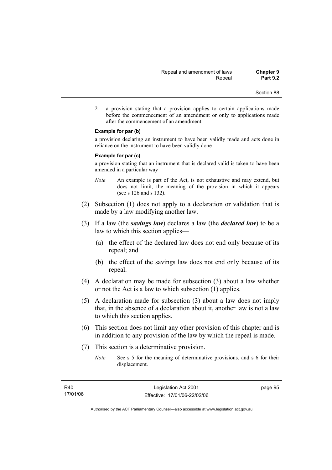2 a provision stating that a provision applies to certain applications made before the commencement of an amendment or only to applications made after the commencement of an amendment

### **Example for par (b)**

a provision declaring an instrument to have been validly made and acts done in reliance on the instrument to have been validly done

### **Example for par (c)**

a provision stating that an instrument that is declared valid is taken to have been amended in a particular way

- *Note* An example is part of the Act, is not exhaustive and may extend, but does not limit, the meaning of the provision in which it appears (see s 126 and s 132).
- (2) Subsection (1) does not apply to a declaration or validation that is made by a law modifying another law.
- (3) If a law (the *savings law*) declares a law (the *declared law*) to be a law to which this section applies—
	- (a) the effect of the declared law does not end only because of its repeal; and
	- (b) the effect of the savings law does not end only because of its repeal.
- (4) A declaration may be made for subsection (3) about a law whether or not the Act is a law to which subsection (1) applies.
- (5) A declaration made for subsection (3) about a law does not imply that, in the absence of a declaration about it, another law is not a law to which this section applies.
- (6) This section does not limit any other provision of this chapter and is in addition to any provision of the law by which the repeal is made.
- (7) This section is a determinative provision.
	- *Note* See s 5 for the meaning of determinative provisions, and s 6 for their displacement.

page 95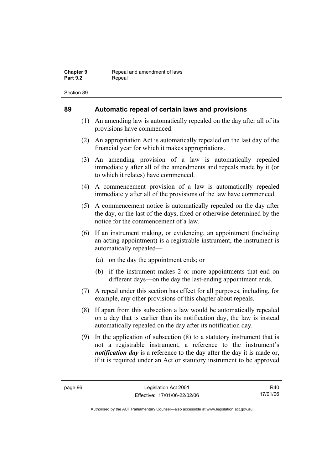# **89 Automatic repeal of certain laws and provisions**

- (1) An amending law is automatically repealed on the day after all of its provisions have commenced.
- (2) An appropriation Act is automatically repealed on the last day of the financial year for which it makes appropriations.
- (3) An amending provision of a law is automatically repealed immediately after all of the amendments and repeals made by it (or to which it relates) have commenced.
- (4) A commencement provision of a law is automatically repealed immediately after all of the provisions of the law have commenced.
- (5) A commencement notice is automatically repealed on the day after the day, or the last of the days, fixed or otherwise determined by the notice for the commencement of a law.
- (6) If an instrument making, or evidencing, an appointment (including an acting appointment) is a registrable instrument, the instrument is automatically repealed—
	- (a) on the day the appointment ends; or
	- (b) if the instrument makes 2 or more appointments that end on different days—on the day the last-ending appointment ends.
- (7) A repeal under this section has effect for all purposes, including, for example, any other provisions of this chapter about repeals.
- (8) If apart from this subsection a law would be automatically repealed on a day that is earlier than its notification day, the law is instead automatically repealed on the day after its notification day.
- (9) In the application of subsection (8) to a statutory instrument that is not a registrable instrument, a reference to the instrument's *notification day* is a reference to the day after the day it is made or, if it is required under an Act or statutory instrument to be approved

R40 17/01/06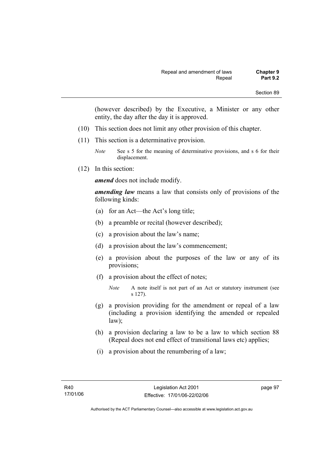(however described) by the Executive, a Minister or any other entity, the day after the day it is approved.

- (10) This section does not limit any other provision of this chapter.
- (11) This section is a determinative provision.
	- *Note* See s 5 for the meaning of determinative provisions, and s 6 for their displacement.
- (12) In this section:

*amend* does not include modify.

*amending law* means a law that consists only of provisions of the following kinds:

- (a) for an Act—the Act's long title;
- (b) a preamble or recital (however described);
- (c) a provision about the law's name;
- (d) a provision about the law's commencement;
- (e) a provision about the purposes of the law or any of its provisions;
- (f) a provision about the effect of notes;

- (g) a provision providing for the amendment or repeal of a law (including a provision identifying the amended or repealed law);
- (h) a provision declaring a law to be a law to which section 88 (Repeal does not end effect of transitional laws etc) applies;
- (i) a provision about the renumbering of a law;

page 97

*Note* A note itself is not part of an Act or statutory instrument (see s 127).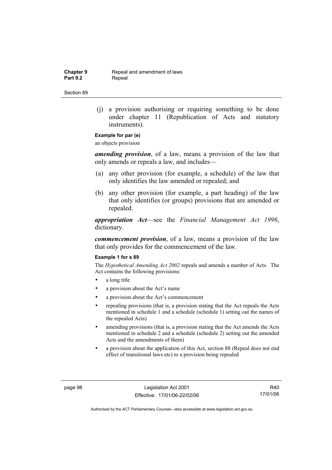**Chapter 9 Repeal and amendment of laws**<br>**Part 9.2 Repeal** Repeal

Section 89

 (j) a provision authorising or requiring something to be done under chapter 11 (Republication of Acts and statutory instruments).

# **Example for par (e)**

an objects provision

*amending provision*, of a law, means a provision of the law that only amends or repeals a law, and includes—

- (a) any other provision (for example, a schedule) of the law that only identifies the law amended or repealed; and
- (b) any other provision (for example, a part heading) of the law that only identifies (or groups) provisions that are amended or repealed.

*appropriation Act*—see the *Financial Management Act 1996*, dictionary.

*commencement provision*, of a law, means a provision of the law that only provides for the commencement of the law.

### **Example 1 for s 89**

The *Hypothetical Amending Act 2002* repeals and amends a number of Acts. The Act contains the following provisions:

- a long title
- a provision about the Act's name
- a provision about the Act's commencement
- repealing provisions (that is, a provision stating that the Act repeals the Acts mentioned in schedule 1 and a schedule (schedule 1) setting out the names of the repealed Acts)
- amending provisions (that is, a provision stating that the Act amends the Acts mentioned in schedule 2 and a schedule (schedule 2) setting out the amended Acts and the amendments of them)
- a provision about the application of this Act, section 88 (Repeal does not end effect of transitional laws etc) to a provision being repealed

page 98 Legislation Act 2001 Effective: 17/01/06-22/02/06

R40 17/01/06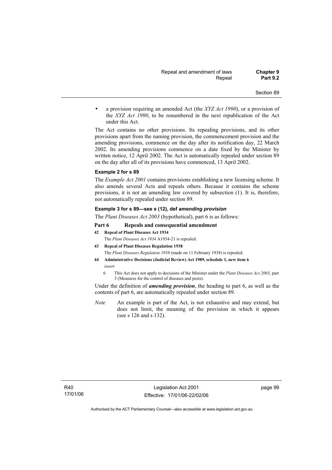• a provision requiring an amended Act (the *XYZ Act 1990*), or a provision of the *XYZ Act 1990*, to be renumbered in the next republication of the Act under this Act.

The Act contains no other provisions. Its repealing provisions, and its other provisions apart from the naming provision, the commencement provision and the amending provisions, commence on the day after its notification day, 22 March 2002. Its amending provisions commence on a date fixed by the Minister by written notice, 12 April 2002. The Act is automatically repealed under section 89 on the day after all of its provisions have commenced, 13 April 2002.

#### **Example 2 for s 89**

The *Example Act 2001* contains provisions establishing a new licensing scheme. It also amends several Acts and repeals others. Because it contains the scheme provisions, it is not an amending law covered by subsection (1). It is, therefore, not automatically repealed under section 89.

### **Example 3 for s 89—see s (12), def** *amending provision*

The *Plant Diseases Act 2003* (hypothetical), part 6 is as follows:

### **Part 6 Repeals and consequential amendment**

**42 Repeal of Plant Diseases Act 1934**

The *Plant Diseases Act 1934* A1934-21 is repealed.

- **43 Repeal of Plant Diseases Regulation 1938** The *Plant Diseases Regulation 1938* (made on 11 February 1938) is repealed.
- **44 Administrative Decisions (Judicial Review) Act 1989, schedule 1, new item 6**  *insert* 
	- 6 This Act does not apply to decisions of the Minister under the *Plant Diseases Act 2003*, part 3 (Measures for the control of diseases and pests).

Under the definition of *amending provision*, the heading to part 6, as well as the contents of part 6, are automatically repealed under section 89.

*Note* An example is part of the Act, is not exhaustive and may extend, but does not limit, the meaning of the provision in which it appears (see s 126 and s 132).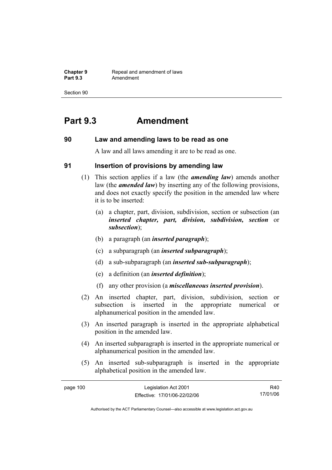**Chapter 9 Repeal and amendment of laws**<br>**Part 9.3 Amendment** Amendment

Section 90

# **Part 9.3 Amendment**

## **90 Law and amending laws to be read as one**

A law and all laws amending it are to be read as one.

## **91 Insertion of provisions by amending law**

- (1) This section applies if a law (the *amending law*) amends another law (the *amended law*) by inserting any of the following provisions, and does not exactly specify the position in the amended law where it is to be inserted:
	- (a) a chapter, part, division, subdivision, section or subsection (an *inserted chapter, part, division, subdivision, section* or *subsection*);
	- (b) a paragraph (an *inserted paragraph*);
	- (c) a subparagraph (an *inserted subparagraph*);
	- (d) a sub-subparagraph (an *inserted sub-subparagraph*);
	- (e) a definition (an *inserted definition*);
	- (f) any other provision (a *miscellaneous inserted provision*).
- (2) An inserted chapter, part, division, subdivision, section or subsection is inserted in the appropriate numerical or alphanumerical position in the amended law.
- (3) An inserted paragraph is inserted in the appropriate alphabetical position in the amended law.
- (4) An inserted subparagraph is inserted in the appropriate numerical or alphanumerical position in the amended law.
- (5) An inserted sub-subparagraph is inserted in the appropriate alphabetical position in the amended law.

| page 100 | Legislation Act 2001         | R40      |
|----------|------------------------------|----------|
|          | Effective: 17/01/06-22/02/06 | 17/01/06 |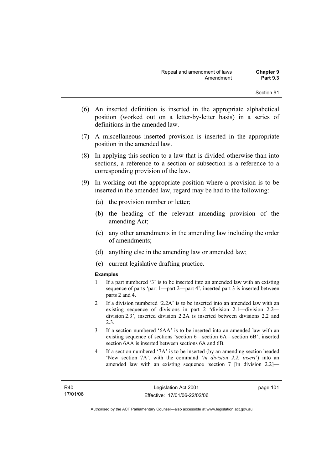- (6) An inserted definition is inserted in the appropriate alphabetical position (worked out on a letter-by-letter basis) in a series of definitions in the amended law.
- (7) A miscellaneous inserted provision is inserted in the appropriate position in the amended law.
- (8) In applying this section to a law that is divided otherwise than into sections, a reference to a section or subsection is a reference to a corresponding provision of the law.
- (9) In working out the appropriate position where a provision is to be inserted in the amended law, regard may be had to the following:
	- (a) the provision number or letter;
	- (b) the heading of the relevant amending provision of the amending Act;
	- (c) any other amendments in the amending law including the order of amendments;
	- (d) anything else in the amending law or amended law;
	- (e) current legislative drafting practice.

## **Examples**

- 1 If a part numbered '3' is to be inserted into an amended law with an existing sequence of parts 'part 1—part 2—part 4', inserted part 3 is inserted between parts 2 and 4.
- 2 If a division numbered '2.2A' is to be inserted into an amended law with an existing sequence of divisions in part 2 'division 2.1—division 2.2 division 2.3', inserted division 2.2A is inserted between divisions 2.2 and 2.3.
- 3 If a section numbered '6AA' is to be inserted into an amended law with an existing sequence of sections 'section 6—section 6A—section 6B', inserted section 6AA is inserted between sections 6A and 6B.
- 4 If a section numbered '7A' is to be inserted (by an amending section headed 'New section 7A', with the command '*in division 2.2, insert*') into an amended law with an existing sequence 'section 7 [in division 2.2]—

page 101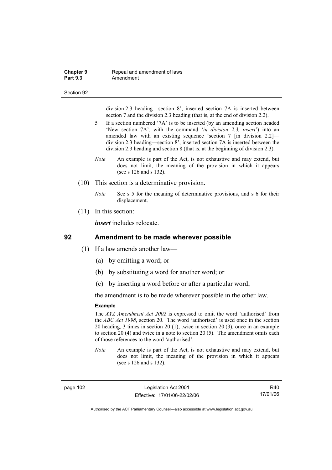### **Chapter 9 Repeal and amendment of laws**<br>**Part 9.3 Amendment** Amendment

#### Section 92

division 2.3 heading—section 8', inserted section 7A is inserted between section 7 and the division 2.3 heading (that is, at the end of division 2.2).

- 5 If a section numbered '7A' is to be inserted (by an amending section headed 'New section 7A', with the command '*in division 2.3, insert*') into an amended law with an existing sequence 'section 7 [in division 2.2] division 2.3 heading—section 8', inserted section 7A is inserted between the division 2.3 heading and section 8 (that is, at the beginning of division 2.3).
- *Note* An example is part of the Act, is not exhaustive and may extend, but does not limit, the meaning of the provision in which it appears (see s 126 and s 132).
- (10) This section is a determinative provision.
	- *Note* See s 5 for the meaning of determinative provisions, and s 6 for their displacement.
- (11) In this section:

*insert* includes relocate.

## **92 Amendment to be made wherever possible**

- (1) If a law amends another law—
	- (a) by omitting a word; or
	- (b) by substituting a word for another word; or
	- (c) by inserting a word before or after a particular word;

the amendment is to be made wherever possible in the other law.

## **Example**

The *XYZ Amendment Act 2002* is expressed to omit the word 'authorised' from the *ABC Act 1998*, section 20. The word 'authorised' is used once in the section 20 heading, 3 times in section 20 (1), twice in section 20 (3), once in an example to section 20 (4) and twice in a note to section 20 (5). The amendment omits each of those references to the word 'authorised'.

*Note* An example is part of the Act, is not exhaustive and may extend, but does not limit, the meaning of the provision in which it appears (see s 126 and s 132).

page 102 Legislation Act 2001 Effective: 17/01/06-22/02/06

R40 17/01/06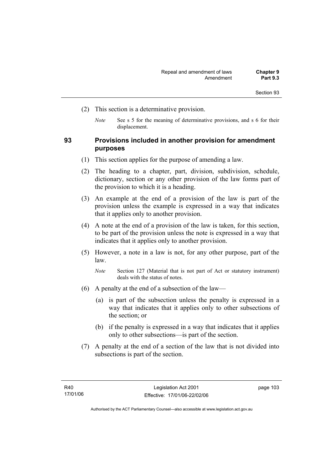- (2) This section is a determinative provision.
	- *Note* See s 5 for the meaning of determinative provisions, and s 6 for their displacement.

# **93 Provisions included in another provision for amendment purposes**

- (1) This section applies for the purpose of amending a law.
- (2) The heading to a chapter, part, division, subdivision, schedule, dictionary, section or any other provision of the law forms part of the provision to which it is a heading.
- (3) An example at the end of a provision of the law is part of the provision unless the example is expressed in a way that indicates that it applies only to another provision.
- (4) A note at the end of a provision of the law is taken, for this section, to be part of the provision unless the note is expressed in a way that indicates that it applies only to another provision.
- (5) However, a note in a law is not, for any other purpose, part of the law.

*Note* Section 127 (Material that is not part of Act or statutory instrument) deals with the status of notes.

- (6) A penalty at the end of a subsection of the law—
	- (a) is part of the subsection unless the penalty is expressed in a way that indicates that it applies only to other subsections of the section; or
	- (b) if the penalty is expressed in a way that indicates that it applies only to other subsections—is part of the section.
- (7) A penalty at the end of a section of the law that is not divided into subsections is part of the section.

page 103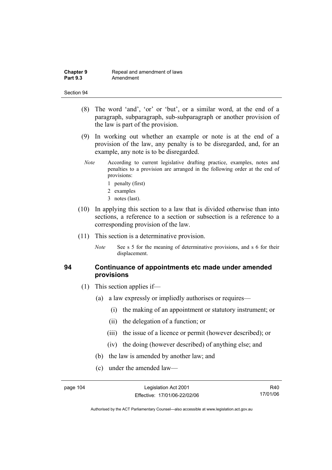- (8) The word 'and', 'or' or 'but', or a similar word, at the end of a paragraph, subparagraph, sub-subparagraph or another provision of the law is part of the provision.
- (9) In working out whether an example or note is at the end of a provision of the law, any penalty is to be disregarded, and, for an example, any note is to be disregarded.
- *Note* According to current legislative drafting practice, examples, notes and penalties to a provision are arranged in the following order at the end of provisions:
	- 1 penalty (first)
	- 2 examples
	- 3 notes (last).
- (10) In applying this section to a law that is divided otherwise than into sections, a reference to a section or subsection is a reference to a corresponding provision of the law.
- (11) This section is a determinative provision.
	- *Note* See s 5 for the meaning of determinative provisions, and s 6 for their displacement.

# **94 Continuance of appointments etc made under amended provisions**

- (1) This section applies if—
	- (a) a law expressly or impliedly authorises or requires—
		- (i) the making of an appointment or statutory instrument; or
		- (ii) the delegation of a function; or
		- (iii) the issue of a licence or permit (however described); or
		- (iv) the doing (however described) of anything else; and
	- (b) the law is amended by another law; and
	- (c) under the amended law—

R40 17/01/06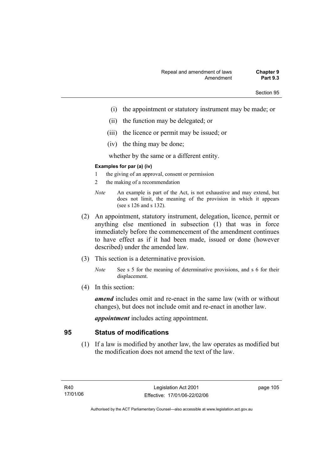- (i) the appointment or statutory instrument may be made; or
- (ii) the function may be delegated; or
- (iii) the licence or permit may be issued; or
- (iv) the thing may be done;

whether by the same or a different entity.

## **Examples for par (a) (iv)**

- 1 the giving of an approval, consent or permission
- 2 the making of a recommendation
- *Note* An example is part of the Act, is not exhaustive and may extend, but does not limit, the meaning of the provision in which it appears (see s 126 and s 132).
- (2) An appointment, statutory instrument, delegation, licence, permit or anything else mentioned in subsection (1) that was in force immediately before the commencement of the amendment continues to have effect as if it had been made, issued or done (however described) under the amended law.
- (3) This section is a determinative provision.
	- *Note* See s 5 for the meaning of determinative provisions, and s 6 for their displacement.
- (4) In this section:

*amend* includes omit and re-enact in the same law (with or without changes), but does not include omit and re-enact in another law.

*appointment* includes acting appointment.

# **95 Status of modifications**

 (1) If a law is modified by another law, the law operates as modified but the modification does not amend the text of the law.

page 105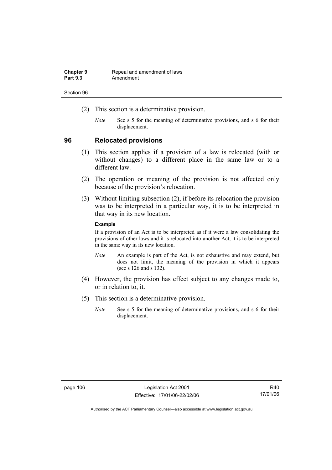| <b>Chapter 9</b> | Repeal and amendment of laws |
|------------------|------------------------------|
| <b>Part 9.3</b>  | Amendment                    |

- (2) This section is a determinative provision.
	- *Note* See s 5 for the meaning of determinative provisions, and s 6 for their displacement.

## **96 Relocated provisions**

- (1) This section applies if a provision of a law is relocated (with or without changes) to a different place in the same law or to a different law.
- (2) The operation or meaning of the provision is not affected only because of the provision's relocation.
- (3) Without limiting subsection (2), if before its relocation the provision was to be interpreted in a particular way, it is to be interpreted in that way in its new location.

## **Example**

If a provision of an Act is to be interpreted as if it were a law consolidating the provisions of other laws and it is relocated into another Act, it is to be interpreted in the same way in its new location.

- *Note* An example is part of the Act, is not exhaustive and may extend, but does not limit, the meaning of the provision in which it appears (see s 126 and s 132).
- (4) However, the provision has effect subject to any changes made to, or in relation to, it.
- (5) This section is a determinative provision.
	- *Note* See s 5 for the meaning of determinative provisions, and s 6 for their displacement.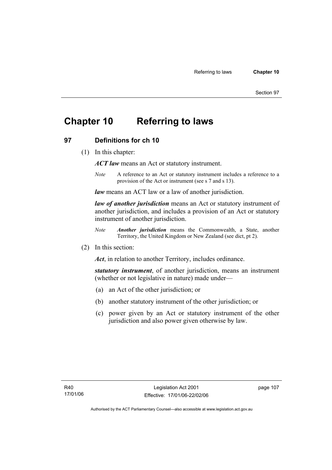# **Chapter 10 Referring to laws**

# **97 Definitions for ch 10**

(1) In this chapter:

*ACT law* means an Act or statutory instrument.

*Note* A reference to an Act or statutory instrument includes a reference to a provision of the Act or instrument (see s 7 and s 13).

*law* means an ACT law or a law of another jurisdiction.

*law of another jurisdiction* means an Act or statutory instrument of another jurisdiction, and includes a provision of an Act or statutory instrument of another jurisdiction.

- *Note Another jurisdiction* means the Commonwealth, a State, another Territory, the United Kingdom or New Zealand (see dict, pt 2).
- (2) In this section:

*Act*, in relation to another Territory, includes ordinance.

*statutory instrument*, of another jurisdiction, means an instrument (whether or not legislative in nature) made under—

- (a) an Act of the other jurisdiction; or
- (b) another statutory instrument of the other jurisdiction; or
- (c) power given by an Act or statutory instrument of the other jurisdiction and also power given otherwise by law.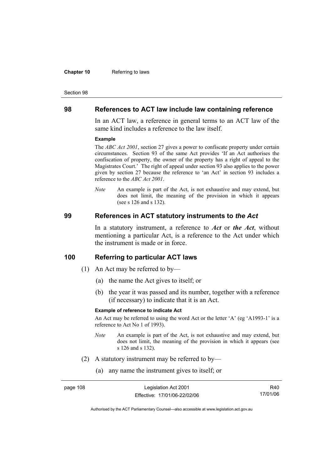#### **Chapter 10** Referring to laws

#### Section 98

## **98 References to ACT law include law containing reference**

In an ACT law, a reference in general terms to an ACT law of the same kind includes a reference to the law itself.

#### **Example**

The *ABC Act 2001*, section 27 gives a power to confiscate property under certain circumstances. Section 93 of the same Act provides 'If an Act authorises the confiscation of property, the owner of the property has a right of appeal to the Magistrates Court.' The right of appeal under section 93 also applies to the power given by section 27 because the reference to 'an Act' in section 93 includes a reference to the *ABC Act 2001*.

*Note* An example is part of the Act, is not exhaustive and may extend, but does not limit, the meaning of the provision in which it appears (see s 126 and s 132).

## **99 References in ACT statutory instruments to** *the Act*

In a statutory instrument, a reference to *Act* or *the Act*, without mentioning a particular Act, is a reference to the Act under which the instrument is made or in force.

## **100 Referring to particular ACT laws**

- (1) An Act may be referred to by—
	- (a) the name the Act gives to itself; or
	- (b) the year it was passed and its number, together with a reference (if necessary) to indicate that it is an Act.

## **Example of reference to indicate Act**

An Act may be referred to using the word Act or the letter 'A' (eg 'A1993-1' is a reference to Act No 1 of 1993).

- *Note* An example is part of the Act, is not exhaustive and may extend, but does not limit, the meaning of the provision in which it appears (see s 126 and s 132).
- (2) A statutory instrument may be referred to by—
	- (a) any name the instrument gives to itself; or

| page 108 | Legislation Act 2001         | R40.     |
|----------|------------------------------|----------|
|          | Effective: 17/01/06-22/02/06 | 17/01/06 |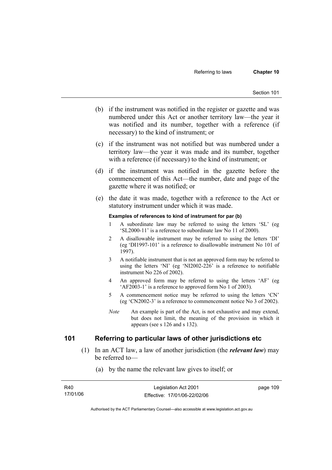- (b) if the instrument was notified in the register or gazette and was numbered under this Act or another territory law—the year it was notified and its number, together with a reference (if necessary) to the kind of instrument; or
- (c) if the instrument was not notified but was numbered under a territory law—the year it was made and its number, together with a reference (if necessary) to the kind of instrument; or
- (d) if the instrument was notified in the gazette before the commencement of this Act—the number, date and page of the gazette where it was notified; or
- (e) the date it was made, together with a reference to the Act or statutory instrument under which it was made.

### **Examples of references to kind of instrument for par (b)**

- 1 A subordinate law may be referred to using the letters 'SL' (eg 'SL2000-11' is a reference to subordinate law No 11 of 2000).
- 2 A disallowable instrument may be referred to using the letters 'DI' (eg 'DI1997-101' is a reference to disallowable instrument No 101 of 1997).
- 3 A notifiable instrument that is not an approved form may be referred to using the letters 'NI' (eg 'NI2002-226' is a reference to notifiable instrument No 226 of 2002).
- 4 An approved form may be referred to using the letters 'AF' (eg 'AF2003-1' is a reference to approved form No 1 of 2003).
- 5 A commencement notice may be referred to using the letters 'CN' (eg 'CN2002-3' is a reference to commencement notice No 3 of 2002).
- *Note* An example is part of the Act, is not exhaustive and may extend, but does not limit, the meaning of the provision in which it appears (see s 126 and s 132).

# **101 Referring to particular laws of other jurisdictions etc**

- (1) In an ACT law, a law of another jurisdiction (the *relevant law*) may be referred to—
	- (a) by the name the relevant law gives to itself; or

| R40      | Legislation Act 2001         | page 109 |
|----------|------------------------------|----------|
| 17/01/06 | Effective: 17/01/06-22/02/06 |          |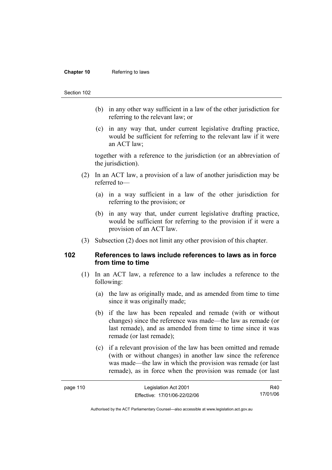### **Chapter 10** Referring to laws

### Section 102

- (b) in any other way sufficient in a law of the other jurisdiction for referring to the relevant law; or
- (c) in any way that, under current legislative drafting practice, would be sufficient for referring to the relevant law if it were an ACT law;

together with a reference to the jurisdiction (or an abbreviation of the jurisdiction).

- (2) In an ACT law, a provision of a law of another jurisdiction may be referred to—
	- (a) in a way sufficient in a law of the other jurisdiction for referring to the provision; or
	- (b) in any way that, under current legislative drafting practice, would be sufficient for referring to the provision if it were a provision of an ACT law.
- (3) Subsection (2) does not limit any other provision of this chapter.

## **102 References to laws include references to laws as in force from time to time**

- (1) In an ACT law, a reference to a law includes a reference to the following:
	- (a) the law as originally made, and as amended from time to time since it was originally made;
	- (b) if the law has been repealed and remade (with or without changes) since the reference was made—the law as remade (or last remade), and as amended from time to time since it was remade (or last remade);
	- (c) if a relevant provision of the law has been omitted and remade (with or without changes) in another law since the reference was made—the law in which the provision was remade (or last remade), as in force when the provision was remade (or last

| page 110 | Legislation Act 2001         | R40      |
|----------|------------------------------|----------|
|          | Effective: 17/01/06-22/02/06 | 17/01/06 |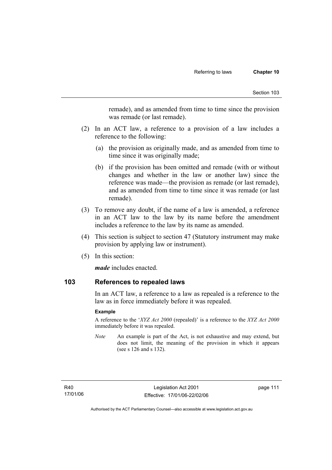remade), and as amended from time to time since the provision was remade (or last remade).

- (2) In an ACT law, a reference to a provision of a law includes a reference to the following:
	- (a) the provision as originally made, and as amended from time to time since it was originally made;
	- (b) if the provision has been omitted and remade (with or without changes and whether in the law or another law) since the reference was made—the provision as remade (or last remade), and as amended from time to time since it was remade (or last remade).
- (3) To remove any doubt, if the name of a law is amended, a reference in an ACT law to the law by its name before the amendment includes a reference to the law by its name as amended.
- (4) This section is subject to section 47 (Statutory instrument may make provision by applying law or instrument).
- (5) In this section:

*made* includes enacted.

## **103 References to repealed laws**

In an ACT law, a reference to a law as repealed is a reference to the law as in force immediately before it was repealed.

## **Example**

A reference to the '*XYZ Act 2000* (repealed)' is a reference to the *XYZ Act 2000* immediately before it was repealed.

*Note* An example is part of the Act, is not exhaustive and may extend, but does not limit, the meaning of the provision in which it appears (see s 126 and s 132).

R40 17/01/06 page 111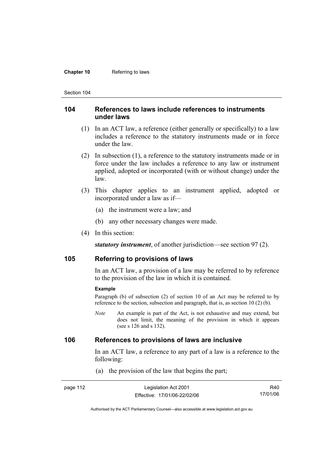### **Chapter 10** Referring to laws

Section 104

## **104 References to laws include references to instruments under laws**

- (1) In an ACT law, a reference (either generally or specifically) to a law includes a reference to the statutory instruments made or in force under the law.
- (2) In subsection (1), a reference to the statutory instruments made or in force under the law includes a reference to any law or instrument applied, adopted or incorporated (with or without change) under the law.
- (3) This chapter applies to an instrument applied, adopted or incorporated under a law as if—
	- (a) the instrument were a law; and
	- (b) any other necessary changes were made.
- (4) In this section:

*statutory instrument*, of another jurisdiction—see section 97 (2).

## **105 Referring to provisions of laws**

In an ACT law, a provision of a law may be referred to by reference to the provision of the law in which it is contained.

#### **Example**

Paragraph (b) of subsection (2) of section 10 of an Act may be referred to by reference to the section, subsection and paragraph, that is, as section 10 (2) (b).

*Note* An example is part of the Act, is not exhaustive and may extend, but does not limit, the meaning of the provision in which it appears (see s 126 and s 132).

# **106 References to provisions of laws are inclusive**

In an ACT law, a reference to any part of a law is a reference to the following:

(a) the provision of the law that begins the part;

| page 112 | Legislation Act 2001         | R40      |
|----------|------------------------------|----------|
|          | Effective: 17/01/06-22/02/06 | 17/01/06 |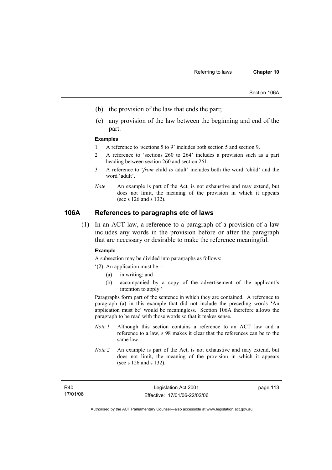- (b) the provision of the law that ends the part;
- (c) any provision of the law between the beginning and end of the part.

#### **Examples**

- 1 A reference to 'sections 5 to 9' includes both section 5 and section 9.
- 2 A reference to 'sections 260 to 264' includes a provision such as a part heading between section 260 and section 261.
- 3 A reference to '*from* child *to* adult' includes both the word 'child' and the word 'adult'.
- *Note* An example is part of the Act, is not exhaustive and may extend, but does not limit, the meaning of the provision in which it appears (see s 126 and s 132).

# **106A References to paragraphs etc of laws**

 (1) In an ACT law, a reference to a paragraph of a provision of a law includes any words in the provision before or after the paragraph that are necessary or desirable to make the reference meaningful.

#### **Example**

A subsection may be divided into paragraphs as follows:

- '(2) An application must be—
	- (a) in writing; and
	- (b) accompanied by a copy of the advertisement of the applicant's intention to apply.'

Paragraphs form part of the sentence in which they are contained. A reference to paragraph (a) in this example that did not include the preceding words 'An application must be' would be meaningless. Section 106A therefore allows the paragraph to be read with those words so that it makes sense.

- *Note 1* Although this section contains a reference to an ACT law and a reference to a law, s 98 makes it clear that the references can be to the same law.
- *Note 2* An example is part of the Act, is not exhaustive and may extend, but does not limit, the meaning of the provision in which it appears (see s 126 and s 132).

page 113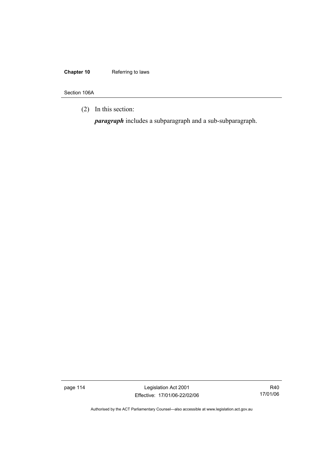# **Chapter 10** Referring to laws

Section 106A

(2) In this section:

*paragraph* includes a subparagraph and a sub-subparagraph.

page 114 Legislation Act 2001 Effective: 17/01/06-22/02/06

R40 17/01/06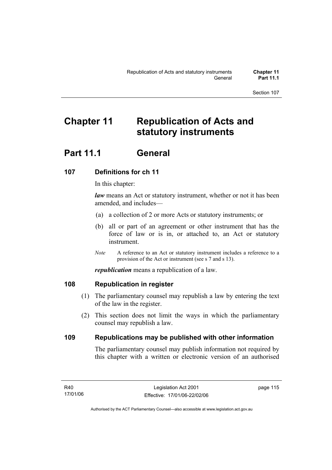# **Chapter 11 Republication of Acts and statutory instruments**

# **Part 11.1 General**

# **107 Definitions for ch 11**

In this chapter:

*law* means an Act or statutory instrument, whether or not it has been amended, and includes—

- (a) a collection of 2 or more Acts or statutory instruments; or
- (b) all or part of an agreement or other instrument that has the force of law or is in, or attached to, an Act or statutory instrument.
- *Note* A reference to an Act or statutory instrument includes a reference to a provision of the Act or instrument (see s 7 and s 13).

*republication* means a republication of a law.

# **108 Republication in register**

- (1) The parliamentary counsel may republish a law by entering the text of the law in the register.
- (2) This section does not limit the ways in which the parliamentary counsel may republish a law.

# **109 Republications may be published with other information**

The parliamentary counsel may publish information not required by this chapter with a written or electronic version of an authorised

R40 17/01/06 page 115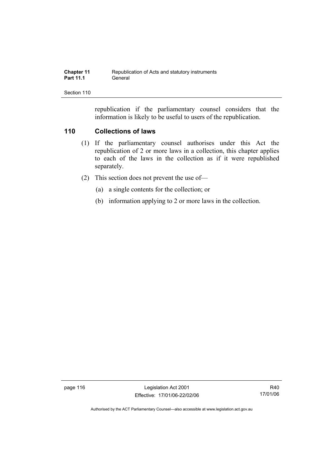| <b>Chapter 11</b> | Republication of Acts and statutory instruments |
|-------------------|-------------------------------------------------|
| <b>Part 11.1</b>  | General                                         |

republication if the parliamentary counsel considers that the information is likely to be useful to users of the republication.

# **110 Collections of laws**

- (1) If the parliamentary counsel authorises under this Act the republication of 2 or more laws in a collection, this chapter applies to each of the laws in the collection as if it were republished separately.
- (2) This section does not prevent the use of—
	- (a) a single contents for the collection; or
	- (b) information applying to 2 or more laws in the collection.

page 116 Legislation Act 2001 Effective: 17/01/06-22/02/06

R40 17/01/06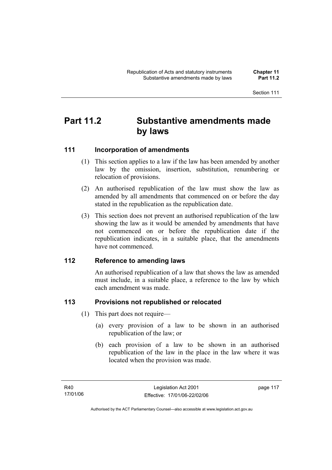# **Part 11.2 Substantive amendments made by laws**

# **111 Incorporation of amendments**

- (1) This section applies to a law if the law has been amended by another law by the omission, insertion, substitution, renumbering or relocation of provisions.
- (2) An authorised republication of the law must show the law as amended by all amendments that commenced on or before the day stated in the republication as the republication date.
- (3) This section does not prevent an authorised republication of the law showing the law as it would be amended by amendments that have not commenced on or before the republication date if the republication indicates, in a suitable place, that the amendments have not commenced.

# **112 Reference to amending laws**

An authorised republication of a law that shows the law as amended must include, in a suitable place, a reference to the law by which each amendment was made.

# **113 Provisions not republished or relocated**

- (1) This part does not require—
	- (a) every provision of a law to be shown in an authorised republication of the law; or
	- (b) each provision of a law to be shown in an authorised republication of the law in the place in the law where it was located when the provision was made.

page 117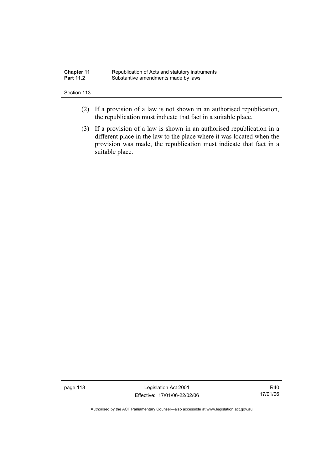| <b>Chapter 11</b> | Republication of Acts and statutory instruments |
|-------------------|-------------------------------------------------|
| <b>Part 11.2</b>  | Substantive amendments made by laws             |

- (2) If a provision of a law is not shown in an authorised republication, the republication must indicate that fact in a suitable place.
- (3) If a provision of a law is shown in an authorised republication in a different place in the law to the place where it was located when the provision was made, the republication must indicate that fact in a suitable place.

page 118 Legislation Act 2001 Effective: 17/01/06-22/02/06

R40 17/01/06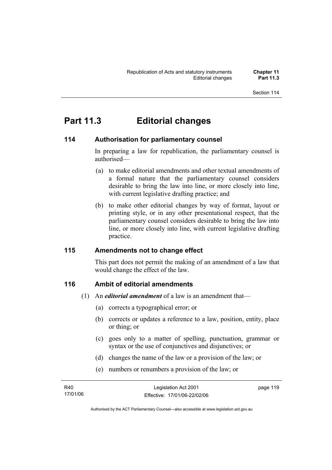# **Part 11.3 Editorial changes**

# **114 Authorisation for parliamentary counsel**

In preparing a law for republication, the parliamentary counsel is authorised—

- (a) to make editorial amendments and other textual amendments of a formal nature that the parliamentary counsel considers desirable to bring the law into line, or more closely into line, with current legislative drafting practice; and
- (b) to make other editorial changes by way of format, layout or printing style, or in any other presentational respect, that the parliamentary counsel considers desirable to bring the law into line, or more closely into line, with current legislative drafting practice.

# **115 Amendments not to change effect**

This part does not permit the making of an amendment of a law that would change the effect of the law.

# **116 Ambit of editorial amendments**

- (1) An *editorial amendment* of a law is an amendment that—
	- (a) corrects a typographical error; or
	- (b) corrects or updates a reference to a law, position, entity, place or thing; or
	- (c) goes only to a matter of spelling, punctuation, grammar or syntax or the use of conjunctives and disjunctives; or
	- (d) changes the name of the law or a provision of the law; or
	- (e) numbers or renumbers a provision of the law; or

| R40      | Legislation Act 2001         | page 119 |
|----------|------------------------------|----------|
| 17/01/06 | Effective: 17/01/06-22/02/06 |          |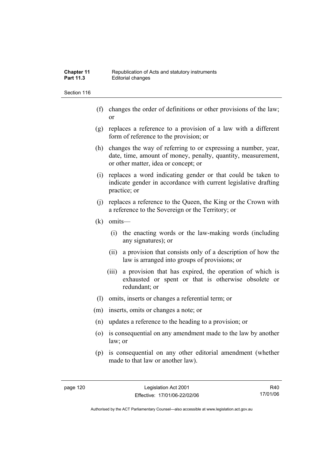- (f) changes the order of definitions or other provisions of the law; or
- (g) replaces a reference to a provision of a law with a different form of reference to the provision; or
- (h) changes the way of referring to or expressing a number, year, date, time, amount of money, penalty, quantity, measurement, or other matter, idea or concept; or
- (i) replaces a word indicating gender or that could be taken to indicate gender in accordance with current legislative drafting practice; or
- (j) replaces a reference to the Queen, the King or the Crown with a reference to the Sovereign or the Territory; or
- (k) omits—
	- (i) the enacting words or the law-making words (including any signatures); or
	- (ii) a provision that consists only of a description of how the law is arranged into groups of provisions; or
	- (iii) a provision that has expired, the operation of which is exhausted or spent or that is otherwise obsolete or redundant; or
- (l) omits, inserts or changes a referential term; or
- (m) inserts, omits or changes a note; or
- (n) updates a reference to the heading to a provision; or
- (o) is consequential on any amendment made to the law by another law; or
- (p) is consequential on any other editorial amendment (whether made to that law or another law).

R40 17/01/06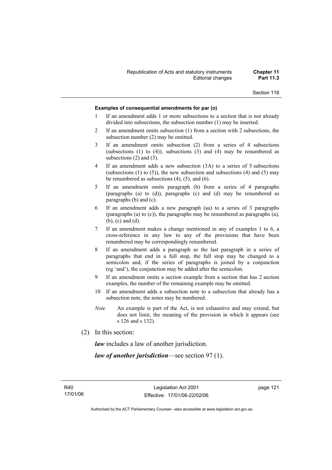### **Examples of consequential amendments for par (o)**

- 1 If an amendment adds 1 or more subsections to a section that is not already divided into subsections, the subsection number (1) may be inserted.
- 2 If an amendment omits subsection (1) from a section with 2 subsections, the subsection number (2) may be omitted.
- 3 If an amendment omits subsection (2) from a series of 4 subsections (subsections  $(1)$  to  $(4)$ ), subsections  $(3)$  and  $(4)$  may be renumbered as subsections (2) and (3).
- 4 If an amendment adds a new subsection (3A) to a series of 5 subsections (subsections  $(1)$  to  $(5)$ ), the new subsection and subsections  $(4)$  and  $(5)$  may be renumbered as subsections (4), (5), and (6).
- 5 If an amendment omits paragraph (b) from a series of 4 paragraphs (paragraphs (a) to (d)), paragraphs (c) and (d) may be renumbered as paragraphs (b) and (c).
- 6 If an amendment adds a new paragraph (aa) to a series of 3 paragraphs (paragraphs (a) to (c)), the paragraphs may be renumbered as paragraphs (a), (b), (c) and (d).
- 7 If an amendment makes a change mentioned in any of examples 1 to 6, a cross-reference in any law to any of the provisions that have been renumbered may be correspondingly renumbered.
- 8 If an amendment adds a paragraph as the last paragraph in a series of paragraphs that end in a full stop, the full stop may be changed to a semicolon and, if the series of paragraphs is joined by a conjunction (eg 'and'), the conjunction may be added after the semicolon.
- 9 If an amendment omits a section example from a section that has 2 section examples, the number of the remaining example may be omitted.
- 10 If an amendment adds a subsection note to a subsection that already has a subsection note, the notes may be numbered.
- *Note* An example is part of the Act, is not exhaustive and may extend, but does not limit, the meaning of the provision in which it appears (see s 126 and s 132).
- (2) In this section:

*law* includes a law of another jurisdiction.

*law of another jurisdiction*—see section 97 (1).

page 121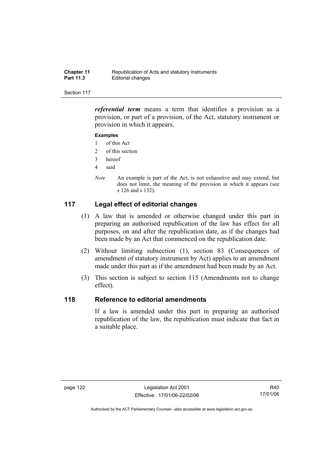| <b>Chapter 11</b> | Republication of Acts and statutory instruments |
|-------------------|-------------------------------------------------|
| <b>Part 11.3</b>  | Editorial changes                               |

*referential term* means a term that identifies a provision as a provision, or part of a provision, of the Act, statutory instrument or provision in which it appears.

### **Examples**

- 1 of this Act
- 2 of this section
- 3 hereof
- 4 said
- *Note* An example is part of the Act, is not exhaustive and may extend, but does not limit, the meaning of the provision in which it appears (see s 126 and s 132).

# **117 Legal effect of editorial changes**

- (1) A law that is amended or otherwise changed under this part in preparing an authorised republication of the law has effect for all purposes, on and after the republication date, as if the changes had been made by an Act that commenced on the republication date.
- (2) Without limiting subsection (1), section 83 (Consequences of amendment of statutory instrument by Act) applies to an amendment made under this part as if the amendment had been made by an Act.
- (3) This section is subject to section 115 (Amendments not to change effect).

# **118 Reference to editorial amendments**

If a law is amended under this part in preparing an authorised republication of the law, the republication must indicate that fact in a suitable place.

R40 17/01/06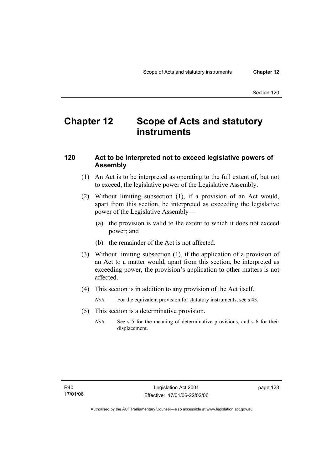# **Chapter 12 Scope of Acts and statutory instruments**

# **120 Act to be interpreted not to exceed legislative powers of Assembly**

- (1) An Act is to be interpreted as operating to the full extent of, but not to exceed, the legislative power of the Legislative Assembly.
- (2) Without limiting subsection (1), if a provision of an Act would, apart from this section, be interpreted as exceeding the legislative power of the Legislative Assembly—
	- (a) the provision is valid to the extent to which it does not exceed power; and
	- (b) the remainder of the Act is not affected.
- (3) Without limiting subsection (1), if the application of a provision of an Act to a matter would, apart from this section, be interpreted as exceeding power, the provision's application to other matters is not affected.
- (4) This section is in addition to any provision of the Act itself.

*Note* For the equivalent provision for statutory instruments, see s 43.

- (5) This section is a determinative provision.
	- *Note* See s 5 for the meaning of determinative provisions, and s 6 for their displacement.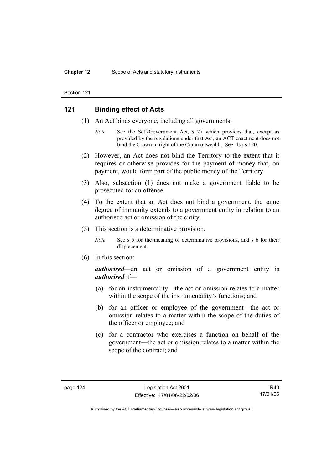# **121 Binding effect of Acts**

- (1) An Act binds everyone, including all governments.
	- *Note* See the Self-Government Act, s 27 which provides that, except as provided by the regulations under that Act, an ACT enactment does not bind the Crown in right of the Commonwealth. See also s 120.
- (2) However, an Act does not bind the Territory to the extent that it requires or otherwise provides for the payment of money that, on payment, would form part of the public money of the Territory.
- (3) Also, subsection (1) does not make a government liable to be prosecuted for an offence.
- (4) To the extent that an Act does not bind a government, the same degree of immunity extends to a government entity in relation to an authorised act or omission of the entity.
- (5) This section is a determinative provision.
	- *Note* See s 5 for the meaning of determinative provisions, and s 6 for their displacement.
- (6) In this section:

*authorised*—an act or omission of a government entity is *authorised* if—

- (a) for an instrumentality—the act or omission relates to a matter within the scope of the instrumentality's functions; and
- (b) for an officer or employee of the government—the act or omission relates to a matter within the scope of the duties of the officer or employee; and
- (c) for a contractor who exercises a function on behalf of the government—the act or omission relates to a matter within the scope of the contract; and

R40 17/01/06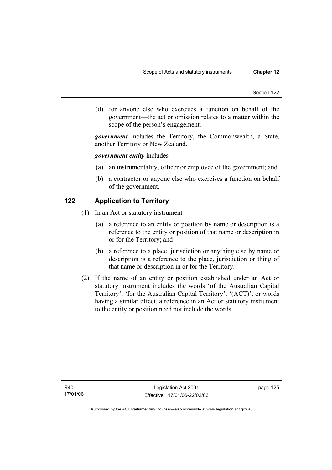(d) for anyone else who exercises a function on behalf of the government—the act or omission relates to a matter within the scope of the person's engagement.

*government* includes the Territory, the Commonwealth, a State, another Territory or New Zealand.

## *government entity* includes—

- (a) an instrumentality, officer or employee of the government; and
- (b) a contractor or anyone else who exercises a function on behalf of the government.

# **122 Application to Territory**

- (1) In an Act or statutory instrument—
	- (a) a reference to an entity or position by name or description is a reference to the entity or position of that name or description in or for the Territory; and
	- (b) a reference to a place, jurisdiction or anything else by name or description is a reference to the place, jurisdiction or thing of that name or description in or for the Territory.
- (2) If the name of an entity or position established under an Act or statutory instrument includes the words 'of the Australian Capital Territory', 'for the Australian Capital Territory', '(ACT)', or words having a similar effect, a reference in an Act or statutory instrument to the entity or position need not include the words.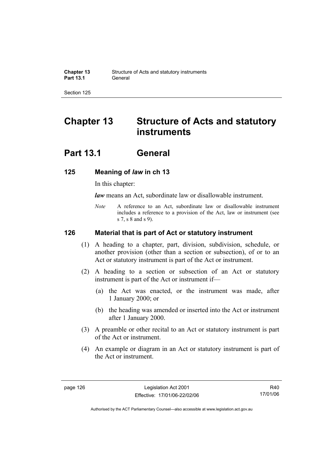# **Chapter 13 Structure of Acts and statutory instruments**

# **Part 13.1 General**

# **125 Meaning of** *law* **in ch 13**

In this chapter:

*law* means an Act, subordinate law or disallowable instrument.

*Note* A reference to an Act, subordinate law or disallowable instrument includes a reference to a provision of the Act, law or instrument (see s 7, s 8 and s 9).

## **126 Material that is part of Act or statutory instrument**

- (1) A heading to a chapter, part, division, subdivision, schedule, or another provision (other than a section or subsection), of or to an Act or statutory instrument is part of the Act or instrument.
- (2) A heading to a section or subsection of an Act or statutory instrument is part of the Act or instrument if—
	- (a) the Act was enacted, or the instrument was made, after 1 January 2000; or
	- (b) the heading was amended or inserted into the Act or instrument after 1 January 2000.
- (3) A preamble or other recital to an Act or statutory instrument is part of the Act or instrument.
- (4) An example or diagram in an Act or statutory instrument is part of the Act or instrument.

R40 17/01/06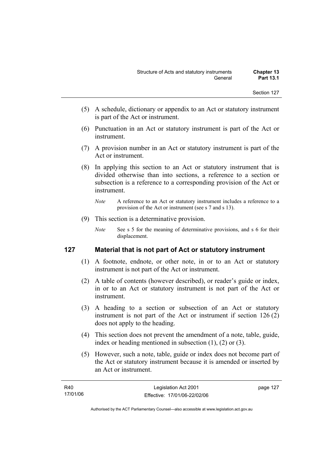- (5) A schedule, dictionary or appendix to an Act or statutory instrument is part of the Act or instrument.
- (6) Punctuation in an Act or statutory instrument is part of the Act or instrument.
- (7) A provision number in an Act or statutory instrument is part of the Act or instrument.
- (8) In applying this section to an Act or statutory instrument that is divided otherwise than into sections, a reference to a section or subsection is a reference to a corresponding provision of the Act or instrument.
	- *Note* A reference to an Act or statutory instrument includes a reference to a provision of the Act or instrument (see s 7 and s 13).
- (9) This section is a determinative provision.
	- *Note* See s 5 for the meaning of determinative provisions, and s 6 for their displacement.

# **127 Material that is not part of Act or statutory instrument**

- (1) A footnote, endnote, or other note, in or to an Act or statutory instrument is not part of the Act or instrument.
- (2) A table of contents (however described), or reader's guide or index, in or to an Act or statutory instrument is not part of the Act or instrument.
- (3) A heading to a section or subsection of an Act or statutory instrument is not part of the Act or instrument if section 126 (2) does not apply to the heading.
- (4) This section does not prevent the amendment of a note, table, guide, index or heading mentioned in subsection (1), (2) or (3).
- (5) However, such a note, table, guide or index does not become part of the Act or statutory instrument because it is amended or inserted by an Act or instrument.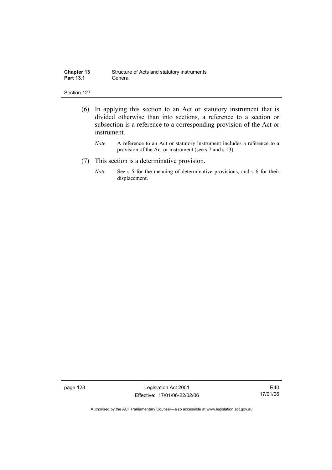| <b>Chapter 13</b> | Structure of Acts and statutory instruments |
|-------------------|---------------------------------------------|
| <b>Part 13.1</b>  | General                                     |

- (6) In applying this section to an Act or statutory instrument that is divided otherwise than into sections, a reference to a section or subsection is a reference to a corresponding provision of the Act or instrument.
	- *Note* A reference to an Act or statutory instrument includes a reference to a provision of the Act or instrument (see s 7 and s 13).
- (7) This section is a determinative provision.
	- *Note* See s 5 for the meaning of determinative provisions, and s 6 for their displacement.

page 128 Legislation Act 2001 Effective: 17/01/06-22/02/06

R40 17/01/06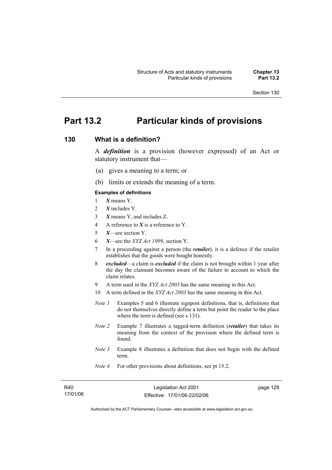# **Part 13.2 Particular kinds of provisions**

# **130 What is a definition?**

A *definition* is a provision (however expressed) of an Act or statutory instrument that—

- (a) gives a meaning to a term; or
- (b) limits or extends the meaning of a term.

#### **Examples of definitions**

- 1 *X* means Y.
- 2 *X* includes Y.
- 3 *X* means Y, and includes Z.
- 4 A reference to *X* is a reference to Y.
- 5 *X*—see section Y.
- 6 *X*—see the *XYZ Act 1999*, section Y.
- 7 In a proceeding against a person (the *retailer*), it is a defence if the retailer establishes that the goods were bought honestly.
- 8 *excluded*—a claim is *excluded* if the claim is not brought within 1 year after the day the claimant becomes aware of the failure to account to which the claim relates.
- 9 A term used in the *XYZ Act 2003* has the same meaning in this Act.
- 10 A term defined in the *XYZ Act 2003* has the same meaning in this Act.
- *Note 1* Examples 5 and 6 illustrate signpost definitions, that is, definitions that do not themselves directly define a term but point the reader to the place where the term is defined (see s 131).
- *Note 2* Example 7 illustrates a tagged-term definition (*retailer*) that takes its meaning from the context of the provision where the defined term is found.
- *Note 3* Example 8 illustrates a definition that does not begin with the defined term.
- *Note 4* For other provisions about definitions, see pt 15.2.

| R40      |
|----------|
| 17/01/06 |

page 129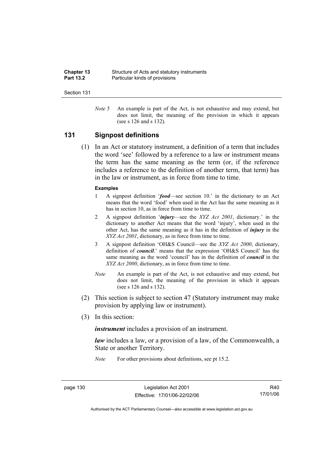| <b>Chapter 13</b> | Structure of Acts and statutory instruments |
|-------------------|---------------------------------------------|
| <b>Part 13.2</b>  | Particular kinds of provisions              |

*Note 5* An example is part of the Act, is not exhaustive and may extend, but does not limit, the meaning of the provision in which it appears (see s 126 and s 132).

### **131 Signpost definitions**

 (1) In an Act or statutory instrument, a definition of a term that includes the word 'see' followed by a reference to a law or instrument means the term has the same meaning as the term (or, if the reference includes a reference to the definition of another term, that term) has in the law or instrument, as in force from time to time.

#### **Examples**

- 1 A signpost definition '*food*—see section 10.' in the dictionary to an Act means that the word 'food' when used in the Act has the same meaning as it has in section 10, as in force from time to time.
- 2 A signpost definition '*injury*—see the *XYZ Act 2001*, dictionary.' in the dictionary to another Act means that the word 'injury', when used in the other Act, has the same meaning as it has in the definition of *injury* in the *XYZ Act 2001*, dictionary, as in force from time to time.
- 3 A signpost definition 'OH&S Council—see the *XYZ Act 2000*, dictionary, definition of *council*.' means that the expression 'OH&S Council' has the same meaning as the word 'council' has in the definition of *council* in the *XYZ Act 2000*, dictionary, as in force from time to time.
- *Note* An example is part of the Act, is not exhaustive and may extend, but does not limit, the meaning of the provision in which it appears (see s 126 and s 132).
- (2) This section is subject to section 47 (Statutory instrument may make provision by applying law or instrument).
- (3) In this section:

*instrument* includes a provision of an instrument.

*law* includes a law, or a provision of a law, of the Commonwealth, a State or another Territory.

*Note* For other provisions about definitions, see pt 15.2.

page 130 Legislation Act 2001 Effective: 17/01/06-22/02/06

R40 17/01/06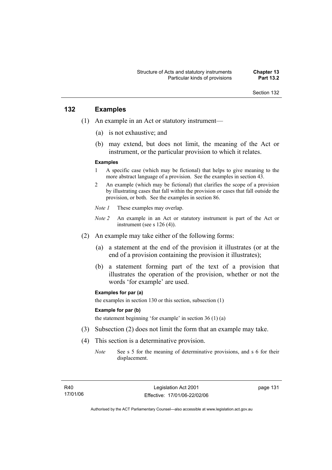# **132 Examples**

- (1) An example in an Act or statutory instrument—
	- (a) is not exhaustive; and
	- (b) may extend, but does not limit, the meaning of the Act or instrument, or the particular provision to which it relates.

#### **Examples**

- 1 A specific case (which may be fictional) that helps to give meaning to the more abstract language of a provision. See the examples in section 43.
- 2 An example (which may be fictional) that clarifies the scope of a provision by illustrating cases that fall within the provision or cases that fall outside the provision, or both. See the examples in section 86.
- *Note 1* These examples may overlap.
- *Note 2* An example in an Act or statutory instrument is part of the Act or instrument (see s 126 (4)).
- (2) An example may take either of the following forms:
	- (a) a statement at the end of the provision it illustrates (or at the end of a provision containing the provision it illustrates);
	- (b) a statement forming part of the text of a provision that illustrates the operation of the provision, whether or not the words 'for example' are used.

#### **Examples for par (a)**

the examples in section 130 or this section, subsection (1)

#### **Example for par (b)**

the statement beginning 'for example' in section 36 (1) (a)

- (3) Subsection (2) does not limit the form that an example may take.
- (4) This section is a determinative provision.
	- *Note* See s 5 for the meaning of determinative provisions, and s 6 for their displacement.

page 131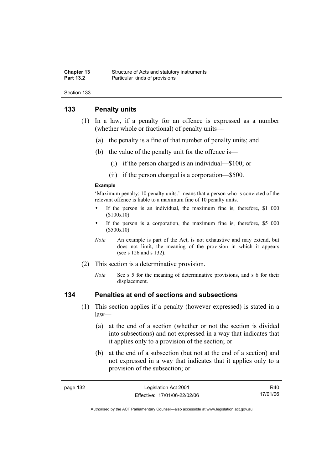#### **Chapter 13** Structure of Acts and statutory instruments<br> **Part 13.2** Particular kinds of provisions **Particular kinds of provisions**

Section 133

# **133 Penalty units**

- (1) In a law, if a penalty for an offence is expressed as a number (whether whole or fractional) of penalty units—
	- (a) the penalty is a fine of that number of penalty units; and
	- (b) the value of the penalty unit for the offence is—
		- (i) if the person charged is an individual—\$100; or
		- (ii) if the person charged is a corporation—\$500.

#### **Example**

'Maximum penalty: 10 penalty units.' means that a person who is convicted of the relevant offence is liable to a maximum fine of 10 penalty units.

- If the person is an individual, the maximum fine is, therefore, \$1 000 (\$100x10).
- If the person is a corporation, the maximum fine is, therefore, \$5 000 (\$500x10).
- *Note* An example is part of the Act, is not exhaustive and may extend, but does not limit, the meaning of the provision in which it appears (see s 126 and s 132).
- (2) This section is a determinative provision.
	- *Note* See s 5 for the meaning of determinative provisions, and s 6 for their displacement.

# **134 Penalties at end of sections and subsections**

- (1) This section applies if a penalty (however expressed) is stated in a law—
	- (a) at the end of a section (whether or not the section is divided into subsections) and not expressed in a way that indicates that it applies only to a provision of the section; or
	- (b) at the end of a subsection (but not at the end of a section) and not expressed in a way that indicates that it applies only to a provision of the subsection; or

R40 17/01/06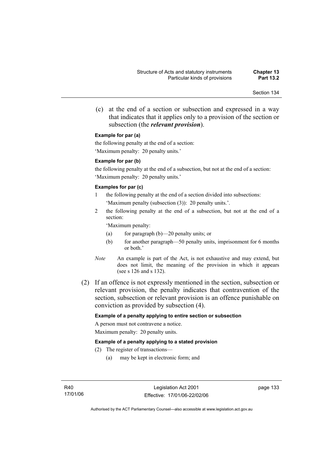(c) at the end of a section or subsection and expressed in a way that indicates that it applies only to a provision of the section or subsection (the *relevant provision*).

#### **Example for par (a)**

the following penalty at the end of a section: 'Maximum penalty: 20 penalty units.'

#### **Example for par (b)**

the following penalty at the end of a subsection, but not at the end of a section: 'Maximum penalty: 20 penalty units.'

#### **Examples for par (c)**

- 1 the following penalty at the end of a section divided into subsections: 'Maximum penalty (subsection (3)): 20 penalty units.'.
- 2 the following penalty at the end of a subsection, but not at the end of a section:

'Maximum penalty:

- (a) for paragraph (b)—20 penalty units; or
- (b) for another paragraph—50 penalty units, imprisonment for 6 months or both.'
- *Note* An example is part of the Act, is not exhaustive and may extend, but does not limit, the meaning of the provision in which it appears (see s 126 and s 132).
- (2) If an offence is not expressly mentioned in the section, subsection or relevant provision, the penalty indicates that contravention of the section, subsection or relevant provision is an offence punishable on conviction as provided by subsection (4).

#### **Example of a penalty applying to entire section or subsection**

A person must not contravene a notice. Maximum penalty: 20 penalty units.

#### **Example of a penalty applying to a stated provision**

- (2) The register of transactions—
	- (a) may be kept in electronic form; and

page 133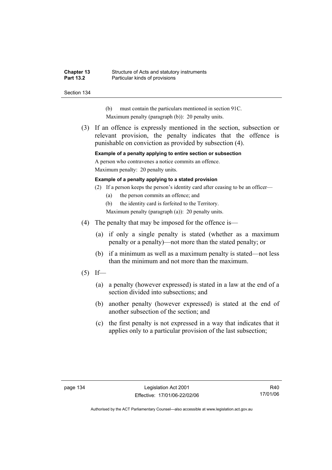#### **Chapter 13** Structure of Acts and statutory instruments<br> **Part 13.2** Particular kinds of provisions **Particular kinds of provisions**

Section 134

- (b) must contain the particulars mentioned in section 91C.
- Maximum penalty (paragraph (b)): 20 penalty units.
- (3) If an offence is expressly mentioned in the section, subsection or relevant provision, the penalty indicates that the offence is punishable on conviction as provided by subsection (4).

**Example of a penalty applying to entire section or subsection** 

A person who contravenes a notice commits an offence.

Maximum penalty: 20 penalty units.

#### **Example of a penalty applying to a stated provision**

- (2) If a person keeps the person's identity card after ceasing to be an officer—
	- (a) the person commits an offence; and

(b) the identity card is forfeited to the Territory.

Maximum penalty (paragraph (a)): 20 penalty units.

- (4) The penalty that may be imposed for the offence is—
	- (a) if only a single penalty is stated (whether as a maximum penalty or a penalty)—not more than the stated penalty; or
	- (b) if a minimum as well as a maximum penalty is stated—not less than the minimum and not more than the maximum.
- $(5)$  If—
	- (a) a penalty (however expressed) is stated in a law at the end of a section divided into subsections; and
	- (b) another penalty (however expressed) is stated at the end of another subsection of the section; and
	- (c) the first penalty is not expressed in a way that indicates that it applies only to a particular provision of the last subsection;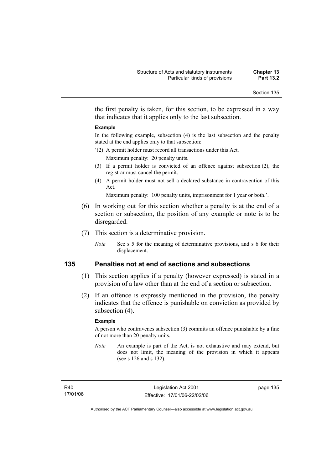the first penalty is taken, for this section, to be expressed in a way that indicates that it applies only to the last subsection.

#### **Example**

In the following example, subsection (4) is the last subsection and the penalty stated at the end applies only to that subsection:

- '(2) A permit holder must record all transactions under this Act. Maximum penalty: 20 penalty units.
- (3) If a permit holder is convicted of an offence against subsection (2), the registrar must cancel the permit.
- (4) A permit holder must not sell a declared substance in contravention of this Act.

Maximum penalty: 100 penalty units, imprisonment for 1 year or both.'.

- (6) In working out for this section whether a penalty is at the end of a section or subsection, the position of any example or note is to be disregarded.
- (7) This section is a determinative provision.
	- *Note* See s 5 for the meaning of determinative provisions, and s 6 for their displacement.

# **135 Penalties not at end of sections and subsections**

- (1) This section applies if a penalty (however expressed) is stated in a provision of a law other than at the end of a section or subsection.
- (2) If an offence is expressly mentioned in the provision, the penalty indicates that the offence is punishable on conviction as provided by subsection  $(4)$ .

#### **Example**

A person who contravenes subsection (3) commits an offence punishable by a fine of not more than 20 penalty units.

*Note* An example is part of the Act, is not exhaustive and may extend, but does not limit, the meaning of the provision in which it appears (see s 126 and s 132).

R40 17/01/06 page 135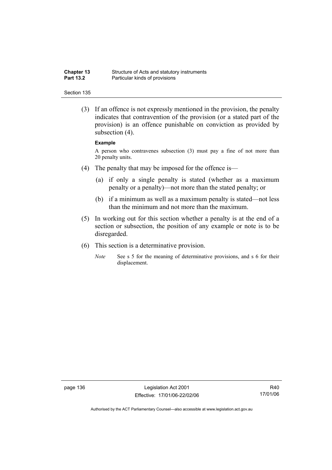| <b>Chapter 13</b> | Structure of Acts and statutory instruments |
|-------------------|---------------------------------------------|
| <b>Part 13.2</b>  | Particular kinds of provisions              |

 (3) If an offence is not expressly mentioned in the provision, the penalty indicates that contravention of the provision (or a stated part of the provision) is an offence punishable on conviction as provided by subsection  $(4)$ .

#### **Example**

A person who contravenes subsection (3) must pay a fine of not more than 20 penalty units.

- (4) The penalty that may be imposed for the offence is—
	- (a) if only a single penalty is stated (whether as a maximum penalty or a penalty)—not more than the stated penalty; or
	- (b) if a minimum as well as a maximum penalty is stated—not less than the minimum and not more than the maximum.
- (5) In working out for this section whether a penalty is at the end of a section or subsection, the position of any example or note is to be disregarded.
- (6) This section is a determinative provision.
	- *Note* See s 5 for the meaning of determinative provisions, and s 6 for their displacement.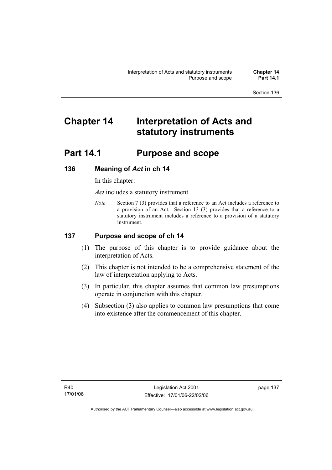# **Chapter 14 Interpretation of Acts and statutory instruments**

# **Part 14.1 Purpose and scope**

# **136 Meaning of** *Act* **in ch 14**

In this chapter:

*Act* includes a statutory instrument.

*Note* Section 7 (3) provides that a reference to an Act includes a reference to a provision of an Act. Section 13 (3) provides that a reference to a statutory instrument includes a reference to a provision of a statutory instrument.

# **137 Purpose and scope of ch 14**

- (1) The purpose of this chapter is to provide guidance about the interpretation of Acts.
- (2) This chapter is not intended to be a comprehensive statement of the law of interpretation applying to Acts.
- (3) In particular, this chapter assumes that common law presumptions operate in conjunction with this chapter.
- (4) Subsection (3) also applies to common law presumptions that come into existence after the commencement of this chapter.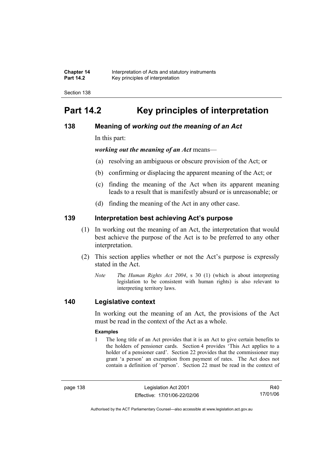| <b>Chapter 14</b> | Interpretation of Acts and statutory instruments |
|-------------------|--------------------------------------------------|
| <b>Part 14.2</b>  | Key principles of interpretation                 |

# **Part 14.2 Key principles of interpretation**

# **138 Meaning of** *working out the meaning of an Act*

In this part:

*working out the meaning of an Act* means—

- (a) resolving an ambiguous or obscure provision of the Act; or
- (b) confirming or displacing the apparent meaning of the Act; or
- (c) finding the meaning of the Act when its apparent meaning leads to a result that is manifestly absurd or is unreasonable; or
- (d) finding the meaning of the Act in any other case.

# **139 Interpretation best achieving Act's purpose**

- (1) In working out the meaning of an Act, the interpretation that would best achieve the purpose of the Act is to be preferred to any other interpretation.
- (2) This section applies whether or not the Act's purpose is expressly stated in the Act.
	- *Note T*he *Human Rights Act 2004*, s 30 (1) (which is about interpreting legislation to be consistent with human rights) is also relevant to interpreting territory laws.

# **140 Legislative context**

In working out the meaning of an Act, the provisions of the Act must be read in the context of the Act as a whole.

#### **Examples**

1 The long title of an Act provides that it is an Act to give certain benefits to the holders of pensioner cards. Section 4 provides 'This Act applies to a holder of a pensioner card'. Section 22 provides that the commissioner may grant 'a person' an exemption from payment of rates. The Act does not contain a definition of 'person'. Section 22 must be read in the context of

page 138 Legislation Act 2001 Effective: 17/01/06-22/02/06

R40 17/01/06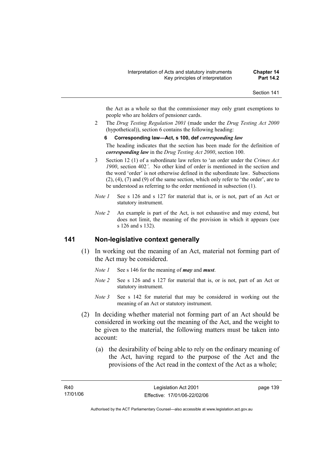the Act as a whole so that the commissioner may only grant exemptions to people who are holders of pensioner cards.

2 The *Drug Testing Regulation 2001* (made under the *Drug Testing Act 2000* (hypothetical)), section 6 contains the following heading:

#### **6 Corresponding law—Act, s 100, def** *corresponding law*

The heading indicates that the section has been made for the definition of *corresponding law* in the *Drug Testing Act 2000*, section 100.

- 3 Section 12 (1) of a subordinate law refers to 'an order under the *Crimes Act 1900*, section 402*'*. No other kind of order is mentioned in the section and the word 'order' is not otherwise defined in the subordinate law. Subsections (2), (4), (7) and (9) of the same section, which only refer to 'the order', are to be understood as referring to the order mentioned in subsection (1).
- *Note 1* See s 126 and s 127 for material that is, or is not, part of an Act or statutory instrument.
- *Note 2* An example is part of the Act, is not exhaustive and may extend, but does not limit, the meaning of the provision in which it appears (see s 126 and s 132).

### **141 Non-legislative context generally**

- (1) In working out the meaning of an Act, material not forming part of the Act may be considered.
	- *Note 1* See s 146 for the meaning of *may* and *must*.
	- *Note 2* See s 126 and s 127 for material that is, or is not, part of an Act or statutory instrument.
	- *Note* 3 See s 142 for material that may be considered in working out the meaning of an Act or statutory instrument.
- (2) In deciding whether material not forming part of an Act should be considered in working out the meaning of the Act, and the weight to be given to the material, the following matters must be taken into account:
	- (a) the desirability of being able to rely on the ordinary meaning of the Act, having regard to the purpose of the Act and the provisions of the Act read in the context of the Act as a whole;

page 139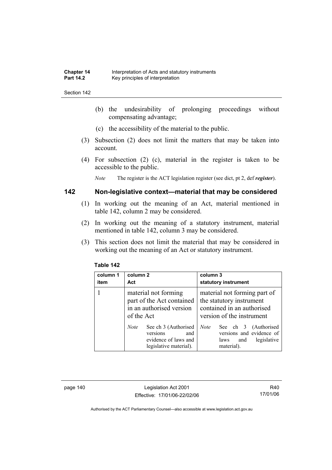- (b) the undesirability of prolonging proceedings without compensating advantage;
- (c) the accessibility of the material to the public.
- (3) Subsection (2) does not limit the matters that may be taken into account.
- (4) For subsection (2) (c), material in the register is taken to be accessible to the public.

*Note* The register is the ACT legislation register (see dict, pt 2, def *register*).

# **142 Non-legislative context—material that may be considered**

- (1) In working out the meaning of an Act, material mentioned in table 142, column 2 may be considered.
- (2) In working out the meaning of a statutory instrument, material mentioned in table 142, column 3 may be considered.
- (3) This section does not limit the material that may be considered in working out the meaning of an Act or statutory instrument.

| column 1<br>item | column 2<br>Act                                                                                          | column 3<br>statutory instrument                                                                                    |
|------------------|----------------------------------------------------------------------------------------------------------|---------------------------------------------------------------------------------------------------------------------|
|                  | material not forming<br>part of the Act contained<br>in an authorised version<br>of the Act              | material not forming part of<br>the statutory instrument<br>contained in an authorised<br>version of the instrument |
|                  | See ch 3 (Authorised<br><i>Note</i><br>versions<br>and<br>evidence of laws and<br>legislative material). | See ch 3 (Authorised<br><b>Note</b><br>versions and evidence of<br>legislative<br>and<br>laws<br>material).         |

#### **Table 142**

page 140 Legislation Act 2001 Effective: 17/01/06-22/02/06

R40 17/01/06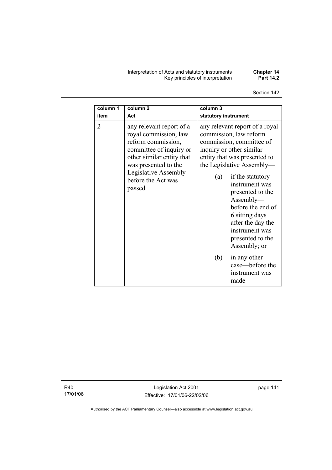Interpretation of Acts and statutory instruments **Chapter 14**  Key principles of interpretation **Part 14.2** 

Section 142

| column 1       | column <sub>2</sub>                                                                                                                                                                                             | column 3                                                                                                                                                                                                                                                                                                                                                                                                                                          |
|----------------|-----------------------------------------------------------------------------------------------------------------------------------------------------------------------------------------------------------------|---------------------------------------------------------------------------------------------------------------------------------------------------------------------------------------------------------------------------------------------------------------------------------------------------------------------------------------------------------------------------------------------------------------------------------------------------|
| item           | Act                                                                                                                                                                                                             | statutory instrument                                                                                                                                                                                                                                                                                                                                                                                                                              |
| $\overline{2}$ | any relevant report of a<br>royal commission, law<br>reform commission,<br>committee of inquiry or<br>other similar entity that<br>was presented to the<br>Legislative Assembly<br>before the Act was<br>passed | any relevant report of a royal<br>commission, law reform<br>commission, committee of<br>inquiry or other similar<br>entity that was presented to<br>the Legislative Assembly—<br>if the statutory<br>(a)<br>instrument was<br>presented to the<br>Assently—<br>before the end of<br>6 sitting days<br>after the day the<br>instrument was<br>presented to the<br>Assembly; or<br>(b)<br>in any other<br>case—before the<br>instrument was<br>made |

R40 17/01/06

Legislation Act 2001 Effective: 17/01/06-22/02/06 page 141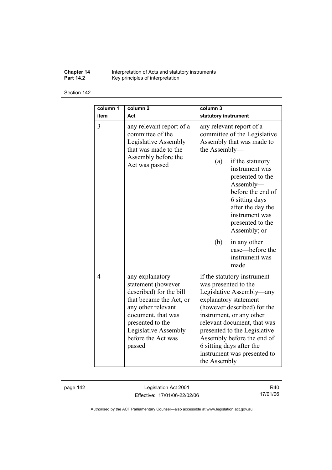**Chapter 14** Interpretation of Acts and statutory instruments **Part 14.2 Key principles of interpretation** 

Section 142

| column 1<br>item | column <sub>2</sub><br>Act                                                                                                                                                                                          | column 3<br>statutory instrument                                                                                                                                                                                                                                                                                                            |  |
|------------------|---------------------------------------------------------------------------------------------------------------------------------------------------------------------------------------------------------------------|---------------------------------------------------------------------------------------------------------------------------------------------------------------------------------------------------------------------------------------------------------------------------------------------------------------------------------------------|--|
| 3                | any relevant report of a<br>committee of the<br>Legislative Assembly<br>that was made to the<br>Assembly before the<br>Act was passed                                                                               | any relevant report of a<br>committee of the Legislative<br>Assembly that was made to<br>the Assembly-                                                                                                                                                                                                                                      |  |
|                  |                                                                                                                                                                                                                     | if the statutory<br>(a)<br>instrument was<br>presented to the<br>$\Lambda$ ssembly—<br>before the end of<br>6 sitting days<br>after the day the<br>instrument was<br>presented to the<br>Assembly; or                                                                                                                                       |  |
|                  |                                                                                                                                                                                                                     | (b)<br>in any other<br>case—before the<br>instrument was<br>made                                                                                                                                                                                                                                                                            |  |
| $\overline{4}$   | any explanatory<br>statement (however<br>described) for the bill<br>that became the Act, or<br>any other relevant<br>document, that was<br>presented to the<br>Legislative Assembly<br>before the Act was<br>passed | if the statutory instrument<br>was presented to the<br>Legislative Assembly—any<br>explanatory statement<br>(however described) for the<br>instrument, or any other<br>relevant document, that was<br>presented to the Legislative<br>Assembly before the end of<br>6 sitting days after the<br>instrument was presented to<br>the Assembly |  |

page 142 Legislation Act 2001 Effective: 17/01/06-22/02/06

R40 17/01/06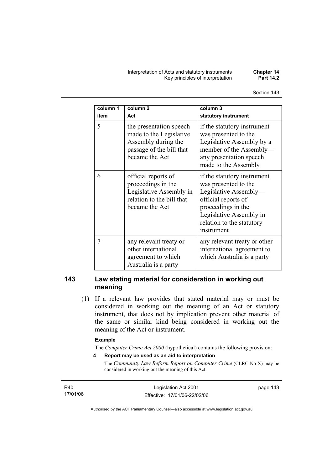Interpretation of Acts and statutory instruments **Chapter 14 Key principles of interpretation** 

| column 1<br>item | column <sub>2</sub><br>Act                                                                                              | column 3<br>statutory instrument                                                                                                                                                                |
|------------------|-------------------------------------------------------------------------------------------------------------------------|-------------------------------------------------------------------------------------------------------------------------------------------------------------------------------------------------|
| 5                | the presentation speech<br>made to the Legislative<br>Assembly during the<br>passage of the bill that<br>became the Act | if the statutory instrument<br>was presented to the<br>Legislative Assembly by a<br>member of the Assembly-<br>any presentation speech<br>made to the Assembly                                  |
| 6                | official reports of<br>proceedings in the<br>Legislative Assembly in<br>relation to the bill that<br>became the Act     | if the statutory instrument<br>was presented to the<br>Legislative Assembly-<br>official reports of<br>proceedings in the<br>Legislative Assembly in<br>relation to the statutory<br>instrument |
| 7                | any relevant treaty or<br>other international<br>agreement to which<br>Australia is a party                             | any relevant treaty or other<br>international agreement to<br>which Australia is a party                                                                                                        |

# **143 Law stating material for consideration in working out meaning**

 (1) If a relevant law provides that stated material may or must be considered in working out the meaning of an Act or statutory instrument, that does not by implication prevent other material of the same or similar kind being considered in working out the meaning of the Act or instrument.

#### **Example**

The *Computer Crime Act 2000* (hypothetical) contains the following provision:

**4 Report may be used as an aid to interpretation** 

The *Community Law Reform Report on Computer Crime* (CLRC No X) may be considered in working out the meaning of this Act.

R40 17/01/06

Legislation Act 2001 Effective: 17/01/06-22/02/06 page 143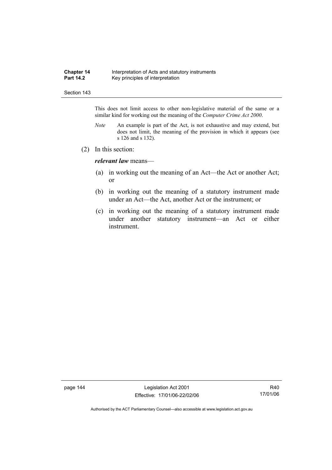#### **Chapter 14** Interpretation of Acts and statutory instruments<br>**Part 14.2** Key principles of interpretation Key principles of interpretation

#### Section 143

This does not limit access to other non-legislative material of the same or a similar kind for working out the meaning of the *Computer Crime Act 2000*.

- *Note* An example is part of the Act, is not exhaustive and may extend, but does not limit, the meaning of the provision in which it appears (see s 126 and s 132).
- (2) In this section:

*relevant law* means—

- (a) in working out the meaning of an Act—the Act or another Act; or
- (b) in working out the meaning of a statutory instrument made under an Act—the Act, another Act or the instrument; or
- (c) in working out the meaning of a statutory instrument made under another statutory instrument—an Act or either instrument.

page 144 Legislation Act 2001 Effective: 17/01/06-22/02/06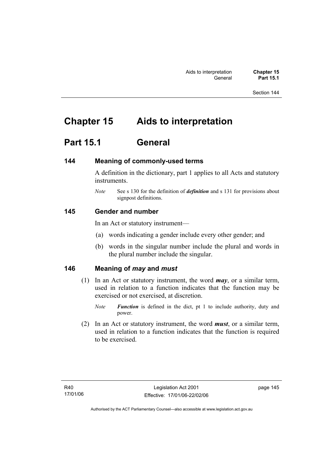# **Chapter 15 Aids to interpretation**

# **Part 15.1 General**

# **144 Meaning of commonly-used terms**

A definition in the dictionary, part 1 applies to all Acts and statutory instruments.

*Note* See s 130 for the definition of *definition* and s 131 for provisions about signpost definitions.

# **145 Gender and number**

In an Act or statutory instrument—

- (a) words indicating a gender include every other gender; and
- (b) words in the singular number include the plural and words in the plural number include the singular.

# **146 Meaning of** *may* **and** *must*

- (1) In an Act or statutory instrument, the word *may*, or a similar term, used in relation to a function indicates that the function may be exercised or not exercised, at discretion.
	- *Note Function* is defined in the dict, pt 1 to include authority, duty and power.
- (2) In an Act or statutory instrument, the word *must*, or a similar term, used in relation to a function indicates that the function is required to be exercised.

page 145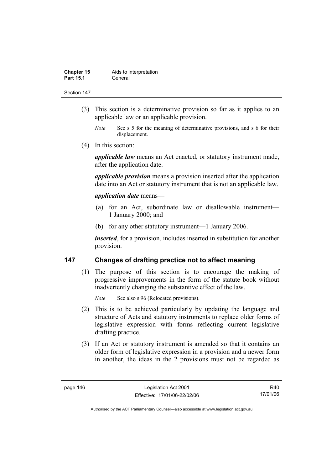| <b>Chapter 15</b> | Aids to interpretation |
|-------------------|------------------------|
| <b>Part 15.1</b>  | General                |

- (3) This section is a determinative provision so far as it applies to an applicable law or an applicable provision.
	- *Note* See s 5 for the meaning of determinative provisions, and s 6 for their displacement.
- (4) In this section:

*applicable law* means an Act enacted, or statutory instrument made, after the application date.

*applicable provision* means a provision inserted after the application date into an Act or statutory instrument that is not an applicable law.

#### *application date* means—

- (a) for an Act, subordinate law or disallowable instrument— 1 January 2000; and
- (b) for any other statutory instrument—1 January 2006.

*inserted*, for a provision, includes inserted in substitution for another provision.

# **147 Changes of drafting practice not to affect meaning**

 (1) The purpose of this section is to encourage the making of progressive improvements in the form of the statute book without inadvertently changing the substantive effect of the law.

*Note* See also s 96 (Relocated provisions).

- (2) This is to be achieved particularly by updating the language and structure of Acts and statutory instruments to replace older forms of legislative expression with forms reflecting current legislative drafting practice.
- (3) If an Act or statutory instrument is amended so that it contains an older form of legislative expression in a provision and a newer form in another, the ideas in the 2 provisions must not be regarded as

R40 17/01/06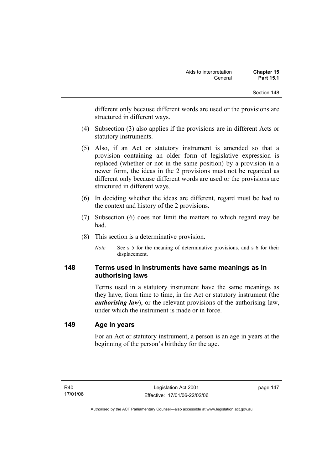different only because different words are used or the provisions are structured in different ways.

- (4) Subsection (3) also applies if the provisions are in different Acts or statutory instruments.
- (5) Also, if an Act or statutory instrument is amended so that a provision containing an older form of legislative expression is replaced (whether or not in the same position) by a provision in a newer form, the ideas in the 2 provisions must not be regarded as different only because different words are used or the provisions are structured in different ways.
- (6) In deciding whether the ideas are different, regard must be had to the context and history of the 2 provisions.
- (7) Subsection (6) does not limit the matters to which regard may be had.
- (8) This section is a determinative provision.
	- *Note* See s 5 for the meaning of determinative provisions, and s 6 for their displacement.

# **148 Terms used in instruments have same meanings as in authorising laws**

Terms used in a statutory instrument have the same meanings as they have, from time to time, in the Act or statutory instrument (the *authorising law*), or the relevant provisions of the authorising law, under which the instrument is made or in force.

# **149 Age in years**

For an Act or statutory instrument, a person is an age in years at the beginning of the person's birthday for the age.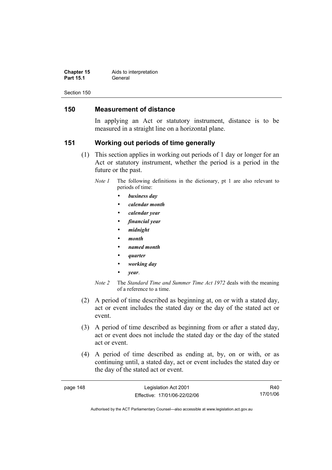| <b>Chapter 15</b> | Aids to interpretation |
|-------------------|------------------------|
| <b>Part 15.1</b>  | General                |

# **150 Measurement of distance**

In applying an Act or statutory instrument, distance is to be measured in a straight line on a horizontal plane.

# **151 Working out periods of time generally**

- (1) This section applies in working out periods of 1 day or longer for an Act or statutory instrument, whether the period is a period in the future or the past.
	- *Note 1* The following definitions in the dictionary, pt 1 are also relevant to periods of time:
		- *business day*
		- *calendar month*
		- *calendar year*
		- *financial year*
		- *midnight*
		- *month*
		- *named month*
		- *quarter*
		- *working day*
		- *year*.
	- *Note 2* The *Standard Time and Summer Time Act 1972* deals with the meaning of a reference to a time.
- (2) A period of time described as beginning at, on or with a stated day, act or event includes the stated day or the day of the stated act or event.
- (3) A period of time described as beginning from or after a stated day, act or event does not include the stated day or the day of the stated act or event.
- (4) A period of time described as ending at, by, on or with, or as continuing until, a stated day, act or event includes the stated day or the day of the stated act or event.

| page 148 | Legislation Act 2001         | R40      |
|----------|------------------------------|----------|
|          | Effective: 17/01/06-22/02/06 | 17/01/06 |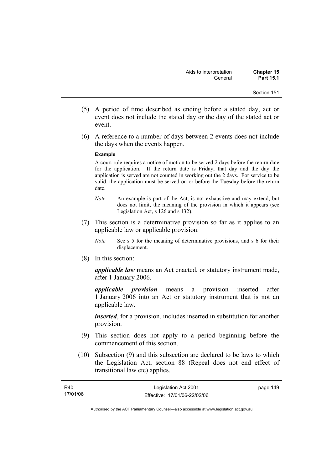- (5) A period of time described as ending before a stated day, act or event does not include the stated day or the day of the stated act or event.
- (6) A reference to a number of days between 2 events does not include the days when the events happen.

#### **Example**

A court rule requires a notice of motion to be served 2 days before the return date for the application. If the return date is Friday, that day and the day the application is served are not counted in working out the 2 days. For service to be valid, the application must be served on or before the Tuesday before the return date.

- *Note* An example is part of the Act, is not exhaustive and may extend, but does not limit, the meaning of the provision in which it appears (see Legislation Act, s 126 and s 132).
- (7) This section is a determinative provision so far as it applies to an applicable law or applicable provision.
	- *Note* See s 5 for the meaning of determinative provisions, and s 6 for their displacement.
- (8) In this section:

*applicable law* means an Act enacted, or statutory instrument made, after 1 January 2006.

*applicable provision* means a provision inserted after 1 January 2006 into an Act or statutory instrument that is not an applicable law.

*inserted*, for a provision, includes inserted in substitution for another provision.

- (9) This section does not apply to a period beginning before the commencement of this section.
- (10) Subsection (9) and this subsection are declared to be laws to which the Legislation Act, section 88 (Repeal does not end effect of transitional law etc) applies.

| <b>R40</b> | Legislation Act 2001         | page 149 |
|------------|------------------------------|----------|
| 17/01/06   | Effective: 17/01/06-22/02/06 |          |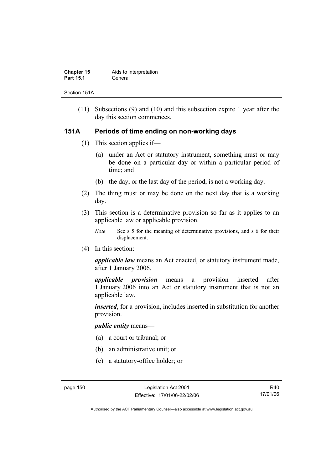| <b>Chapter 15</b> | Aids to interpretation |
|-------------------|------------------------|
| <b>Part 15.1</b>  | General                |

Section 151A

 (11) Subsections (9) and (10) and this subsection expire 1 year after the day this section commences.

# **151A Periods of time ending on non-working days**

- (1) This section applies if—
	- (a) under an Act or statutory instrument, something must or may be done on a particular day or within a particular period of time; and
	- (b) the day, or the last day of the period, is not a working day.
- (2) The thing must or may be done on the next day that is a working day.
- (3) This section is a determinative provision so far as it applies to an applicable law or applicable provision.
	- *Note* See s 5 for the meaning of determinative provisions, and s 6 for their displacement.
- (4) In this section:

*applicable law* means an Act enacted, or statutory instrument made, after 1 January 2006.

*applicable provision* means a provision inserted after 1 January 2006 into an Act or statutory instrument that is not an applicable law.

*inserted*, for a provision, includes inserted in substitution for another provision.

### *public entity* means—

- (a) a court or tribunal; or
- (b) an administrative unit; or
- (c) a statutory-office holder; or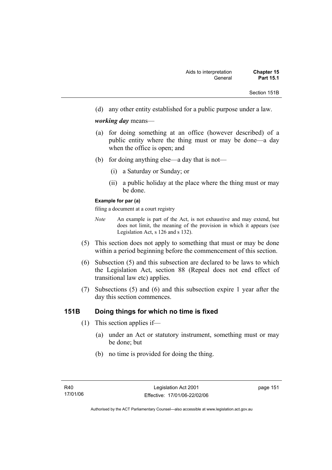Section 151B

(d) any other entity established for a public purpose under a law.

### *working day* means—

- (a) for doing something at an office (however described) of a public entity where the thing must or may be done—a day when the office is open; and
- (b) for doing anything else—a day that is not—
	- (i) a Saturday or Sunday; or
	- (ii) a public holiday at the place where the thing must or may be done.

#### **Example for par (a)**

filing a document at a court registry

- *Note* An example is part of the Act, is not exhaustive and may extend, but does not limit, the meaning of the provision in which it appears (see Legislation Act, s 126 and s 132).
- (5) This section does not apply to something that must or may be done within a period beginning before the commencement of this section.
- (6) Subsection (5) and this subsection are declared to be laws to which the Legislation Act, section 88 (Repeal does not end effect of transitional law etc) applies.
- (7) Subsections (5) and (6) and this subsection expire 1 year after the day this section commences.

# **151B Doing things for which no time is fixed**

- (1) This section applies if—
	- (a) under an Act or statutory instrument, something must or may be done; but
	- (b) no time is provided for doing the thing.

page 151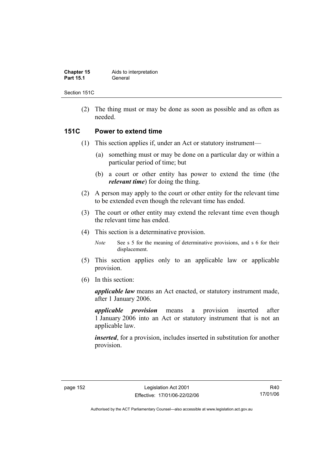| <b>Chapter 15</b> | Aids to interpretation |
|-------------------|------------------------|
| <b>Part 15.1</b>  | General                |

Section 151C

 (2) The thing must or may be done as soon as possible and as often as needed.

# **151C Power to extend time**

- (1) This section applies if, under an Act or statutory instrument—
	- (a) something must or may be done on a particular day or within a particular period of time; but
	- (b) a court or other entity has power to extend the time (the *relevant time*) for doing the thing.
- (2) A person may apply to the court or other entity for the relevant time to be extended even though the relevant time has ended.
- (3) The court or other entity may extend the relevant time even though the relevant time has ended.
- (4) This section is a determinative provision.

*Note* See s 5 for the meaning of determinative provisions, and s 6 for their displacement.

- (5) This section applies only to an applicable law or applicable provision.
- (6) In this section:

*applicable law* means an Act enacted, or statutory instrument made, after 1 January 2006.

*applicable provision* means a provision inserted after 1 January 2006 into an Act or statutory instrument that is not an applicable law.

*inserted*, for a provision, includes inserted in substitution for another provision.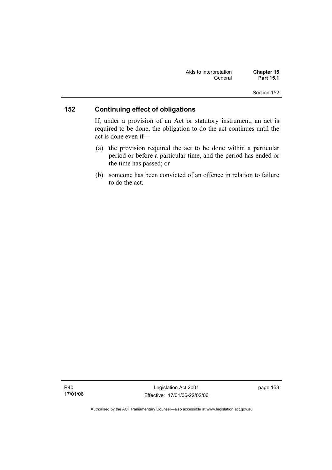| Aids to interpretation | <b>Chapter 15</b> |
|------------------------|-------------------|
| General                | <b>Part 15.1</b>  |

# **152 Continuing effect of obligations**

If, under a provision of an Act or statutory instrument, an act is required to be done, the obligation to do the act continues until the act is done even if—

- (a) the provision required the act to be done within a particular period or before a particular time, and the period has ended or the time has passed; or
- (b) someone has been convicted of an offence in relation to failure to do the act.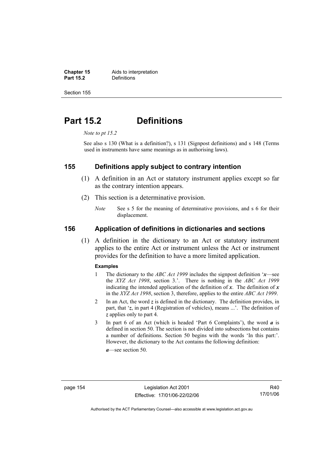**Chapter 15** Aids to interpretation<br> **Part 15.2** Definitions **Definitions** 

Section 155

# **Part 15.2 Definitions**

*Note to pt 15.2* 

See also s 130 (What is a definition?), s 131 (Signpost definitions) and s 148 (Terms used in instruments have same meanings as in authorising laws).

# **155 Definitions apply subject to contrary intention**

- (1) A definition in an Act or statutory instrument applies except so far as the contrary intention appears.
- (2) This section is a determinative provision.
	- *Note* See s 5 for the meaning of determinative provisions, and s 6 for their displacement.

# **156 Application of definitions in dictionaries and sections**

 (1) A definition in the dictionary to an Act or statutory instrument applies to the entire Act or instrument unless the Act or instrument provides for the definition to have a more limited application.

#### **Examples**

- 1 The dictionary to the *ABC Act 1999* includes the signpost definition '*x*—see the *XYZ Act 1998*, section 3.'. There is nothing in the *ABC Act 1999* indicating the intended application of the definition of  $x$ . The definition of  $x$ in the *XYZ Act 1998*, section 3, therefore, applies to the entire *ABC Act 1999*.
- 2 In an Act, the word *z* is defined in the dictionary. The definition provides, in part, that '*z*, in part 4 (Registration of vehicles), means ...'. The definition of *z* applies only to part 4.
- 3 In part 6 of an Act (which is headed 'Part 6 Complaints'), the word *a* is defined in section 50. The section is not divided into subsections but contains a number of definitions. Section 50 begins with the words 'In this part:'. However, the dictionary to the Act contains the following definition:

*a*—see section 50.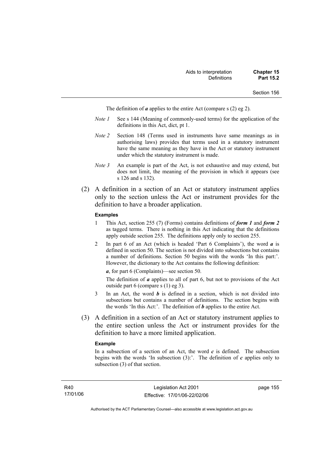The definition of *a* applies to the entire Act (compare s (2) eg 2).

- *Note 1* See s 144 (Meaning of commonly-used terms) for the application of the definitions in this Act, dict, pt 1.
- *Note 2* Section 148 (Terms used in instruments have same meanings as in authorising laws) provides that terms used in a statutory instrument have the same meaning as they have in the Act or statutory instrument under which the statutory instrument is made.
- *Note 3* An example is part of the Act, is not exhaustive and may extend, but does not limit, the meaning of the provision in which it appears (see s 126 and s 132).
- (2) A definition in a section of an Act or statutory instrument applies only to the section unless the Act or instrument provides for the definition to have a broader application.

#### **Examples**

- 1 This Act, section 255 (7) (Forms) contains definitions of *form 1* and *form 2* as tagged terms. There is nothing in this Act indicating that the definitions apply outside section 255. The definitions apply only to section 255.
- 2 In part 6 of an Act (which is headed 'Part 6 Complaints'), the word *a* is defined in section 50. The section is not divided into subsections but contains a number of definitions. Section 50 begins with the words 'In this part:'. However, the dictionary to the Act contains the following definition:

*a*, for part 6 (Complaints)—see section 50.

The definition of *a* applies to all of part 6, but not to provisions of the Act outside part 6 (compare s (1) eg 3).

- 3 In an Act, the word *b* is defined in a section, which is not divided into subsections but contains a number of definitions. The section begins with the words 'In this Act:'. The definition of *b* applies to the entire Act.
- (3) A definition in a section of an Act or statutory instrument applies to the entire section unless the Act or instrument provides for the definition to have a more limited application.

#### **Example**

In a subsection of a section of an Act, the word  $c$  is defined. The subsection begins with the words 'In subsection  $(3)$ :'. The definition of *c* applies only to subsection (3) of that section.

page 155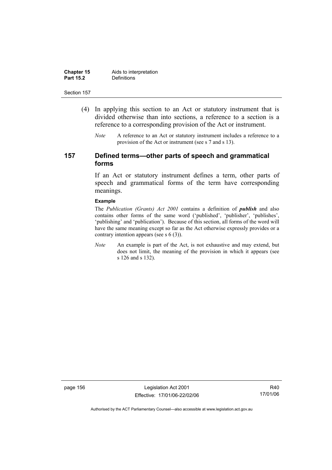| <b>Chapter 15</b> | Aids to interpretation |
|-------------------|------------------------|
| <b>Part 15.2</b>  | Definitions            |

- (4) In applying this section to an Act or statutory instrument that is divided otherwise than into sections, a reference to a section is a reference to a corresponding provision of the Act or instrument.
	- *Note* A reference to an Act or statutory instrument includes a reference to a provision of the Act or instrument (see s 7 and s 13).

# **157 Defined terms—other parts of speech and grammatical forms**

If an Act or statutory instrument defines a term, other parts of speech and grammatical forms of the term have corresponding meanings.

#### **Example**

The *Publication (Grants) Act 2001* contains a definition of *publish* and also contains other forms of the same word ('published', 'publisher', 'publishes', 'publishing' and 'publication'). Because of this section, all forms of the word will have the same meaning except so far as the Act otherwise expressly provides or a contrary intention appears (see s 6 (3)).

*Note* An example is part of the Act, is not exhaustive and may extend, but does not limit, the meaning of the provision in which it appears (see s 126 and s 132).

page 156 Legislation Act 2001 Effective: 17/01/06-22/02/06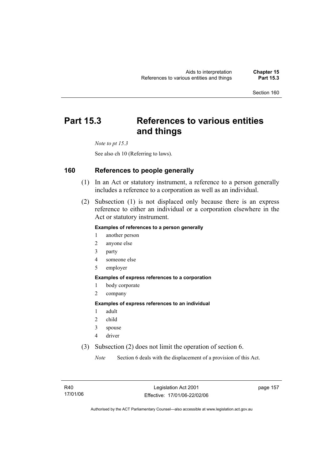# **Part 15.3 References to various entities and things**

*Note to pt 15.3* 

See also ch 10 (Referring to laws).

# **160 References to people generally**

- (1) In an Act or statutory instrument, a reference to a person generally includes a reference to a corporation as well as an individual.
- (2) Subsection (1) is not displaced only because there is an express reference to either an individual or a corporation elsewhere in the Act or statutory instrument.

### **Examples of references to a person generally**

- 1 another person
- 2 anyone else
- 3 party
- 4 someone else
- 5 employer

#### **Examples of express references to a corporation**

- 1 body corporate
- 2 company

#### **Examples of express references to an individual**

- 1 adult
- 2 child
- 3 spouse
- 4 driver
- (3) Subsection (2) does not limit the operation of section 6.

*Note* Section 6 deals with the displacement of a provision of this Act.

page 157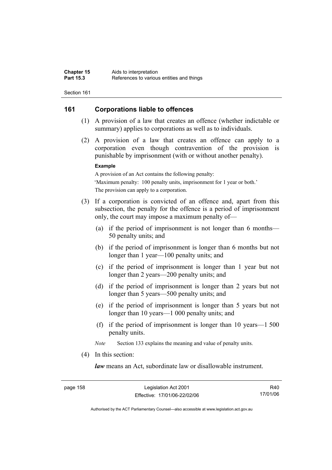# **161 Corporations liable to offences**

- (1) A provision of a law that creates an offence (whether indictable or summary) applies to corporations as well as to individuals.
- (2) A provision of a law that creates an offence can apply to a corporation even though contravention of the provision is punishable by imprisonment (with or without another penalty).

#### **Example**

A provision of an Act contains the following penalty: 'Maximum penalty: 100 penalty units, imprisonment for 1 year or both.' The provision can apply to a corporation.

- (3) If a corporation is convicted of an offence and, apart from this subsection, the penalty for the offence is a period of imprisonment only, the court may impose a maximum penalty of—
	- (a) if the period of imprisonment is not longer than 6 months— 50 penalty units; and
	- (b) if the period of imprisonment is longer than 6 months but not longer than 1 year—100 penalty units; and
	- (c) if the period of imprisonment is longer than 1 year but not longer than 2 years—200 penalty units; and
	- (d) if the period of imprisonment is longer than 2 years but not longer than 5 years—500 penalty units; and
	- (e) if the period of imprisonment is longer than 5 years but not longer than 10 years—1 000 penalty units; and
	- (f) if the period of imprisonment is longer than 10 years—1 500 penalty units.

*Note* Section 133 explains the meaning and value of penalty units.

(4) In this section:

*law* means an Act, subordinate law or disallowable instrument.

R40 17/01/06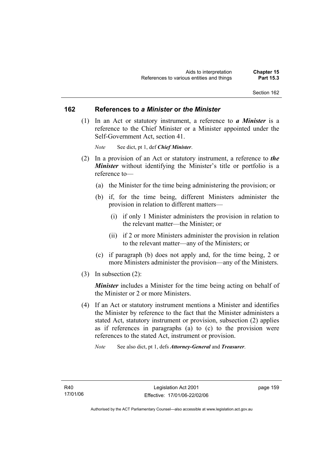### **162 References to** *a Minister* **or** *the Minister*

 (1) In an Act or statutory instrument, a reference to *a Minister* is a reference to the Chief Minister or a Minister appointed under the Self-Government Act, section 41.

*Note* See dict, pt 1, def *Chief Minister*.

- (2) In a provision of an Act or statutory instrument, a reference to *the Minister* without identifying the Minister's title or portfolio is a reference to—
	- (a) the Minister for the time being administering the provision; or
	- (b) if, for the time being, different Ministers administer the provision in relation to different matters—
		- (i) if only 1 Minister administers the provision in relation to the relevant matter—the Minister; or
		- (ii) if 2 or more Ministers administer the provision in relation to the relevant matter—any of the Ministers; or
	- (c) if paragraph (b) does not apply and, for the time being, 2 or more Ministers administer the provision—any of the Ministers.
- (3) In subsection (2):

*Minister* includes a Minister for the time being acting on behalf of the Minister or 2 or more Ministers.

- (4) If an Act or statutory instrument mentions a Minister and identifies the Minister by reference to the fact that the Minister administers a stated Act, statutory instrument or provision, subsection (2) applies as if references in paragraphs (a) to (c) to the provision were references to the stated Act, instrument or provision.
	- *Note* See also dict, pt 1, defs *Attorney-General* and *Treasurer*.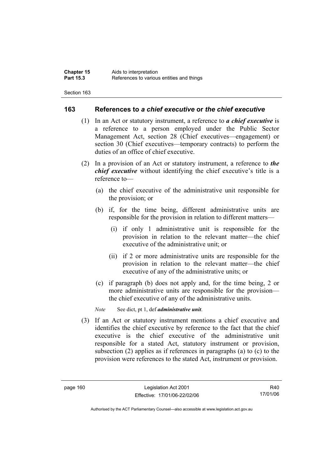# **163 References to** *a chief executive* **or** *the chief executive*

- (1) In an Act or statutory instrument, a reference to *a chief executive* is a reference to a person employed under the Public Sector Management Act, section 28 (Chief executives—engagement) or section 30 (Chief executives—temporary contracts) to perform the duties of an office of chief executive.
- (2) In a provision of an Act or statutory instrument, a reference to *the chief executive* without identifying the chief executive's title is a reference to—
	- (a) the chief executive of the administrative unit responsible for the provision; or
	- (b) if, for the time being, different administrative units are responsible for the provision in relation to different matters—
		- (i) if only 1 administrative unit is responsible for the provision in relation to the relevant matter—the chief executive of the administrative unit; or
		- (ii) if 2 or more administrative units are responsible for the provision in relation to the relevant matter—the chief executive of any of the administrative units; or
	- (c) if paragraph (b) does not apply and, for the time being, 2 or more administrative units are responsible for the provision the chief executive of any of the administrative units.

*Note* See dict, pt 1, def *administrative unit*.

 (3) If an Act or statutory instrument mentions a chief executive and identifies the chief executive by reference to the fact that the chief executive is the chief executive of the administrative unit responsible for a stated Act, statutory instrument or provision, subsection (2) applies as if references in paragraphs (a) to (c) to the provision were references to the stated Act, instrument or provision.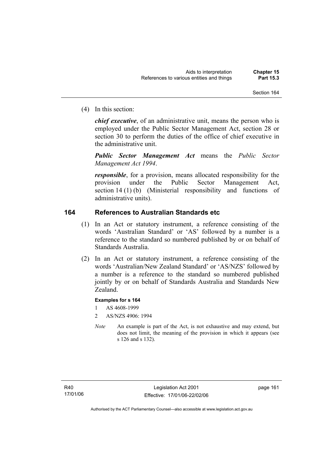(4) In this section:

*chief executive*, of an administrative unit, means the person who is employed under the Public Sector Management Act, section 28 or section 30 to perform the duties of the office of chief executive in the administrative unit.

*Public Sector Management Act* means the *Public Sector Management Act 1994*.

*responsible*, for a provision, means allocated responsibility for the provision under the Public Sector Management Act, section 14 (1) (b) (Ministerial responsibility and functions of administrative units).

# **164 References to Australian Standards etc**

- (1) In an Act or statutory instrument, a reference consisting of the words 'Australian Standard' or 'AS' followed by a number is a reference to the standard so numbered published by or on behalf of Standards Australia.
- (2) In an Act or statutory instrument, a reference consisting of the words 'Australian/New Zealand Standard' or 'AS/NZS' followed by a number is a reference to the standard so numbered published jointly by or on behalf of Standards Australia and Standards New Zealand.

### **Examples for s 164**

- 1 AS 4608-1999
- 2 AS/NZS 4906: 1994
- *Note* An example is part of the Act, is not exhaustive and may extend, but does not limit, the meaning of the provision in which it appears (see s 126 and s 132).

page 161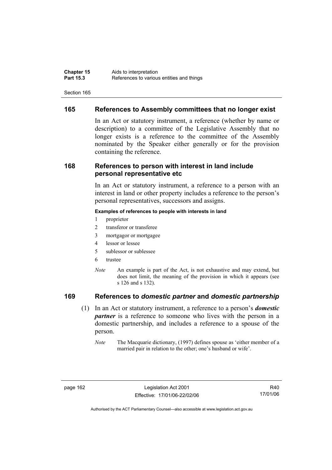# **165 References to Assembly committees that no longer exist**

In an Act or statutory instrument, a reference (whether by name or description) to a committee of the Legislative Assembly that no longer exists is a reference to the committee of the Assembly nominated by the Speaker either generally or for the provision containing the reference.

# **168 References to person with interest in land include personal representative etc**

In an Act or statutory instrument, a reference to a person with an interest in land or other property includes a reference to the person's personal representatives, successors and assigns.

#### **Examples of references to people with interests in land**

- 1 proprietor
- 2 transferor or transferee
- 3 mortgagor or mortgagee
- 4 lessor or lessee
- 5 sublessor or sublessee
- 6 trustee
- *Note* An example is part of the Act, is not exhaustive and may extend, but does not limit, the meaning of the provision in which it appears (see s 126 and s 132).

# **169 References to** *domestic partner* **and** *domestic partnership*

- (1) In an Act or statutory instrument, a reference to a person's *domestic partner* is a reference to someone who lives with the person in a domestic partnership, and includes a reference to a spouse of the person.
	- *Note* The Macquarie dictionary, (1997) defines spouse as 'either member of a married pair in relation to the other; one's husband or wife'.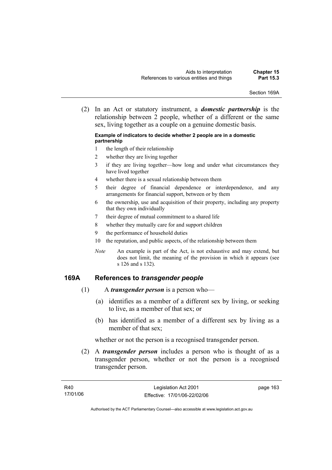Section 169A

 (2) In an Act or statutory instrument, a *domestic partnership* is the relationship between 2 people, whether of a different or the same sex, living together as a couple on a genuine domestic basis.

#### **Example of indicators to decide whether 2 people are in a domestic partnership**

- 1 the length of their relationship
- 2 whether they are living together
- 3 if they are living together—how long and under what circumstances they have lived together
- 4 whether there is a sexual relationship between them
- 5 their degree of financial dependence or interdependence, and any arrangements for financial support, between or by them
- 6 the ownership, use and acquisition of their property, including any property that they own individually
- 7 their degree of mutual commitment to a shared life
- 8 whether they mutually care for and support children
- 9 the performance of household duties
- 10 the reputation, and public aspects, of the relationship between them
- *Note* An example is part of the Act, is not exhaustive and may extend, but does not limit, the meaning of the provision in which it appears (see s 126 and s 132).

# **169A References to** *transgender people*

- (1) A *transgender person* is a person who—
	- (a) identifies as a member of a different sex by living, or seeking to live, as a member of that sex; or
	- (b) has identified as a member of a different sex by living as a member of that sex;

whether or not the person is a recognised transgender person.

 (2) A *transgender person* includes a person who is thought of as a transgender person, whether or not the person is a recognised transgender person.

page 163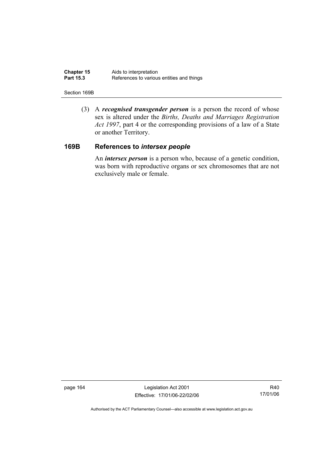| <b>Chapter 15</b> | Aids to interpretation                    |
|-------------------|-------------------------------------------|
| <b>Part 15.3</b>  | References to various entities and things |

#### Section 169B

 (3) A *recognised transgender person* is a person the record of whose sex is altered under the *Births, Deaths and Marriages Registration Act 1997*, part 4 or the corresponding provisions of a law of a State or another Territory.

# **169B References to** *intersex people*

 An *intersex person* is a person who, because of a genetic condition, was born with reproductive organs or sex chromosomes that are not exclusively male or female.

page 164 Legislation Act 2001 Effective: 17/01/06-22/02/06

R40 17/01/06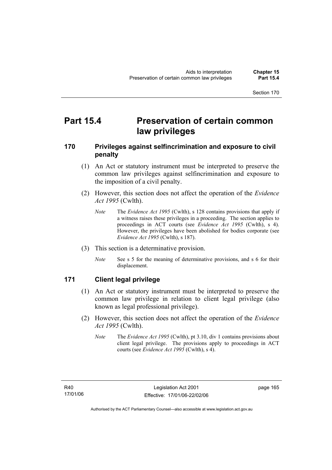## **Part 15.4 Preservation of certain common law privileges**

### **170 Privileges against selfincrimination and exposure to civil penalty**

- (1) An Act or statutory instrument must be interpreted to preserve the common law privileges against selfincrimination and exposure to the imposition of a civil penalty.
- (2) However, this section does not affect the operation of the *Evidence Act 1995* (Cwlth).
	- *Note* The *Evidence Act 1995* (Cwlth), s 128 contains provisions that apply if a witness raises these privileges in a proceeding. The section applies to proceedings in ACT courts (see *Evidence Act 1995* (Cwlth), s 4). However, the privileges have been abolished for bodies corporate (see *Evidence Act 1995* (Cwlth), s 187).
- (3) This section is a determinative provision.
	- *Note* See s 5 for the meaning of determinative provisions, and s 6 for their displacement.

### **171 Client legal privilege**

- (1) An Act or statutory instrument must be interpreted to preserve the common law privilege in relation to client legal privilege (also known as legal professional privilege).
- (2) However, this section does not affect the operation of the *Evidence Act 1995* (Cwlth).
	- *Note* The *Evidence Act 1995* (Cwlth), pt 3.10, div 1 contains provisions about client legal privilege. The provisions apply to proceedings in ACT courts (see *Evidence Act 1995* (Cwlth), s 4).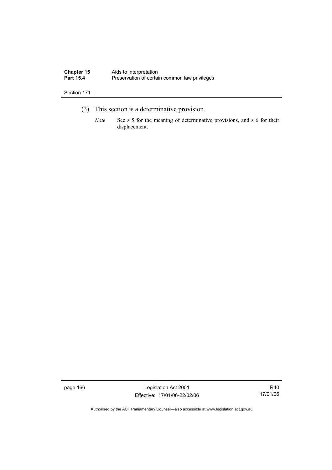| <b>Chapter 15</b> | Aids to interpretation                        |
|-------------------|-----------------------------------------------|
| <b>Part 15.4</b>  | Preservation of certain common law privileges |

- (3) This section is a determinative provision.
	- *Note* See s 5 for the meaning of determinative provisions, and s 6 for their displacement.

page 166 Legislation Act 2001 Effective: 17/01/06-22/02/06

R40 17/01/06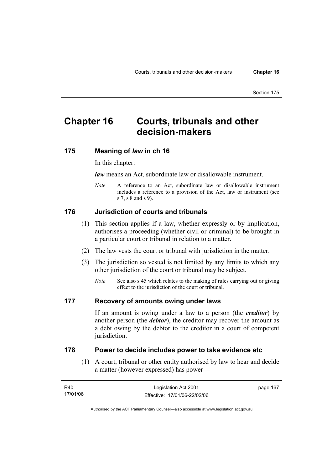## **Chapter 16 Courts, tribunals and other decision-makers**

### **175 Meaning of** *law* **in ch 16**

In this chapter:

*law* means an Act, subordinate law or disallowable instrument.

*Note* A reference to an Act, subordinate law or disallowable instrument includes a reference to a provision of the Act, law or instrument (see s 7, s 8 and s 9).

#### **176 Jurisdiction of courts and tribunals**

- (1) This section applies if a law, whether expressly or by implication, authorises a proceeding (whether civil or criminal) to be brought in a particular court or tribunal in relation to a matter.
- (2) The law vests the court or tribunal with jurisdiction in the matter.
- (3) The jurisdiction so vested is not limited by any limits to which any other jurisdiction of the court or tribunal may be subject.
	- *Note* See also s 45 which relates to the making of rules carrying out or giving effect to the jurisdiction of the court or tribunal.

#### **177 Recovery of amounts owing under laws**

If an amount is owing under a law to a person (the *creditor*) by another person (the *debtor*), the creditor may recover the amount as a debt owing by the debtor to the creditor in a court of competent jurisdiction.

#### **178 Power to decide includes power to take evidence etc**

 (1) A court, tribunal or other entity authorised by law to hear and decide a matter (however expressed) has power—

| R40      | Legislation Act 2001         | page 167 |
|----------|------------------------------|----------|
| 17/01/06 | Effective: 17/01/06-22/02/06 |          |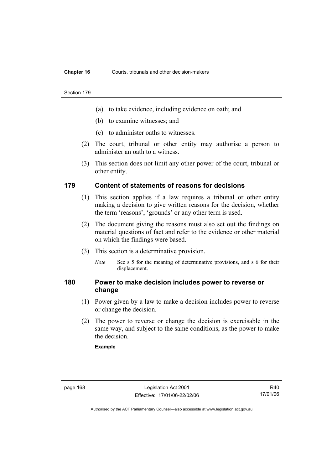#### **Chapter 16** Courts, tribunals and other decision-makers

#### Section 179

- (a) to take evidence, including evidence on oath; and
- (b) to examine witnesses; and
- (c) to administer oaths to witnesses.
- (2) The court, tribunal or other entity may authorise a person to administer an oath to a witness.
- (3) This section does not limit any other power of the court, tribunal or other entity.

### **179 Content of statements of reasons for decisions**

- (1) This section applies if a law requires a tribunal or other entity making a decision to give written reasons for the decision, whether the term 'reasons', 'grounds' or any other term is used.
- (2) The document giving the reasons must also set out the findings on material questions of fact and refer to the evidence or other material on which the findings were based.
- (3) This section is a determinative provision.
	- *Note* See s 5 for the meaning of determinative provisions, and s 6 for their displacement.

### **180 Power to make decision includes power to reverse or change**

- (1) Power given by a law to make a decision includes power to reverse or change the decision.
- (2) The power to reverse or change the decision is exercisable in the same way, and subject to the same conditions, as the power to make the decision.

#### **Example**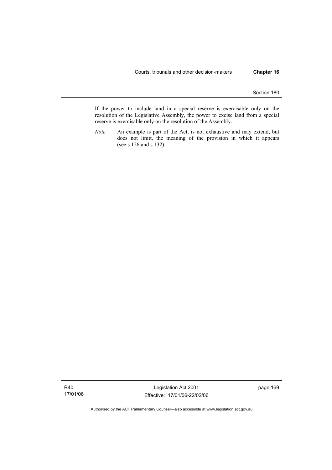If the power to include land in a special reserve is exercisable only on the resolution of the Legislative Assembly, the power to excise land from a special reserve is exercisable only on the resolution of the Assembly.

*Note* An example is part of the Act, is not exhaustive and may extend, but does not limit, the meaning of the provision in which it appears (see s 126 and s 132).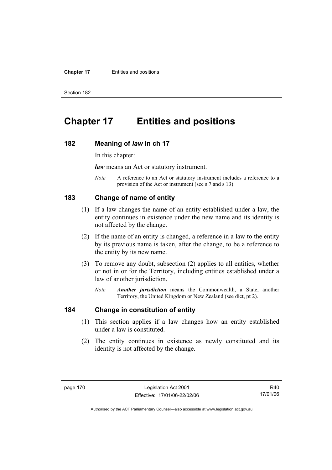#### **Chapter 17** Entities and positions

Section 182

## **Chapter 17 Entities and positions**

#### **182 Meaning of** *law* **in ch 17**

In this chapter:

*law* means an Act or statutory instrument.

*Note* A reference to an Act or statutory instrument includes a reference to a provision of the Act or instrument (see s 7 and s 13).

### **183 Change of name of entity**

- (1) If a law changes the name of an entity established under a law, the entity continues in existence under the new name and its identity is not affected by the change.
- (2) If the name of an entity is changed, a reference in a law to the entity by its previous name is taken, after the change, to be a reference to the entity by its new name.
- (3) To remove any doubt, subsection (2) applies to all entities, whether or not in or for the Territory, including entities established under a law of another jurisdiction.
	- *Note Another jurisdiction* means the Commonwealth, a State, another Territory, the United Kingdom or New Zealand (see dict, pt 2).

### **184 Change in constitution of entity**

- (1) This section applies if a law changes how an entity established under a law is constituted.
- (2) The entity continues in existence as newly constituted and its identity is not affected by the change.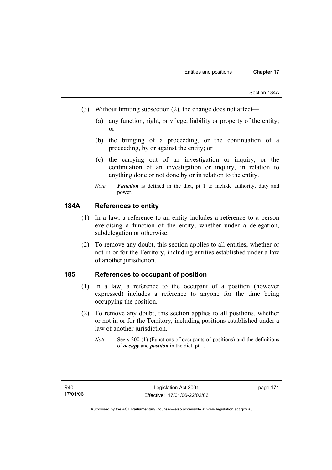- (3) Without limiting subsection (2), the change does not affect—
	- (a) any function, right, privilege, liability or property of the entity; or
	- (b) the bringing of a proceeding, or the continuation of a proceeding, by or against the entity; or
	- (c) the carrying out of an investigation or inquiry, or the continuation of an investigation or inquiry, in relation to anything done or not done by or in relation to the entity.
	- *Note Function* is defined in the dict, pt 1 to include authority, duty and power.

### **184A References to entity**

- (1) In a law, a reference to an entity includes a reference to a person exercising a function of the entity, whether under a delegation, subdelegation or otherwise.
- (2) To remove any doubt, this section applies to all entities, whether or not in or for the Territory, including entities established under a law of another jurisdiction.

### **185 References to occupant of position**

- (1) In a law, a reference to the occupant of a position (however expressed) includes a reference to anyone for the time being occupying the position.
- (2) To remove any doubt, this section applies to all positions, whether or not in or for the Territory, including positions established under a law of another jurisdiction.
	- *Note* See s 200 (1) (Functions of occupants of positions) and the definitions of *occupy* and *position* in the dict, pt 1.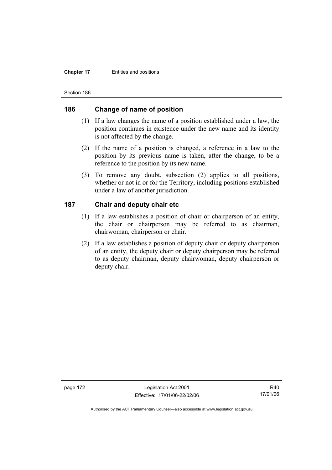#### **Chapter 17** Entities and positions

Section 186

### **186 Change of name of position**

- (1) If a law changes the name of a position established under a law, the position continues in existence under the new name and its identity is not affected by the change.
- (2) If the name of a position is changed, a reference in a law to the position by its previous name is taken, after the change, to be a reference to the position by its new name.
- (3) To remove any doubt, subsection (2) applies to all positions, whether or not in or for the Territory, including positions established under a law of another jurisdiction.

### **187 Chair and deputy chair etc**

- (1) If a law establishes a position of chair or chairperson of an entity, the chair or chairperson may be referred to as chairman, chairwoman, chairperson or chair.
- (2) If a law establishes a position of deputy chair or deputy chairperson of an entity, the deputy chair or deputy chairperson may be referred to as deputy chairman, deputy chairwoman, deputy chairperson or deputy chair.

page 172 Legislation Act 2001 Effective: 17/01/06-22/02/06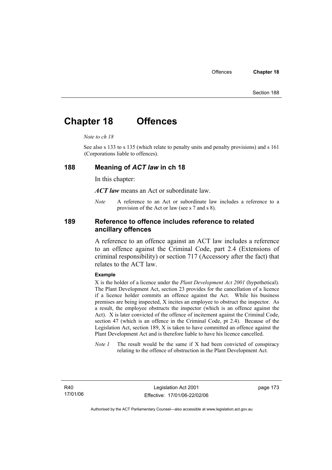## **Chapter 18 Offences**

#### *Note to ch 18*

See also s 133 to s 135 (which relate to penalty units and penalty provisions) and s 161 (Corporations liable to offences).

#### **188 Meaning of** *ACT law* **in ch 18**

In this chapter:

*ACT law* means an Act or subordinate law.

*Note* A reference to an Act or subordinate law includes a reference to a provision of the Act or law (see s 7 and s 8).

### **189 Reference to offence includes reference to related ancillary offences**

A reference to an offence against an ACT law includes a reference to an offence against the Criminal Code, part 2.4 (Extensions of criminal responsibility) or section 717 (Accessory after the fact) that relates to the ACT law.

#### **Example**

X is the holder of a licence under the *Plant Development Act 2001* (hypothetical). The Plant Development Act, section 23 provides for the cancellation of a licence if a licence holder commits an offence against the Act. While his business premises are being inspected, X incites an employee to obstruct the inspector. As a result, the employee obstructs the inspector (which is an offence against the Act). X is later convicted of the offence of incitement against the Criminal Code, section 47 (which is an offence in the Criminal Code, pt 2.4). Because of the Legislation Act, section 189, X is taken to have committed an offence against the Plant Development Act and is therefore liable to have his licence cancelled.

*Note 1* The result would be the same if X had been convicted of conspiracy relating to the offence of obstruction in the Plant Development Act.

R40 17/01/06 page 173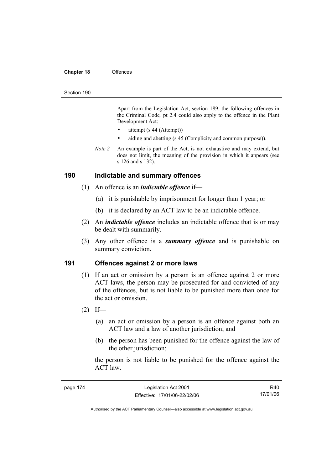#### **Chapter 18** Offences

#### Section 190

Apart from the Legislation Act, section 189, the following offences in the Criminal Code*,* pt 2.4 could also apply to the offence in the Plant Development Act:

- attempt (s 44 (Attempt))
- aiding and abetting (s 45 (Complicity and common purpose)).
- *Note 2* An example is part of the Act, is not exhaustive and may extend, but does not limit, the meaning of the provision in which it appears (see s 126 and s 132).

#### **190 Indictable and summary offences**

- (1) An offence is an *indictable offence* if—
	- (a) it is punishable by imprisonment for longer than 1 year; or
	- (b) it is declared by an ACT law to be an indictable offence.
- (2) An *indictable offence* includes an indictable offence that is or may be dealt with summarily.
- (3) Any other offence is a *summary offence* and is punishable on summary conviction.

#### **191 Offences against 2 or more laws**

- (1) If an act or omission by a person is an offence against 2 or more ACT laws, the person may be prosecuted for and convicted of any of the offences, but is not liable to be punished more than once for the act or omission.
- $(2)$  If—
	- (a) an act or omission by a person is an offence against both an ACT law and a law of another jurisdiction; and
	- (b) the person has been punished for the offence against the law of the other jurisdiction;

the person is not liable to be punished for the offence against the ACT law.

| page 174 |  |
|----------|--|
|----------|--|

R40 17/01/06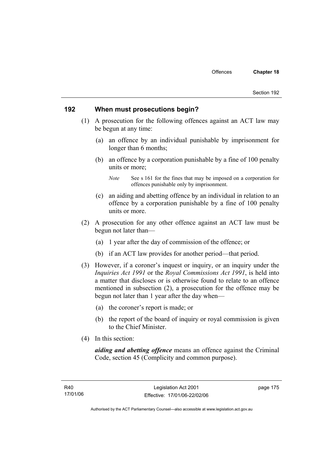#### **192 When must prosecutions begin?**

- (1) A prosecution for the following offences against an ACT law may be begun at any time:
	- (a) an offence by an individual punishable by imprisonment for longer than 6 months;
	- (b) an offence by a corporation punishable by a fine of 100 penalty units or more;

- (c) an aiding and abetting offence by an individual in relation to an offence by a corporation punishable by a fine of 100 penalty units or more.
- (2) A prosecution for any other offence against an ACT law must be begun not later than—
	- (a) 1 year after the day of commission of the offence; or
	- (b) if an ACT law provides for another period—that period.
- (3) However, if a coroner's inquest or inquiry, or an inquiry under the *Inquiries Act 1991* or the *Royal Commissions Act 1991*, is held into a matter that discloses or is otherwise found to relate to an offence mentioned in subsection (2), a prosecution for the offence may be begun not later than 1 year after the day when—
	- (a) the coroner's report is made; or
	- (b) the report of the board of inquiry or royal commission is given to the Chief Minister.
- (4) In this section:

*aiding and abetting offence* means an offence against the Criminal Code, section 45 (Complicity and common purpose).

*Note* See s 161 for the fines that may be imposed on a corporation for offences punishable only by imprisonment.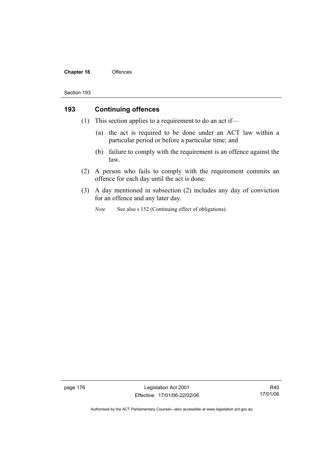#### **Chapter 18** Offences

#### Section 193

### **193 Continuing offences**

- (1) This section applies to a requirement to do an act if—
	- (a) the act is required to be done under an ACT law within a particular period or before a particular time; and
	- (b) failure to comply with the requirement is an offence against the law.
- (2) A person who fails to comply with the requirement commits an offence for each day until the act is done.
- (3) A day mentioned in subsection (2) includes any day of conviction for an offence and any later day.
	- *Note* See also s 152 (Continuing effect of obligations).

page 176 Legislation Act 2001 Effective: 17/01/06-22/02/06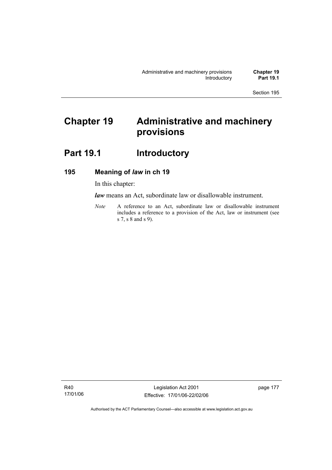# **Chapter 19 Administrative and machinery provisions**

## Part 19.1 **Introductory**

### **195 Meaning of** *law* **in ch 19**

In this chapter:

*law* means an Act, subordinate law or disallowable instrument.

*Note* A reference to an Act, subordinate law or disallowable instrument includes a reference to a provision of the Act, law or instrument (see s 7, s 8 and s 9).

R40 17/01/06

Legislation Act 2001 Effective: 17/01/06-22/02/06 page 177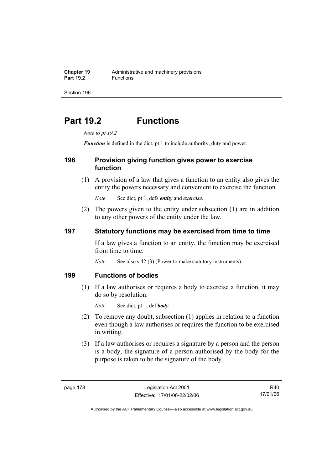# **Part 19.2 Functions**

*Note to pt 19.2* 

*Function* is defined in the dict, pt 1 to include authority, duty and power.

### **196 Provision giving function gives power to exercise function**

 (1) A provision of a law that gives a function to an entity also gives the entity the powers necessary and convenient to exercise the function.

*Note* See dict, pt 1, defs *entity* and *exercise*.

 (2) The powers given to the entity under subsection (1) are in addition to any other powers of the entity under the law.

### **197 Statutory functions may be exercised from time to time**

If a law gives a function to an entity, the function may be exercised from time to time.

*Note* See also s 42 (3) (Power to make statutory instruments).

### **199 Functions of bodies**

 (1) If a law authorises or requires a body to exercise a function, it may do so by resolution.

*Note* See dict, pt 1, def *body*.

- (2) To remove any doubt, subsection (1) applies in relation to a function even though a law authorises or requires the function to be exercised in writing.
- (3) If a law authorises or requires a signature by a person and the person is a body, the signature of a person authorised by the body for the purpose is taken to be the signature of the body.

R40 17/01/06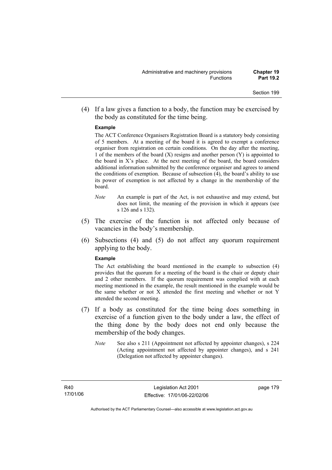(4) If a law gives a function to a body, the function may be exercised by the body as constituted for the time being.

#### **Example**

The ACT Conference Organisers Registration Board is a statutory body consisting of 5 members. At a meeting of the board it is agreed to exempt a conference organiser from registration on certain conditions. On the day after the meeting, 1 of the members of the board  $(X)$  resigns and another person  $(Y)$  is appointed to the board in  $X$ 's place. At the next meeting of the board, the board considers additional information submitted by the conference organiser and agrees to amend the conditions of exemption. Because of subsection (4), the board's ability to use its power of exemption is not affected by a change in the membership of the board.

- *Note* An example is part of the Act, is not exhaustive and may extend, but does not limit, the meaning of the provision in which it appears (see s 126 and s 132).
- (5) The exercise of the function is not affected only because of vacancies in the body's membership.
- (6) Subsections (4) and (5) do not affect any quorum requirement applying to the body.

#### **Example**

The Act establishing the board mentioned in the example to subsection (4) provides that the quorum for a meeting of the board is the chair or deputy chair and 2 other members. If the quorum requirement was complied with at each meeting mentioned in the example, the result mentioned in the example would be the same whether or not X attended the first meeting and whether or not Y attended the second meeting.

- (7) If a body as constituted for the time being does something in exercise of a function given to the body under a law, the effect of the thing done by the body does not end only because the membership of the body changes.
	- *Note* See also s 211 (Appointment not affected by appointer changes), s 224 (Acting appointment not affected by appointer changes), and s 241 (Delegation not affected by appointer changes).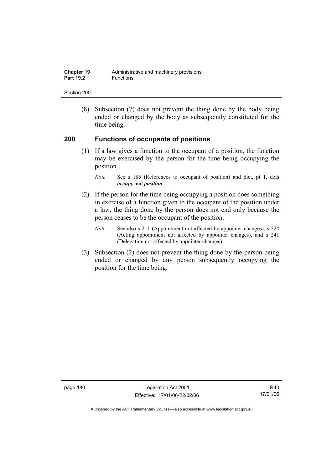| <b>Chapter 19</b> | Administrative and machinery provisions |
|-------------------|-----------------------------------------|
| <b>Part 19.2</b>  | <b>Functions</b>                        |

 (8) Subsection (7) does not prevent the thing done by the body being ended or changed by the body as subsequently constituted for the time being.

### **200 Functions of occupants of positions**

 (1) If a law gives a function to the occupant of a position, the function may be exercised by the person for the time being occupying the position.

- (2) If the person for the time being occupying a position does something in exercise of a function given to the occupant of the position under a law, the thing done by the person does not end only because the person ceases to be the occupant of the position.
	- *Note* See also s 211 (Appointment not affected by appointer changes), s 224 (Acting appointment not affected by appointer changes), and s 241 (Delegation not affected by appointer changes).
- (3) Subsection (2) does not prevent the thing done by the person being ended or changed by any person subsequently occupying the position for the time being.

page 180 Legislation Act 2001 Effective: 17/01/06-22/02/06

*Note* See s 185 (References to occupant of position) and dict, pt 1, defs *occupy* and *position*.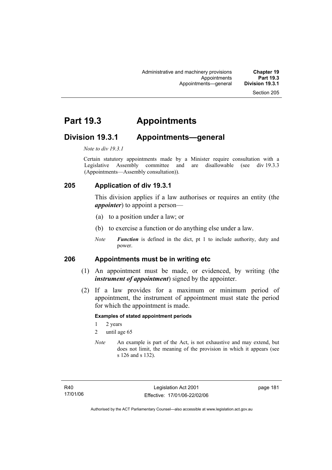## **Part 19.3 Appointments**

### **Division 19.3.1 Appointments—general**

*Note to div 19.3.1* 

Certain statutory appointments made by a Minister require consultation with a Legislative Assembly committee and are disallowable (see div 19.3.3) (Appointments—Assembly consultation)).

### **205 Application of div 19.3.1**

This division applies if a law authorises or requires an entity (the *appointer*) to appoint a person—

- (a) to a position under a law; or
- (b) to exercise a function or do anything else under a law.
- *Note Function* is defined in the dict, pt 1 to include authority, duty and power.

### **206 Appointments must be in writing etc**

- (1) An appointment must be made, or evidenced, by writing (the *instrument of appointment*) signed by the appointer.
- (2) If a law provides for a maximum or minimum period of appointment, the instrument of appointment must state the period for which the appointment is made.

#### **Examples of stated appointment periods**

- 1 2 years
- 2 until age 65
- *Note* An example is part of the Act, is not exhaustive and may extend, but does not limit, the meaning of the provision in which it appears (see s 126 and s 132).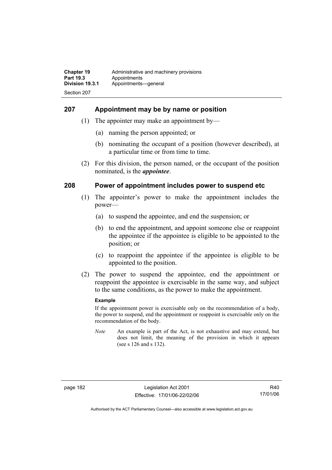### **207 Appointment may be by name or position**

- (1) The appointer may make an appointment by—
	- (a) naming the person appointed; or
	- (b) nominating the occupant of a position (however described), at a particular time or from time to time.
- (2) For this division, the person named, or the occupant of the position nominated, is the *appointee*.

### **208 Power of appointment includes power to suspend etc**

- (1) The appointer's power to make the appointment includes the power—
	- (a) to suspend the appointee, and end the suspension; or
	- (b) to end the appointment, and appoint someone else or reappoint the appointee if the appointee is eligible to be appointed to the position; or
	- (c) to reappoint the appointee if the appointee is eligible to be appointed to the position.
- (2) The power to suspend the appointee, end the appointment or reappoint the appointee is exercisable in the same way, and subject to the same conditions, as the power to make the appointment.

#### **Example**

If the appointment power is exercisable only on the recommendation of a body, the power to suspend, end the appointment or reappoint is exercisable only on the recommendation of the body.

*Note* An example is part of the Act, is not exhaustive and may extend, but does not limit, the meaning of the provision in which it appears (see s 126 and s 132).

R40 17/01/06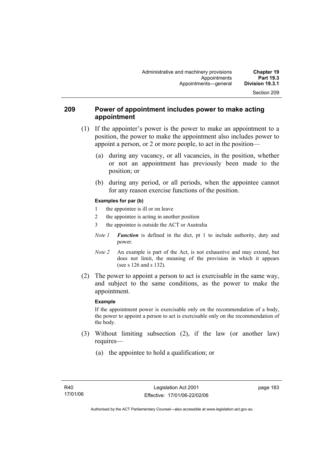### **209 Power of appointment includes power to make acting appointment**

- (1) If the appointer's power is the power to make an appointment to a position, the power to make the appointment also includes power to appoint a person, or 2 or more people, to act in the position—
	- (a) during any vacancy, or all vacancies, in the position, whether or not an appointment has previously been made to the position; or
	- (b) during any period, or all periods, when the appointee cannot for any reason exercise functions of the position.

#### **Examples for par (b)**

- 1 the appointee is ill or on leave
- 2 the appointee is acting in another position
- 3 the appointee is outside the ACT or Australia
- *Note 1 Function* is defined in the dict, pt 1 to include authority, duty and power.
- *Note 2* An example is part of the Act, is not exhaustive and may extend, but does not limit, the meaning of the provision in which it appears (see s 126 and s 132).
- (2) The power to appoint a person to act is exercisable in the same way, and subject to the same conditions, as the power to make the appointment.

#### **Example**

If the appointment power is exercisable only on the recommendation of a body, the power to appoint a person to act is exercisable only on the recommendation of the body.

- (3) Without limiting subsection (2), if the law (or another law) requires—
	- (a) the appointee to hold a qualification; or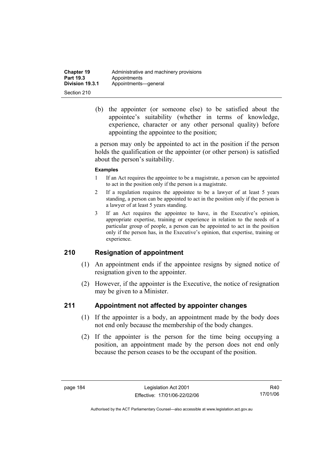| <b>Chapter 19</b> | Administrative and machinery provisions |
|-------------------|-----------------------------------------|
| Part 19.3         | Appointments                            |
| Division 19.3.1   | Appointments-qeneral                    |
| Section 210       |                                         |

 (b) the appointer (or someone else) to be satisfied about the appointee's suitability (whether in terms of knowledge, experience, character or any other personal quality) before appointing the appointee to the position;

a person may only be appointed to act in the position if the person holds the qualification or the appointer (or other person) is satisfied about the person's suitability.

#### **Examples**

- 1 If an Act requires the appointee to be a magistrate, a person can be appointed to act in the position only if the person is a magistrate.
- 2 If a regulation requires the appointee to be a lawyer of at least 5 years standing, a person can be appointed to act in the position only if the person is a lawyer of at least 5 years standing.
- 3 If an Act requires the appointee to have, in the Executive's opinion, appropriate expertise, training or experience in relation to the needs of a particular group of people, a person can be appointed to act in the position only if the person has, in the Executive's opinion, that expertise, training or experience.

### **210 Resignation of appointment**

- (1) An appointment ends if the appointee resigns by signed notice of resignation given to the appointer.
- (2) However, if the appointer is the Executive, the notice of resignation may be given to a Minister.

### **211 Appointment not affected by appointer changes**

- (1) If the appointer is a body, an appointment made by the body does not end only because the membership of the body changes.
- (2) If the appointer is the person for the time being occupying a position, an appointment made by the person does not end only because the person ceases to be the occupant of the position.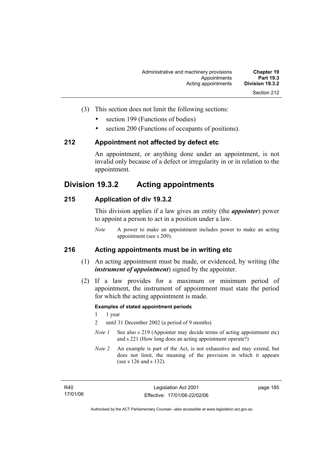- (3) This section does not limit the following sections:
	- section 199 (Functions of bodies)
	- section 200 (Functions of occupants of positions).

#### **212 Appointment not affected by defect etc**

An appointment, or anything done under an appointment, is not invalid only because of a defect or irregularity in or in relation to the appointment.

### **Division 19.3.2 Acting appointments**

### **215 Application of div 19.3.2**

This division applies if a law gives an entity (the *appointer*) power to appoint a person to act in a position under a law.

*Note* A power to make an appointment includes power to make an acting appointment (see s 209).

### **216 Acting appointments must be in writing etc**

- (1) An acting appointment must be made, or evidenced, by writing (the *instrument of appointment*) signed by the appointer.
- (2) If a law provides for a maximum or minimum period of appointment, the instrument of appointment must state the period for which the acting appointment is made.

#### **Examples of stated appointment periods**

- 1 1 year
- 2 until 31 December 2002 (a period of 9 months)
- *Note 1* See also s 219 (Appointer may decide terms of acting appointment etc) and s 221 (How long does an acting appointment operate?)
- *Note 2* An example is part of the Act, is not exhaustive and may extend, but does not limit, the meaning of the provision in which it appears (see s 126 and s 132).

page 185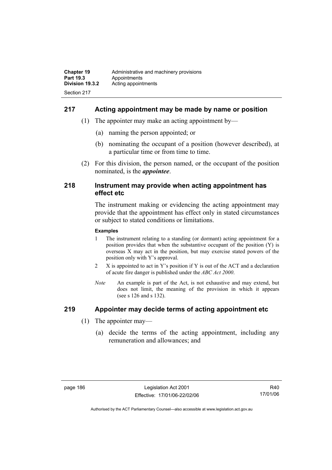### **217 Acting appointment may be made by name or position**

- (1) The appointer may make an acting appointment by—
	- (a) naming the person appointed; or
	- (b) nominating the occupant of a position (however described), at a particular time or from time to time.
- (2) For this division, the person named, or the occupant of the position nominated, is the *appointee*.

#### **218 Instrument may provide when acting appointment has effect etc**

The instrument making or evidencing the acting appointment may provide that the appointment has effect only in stated circumstances or subject to stated conditions or limitations.

#### **Examples**

- 1 The instrument relating to a standing (or dormant) acting appointment for a position provides that when the substantive occupant of the position (Y) is overseas X may act in the position, but may exercise stated powers of the position only with Y's approval.
- 2 X is appointed to act in Y's position if Y is out of the ACT and a declaration of acute fire danger is published under the *ABC Act 2000*.
- *Note* An example is part of the Act, is not exhaustive and may extend, but does not limit, the meaning of the provision in which it appears (see s 126 and s 132).

### **219 Appointer may decide terms of acting appointment etc**

- (1) The appointer may—
	- (a) decide the terms of the acting appointment, including any remuneration and allowances; and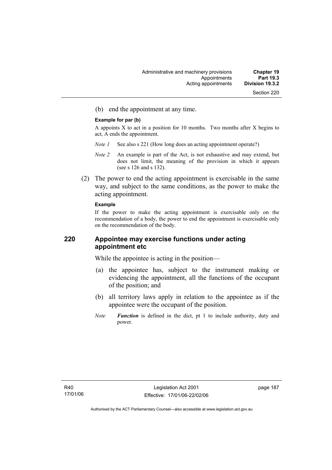(b) end the appointment at any time.

#### **Example for par (b)**

A appoints X to act in a position for 10 months. Two months after X begins to act, A ends the appointment.

- *Note 1* See also s 221 (How long does an acting appointment operate?)
- *Note 2* An example is part of the Act, is not exhaustive and may extend, but does not limit, the meaning of the provision in which it appears (see s 126 and s 132).
- (2) The power to end the acting appointment is exercisable in the same way, and subject to the same conditions, as the power to make the acting appointment.

#### **Example**

If the power to make the acting appointment is exercisable only on the recommendation of a body, the power to end the appointment is exercisable only on the recommendation of the body.

### **220 Appointee may exercise functions under acting appointment etc**

While the appointee is acting in the position—

- (a) the appointee has, subject to the instrument making or evidencing the appointment, all the functions of the occupant of the position; and
- (b) all territory laws apply in relation to the appointee as if the appointee were the occupant of the position.
- *Note Function* is defined in the dict, pt 1 to include authority, duty and power.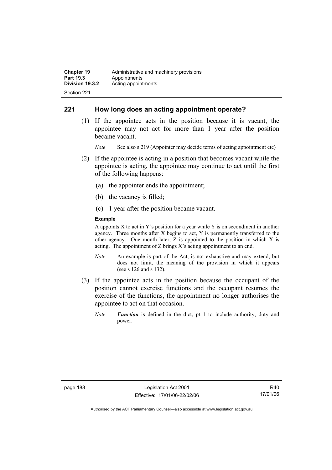### **221 How long does an acting appointment operate?**

 (1) If the appointee acts in the position because it is vacant, the appointee may not act for more than 1 year after the position became vacant.

*Note* See also s 219 (Appointer may decide terms of acting appointment etc)

- (2) If the appointee is acting in a position that becomes vacant while the appointee is acting, the appointee may continue to act until the first of the following happens:
	- (a) the appointer ends the appointment;
	- (b) the vacancy is filled;
	- (c) 1 year after the position became vacant.

#### **Example**

A appoints  $X$  to act in Y's position for a year while Y is on secondment in another agency. Three months after X begins to act, Y is permanently transferred to the other agency. One month later, Z is appointed to the position in which X is acting. The appointment of Z brings X's acting appointment to an end.

- *Note* An example is part of the Act, is not exhaustive and may extend, but does not limit, the meaning of the provision in which it appears (see s 126 and s 132).
- (3) If the appointee acts in the position because the occupant of the position cannot exercise functions and the occupant resumes the exercise of the functions, the appointment no longer authorises the appointee to act on that occasion.
	- *Note Function* is defined in the dict, pt 1 to include authority, duty and power.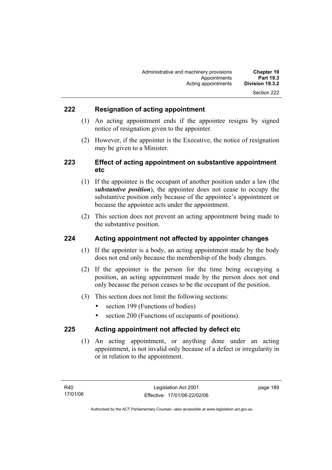### **222 Resignation of acting appointment**

- (1) An acting appointment ends if the appointee resigns by signed notice of resignation given to the appointer.
- (2) However, if the appointer is the Executive, the notice of resignation may be given to a Minister.

### **223 Effect of acting appointment on substantive appointment etc**

- (1) If the appointee is the occupant of another position under a law (the *substantive position*), the appointee does not cease to occupy the substantive position only because of the appointee's appointment or because the appointee acts under the appointment.
- (2) This section does not prevent an acting appointment being made to the substantive position.

### **224 Acting appointment not affected by appointer changes**

- (1) If the appointer is a body, an acting appointment made by the body does not end only because the membership of the body changes.
- (2) If the appointer is the person for the time being occupying a position, an acting appointment made by the person does not end only because the person ceases to be the occupant of the position.
- (3) This section does not limit the following sections:
	- section 199 (Functions of bodies)
	- section 200 (Functions of occupants of positions).

### **225 Acting appointment not affected by defect etc**

 (1) An acting appointment, or anything done under an acting appointment, is not invalid only because of a defect or irregularity in or in relation to the appointment.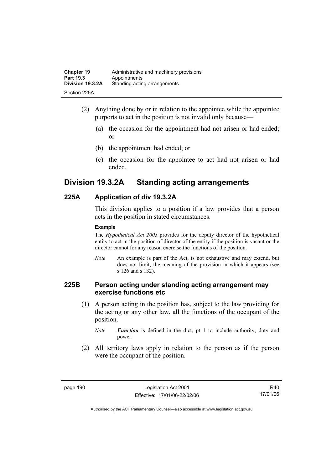| <b>Chapter 19</b> | Administrative and machinery provisions |
|-------------------|-----------------------------------------|
| Part 19.3         | Appointments                            |
| Division 19.3.2A  | Standing acting arrangements            |
| Section 225A      |                                         |

- (2) Anything done by or in relation to the appointee while the appointee purports to act in the position is not invalid only because—
	- (a) the occasion for the appointment had not arisen or had ended; or
	- (b) the appointment had ended; or
	- (c) the occasion for the appointee to act had not arisen or had ended.

## **Division 19.3.2A Standing acting arrangements**

### **225A Application of div 19.3.2A**

This division applies to a position if a law provides that a person acts in the position in stated circumstances.

#### **Example**

The *Hypothetical Act 2003* provides for the deputy director of the hypothetical entity to act in the position of director of the entity if the position is vacant or the director cannot for any reason exercise the functions of the position.

*Note* An example is part of the Act, is not exhaustive and may extend, but does not limit, the meaning of the provision in which it appears (see s 126 and s 132).

### **225B Person acting under standing acting arrangement may exercise functions etc**

 (1) A person acting in the position has, subject to the law providing for the acting or any other law, all the functions of the occupant of the position.

*Note Function* is defined in the dict, pt 1 to include authority, duty and power.

 (2) All territory laws apply in relation to the person as if the person were the occupant of the position.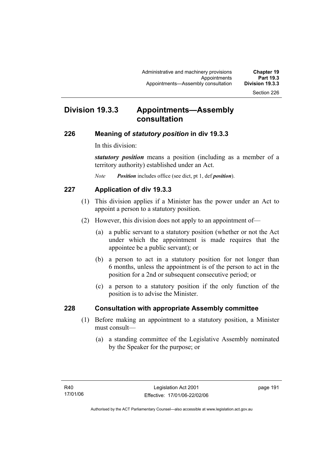## **Division 19.3.3 Appointments—Assembly consultation**

#### **226 Meaning of** *statutory position* **in div 19.3.3**

In this division:

*statutory position* means a position (including as a member of a territory authority) established under an Act.

*Note Position* includes office (see dict, pt 1, def *position*).

### **227 Application of div 19.3.3**

- (1) This division applies if a Minister has the power under an Act to appoint a person to a statutory position.
- (2) However, this division does not apply to an appointment of—
	- (a) a public servant to a statutory position (whether or not the Act under which the appointment is made requires that the appointee be a public servant); or
	- (b) a person to act in a statutory position for not longer than 6 months, unless the appointment is of the person to act in the position for a 2nd or subsequent consecutive period; or
	- (c) a person to a statutory position if the only function of the position is to advise the Minister.

### **228 Consultation with appropriate Assembly committee**

- (1) Before making an appointment to a statutory position, a Minister must consult—
	- (a) a standing committee of the Legislative Assembly nominated by the Speaker for the purpose; or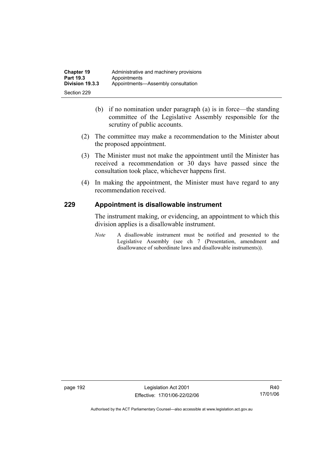- (b) if no nomination under paragraph (a) is in force—the standing committee of the Legislative Assembly responsible for the scrutiny of public accounts.
- (2) The committee may make a recommendation to the Minister about the proposed appointment.
- (3) The Minister must not make the appointment until the Minister has received a recommendation or 30 days have passed since the consultation took place, whichever happens first.
- (4) In making the appointment, the Minister must have regard to any recommendation received.

### **229 Appointment is disallowable instrument**

The instrument making, or evidencing, an appointment to which this division applies is a disallowable instrument.

*Note* A disallowable instrument must be notified and presented to the Legislative Assembly (see ch 7 (Presentation, amendment and disallowance of subordinate laws and disallowable instruments)).

page 192 Legislation Act 2001 Effective: 17/01/06-22/02/06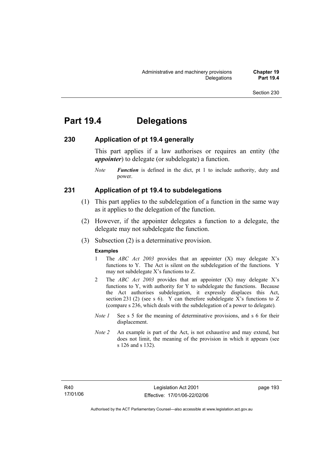## **Part 19.4 Delegations**

### **230 Application of pt 19.4 generally**

This part applies if a law authorises or requires an entity (the *appointer*) to delegate (or subdelegate) a function.

*Note Function* is defined in the dict, pt 1 to include authority, duty and power.

### **231 Application of pt 19.4 to subdelegations**

- (1) This part applies to the subdelegation of a function in the same way as it applies to the delegation of the function.
- (2) However, if the appointer delegates a function to a delegate, the delegate may not subdelegate the function.
- (3) Subsection (2) is a determinative provision.

#### **Examples**

- 1 The *ABC Act 2003* provides that an appointer (X) may delegate X's functions to Y. The Act is silent on the subdelegation of the functions. Y may not subdelegate X's functions to Z.
- 2 The *ABC Act 2003* provides that an appointer (X) may delegate X's functions to Y, with authority for Y to subdelegate the functions. Because the Act authorises subdelegation, it expressly displaces this Act, section 231 (2) (see s 6). Y can therefore subdelegate X's functions to  $Z$ (compare s 236, which deals with the subdelegation of a power to delegate)*.*
- *Note 1* See s 5 for the meaning of determinative provisions, and s 6 for their displacement.
- *Note 2* An example is part of the Act, is not exhaustive and may extend, but does not limit, the meaning of the provision in which it appears (see s 126 and s 132).

page 193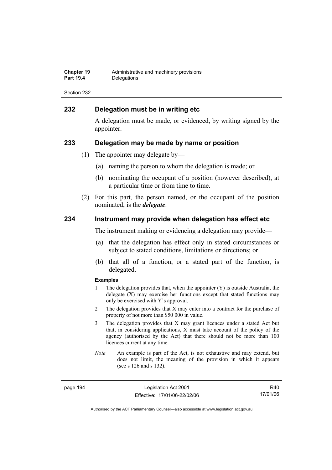| Chapter 19       | Administrative and machinery provisions |
|------------------|-----------------------------------------|
| <b>Part 19.4</b> | Delegations                             |

### **232 Delegation must be in writing etc**

A delegation must be made, or evidenced, by writing signed by the appointer.

#### **233 Delegation may be made by name or position**

- (1) The appointer may delegate by—
	- (a) naming the person to whom the delegation is made; or
	- (b) nominating the occupant of a position (however described), at a particular time or from time to time.
- (2) For this part, the person named, or the occupant of the position nominated, is the *delegate*.

#### **234 Instrument may provide when delegation has effect etc**

The instrument making or evidencing a delegation may provide—

- (a) that the delegation has effect only in stated circumstances or subject to stated conditions, limitations or directions; or
- (b) that all of a function, or a stated part of the function, is delegated.

#### **Examples**

- 1 The delegation provides that, when the appointer (Y) is outside Australia, the delegate (X) may exercise her functions except that stated functions may only be exercised with Y's approval.
- 2 The delegation provides that X may enter into a contract for the purchase of property of not more than \$50 000 in value.
- 3 The delegation provides that X may grant licences under a stated Act but that, in considering applications, X must take account of the policy of the agency (authorised by the Act) that there should not be more than 100 licences current at any time.
- *Note* An example is part of the Act, is not exhaustive and may extend, but does not limit, the meaning of the provision in which it appears (see s 126 and s 132).

page 194 Legislation Act 2001 Effective: 17/01/06-22/02/06

R40 17/01/06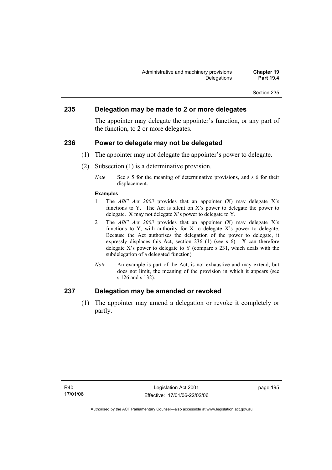### **235 Delegation may be made to 2 or more delegates**

The appointer may delegate the appointer's function, or any part of the function, to 2 or more delegates.

### **236 Power to delegate may not be delegated**

- (1) The appointer may not delegate the appointer's power to delegate.
- (2) Subsection (1) is a determinative provision.
	- *Note* See s 5 for the meaning of determinative provisions, and s 6 for their displacement.

#### **Examples**

- 1 The *ABC Act 2003* provides that an appointer (X) may delegate X's functions to Y. The Act is silent on X's power to delegate the power to delegate. X may not delegate X's power to delegate to Y.
- 2 The *ABC Act 2003* provides that an appointer (X) may delegate X's functions to Y, with authority for X to delegate X's power to delegate. Because the Act authorises the delegation of the power to delegate, it expressly displaces this Act, section 236 (1) (see s 6). X can therefore delegate  $X$ 's power to delegate to Y (compare s 231, which deals with the subdelegation of a delegated function)*.*
- *Note* An example is part of the Act, is not exhaustive and may extend, but does not limit, the meaning of the provision in which it appears (see s 126 and s 132).

### **237 Delegation may be amended or revoked**

 (1) The appointer may amend a delegation or revoke it completely or partly.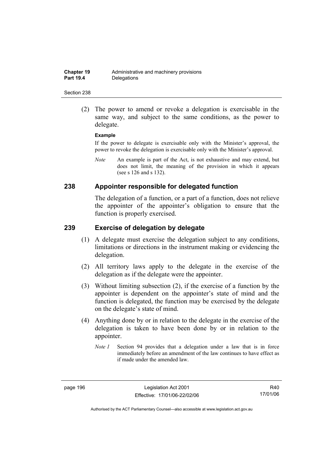(2) The power to amend or revoke a delegation is exercisable in the same way, and subject to the same conditions, as the power to delegate.

#### **Example**

If the power to delegate is exercisable only with the Minister's approval, the power to revoke the delegation is exercisable only with the Minister's approval.

*Note* An example is part of the Act, is not exhaustive and may extend, but does not limit, the meaning of the provision in which it appears (see s 126 and s 132).

### **238 Appointer responsible for delegated function**

The delegation of a function, or a part of a function, does not relieve the appointer of the appointer's obligation to ensure that the function is properly exercised.

#### **239 Exercise of delegation by delegate**

- (1) A delegate must exercise the delegation subject to any conditions, limitations or directions in the instrument making or evidencing the delegation.
- (2) All territory laws apply to the delegate in the exercise of the delegation as if the delegate were the appointer.
- (3) Without limiting subsection (2), if the exercise of a function by the appointer is dependent on the appointer's state of mind and the function is delegated, the function may be exercised by the delegate on the delegate's state of mind.
- (4) Anything done by or in relation to the delegate in the exercise of the delegation is taken to have been done by or in relation to the appointer.
	- *Note 1* Section 94 provides that a delegation under a law that is in force immediately before an amendment of the law continues to have effect as if made under the amended law.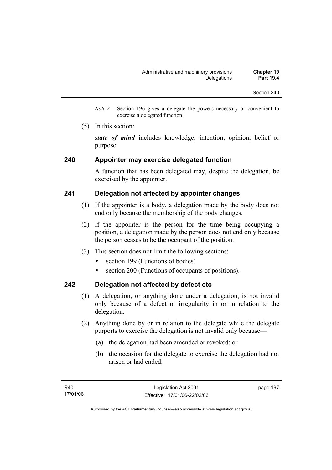- *Note 2* Section 196 gives a delegate the powers necessary or convenient to exercise a delegated function.
- (5) In this section:

*state of mind* includes knowledge, intention, opinion, belief or purpose.

### **240 Appointer may exercise delegated function**

A function that has been delegated may, despite the delegation, be exercised by the appointer.

### **241 Delegation not affected by appointer changes**

- (1) If the appointer is a body, a delegation made by the body does not end only because the membership of the body changes.
- (2) If the appointer is the person for the time being occupying a position, a delegation made by the person does not end only because the person ceases to be the occupant of the position.
- (3) This section does not limit the following sections:
	- section 199 (Functions of bodies)
	- section 200 (Functions of occupants of positions).

### **242 Delegation not affected by defect etc**

- (1) A delegation, or anything done under a delegation, is not invalid only because of a defect or irregularity in or in relation to the delegation.
- (2) Anything done by or in relation to the delegate while the delegate purports to exercise the delegation is not invalid only because—
	- (a) the delegation had been amended or revoked; or
	- (b) the occasion for the delegate to exercise the delegation had not arisen or had ended.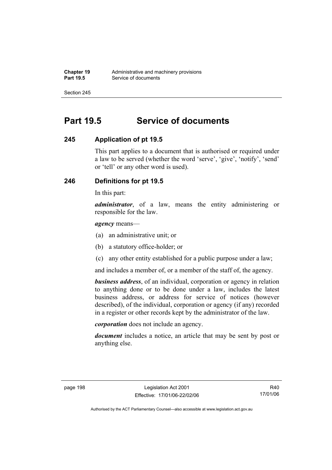## **Part 19.5 Service of documents**

### **245 Application of pt 19.5**

This part applies to a document that is authorised or required under a law to be served (whether the word 'serve', 'give', 'notify', 'send' or 'tell' or any other word is used).

### **246 Definitions for pt 19.5**

In this part:

*administrator*, of a law, means the entity administering or responsible for the law.

*agency* means—

- (a) an administrative unit; or
- (b) a statutory office-holder; or
- (c) any other entity established for a public purpose under a law;

and includes a member of, or a member of the staff of, the agency.

*business address*, of an individual, corporation or agency in relation to anything done or to be done under a law, includes the latest business address, or address for service of notices (however described), of the individual, corporation or agency (if any) recorded in a register or other records kept by the administrator of the law.

*corporation* does not include an agency.

*document* includes a notice, an article that may be sent by post or anything else.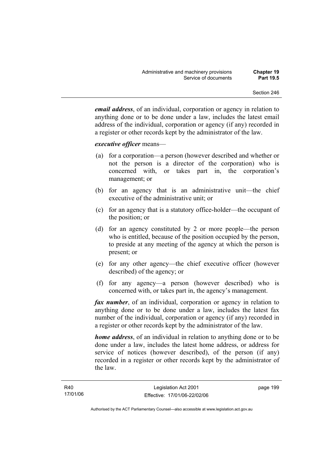*email address*, of an individual, corporation or agency in relation to anything done or to be done under a law, includes the latest email address of the individual, corporation or agency (if any) recorded in a register or other records kept by the administrator of the law.

#### *executive officer* means—

- (a) for a corporation—a person (however described and whether or not the person is a director of the corporation) who is concerned with, or takes part in, the corporation's management; or
- (b) for an agency that is an administrative unit—the chief executive of the administrative unit; or
- (c) for an agency that is a statutory office-holder—the occupant of the position; or
- (d) for an agency constituted by 2 or more people—the person who is entitled, because of the position occupied by the person, to preside at any meeting of the agency at which the person is present; or
- (e) for any other agency—the chief executive officer (however described) of the agency; or
- (f) for any agency—a person (however described) who is concerned with, or takes part in, the agency's management.

*fax number*, of an individual, corporation or agency in relation to anything done or to be done under a law, includes the latest fax number of the individual, corporation or agency (if any) recorded in a register or other records kept by the administrator of the law.

*home address*, of an individual in relation to anything done or to be done under a law, includes the latest home address, or address for service of notices (however described), of the person (if any) recorded in a register or other records kept by the administrator of the law.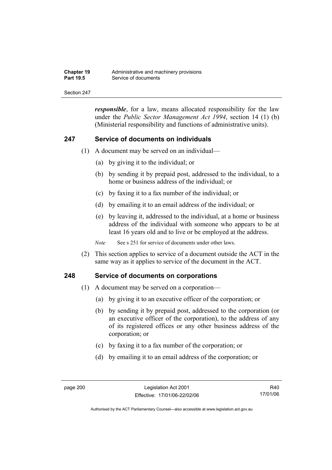| <b>Chapter 19</b> | Administrative and machinery provisions |
|-------------------|-----------------------------------------|
| <b>Part 19.5</b>  | Service of documents                    |

*responsible*, for a law, means allocated responsibility for the law under the *Public Sector Management Act 1994*, section 14 (1) (b) (Ministerial responsibility and functions of administrative units).

#### **247 Service of documents on individuals**

- (1) A document may be served on an individual—
	- (a) by giving it to the individual; or
	- (b) by sending it by prepaid post, addressed to the individual, to a home or business address of the individual; or
	- (c) by faxing it to a fax number of the individual; or
	- (d) by emailing it to an email address of the individual; or
	- (e) by leaving it, addressed to the individual, at a home or business address of the individual with someone who appears to be at least 16 years old and to live or be employed at the address.

*Note* See s 251 for service of documents under other laws.

 (2) This section applies to service of a document outside the ACT in the same way as it applies to service of the document in the ACT.

#### **248 Service of documents on corporations**

- (1) A document may be served on a corporation—
	- (a) by giving it to an executive officer of the corporation; or
	- (b) by sending it by prepaid post, addressed to the corporation (or an executive officer of the corporation), to the address of any of its registered offices or any other business address of the corporation; or
	- (c) by faxing it to a fax number of the corporation; or
	- (d) by emailing it to an email address of the corporation; or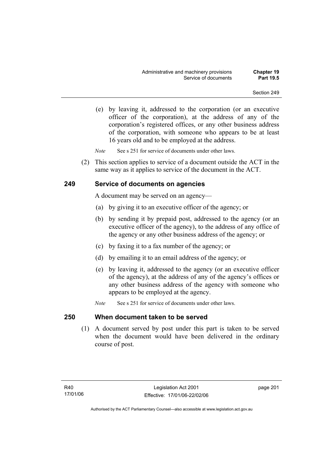(e) by leaving it, addressed to the corporation (or an executive officer of the corporation), at the address of any of the corporation's registered offices, or any other business address of the corporation, with someone who appears to be at least 16 years old and to be employed at the address.

*Note* See s 251 for service of documents under other laws.

 (2) This section applies to service of a document outside the ACT in the same way as it applies to service of the document in the ACT.

## **249 Service of documents on agencies**

A document may be served on an agency—

- (a) by giving it to an executive officer of the agency; or
- (b) by sending it by prepaid post, addressed to the agency (or an executive officer of the agency), to the address of any office of the agency or any other business address of the agency; or
- (c) by faxing it to a fax number of the agency; or
- (d) by emailing it to an email address of the agency; or
- (e) by leaving it, addressed to the agency (or an executive officer of the agency), at the address of any of the agency's offices or any other business address of the agency with someone who appears to be employed at the agency.
- *Note* See s 251 for service of documents under other laws.

### **250 When document taken to be served**

 (1) A document served by post under this part is taken to be served when the document would have been delivered in the ordinary course of post.

page 201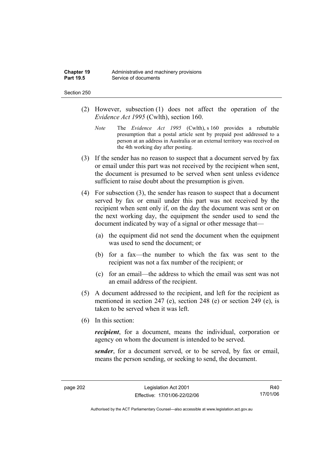#### Section 250

- (2) However, subsection (1) does not affect the operation of the *Evidence Act 1995* (Cwlth), section 160.
	- *Note* The *Evidence Act 1995* (Cwlth), s 160 provides a rebuttable presumption that a postal article sent by prepaid post addressed to a person at an address in Australia or an external territory was received on the 4th working day after posting.
- (3) If the sender has no reason to suspect that a document served by fax or email under this part was not received by the recipient when sent, the document is presumed to be served when sent unless evidence sufficient to raise doubt about the presumption is given.
- (4) For subsection (3), the sender has reason to suspect that a document served by fax or email under this part was not received by the recipient when sent only if, on the day the document was sent or on the next working day, the equipment the sender used to send the document indicated by way of a signal or other message that—
	- (a) the equipment did not send the document when the equipment was used to send the document; or
	- (b) for a fax—the number to which the fax was sent to the recipient was not a fax number of the recipient; or
	- (c) for an email—the address to which the email was sent was not an email address of the recipient.
- (5) A document addressed to the recipient, and left for the recipient as mentioned in section 247 (e), section 248 (e) or section 249 (e), is taken to be served when it was left.
- (6) In this section:

*recipient*, for a document, means the individual, corporation or agency on whom the document is intended to be served.

*sender*, for a document served, or to be served, by fax or email, means the person sending, or seeking to send, the document.

R40 17/01/06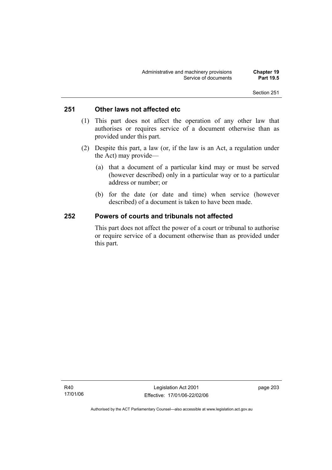## **251 Other laws not affected etc**

- (1) This part does not affect the operation of any other law that authorises or requires service of a document otherwise than as provided under this part.
- (2) Despite this part, a law (or, if the law is an Act, a regulation under the Act) may provide—
	- (a) that a document of a particular kind may or must be served (however described) only in a particular way or to a particular address or number; or
	- (b) for the date (or date and time) when service (however described) of a document is taken to have been made.

## **252 Powers of courts and tribunals not affected**

This part does not affect the power of a court or tribunal to authorise or require service of a document otherwise than as provided under this part.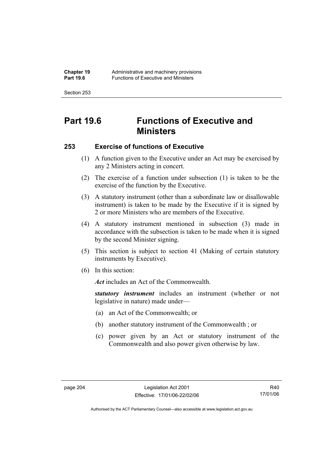Section 253

# **Part 19.6 Functions of Executive and Ministers**

## **253 Exercise of functions of Executive**

- (1) A function given to the Executive under an Act may be exercised by any 2 Ministers acting in concert.
- (2) The exercise of a function under subsection (1) is taken to be the exercise of the function by the Executive.
- (3) A statutory instrument (other than a subordinate law or disallowable instrument) is taken to be made by the Executive if it is signed by 2 or more Ministers who are members of the Executive.
- (4) A statutory instrument mentioned in subsection (3) made in accordance with the subsection is taken to be made when it is signed by the second Minister signing.
- (5) This section is subject to section 41 (Making of certain statutory instruments by Executive).
- (6) In this section:

Act includes an Act of the Commonwealth.

*statutory instrument* includes an instrument (whether or not legislative in nature) made under—

- (a) an Act of the Commonwealth; or
- (b) another statutory instrument of the Commonwealth ; or
- (c) power given by an Act or statutory instrument of the Commonwealth and also power given otherwise by law.

R40 17/01/06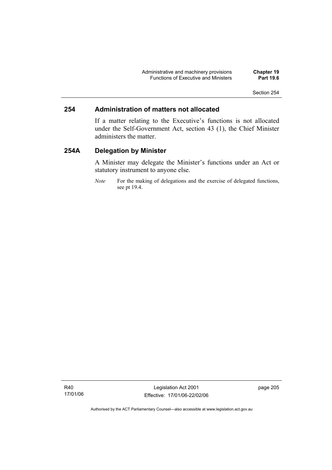Administrative and machinery provisions **Chapter 19**  Functions of Executive and Ministers **Part 19.6** 

Section 254

### **254 Administration of matters not allocated**

If a matter relating to the Executive's functions is not allocated under the Self-Government Act, section 43 (1), the Chief Minister administers the matter.

## **254A Delegation by Minister**

A Minister may delegate the Minister's functions under an Act or statutory instrument to anyone else.

*Note* For the making of delegations and the exercise of delegated functions, see pt 19.4.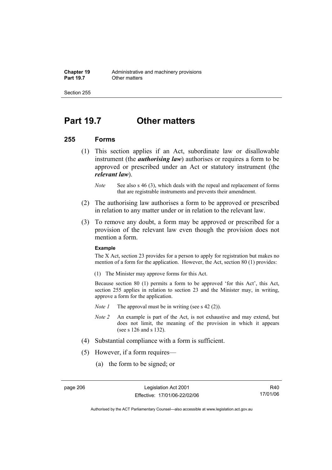Section 255

## **Part 19.7 Other matters**

#### **255 Forms**

- (1) This section applies if an Act, subordinate law or disallowable instrument (the *authorising law*) authorises or requires a form to be approved or prescribed under an Act or statutory instrument (the *relevant law*).
	- *Note* See also s 46 (3), which deals with the repeal and replacement of forms that are registrable instruments and prevents their amendment.
- (2) The authorising law authorises a form to be approved or prescribed in relation to any matter under or in relation to the relevant law.
- (3) To remove any doubt, a form may be approved or prescribed for a provision of the relevant law even though the provision does not mention a form.

#### **Example**

The X Act, section 23 provides for a person to apply for registration but makes no mention of a form for the application. However, the Act, section 80 (1) provides:

(1) The Minister may approve forms for this Act.

Because section 80 (1) permits a form to be approved 'for this Act', this Act, section 255 applies in relation to section 23 and the Minister may, in writing, approve a form for the application.

- *Note 1* The approval must be in writing (see s 42 (2)).
- *Note 2* An example is part of the Act, is not exhaustive and may extend, but does not limit, the meaning of the provision in which it appears (see s 126 and s 132).
- (4) Substantial compliance with a form is sufficient.
- (5) However, if a form requires—
	- (a) the form to be signed; or

R40 17/01/06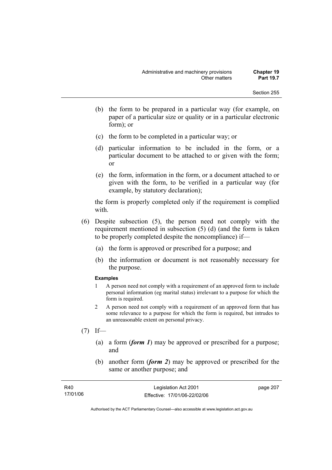- (b) the form to be prepared in a particular way (for example, on paper of a particular size or quality or in a particular electronic form); or
- (c) the form to be completed in a particular way; or
- (d) particular information to be included in the form, or a particular document to be attached to or given with the form; or
- (e) the form, information in the form, or a document attached to or given with the form, to be verified in a particular way (for example, by statutory declaration);

the form is properly completed only if the requirement is complied with.

- (6) Despite subsection (5), the person need not comply with the requirement mentioned in subsection (5) (d) (and the form is taken to be properly completed despite the noncompliance) if—
	- (a) the form is approved or prescribed for a purpose; and
	- (b) the information or document is not reasonably necessary for the purpose.

#### **Examples**

- 1 A person need not comply with a requirement of an approved form to include personal information (eg marital status) irrelevant to a purpose for which the form is required.
- 2 A person need not comply with a requirement of an approved form that has some relevance to a purpose for which the form is required, but intrudes to an unreasonable extent on personal privacy.
- $(7)$  If—
	- (a) a form (*form 1*) may be approved or prescribed for a purpose; and
	- (b) another form (*form 2*) may be approved or prescribed for the same or another purpose; and

| R40      | Legislation Act 2001         | page 207 |
|----------|------------------------------|----------|
| 17/01/06 | Effective: 17/01/06-22/02/06 |          |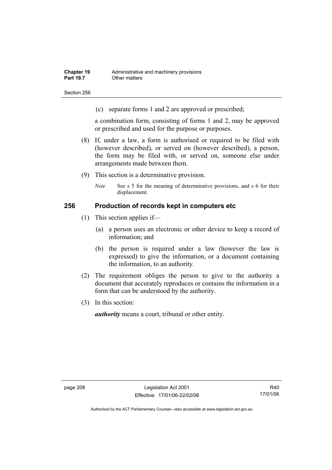Section 256

(c) separate forms 1 and 2 are approved or prescribed;

a combination form, consisting of forms 1 and 2, may be approved or prescribed and used for the purpose or purposes.

- (8) If, under a law, a form is authorised or required to be filed with (however described), or served on (however described), a person, the form may be filed with, or served on, someone else under arrangements made between them.
- (9) This section is a determinative provision.
	- *Note* See s 5 for the meaning of determinative provisions, and s 6 for their displacement.

#### **256 Production of records kept in computers etc**

- (1) This section applies if—
	- (a) a person uses an electronic or other device to keep a record of information; and
	- (b) the person is required under a law (however the law is expressed) to give the information, or a document containing the information, to an authority.
- (2) The requirement obliges the person to give to the authority a document that accurately reproduces or contains the information in a form that can be understood by the authority.
- (3) In this section:

*authority* means a court, tribunal or other entity.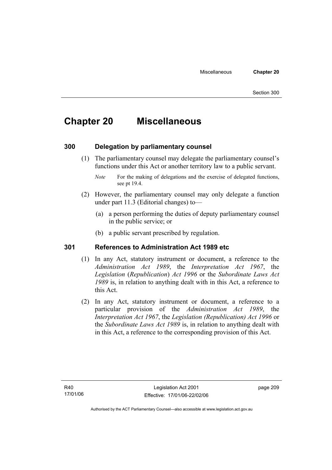# **Chapter 20 Miscellaneous**

## **300 Delegation by parliamentary counsel**

 (1) The parliamentary counsel may delegate the parliamentary counsel's functions under this Act or another territory law to a public servant.

- (2) However, the parliamentary counsel may only delegate a function under part 11.3 (Editorial changes) to—
	- (a) a person performing the duties of deputy parliamentary counsel in the public service; or
	- (b) a public servant prescribed by regulation.

### **301 References to Administration Act 1989 etc**

- (1) In any Act, statutory instrument or document, a reference to the *Administration Act 1989*, the *Interpretation Act 1967*, the *Legislation* (*Republication*) *Act 1996* or the *Subordinate Laws Act 1989* is, in relation to anything dealt with in this Act, a reference to this Act.
- (2) In any Act, statutory instrument or document, a reference to a particular provision of the *Administration Act 1989*, the *Interpretation Act 1967*, the *Legislation (Republication) Act 1996* or the *Subordinate Laws Act 1989* is, in relation to anything dealt with in this Act, a reference to the corresponding provision of this Act.

*Note* For the making of delegations and the exercise of delegated functions, see pt 19.4.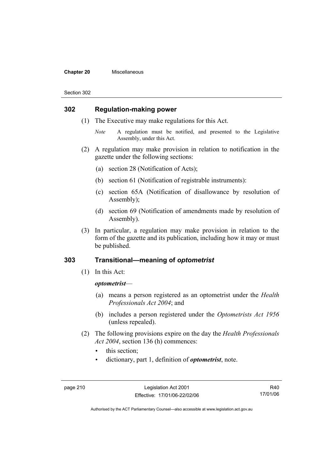#### **Chapter 20** Miscellaneous

#### Section 302

### **302 Regulation-making power**

- (1) The Executive may make regulations for this Act.
	- *Note* A regulation must be notified, and presented to the Legislative Assembly, under this Act.
- (2) A regulation may make provision in relation to notification in the gazette under the following sections:
	- (a) section 28 (Notification of Acts);
	- (b) section 61 (Notification of registrable instruments):
	- (c) section 65A (Notification of disallowance by resolution of Assembly);
	- (d) section 69 (Notification of amendments made by resolution of Assembly).
- (3) In particular, a regulation may make provision in relation to the form of the gazette and its publication, including how it may or must be published.

## **303 Transitional—meaning of** *optometrist*

(1) In this Act:

#### *optometrist*—

- (a) means a person registered as an optometrist under the *Health Professionals Act 2004*; and
- (b) includes a person registered under the *Optometrists Act 1956* (unless repealed).
- (2) The following provisions expire on the day the *Health Professionals Act 2004*, section 136 (h) commences:
	- this section:
	- dictionary, part 1, definition of *optometrist*, note.

R40 17/01/06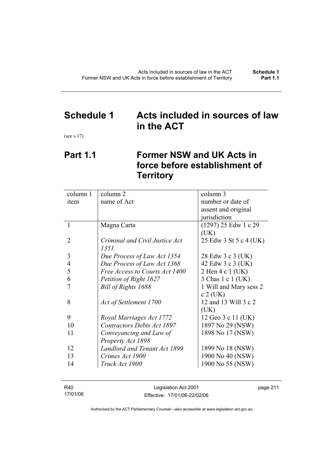## **Schedule 1 Acts included in sources of law in the ACT**

(see s 17)

## **Part 1.1 Former NSW and UK Acts in force before establishment of Territory**

| column 1 | column 2                          | column 3               |
|----------|-----------------------------------|------------------------|
| item     | name of Act                       | number or date of      |
|          |                                   | assent and original    |
|          |                                   | jurisdiction           |
| 1        | Magna Carta                       | $(1297)$ 25 Edw 1 c 29 |
|          |                                   | (UK)                   |
| 2        | Criminal and Civil Justice Act    | 25 Edw 3 St 5 c 4 (UK) |
|          | 1351                              |                        |
| 3        | Due Process of Law Act 1354       | 28 Edw 3 c 3 (UK)      |
| 4        | Due Process of Law Act 1368       | 42 Edw 3 c 3 (UK)      |
| 5        | Free Access to Courts Act 1400    | 2 Hen 4 c 1 (UK)       |
| 6        | Petition of Right 1627            | 3 Chas 1 c 1 (UK)      |
|          | Bill of Rights 1688               | 1 Will and Mary sess 2 |
|          |                                   | $c$ 2 (UK)             |
| 8        | Act of Settlement 1700            | 12 and 13 Will 3 c 2   |
|          |                                   | (UK)                   |
| 9        | Royal Marriages Act 1772          | 12 Geo 3 c 11 (UK)     |
| 10       | <b>Contractors Debts Act 1897</b> | 1897 No 29 (NSW)       |
| 11       | Conveyancing and Law of           | 1898 No 17 (NSW)       |
|          | Property Act 1898                 |                        |
| 12       | Landlord and Tenant Act 1899      | 1899 No 18 (NSW)       |
| 13       | Crimes Act 1900                   | 1900 No 40 (NSW)       |
| 14       | Truck Act 1900                    | 1900 No 55 (NSW)       |
|          |                                   |                        |

| R40      | Legislation Act 2001         | page 211 |
|----------|------------------------------|----------|
| 17/01/06 | Effective: 17/01/06-22/02/06 |          |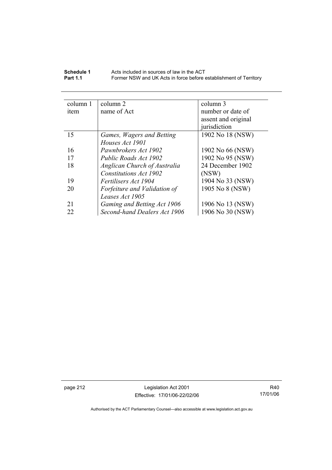| Schedule 1      | Acts included in sources of law in the ACT                        |
|-----------------|-------------------------------------------------------------------|
| <b>Part 1.1</b> | Former NSW and UK Acts in force before establishment of Territory |

| column 2                     | column 3            |
|------------------------------|---------------------|
| name of Act                  | number or date of   |
|                              | assent and original |
|                              | jurisdiction        |
| Games, Wagers and Betting    | 1902 No 18 (NSW)    |
| Houses Act 1901              |                     |
| Pawnbrokers Act 1902         | 1902 No 66 (NSW)    |
| Public Roads Act 1902        | 1902 No 95 (NSW)    |
| Anglican Church of Australia | 24 December 1902    |
| Constitutions Act 1902       | (NSW)               |
| Fertilisers Act 1904         | 1904 No 33 (NSW)    |
| Forfeiture and Validation of | 1905 No 8 (NSW)     |
| Leases Act 1905              |                     |
| Gaming and Betting Act 1906  | 1906 No 13 (NSW)    |
| Second-hand Dealers Act 1906 | 1906 No 30 (NSW)    |
|                              |                     |

page 212 Legislation Act 2001 Effective: 17/01/06-22/02/06

R40 17/01/06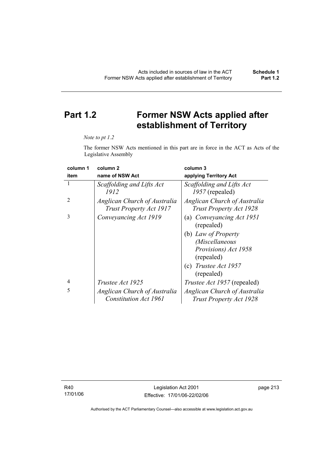# **Part 1.2 Former NSW Acts applied after establishment of Territory**

#### *Note to pt 1.2*

The former NSW Acts mentioned in this part are in force in the ACT as Acts of the Legislative Assembly

| column 1       | column <sub>2</sub>                                     | column 3                                                       |
|----------------|---------------------------------------------------------|----------------------------------------------------------------|
| item           | name of NSW Act                                         | applying Territory Act                                         |
| 1              | Scaffolding and Lifts Act<br>1912                       | Scaffolding and Lifts Act<br>1957 (repealed)                   |
| $\overline{2}$ | Anglican Church of Australia<br>Trust Property Act 1917 | Anglican Church of Australia<br><b>Trust Property Act 1928</b> |
| 3              | Conveyancing Act 1919                                   | (a) Conveyancing Act 1951<br>(repealed)                        |
|                |                                                         | (b) Law of Property                                            |
|                |                                                         | (Miscellaneous                                                 |
|                |                                                         | Provisions) Act 1958<br>(repealed)                             |
|                |                                                         | (c) Trustee Act $1957$<br>(repealed)                           |
| 4              | <i>Trustee Act 1925</i>                                 | <i>Trustee Act 1957</i> (repealed)                             |
| 5              | Anglican Church of Australia                            | Anglican Church of Australia                                   |
|                | <b>Constitution Act 1961</b>                            | Trust Property Act 1928                                        |

R40 17/01/06 page 213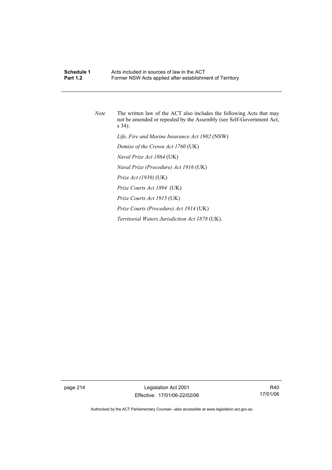## **Schedule 1 Acts included in sources of law in the ACT**<br>**Part 1.2 Example 5 Former NSW Acts annied after establishm** Former NSW Acts applied after establishment of Territory

*Note* The written law of the ACT also includes the following Acts that may not be amended or repealed by the Assembly (see Self-Government Act, s 34):  *Life, Fire and Marine Insurance Act 1902* (NSW)  *Demise of the Crown Act 1760* (UK)  *Naval Prize Act 1864* (UK)  *Naval Prize (Procedure) Act 1916* (UK)  *Prize Act (1939)* (UK)  *Prize Courts Act 1894* (UK)  *Prize Courts Act 1915* (UK)  *Prize Courts (Procedure) Act 1914* (UK)  *Territorial Waters Jurisdiction Act 1878* (UK).

page 214 Legislation Act 2001 Effective: 17/01/06-22/02/06

R40 17/01/06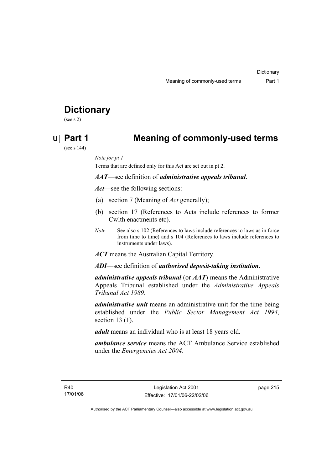# **Dictionary**

(see s 2)

## **U Part 1 Meaning of commonly-used terms**

(see s 144)

*Note for pt 1* 

Terms that are defined only for this Act are set out in pt 2.

*AAT*—see definition of *administrative appeals tribunal*.

*Act*—see the following sections:

- (a) section 7 (Meaning of *Act* generally);
- (b) section 17 (References to Acts include references to former Cwlth enactments etc).
- *Note* See also s 102 (References to laws include references to laws as in force from time to time) and s 104 (References to laws include references to instruments under laws).

*ACT* means the Australian Capital Territory.

*ADI*—see definition of *authorised deposit-taking institution*.

*administrative appeals tribunal* (or *AAT*) means the Administrative Appeals Tribunal established under the *Administrative Appeals Tribunal Act 1989*.

*administrative unit* means an administrative unit for the time being established under the *Public Sector Management Act 1994*, section 13 (1).

*adult* means an individual who is at least 18 years old.

*ambulance service* means the ACT Ambulance Service established under the *Emergencies Act 2004*.

R40 17/01/06 page 215

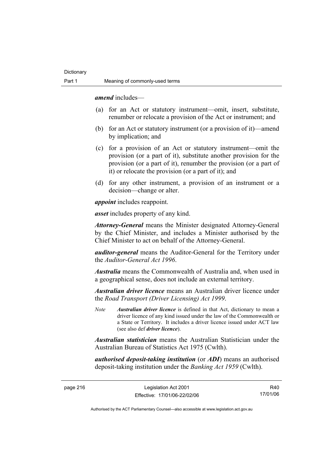*amend* includes—

- (a) for an Act or statutory instrument—omit, insert, substitute, renumber or relocate a provision of the Act or instrument; and
- (b) for an Act or statutory instrument (or a provision of it)—amend by implication; and
- (c) for a provision of an Act or statutory instrument—omit the provision (or a part of it), substitute another provision for the provision (or a part of it), renumber the provision (or a part of it) or relocate the provision (or a part of it); and
- (d) for any other instrument, a provision of an instrument or a decision—change or alter.

*appoint* includes reappoint.

*asset* includes property of any kind.

*Attorney-General* means the Minister designated Attorney-General by the Chief Minister, and includes a Minister authorised by the Chief Minister to act on behalf of the Attorney-General.

*auditor-general* means the Auditor-General for the Territory under the *Auditor-General Act 1996*.

*Australia* means the Commonwealth of Australia and, when used in a geographical sense, does not include an external territory.

*Australian driver licence* means an Australian driver licence under the *Road Transport (Driver Licensing) Act 1999*.

*Note Australian driver licence* is defined in that Act, dictionary to mean a driver licence of any kind issued under the law of the Commonwealth or a State or Territory. It includes a driver licence issued under ACT law (see also def *driver licence*).

*Australian statistician* means the Australian Statistician under the Australian Bureau of Statistics Act 1975 (Cwlth).

*authorised deposit-taking institution* (or *ADI*) means an authorised deposit-taking institution under the *Banking Act 1959* (Cwlth).

page 216 Legislation Act 2001 Effective: 17/01/06-22/02/06

R40 17/01/06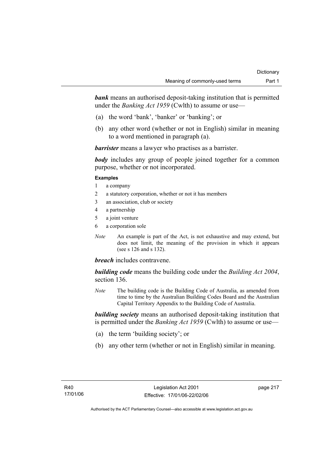**bank** means an authorised deposit-taking institution that is permitted under the *Banking Act 1959* (Cwlth) to assume or use—

- (a) the word 'bank', 'banker' or 'banking'; or
- (b) any other word (whether or not in English) similar in meaning to a word mentioned in paragraph (a).

*barrister* means a lawyer who practises as a barrister.

*body* includes any group of people joined together for a common purpose, whether or not incorporated.

#### **Examples**

- 1 a company
- 2 a statutory corporation, whether or not it has members
- 3 an association, club or society
- 4 a partnership
- 5 a joint venture
- 6 a corporation sole
- *Note* An example is part of the Act, is not exhaustive and may extend, but does not limit, the meaning of the provision in which it appears (see s 126 and s 132).

### *breach* includes contravene.

*building code* means the building code under the *Building Act 2004*, section 136.

*Note* The building code is the Building Code of Australia, as amended from time to time by the Australian Building Codes Board and the Australian Capital Territory Appendix to the Building Code of Australia.

*building society* means an authorised deposit-taking institution that is permitted under the *Banking Act 1959* (Cwlth) to assume or use—

- (a) the term 'building society'; or
- (b) any other term (whether or not in English) similar in meaning.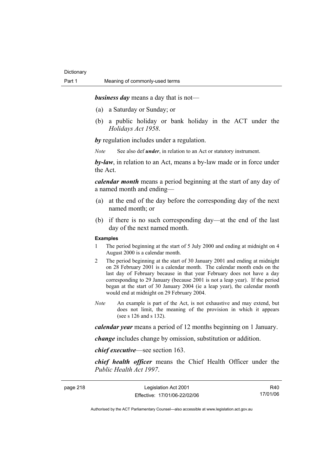*business day* means a day that is not—

- (a) a Saturday or Sunday; or
- (b) a public holiday or bank holiday in the ACT under the *Holidays Act 1958*.

*by* regulation includes under a regulation.

*Note* See also def *under*, in relation to an Act or statutory instrument.

*by-law*, in relation to an Act, means a by-law made or in force under the Act.

*calendar month* means a period beginning at the start of any day of a named month and ending—

- (a) at the end of the day before the corresponding day of the next named month; or
- (b) if there is no such corresponding day—at the end of the last day of the next named month.

#### **Examples**

- 1 The period beginning at the start of 5 July 2000 and ending at midnight on 4 August 2000 is a calendar month.
- 2 The period beginning at the start of 30 January 2001 and ending at midnight on 28 February 2001 is a calendar month. The calendar month ends on the last day of February because in that year February does not have a day corresponding to 29 January (because 2001 is not a leap year). If the period began at the start of 30 January 2004 (ie a leap year), the calendar month would end at midnight on 29 February 2004.
- *Note* An example is part of the Act, is not exhaustive and may extend, but does not limit, the meaning of the provision in which it appears (see s 126 and s 132).

*calendar year* means a period of 12 months beginning on 1 January.

*change* includes change by omission, substitution or addition.

*chief executive*—see section 163.

*chief health officer* means the Chief Health Officer under the *Public Health Act 1997*.

| page 218 |  |
|----------|--|
|----------|--|

page 218 Legislation Act 2001 Effective: 17/01/06-22/02/06

R40 17/01/06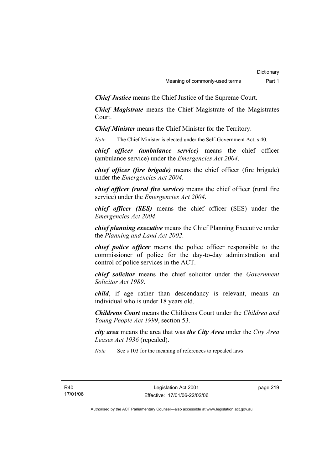*Chief Justice* means the Chief Justice of the Supreme Court.

*Chief Magistrate* means the Chief Magistrate of the Magistrates Court.

*Chief Minister* means the Chief Minister for the Territory.

*Note* The Chief Minister is elected under the Self-Government Act, s 40.

*chief officer (ambulance service)* means the chief officer (ambulance service) under the *Emergencies Act 2004*.

*chief officer (fire brigade)* means the chief officer (fire brigade) under the *Emergencies Act 2004*.

*chief officer (rural fire service)* means the chief officer (rural fire service) under the *Emergencies Act 2004*.

*chief officer (SES)* means the chief officer (SES) under the *Emergencies Act 2004*.

*chief planning executive* means the Chief Planning Executive under the *Planning and Land Act 2002*.

*chief police officer* means the police officer responsible to the commissioner of police for the day-to-day administration and control of police services in the ACT.

*chief solicitor* means the chief solicitor under the *Government Solicitor Act 1989*.

*child*, if age rather than descendancy is relevant, means an individual who is under 18 years old.

*Childrens Court* means the Childrens Court under the *Children and Young People Act 1999*, section 53.

*city area* means the area that was *the City Area* under the *City Area Leases Act 1936* (repealed).

*Note* See s 103 for the meaning of references to repealed laws.

R40 17/01/06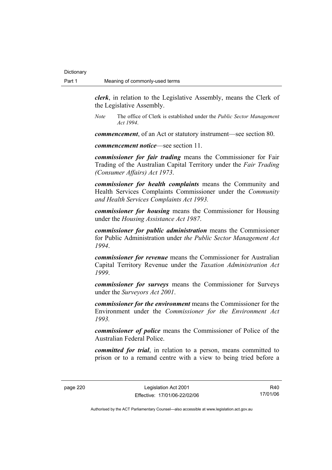*clerk*, in relation to the Legislative Assembly, means the Clerk of the Legislative Assembly.

*Note* The office of Clerk is established under the *Public Sector Management Act 1994*.

*commencement*, of an Act or statutory instrument—see section 80.

*commencement notice*—see section 11.

*commissioner for fair trading* means the Commissioner for Fair Trading of the Australian Capital Territory under the *Fair Trading (Consumer Affairs) Act 1973*.

*commissioner for health complaints* means the Community and Health Services Complaints Commissioner under the *Community and Health Services Complaints Act 1993.* 

*commissioner for housing* means the Commissioner for Housing under the *Housing Assistance Act 1987*.

*commissioner for public administration* means the Commissioner for Public Administration under *the Public Sector Management Act 1994*.

*commissioner for revenue* means the Commissioner for Australian Capital Territory Revenue under the *Taxation Administration Act 1999*.

*commissioner for surveys* means the Commissioner for Surveys under the *Surveyors Act 2001*.

*commissioner for the environment* means the Commissioner for the Environment under the *Commissioner for the Environment Act 1993.* 

*commissioner of police* means the Commissioner of Police of the Australian Federal Police.

*committed for trial*, in relation to a person, means committed to prison or to a remand centre with a view to being tried before a

R40 17/01/06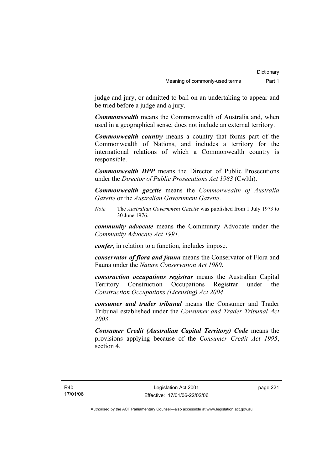judge and jury, or admitted to bail on an undertaking to appear and be tried before a judge and a jury.

*Commonwealth* means the Commonwealth of Australia and, when used in a geographical sense, does not include an external territory.

*Commonwealth country* means a country that forms part of the Commonwealth of Nations, and includes a territory for the international relations of which a Commonwealth country is responsible.

*Commonwealth DPP* means the Director of Public Prosecutions under the *Director of Public Prosecutions Act 1983* (Cwlth).

*Commonwealth gazette* means the *Commonwealth of Australia Gazette* or the *Australian Government Gazette*.

*Note* The *Australian Government Gazette* was published from 1 July 1973 to 30 June 1976.

*community advocate* means the Community Advocate under the *Community Advocate Act 1991*.

*confer*, in relation to a function, includes impose.

*conservator of flora and fauna* means the Conservator of Flora and Fauna under the *Nature Conservation Act 1980*.

*construction occupations registrar* means the Australian Capital Territory Construction Occupations Registrar under the *Construction Occupations (Licensing) Act 2004*.

*consumer and trader tribunal* means the Consumer and Trader Tribunal established under the *Consumer and Trader Tribunal Act 2003*.

*Consumer Credit (Australian Capital Territory) Code* means the provisions applying because of the *Consumer Credit Act 1995*, section 4.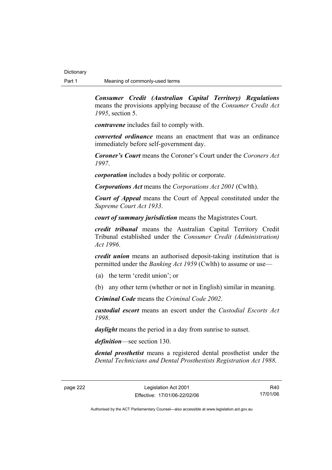*Consumer Credit (Australian Capital Territory) Regulations* means the provisions applying because of the *Consumer Credit Act 1995*, section 5.

*contravene* includes fail to comply with.

*converted ordinance* means an enactment that was an ordinance immediately before self-government day.

*Coroner's Court* means the Coroner's Court under the *Coroners Act 1997*.

*corporation* includes a body politic or corporate.

*Corporations Act* means the *Corporations Act 2001* (Cwlth).

*Court of Appeal* means the Court of Appeal constituted under the *Supreme Court Act 1933*.

*court of summary jurisdiction* means the Magistrates Court.

*credit tribunal* means the Australian Capital Territory Credit Tribunal established under the *Consumer Credit (Administration) Act 1996*.

*credit union* means an authorised deposit-taking institution that is permitted under the *Banking Act 1959* (Cwlth) to assume or use—

- (a) the term 'credit union'; or
- (b) any other term (whether or not in English) similar in meaning.

*Criminal Code* means the *Criminal Code 2002*.

*custodial escort* means an escort under the *Custodial Escorts Act 1998*.

*daylight* means the period in a day from sunrise to sunset.

*definition*—see section 130.

*dental prosthetist* means a registered dental prosthetist under the *Dental Technicians and Dental Prosthestists Registration Act 1988*.

R40 17/01/06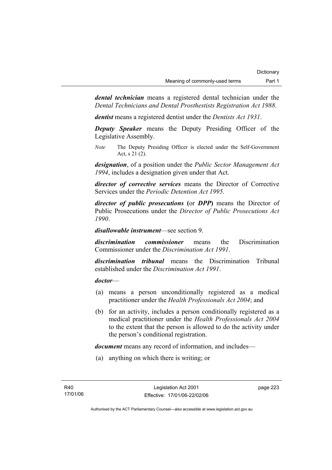*dental technician* means a registered dental technician under the *Dental Technicians and Dental Prosthestists Registration Act 1988*.

*dentist* means a registered dentist under the *Dentists Act 1931*.

*Deputy Speaker* means the Deputy Presiding Officer of the Legislative Assembly.

*Note* The Deputy Presiding Officer is elected under the Self-Government Act, s 21 (2).

*designation*, of a position under the *Public Sector Management Act 1994*, includes a designation given under that Act.

*director of corrective services* means the Director of Corrective Services under the *Periodic Detention Act 1995*.

*director of public prosecutions* **(**or *DPP***)** means the Director of Public Prosecutions under the *Director of Public Prosecutions Act 1990*.

*disallowable instrument*—see section 9.

*discrimination commissioner* means the Discrimination Commissioner under the *Discrimination Act 1991*.

*discrimination tribunal* means the Discrimination Tribunal established under the *Discrimination Act 1991*.

### *doctor*—

- (a) means a person unconditionally registered as a medical practitioner under the *Health Professionals Act 2004*; and
- (b) for an activity, includes a person conditionally registered as a medical practitioner under the *Health Professionals Act 2004*  to the extent that the person is allowed to do the activity under the person's conditional registration.

*document* means any record of information, and includes—

(a) anything on which there is writing; or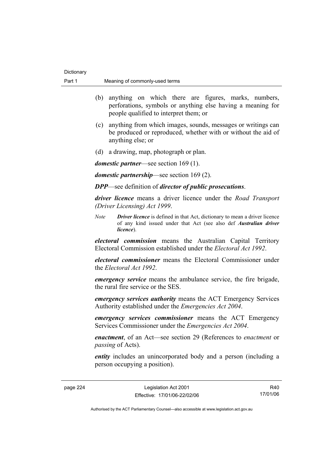| Part 1 | Meaning of commonly-used terms                                                                                                                                                                                                                         |  |
|--------|--------------------------------------------------------------------------------------------------------------------------------------------------------------------------------------------------------------------------------------------------------|--|
|        | (b) anything on which there are figures, marks, numbers,<br>perforations, symbols or anything else having a meaning for<br>people qualified to interpret them; or                                                                                      |  |
|        | (c) anything from which images, sounds, messages or writings can<br>be produced or reproduced, whether with or without the aid of<br>anything else; or                                                                                                 |  |
|        | (d) a drawing, map, photograph or plan.                                                                                                                                                                                                                |  |
|        | <i>domestic partner—see section 169 (1).</i>                                                                                                                                                                                                           |  |
|        | <i>domestic partnership</i> —see section $169(2)$ .                                                                                                                                                                                                    |  |
|        | <b>DPP</b> —see definition of <i>director of public prosecutions</i> .                                                                                                                                                                                 |  |
|        | <i>driver licence</i> means a driver licence under the <i>Road Transport</i><br>(Driver Licensing) Act 1999.                                                                                                                                           |  |
|        | <b>Driver licence</b> is defined in that Act, dictionary to mean a driver licence<br><b>Note</b><br>of any kind issued under that Act (see also def Australian driver<br>licence).                                                                     |  |
|        | <i>electoral commission</i> means the Australian Capital Territory<br>Electoral Commission established under the <i>Electoral Act 1992</i> .                                                                                                           |  |
|        | <i>electoral commissioner</i> means the Electoral Commissioner under<br>the Electoral Act 1992.                                                                                                                                                        |  |
|        | <i>emergency service</i> means the ambulance service, the fire brigade,<br>the rural fire service or the SES.<br><i>emergency services authority</i> means the ACT Emergency Services<br>Authority established under the <i>Emergencies Act 2004</i> . |  |
|        |                                                                                                                                                                                                                                                        |  |
|        | <i>emergency services commissioner</i> means the ACT Emergency<br>Services Commissioner under the <i>Emergencies Act 2004</i> .                                                                                                                        |  |
|        | enactment, of an Act-see section 29 (References to enactment or<br>passing of Acts).                                                                                                                                                                   |  |
|        | <i>entity</i> includes an unincorporated body and a person (including a<br>person occupying a position).                                                                                                                                               |  |
|        |                                                                                                                                                                                                                                                        |  |

Dictionary

R40 17/01/06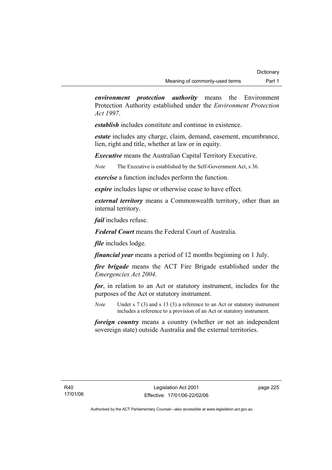*environment protection authority* means the Environment Protection Authority established under the *Environment Protection Act 1997*.

*establish* includes constitute and continue in existence.

*estate* includes any charge, claim, demand, easement, encumbrance, lien, right and title, whether at law or in equity.

*Executive* means the Australian Capital Territory Executive.

*Note* The Executive is established by the Self-Government Act, s 36.

*exercise* a function includes perform the function.

*expire* includes lapse or otherwise cease to have effect.

*external territory* means a Commonwealth territory, other than an internal territory.

*fail* includes refuse.

*Federal Court* means the Federal Court of Australia.

*file* includes lodge.

*financial year* means a period of 12 months beginning on 1 July.

*fire brigade* means the ACT Fire Brigade established under the *Emergencies Act 2004*.

*for*, in relation to an Act or statutory instrument, includes for the purposes of the Act or statutory instrument.

*Note* Under s 7 (3) and s 13 (3) a reference to an Act or statutory instrument includes a reference to a provision of an Act or statutory instrument.

*foreign country* means a country (whether or not an independent sovereign state) outside Australia and the external territories.

page 225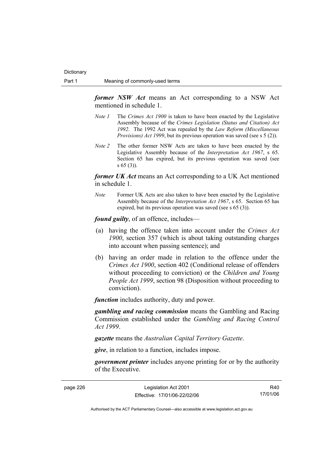*former NSW Act* means an Act corresponding to a NSW Act mentioned in schedule 1.

- *Note 1* The *Crimes Act 1900* is taken to have been enacted by the Legislative Assembly because of the *Crimes Legislation (Status and Citation) Act 1992*. The 1992 Act was repealed by the *Law Reform (Miscellaneous Provisions) Act 1999*, but its previous operation was saved (see s 5 (2)).
- *Note 2* The other former NSW Acts are taken to have been enacted by the Legislative Assembly because of the *Interpretation Act 1967*, s 65. Section 65 has expired, but its previous operation was saved (see s 65 (3)).

*former UK Act* means an Act corresponding to a UK Act mentioned in schedule 1.

*Note* Former UK Acts are also taken to have been enacted by the Legislative Assembly because of the *Interpretation Act 1967*, s 65. Section 65 has expired, but its previous operation was saved (see s 65 (3)).

*found guilty*, of an offence, includes—

- (a) having the offence taken into account under the *Crimes Act 1900*, section 357 (which is about taking outstanding charges into account when passing sentence); and
- (b) having an order made in relation to the offence under the *Crimes Act 1900*, section 402 (Conditional release of offenders without proceeding to conviction) or the *Children and Young People Act 1999*, section 98 (Disposition without proceeding to conviction).

*function* includes authority, duty and power.

*gambling and racing commission* means the Gambling and Racing Commission established under the *Gambling and Racing Control Act 1999*.

*gazette* means the *Australian Capital Territory Gazette*.

*give*, in relation to a function, includes impose.

*government printer* includes anyone printing for or by the authority of the Executive.

| page 226 |  |
|----------|--|
|----------|--|

page 226 Legislation Act 2001 Effective: 17/01/06-22/02/06

R40 17/01/06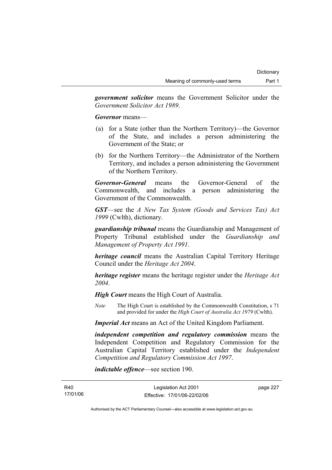*government solicitor* means the Government Solicitor under the *Government Solicitor Act 1989*.

*Governor* means—

- (a) for a State (other than the Northern Territory)—the Governor of the State, and includes a person administering the Government of the State; or
- (b) for the Northern Territory—the Administrator of the Northern Territory, and includes a person administering the Government of the Northern Territory.

*Governor-General* means the Governor-General of the Commonwealth, and includes a person administering the Government of the Commonwealth.

*GST*—see the *A New Tax System (Goods and Services Tax) Act 1999* (Cwlth), dictionary.

*guardianship tribunal* means the Guardianship and Management of Property Tribunal established under the *Guardianship and Management of Property Act 1991*.

*heritage council* means the Australian Capital Territory Heritage Council under the *Heritage Act 2004*.

*heritage register* means the heritage register under the *Heritage Act 2004*.

*High Court* means the High Court of Australia.

*Note* The High Court is established by the Commonwealth Constitution, s 71 and provided for under the *High Court of Australia Act 1979* (Cwlth).

*Imperial Act* means an Act of the United Kingdom Parliament.

*independent competition and regulatory commission* means the Independent Competition and Regulatory Commission for the Australian Capital Territory established under the *Independent Competition and Regulatory Commission Act 1997*.

*indictable offence*—see section 190.

page 227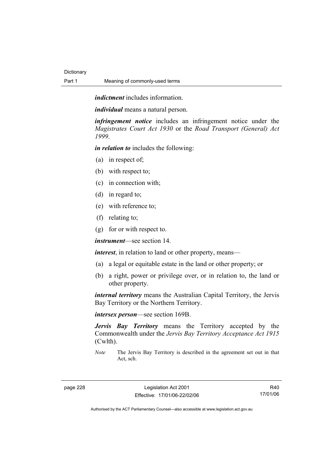*indictment* includes information.

*individual* means a natural person.

*infringement notice* includes an infringement notice under the *Magistrates Court Act 1930* or the *Road Transport (General) Act 1999*.

*in relation to* includes the following:

- (a) in respect of;
- (b) with respect to;
- (c) in connection with;
- (d) in regard to;
- (e) with reference to;
- (f) relating to;
- (g) for or with respect to.

*instrument*—see section 14.

*interest*, in relation to land or other property, means—

- (a) a legal or equitable estate in the land or other property; or
- (b) a right, power or privilege over, or in relation to, the land or other property.

*internal territory* means the Australian Capital Territory, the Jervis Bay Territory or the Northern Territory.

*intersex person*—see section 169B.

*Jervis Bay Territory* means the Territory accepted by the Commonwealth under the *Jervis Bay Territory Acceptance Act 1915* (Cwlth).

*Note* The Jervis Bay Territory is described in the agreement set out in that Act, sch.

R40 17/01/06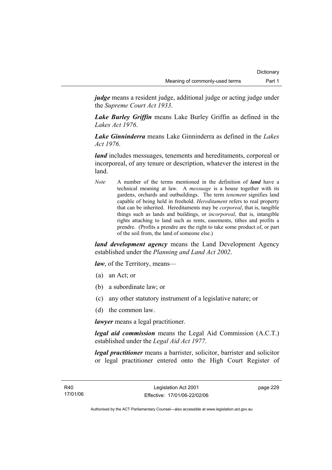*judge* means a resident judge, additional judge or acting judge under the *Supreme Court Act 1933*.

*Lake Burley Griffin* means Lake Burley Griffin as defined in the *Lakes Act 1976*.

*Lake Ginninderra* means Lake Ginninderra as defined in the *Lakes Act 1976*.

*land* includes messuages, tenements and hereditaments, corporeal or incorporeal, of any tenure or description, whatever the interest in the land.

*Note* A number of the terms mentioned in the definition of *land* have a technical meaning at law. A *messuage* is a house together with its gardens, orchards and outbuildings. The term *tenement* signifies land capable of being held in freehold. *Hereditament* refers to real property that can be inherited. Hereditaments may be *corporeal*, that is, tangible things such as lands and buildings, or *incorporeal*, that is, intangible rights attaching to land such as rents, easements, tithes and profits a prendre. (Profits a prendre are the right to take some product of, or part of the soil from, the land of someone else.)

*land development agency* means the Land Development Agency established under the *Planning and Land Act 2002*.

*law*, of the Territory, means—

- (a) an Act; or
- (b) a subordinate law; or
- (c) any other statutory instrument of a legislative nature; or
- (d) the common law.

*lawyer* means a legal practitioner.

*legal aid commission* means the Legal Aid Commission (A.C.T.) established under the *Legal Aid Act 1977*.

*legal practitioner* means a barrister, solicitor, barrister and solicitor or legal practitioner entered onto the High Court Register of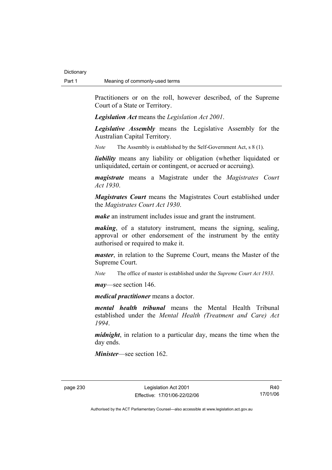Practitioners or on the roll, however described, of the Supreme Court of a State or Territory.

*Legislation Act* means the *Legislation Act 2001*.

*Legislative Assembly* means the Legislative Assembly for the Australian Capital Territory.

*Note* The Assembly is established by the Self-Government Act, s 8 (1).

*liability* means any liability or obligation (whether liquidated or unliquidated, certain or contingent, or accrued or accruing).

*magistrate* means a Magistrate under the *Magistrates Court Act 1930*.

*Magistrates Court* means the Magistrates Court established under the *Magistrates Court Act 1930*.

*make* an instrument includes issue and grant the instrument.

*making*, of a statutory instrument, means the signing, sealing, approval or other endorsement of the instrument by the entity authorised or required to make it.

*master*, in relation to the Supreme Court, means the Master of the Supreme Court.

*Note* The office of master is established under the *Supreme Court Act 1933*.

*may*—see section 146.

*medical practitioner* means a doctor.

*mental health tribunal* means the Mental Health Tribunal established under the *Mental Health (Treatment and Care) Act 1994*.

*midnight*, in relation to a particular day, means the time when the day ends.

*Minister*—see section 162.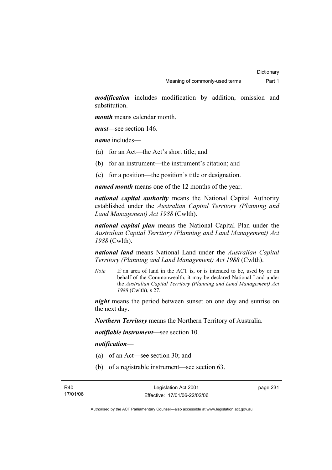*modification* includes modification by addition, omission and substitution.

*month* means calendar month.

*must*—see section 146.

*name* includes—

- (a) for an Act—the Act's short title; and
- (b) for an instrument—the instrument's citation; and
- (c) for a position—the position's title or designation.

*named month* means one of the 12 months of the year.

*national capital authority* means the National Capital Authority established under the *Australian Capital Territory (Planning and Land Management) Act 1988* (Cwlth).

*national capital plan* means the National Capital Plan under the *Australian Capital Territory (Planning and Land Management) Act 1988* (Cwlth).

*national land* means National Land under the *Australian Capital Territory (Planning and Land Management) Act 1988* (Cwlth).

*Note* If an area of land in the ACT is, or is intended to be, used by or on behalf of the Commonwealth, it may be declared National Land under the *Australian Capital Territory (Planning and Land Management) Act 1988* (Cwlth), s 27.

*night* means the period between sunset on one day and sunrise on the next day.

*Northern Territory* means the Northern Territory of Australia.

*notifiable instrument*—see section 10.

#### *notification*—

- (a) of an Act—see section 30; and
- (b) of a registrable instrument—see section 63.

page 231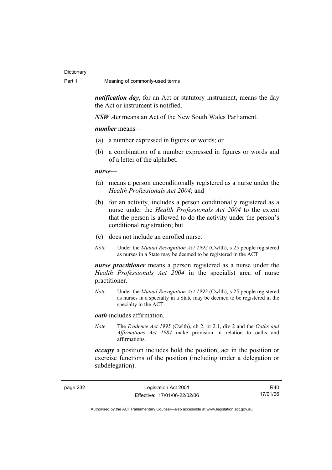*notification day*, for an Act or statutory instrument, means the day the Act or instrument is notified.

*NSW Act* means an Act of the New South Wales Parliament.

*number* means—

- (a) a number expressed in figures or words; or
- (b) a combination of a number expressed in figures or words and of a letter of the alphabet.

#### *nurse***—**

- (a) means a person unconditionally registered as a nurse under the *Health Professionals Act 2004*; and
- (b) for an activity, includes a person conditionally registered as a nurse under the *Health Professionals Act 2004* to the extent that the person is allowed to do the activity under the person's conditional registration; but
- (c) does not include an enrolled nurse.
- *Note* Under the *Mutual Recognition Act 1992* (Cwlth), s 25 people registered as nurses in a State may be deemed to be registered in the ACT.

*nurse practitioner* means a person registered as a nurse under the *Health Professionals Act 2004* in the specialist area of nurse practitioner.

*Note* Under the *Mutual Recognition Act 1992* (Cwlth), s 25 people registered as nurses in a specialty in a State may be deemed to be registered in the specialty in the ACT.

*oath* includes affirmation.

*Note* The *Evidence Act 1995* (Cwlth), ch 2, pt 2.1, div 2 and the *Oaths and Affirmations Act 1984* make provision in relation to oaths and affirmations.

*occupy* a position includes hold the position, act in the position or exercise functions of the position (including under a delegation or subdelegation).

page 232 Legislation Act 2001 Effective: 17/01/06-22/02/06

R40 17/01/06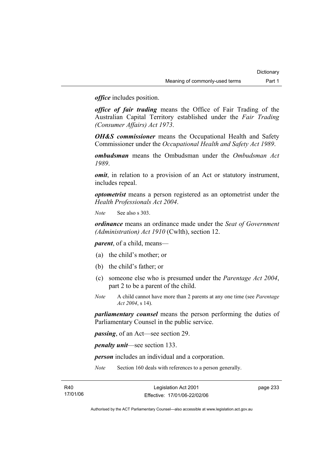*office* includes position.

*office of fair trading* means the Office of Fair Trading of the Australian Capital Territory established under the *Fair Trading (Consumer Affairs) Act 1973*.

*OH&S commissioner* means the Occupational Health and Safety Commissioner under the *Occupational Health and Safety Act 1989*.

*ombudsman* means the Ombudsman under the *Ombudsman Act 1989*.

*omit*, in relation to a provision of an Act or statutory instrument, includes repeal.

*optometrist* means a person registered as an optometrist under the *Health Professionals Act 2004*.

*Note* See also s 303.

*ordinance* means an ordinance made under the *Seat of Government (Administration) Act 1910* (Cwlth), section 12.

*parent*, of a child, means—

- (a) the child's mother; or
- (b) the child's father; or
- (c) someone else who is presumed under the *Parentage Act 2004*, part 2 to be a parent of the child.
- *Note* A child cannot have more than 2 parents at any one time (see *Parentage Act 2004*, s 14).

*parliamentary counsel* means the person performing the duties of Parliamentary Counsel in the public service.

*passing*, of an Act—see section 29.

*penalty unit*—see section 133.

*person* includes an individual and a corporation.

*Note* Section 160 deals with references to a person generally.

page 233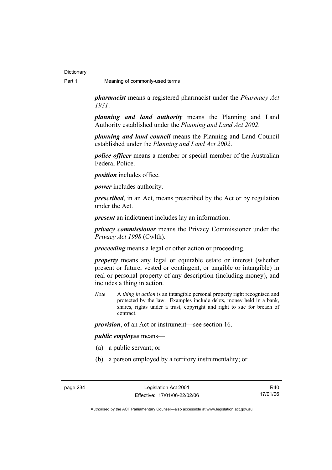*pharmacist* means a registered pharmacist under the *Pharmacy Act 1931*.

*planning and land authority* means the Planning and Land Authority established under the *Planning and Land Act 2002*.

*planning and land council* means the Planning and Land Council established under the *Planning and Land Act 2002*.

*police officer* means a member or special member of the Australian Federal Police.

*position* includes office.

*power* includes authority.

*prescribed*, in an Act, means prescribed by the Act or by regulation under the Act.

*present* an indictment includes lay an information.

*privacy commissioner* means the Privacy Commissioner under the *Privacy Act 1998* (Cwlth).

*proceeding* means a legal or other action or proceeding.

*property* means any legal or equitable estate or interest (whether present or future, vested or contingent, or tangible or intangible) in real or personal property of any description (including money), and includes a thing in action.

*Note* A *thing in action* is an intangible personal property right recognised and protected by the law. Examples include debts, money held in a bank, shares, rights under a trust, copyright and right to sue for breach of contract.

*provision*, of an Act or instrument—see section 16.

#### *public employee* means—

- (a) a public servant; or
- (b) a person employed by a territory instrumentality; or

R40 17/01/06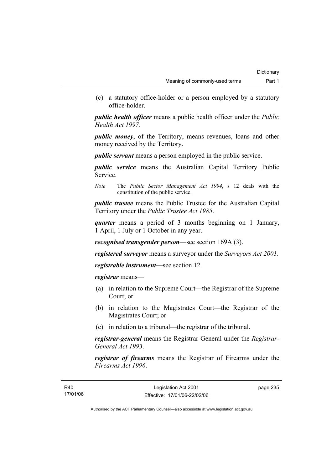(c) a statutory office-holder or a person employed by a statutory office-holder.

*public health officer* means a public health officer under the *Public Health Act 1997.*

*public money*, of the Territory, means revenues, loans and other money received by the Territory.

*public servant* means a person employed in the public service.

*public service* means the Australian Capital Territory Public Service.

*Note* The *Public Sector Management Act 1994*, s 12 deals with the constitution of the public service.

*public trustee* means the Public Trustee for the Australian Capital Territory under the *Public Trustee Act 1985*.

*quarter* means a period of 3 months beginning on 1 January, 1 April, 1 July or 1 October in any year.

*recognised transgender person*—see section 169A (3).

*registered surveyor* means a surveyor under the *Surveyors Act 2001*.

*registrable instrument*—see section 12.

*registrar* means—

- (a) in relation to the Supreme Court—the Registrar of the Supreme Court; or
- (b) in relation to the Magistrates Court—the Registrar of the Magistrates Court; or
- (c) in relation to a tribunal—the registrar of the tribunal.

*registrar-general* means the Registrar-General under the *Registrar-General Act 1993*.

*registrar of firearms* means the Registrar of Firearms under the *Firearms Act 1996*.

page 235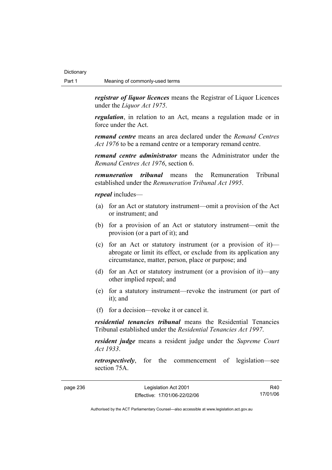*registrar of liquor licences* means the Registrar of Liquor Licences under the *Liquor Act 1975*.

*regulation*, in relation to an Act, means a regulation made or in force under the Act.

*remand centre* means an area declared under the *Remand Centres Act 1976* to be a remand centre or a temporary remand centre.

*remand centre administrator* means the Administrator under the *Remand Centres Act 1976*, section 6.

*remuneration tribunal* means the Remuneration Tribunal established under the *Remuneration Tribunal Act 1995*.

*repeal* includes—

- (a) for an Act or statutory instrument—omit a provision of the Act or instrument; and
- (b) for a provision of an Act or statutory instrument—omit the provision (or a part of it); and
- (c) for an Act or statutory instrument (or a provision of it) abrogate or limit its effect, or exclude from its application any circumstance, matter, person, place or purpose; and
- (d) for an Act or statutory instrument (or a provision of it)—any other implied repeal; and
- (e) for a statutory instrument—revoke the instrument (or part of it); and
- (f) for a decision—revoke it or cancel it.

*residential tenancies tribunal* means the Residential Tenancies Tribunal established under the *Residential Tenancies Act 1997*.

*resident judge* means a resident judge under the *Supreme Court Act 1933*.

*retrospectively*, for the commencement of legislation—see section 75A.

page 236 Legislation Act 2001 Effective: 17/01/06-22/02/06

R40 17/01/06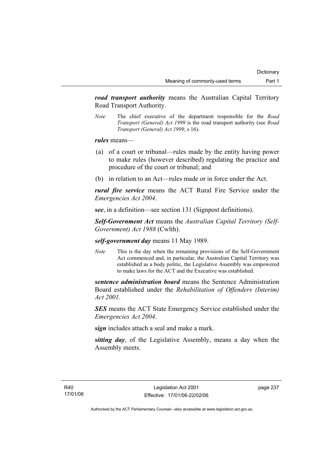*road transport authority* means the Australian Capital Territory Road Transport Authority.

*Note* The chief executive of the department responsible for the *Road Transport (General) Act 1999* is the road transport authority (see *Road Transport (General) Act 1999*, s 16).

*rules* means—

- (a) of a court or tribunal—rules made by the entity having power to make rules (however described) regulating the practice and procedure of the court or tribunal; and
- (b) in relation to an Act—rules made or in force under the Act.

*rural fire service* means the ACT Rural Fire Service under the *Emergencies Act 2004*.

*see*, in a definition—see section 131 (Signpost definitions).

*Self-Government Act* means the *Australian Capital Territory (Self-Government) Act 1988* (Cwlth).

*self-government day* means 11 May 1989.

*Note* This is the day when the remaining provisions of the Self-Government Act commenced and, in particular, the Australian Capital Territory was established as a body politic, the Legislative Assembly was empowered to make laws for the ACT and the Executive was established.

*sentence administration board* means the Sentence Administration Board established under the *Rehabilitation of Offenders (Interim) Act 2001*.

*SES* means the ACT State Emergency Service established under the *Emergencies Act 2004*.

*sign* includes attach a seal and make a mark.

*sitting day*, of the Legislative Assembly, means a day when the Assembly meets.

page 237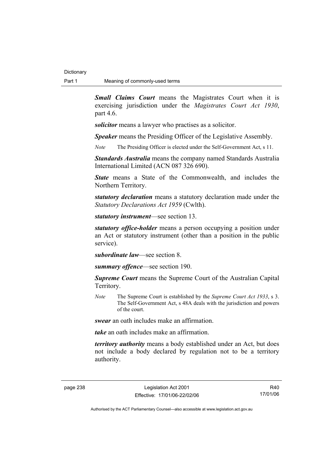*Small Claims Court* means the Magistrates Court when it is exercising jurisdiction under the *Magistrates Court Act 1930*, part 4.6.

*solicitor* means a lawyer who practises as a solicitor.

*Speaker* means the Presiding Officer of the Legislative Assembly.

*Note* The Presiding Officer is elected under the Self-Government Act, s 11.

*Standards Australia* means the company named Standards Australia International Limited (ACN 087 326 690).

*State* means a State of the Commonwealth, and includes the Northern Territory.

*statutory declaration* means a statutory declaration made under the *Statutory Declarations Act 1959* (Cwlth).

*statutory instrument*—see section 13.

*statutory office-holder* means a person occupying a position under an Act or statutory instrument (other than a position in the public service).

*subordinate law*—see section 8.

*summary offence*—see section 190.

*Supreme Court* means the Supreme Court of the Australian Capital Territory.

*Note* The Supreme Court is established by the *Supreme Court Act 1933*, s 3. The Self-Government Act, s 48A deals with the jurisdiction and powers of the court.

*swear* an oath includes make an affirmation.

*take* an oath includes make an affirmation.

*territory authority* means a body established under an Act, but does not include a body declared by regulation not to be a territory authority.

R40 17/01/06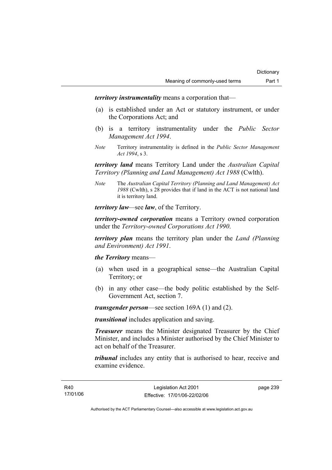*territory instrumentality* means a corporation that—

- (a) is established under an Act or statutory instrument, or under the Corporations Act; and
- (b) is a territory instrumentality under the *Public Sector Management Act 1994*.
- *Note* Territory instrumentality is defined in the *Public Sector Management Act 1994*, s 3.

*territory land* means Territory Land under the *Australian Capital Territory (Planning and Land Management) Act 1988* (Cwlth).

*Note* The *Australian Capital Territory (Planning and Land Management) Act 1988* (Cwlth), s 28 provides that if land in the ACT is not national land it is territory land.

*territory law—*see *law*, of the Territory.

*territory-owned corporation* means a Territory owned corporation under the *Territory-owned Corporations Act 1990*.

*territory plan* means the territory plan under the *Land (Planning and Environment) Act 1991*.

*the Territory* means—

- (a) when used in a geographical sense—the Australian Capital Territory; or
- (b) in any other case—the body politic established by the Self-Government Act, section 7.

*transgender person*—see section 169A (1) and (2).

*transitional* includes application and saving.

*Treasurer* means the Minister designated Treasurer by the Chief Minister, and includes a Minister authorised by the Chief Minister to act on behalf of the Treasurer.

*tribunal* includes any entity that is authorised to hear, receive and examine evidence.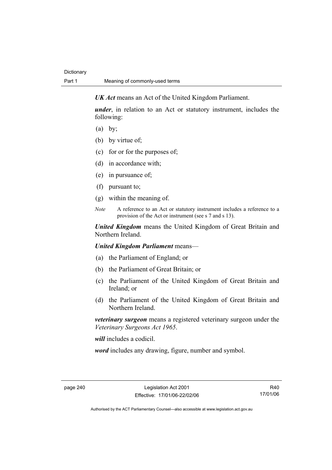*UK Act* means an Act of the United Kingdom Parliament.

*under*, in relation to an Act or statutory instrument, includes the following:

- $(a)$  by;
- (b) by virtue of;
- (c) for or for the purposes of;
- (d) in accordance with;
- (e) in pursuance of;
- (f) pursuant to;
- (g) within the meaning of.
- *Note* A reference to an Act or statutory instrument includes a reference to a provision of the Act or instrument (see s 7 and s 13).

*United Kingdom* means the United Kingdom of Great Britain and Northern Ireland.

*United Kingdom Parliament* means—

- (a) the Parliament of England; or
- (b) the Parliament of Great Britain; or
- (c) the Parliament of the United Kingdom of Great Britain and Ireland; or
- (d) the Parliament of the United Kingdom of Great Britain and Northern Ireland.

*veterinary surgeon* means a registered veterinary surgeon under the *Veterinary Surgeons Act 1965*.

*will* includes a codicil.

*word* includes any drawing, figure, number and symbol.

R40 17/01/06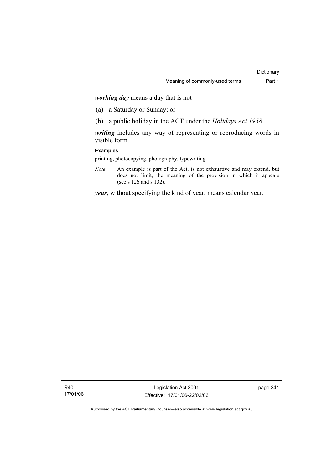*working day* means a day that is not—

- (a) a Saturday or Sunday; or
- (b) a public holiday in the ACT under the *Holidays Act 1958*.

*writing* includes any way of representing or reproducing words in visible form.

## **Examples**

printing, photocopying, photography, typewriting

*Note* An example is part of the Act, is not exhaustive and may extend, but does not limit, the meaning of the provision in which it appears (see s 126 and s 132).

*year*, without specifying the kind of year, means calendar year.

R40 17/01/06

Legislation Act 2001 Effective: 17/01/06-22/02/06 page 241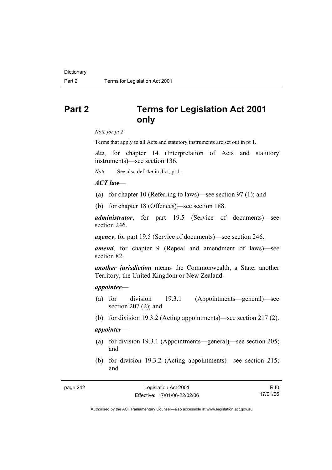# **Part 2 Terms for Legislation Act 2001 only**

*Note for pt 2* 

Terms that apply to all Acts and statutory instruments are set out in pt 1.

*Act*, for chapter 14 (Interpretation of Acts and statutory instruments)—see section 136.

*Note* See also def *Act* in dict, pt 1.

## *ACT law*—

- (a) for chapter 10 (Referring to laws)—see section 97 (1); and
- (b) for chapter 18 (Offences)—see section 188.

*administrator*, for part 19.5 (Service of documents)—see section 246.

*agency*, for part 19.5 (Service of documents)—see section 246.

*amend*, for chapter 9 (Repeal and amendment of laws)—see section 82.

*another jurisdiction* means the Commonwealth, a State, another Territory, the United Kingdom or New Zealand.

#### *appointee*—

- (a) for division 19.3.1 (Appointments—general)—see section 207 (2); and
- (b) for division 19.3.2 (Acting appointments)—see section 217 (2).

## *appointer*—

- (a) for division 19.3.1 (Appointments—general)—see section 205; and
- (b) for division 19.3.2 (Acting appointments)—see section 215; and

R40 17/01/06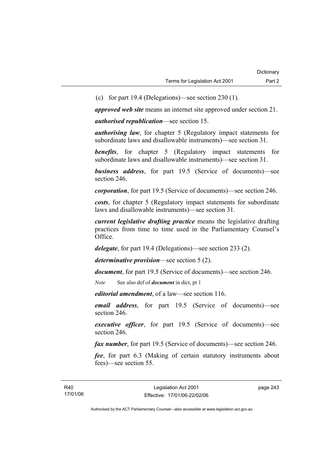(c) for part 19.4 (Delegations)—see section 230 (1).

*approved web site* means an internet site approved under section 21.

*authorised republication*—see section 15.

*authorising law*, for chapter 5 (Regulatory impact statements for subordinate laws and disallowable instruments)—see section 31.

**benefits**, for chapter 5 (Regulatory impact statements for subordinate laws and disallowable instruments)—see section 31.

*business address*, for part 19.5 (Service of documents)—see section 246.

*corporation*, for part 19.5 (Service of documents)—see section 246.

*costs*, for chapter 5 (Regulatory impact statements for subordinate laws and disallowable instruments)—see section 31.

*current legislative drafting practice* means the legislative drafting practices from time to time used in the Parliamentary Counsel's Office.

*delegate*, for part 19.4 (Delegations)—see section 233 (2).

*determinative provision*—see section 5 (2).

*document*, for part 19.5 (Service of documents)—see section 246.

*Note* See also def of *document* in dict, pt 1

*editorial amendment*, of a law—see section 116.

*email address*, for part 19.5 (Service of documents)—see section 246.

*executive officer*, for part 19.5 (Service of documents)—see section 246.

*fax number*, for part 19.5 (Service of documents)—see section 246.

*fee*, for part 6.3 (Making of certain statutory instruments about fees)—see section 55.

page 243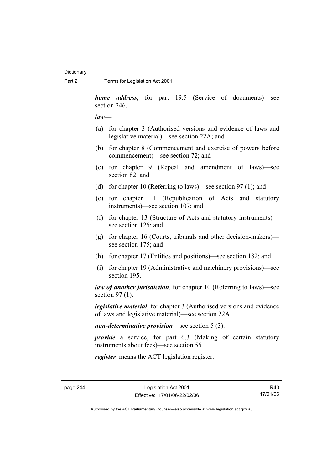*home address*, for part 19.5 (Service of documents)—see section 246.

*law*—

- (a) for chapter 3 (Authorised versions and evidence of laws and legislative material)—see section 22A; and
- (b) for chapter 8 (Commencement and exercise of powers before commencement)—see section 72; and
- (c) for chapter 9 (Repeal and amendment of laws)—see section 82; and
- (d) for chapter 10 (Referring to laws)—see section 97 (1); and
- (e) for chapter 11 (Republication of Acts and statutory instruments)—see section 107; and
- (f) for chapter 13 (Structure of Acts and statutory instruments) see section 125; and
- (g) for chapter 16 (Courts, tribunals and other decision-makers) see section 175; and
- (h) for chapter 17 (Entities and positions)—see section 182; and
- (i) for chapter 19 (Administrative and machinery provisions)—see section 195.

*law of another jurisdiction*, for chapter 10 (Referring to laws)—see section 97 (1).

*legislative material*, for chapter 3 (Authorised versions and evidence of laws and legislative material)—see section 22A.

*non-determinative provision*—see section 5 (3).

*provide* a service, for part 6.3 (Making of certain statutory instruments about fees)—see section 55.

*register* means the ACT legislation register.

R40 17/01/06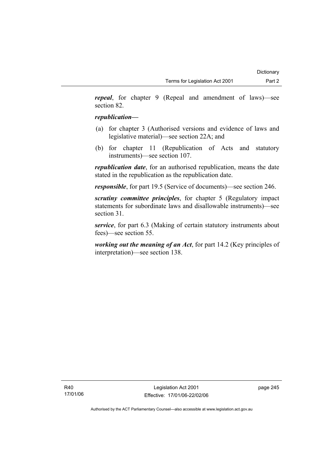*repeal*, for chapter 9 (Repeal and amendment of laws)—see section 82.

## *republication—*

- (a) for chapter 3 (Authorised versions and evidence of laws and legislative material)—see section 22A; and
- (b) for chapter 11 (Republication of Acts and statutory instruments)—see section 107.

*republication date*, for an authorised republication, means the date stated in the republication as the republication date.

*responsible*, for part 19.5 (Service of documents)—see section 246.

*scrutiny committee principles*, for chapter 5 (Regulatory impact statements for subordinate laws and disallowable instruments)—see section 31.

*service*, for part 6.3 (Making of certain statutory instruments about fees)—see section 55.

*working out the meaning of an Act*, for part 14.2 (Key principles of interpretation)—see section 138.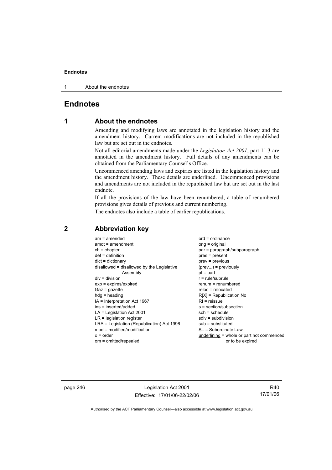1 About the endnotes

# **Endnotes**

# **1 About the endnotes**

Amending and modifying laws are annotated in the legislation history and the amendment history. Current modifications are not included in the republished law but are set out in the endnotes.

Not all editorial amendments made under the *Legislation Act 2001*, part 11.3 are annotated in the amendment history. Full details of any amendments can be obtained from the Parliamentary Counsel's Office.

Uncommenced amending laws and expiries are listed in the legislation history and the amendment history. These details are underlined. Uncommenced provisions and amendments are not included in the republished law but are set out in the last endnote.

If all the provisions of the law have been renumbered, a table of renumbered provisions gives details of previous and current numbering.

The endnotes also include a table of earlier republications.

| $am = amended$                             | $ord = ordinance$                         |
|--------------------------------------------|-------------------------------------------|
| $amdt = amendment$                         | $orig = original$                         |
| $ch = chapter$                             | par = paragraph/subparagraph              |
| $def = definition$                         | pres = present                            |
| $dict = dictionary$                        | prev = previous                           |
| disallowed = disallowed by the Legislative | $(\text{prev})$ = previously              |
| Assembly                                   | $pt = part$                               |
| $div = division$                           | $r = rule/subrule$                        |
| $exp = expires/expired$                    | renum = renumbered                        |
| $Gaz = gazette$                            | $reloc = relocated$                       |
| $hdg = heading$                            | $R[X]$ = Republication No                 |
| IA = Interpretation Act 1967               | $RI =$ reissue                            |
| ins = inserted/added                       | s = section/subsection                    |
| $LA =$ Legislation Act 2001                | $sch = schedule$                          |
| $LR =$ legislation register                | $sdiv = subdivision$                      |
| LRA = Legislation (Republication) Act 1996 | $sub =$ substituted                       |
| mod = modified/modification                | SL = Subordinate Law                      |
| $o = order$                                | underlining = whole or part not commenced |
| om = omitted/repealed                      | or to be expired                          |

## **2 Abbreviation key**

page 246 Legislation Act 2001 Effective: 17/01/06-22/02/06

R40 17/01/06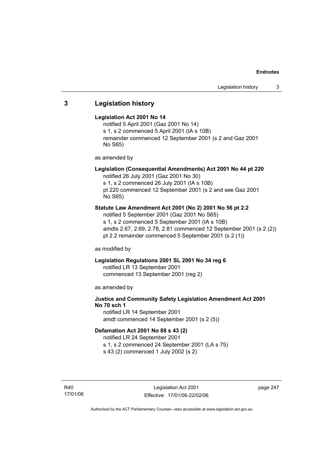# **3 Legislation history**

#### **Legislation Act 2001 No 14**

notified 5 April 2001 (Gaz 2001 No 14) s 1, s 2 commenced 5 April 2001 (IA s 10B) remainder commenced 12 September 2001 (s 2 and Gaz 2001 No S65)

as amended by

## **Legislation (Consequential Amendments) Act 2001 No 44 pt 220**

notified 26 July 2001 (Gaz 2001 No 30) s 1, s 2 commenced 26 July 2001 (IA s 10B)

pt 220 commenced 12 September 2001 (s 2 and see Gaz 2001 No S65)

## **Statute Law Amendment Act 2001 (No 2) 2001 No 56 pt 2.2**

notified 5 September 2001 (Gaz 2001 No S65) s 1, s 2 commenced 5 September 2001 (IA s 10B) amdts 2.67, 2.69, 2.78, 2.81 commenced 12 September 2001 (s 2 (2)) pt 2.2 remainder commenced 5 September 2001 (s 2 (1))

as modified by

## **Legislation Regulations 2001 SL 2001 No 34 reg 6**

notified LR 13 September 2001 commenced 13 September 2001 (reg 2)

as amended by

# **Justice and Community Safety Legislation Amendment Act 2001 No 70 sch 1**

notified LR 14 September 2001 amdt commenced 14 September 2001 (s 2 (5))

#### **Defamation Act 2001 No 88 s 43 (2)**

notified LR 24 September 2001 s 1, s 2 commenced 24 September 2001 (LA s 75)

s 43 (2) commenced 1 July 2002 (s 2)

R40 17/01/06 page 247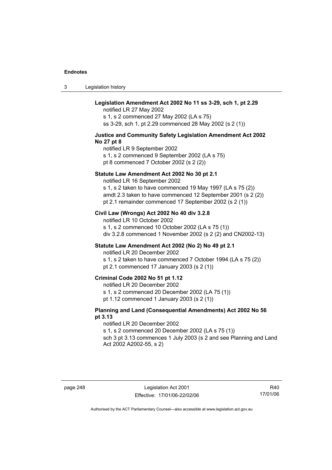3 Legislation history

## **Legislation Amendment Act 2002 No 11 ss 3-29, sch 1, pt 2.29**

notified LR 27 May 2002 s 1, s 2 commenced 27 May 2002 (LA s 75) ss 3-29, sch 1, pt 2.29 commenced 28 May 2002 (s 2 (1))

#### **Justice and Community Safety Legislation Amendment Act 2002 No 27 pt 8**

notified LR 9 September 2002 s 1, s 2 commenced 9 September 2002 (LA s 75) pt 8 commenced 7 October 2002 (s 2 (2))

#### **Statute Law Amendment Act 2002 No 30 pt 2.1**

notified LR 16 September 2002

s 1, s 2 taken to have commenced 19 May 1997 (LA s 75 (2)) amdt 2.3 taken to have commenced 12 September 2001 (s 2 (2)) pt 2.1 remainder commenced 17 September 2002 (s 2 (1))

## **Civil Law (Wrongs) Act 2002 No 40 div 3.2.8**

notified LR 10 October 2002 s 1, s 2 commenced 10 October 2002 (LA s 75 (1)) div 3.2.8 commenced 1 November 2002 (s 2 (2) and CN2002-13)

## **Statute Law Amendment Act 2002 (No 2) No 49 pt 2.1**

notified LR 20 December 2002

s 1, s 2 taken to have commenced 7 October 1994 (LA s 75 (2)) pt 2.1 commenced 17 January 2003 (s 2 (1))

#### **Criminal Code 2002 No 51 pt 1.12**

notified LR 20 December 2002

s 1, s 2 commenced 20 December 2002 (LA 75 (1))

pt 1.12 commenced 1 January 2003 (s 2 (1))

### **Planning and Land (Consequential Amendments) Act 2002 No 56 pt 3.13**

#### notified LR 20 December 2002

s 1, s 2 commenced 20 December 2002 (LA s 75 (1))

sch 3 pt 3.13 commences 1 July 2003 (s 2 and see Planning and Land Act 2002 A2002-55, s 2)

R40 17/01/06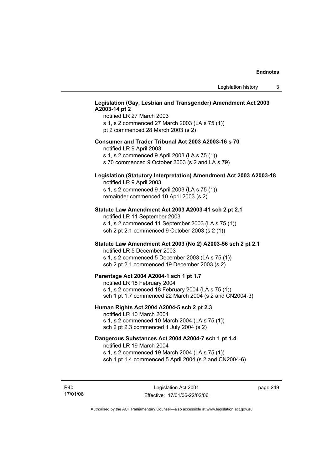## **Legislation (Gay, Lesbian and Transgender) Amendment Act 2003 A2003-14 pt 2**

notified LR 27 March 2003 s 1, s 2 commenced 27 March 2003 (LA s 75 (1)) pt 2 commenced 28 March 2003 (s 2)

#### **Consumer and Trader Tribunal Act 2003 A2003-16 s 70**

notified LR 9 April 2003

s 1, s 2 commenced 9 April 2003 (LA s 75 (1))

s 70 commenced 9 October 2003 (s 2 and LA s 79)

## **Legislation (Statutory Interpretation) Amendment Act 2003 A2003-18**

notified LR 9 April 2003 s 1, s 2 commenced 9 April 2003 (LA s 75 (1)) remainder commenced 10 April 2003 (s 2)

#### **Statute Law Amendment Act 2003 A2003-41 sch 2 pt 2.1**

notified LR 11 September 2003 s 1, s 2 commenced 11 September 2003 (LA s 75 (1)) sch 2 pt 2.1 commenced 9 October 2003 (s 2 (1))

## **Statute Law Amendment Act 2003 (No 2) A2003-56 sch 2 pt 2.1**

notified LR 5 December 2003 s 1, s 2 commenced 5 December 2003 (LA s 75 (1)) sch 2 pt 2.1 commenced 19 December 2003 (s 2)

#### **Parentage Act 2004 A2004-1 sch 1 pt 1.7**

notified LR 18 February 2004 s 1, s 2 commenced 18 February 2004 (LA s 75 (1)) sch 1 pt 1.7 commenced 22 March 2004 (s 2 and CN2004-3)

#### **Human Rights Act 2004 A2004-5 sch 2 pt 2.3**

notified LR 10 March 2004 s 1, s 2 commenced 10 March 2004 (LA s 75 (1)) sch 2 pt 2.3 commenced 1 July 2004 (s 2)

### **Dangerous Substances Act 2004 A2004-7 sch 1 pt 1.4**

notified LR 19 March 2004 s 1, s 2 commenced 19 March 2004 (LA s 75 (1)) sch 1 pt 1.4 commenced 5 April 2004 (s 2 and CN2004-6)

R40 17/01/06 page 249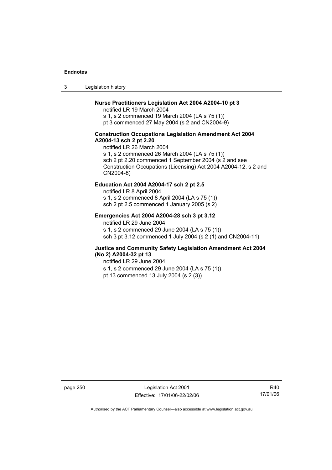3 Legislation history

## **Nurse Practitioners Legislation Act 2004 A2004-10 pt 3**

notified LR 19 March 2004 s 1, s 2 commenced 19 March 2004 (LA s 75 (1)) pt 3 commenced 27 May 2004 (s 2 and CN2004-9)

### **Construction Occupations Legislation Amendment Act 2004 A2004-13 sch 2 pt 2.20**

notified LR 26 March 2004 s 1, s 2 commenced 26 March 2004 (LA s 75 (1)) sch 2 pt 2.20 commenced 1 September 2004 (s 2 and see Construction Occupations (Licensing) Act 2004 A2004-12, s 2 and CN2004-8)

## **Education Act 2004 A2004-17 sch 2 pt 2.5**

notified LR 8 April 2004 s 1, s 2 commenced 8 April 2004 (LA s 75 (1)) sch 2 pt 2.5 commenced 1 January 2005 (s 2)

#### **Emergencies Act 2004 A2004-28 sch 3 pt 3.12**

notified LR 29 June 2004

s 1, s 2 commenced 29 June 2004 (LA s 75 (1)) sch 3 pt 3.12 commenced 1 July 2004 (s 2 (1) and CN2004-11)

## **Justice and Community Safety Legislation Amendment Act 2004 (No 2) A2004-32 pt 13**

notified LR 29 June 2004 s 1, s 2 commenced 29 June 2004 (LA s 75 (1)) pt 13 commenced 13 July 2004 (s 2 (3))

page 250 Legislation Act 2001 Effective: 17/01/06-22/02/06

R40 17/01/06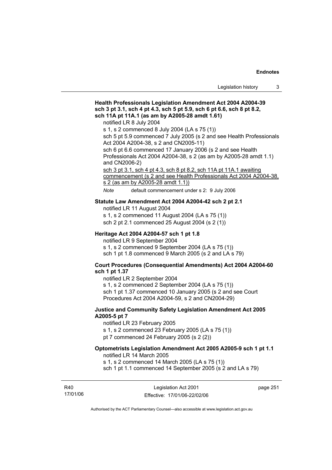# **Health Professionals Legislation Amendment Act 2004 A2004-39 sch 3 pt 3.1, sch 4 pt 4.3, sch 5 pt 5.9, sch 6 pt 6.6, sch 8 pt 8.2, sch 11A pt 11A.1 (as am by A2005-28 amdt 1.61)**  notified LR 8 July 2004 s 1, s 2 commenced 8 July 2004 (LA s 75 (1)) sch 5 pt 5.9 commenced 7 July 2005 (s 2 and see Health Professionals Act 2004 A2004-38, s 2 and CN2005-11) sch 6 pt 6.6 commenced 17 January 2006 (s 2 and see Health Professionals Act 2004 A2004-38, s 2 (as am by A2005-28 amdt 1.1) and CN2006-2) sch 3 pt 3.1, sch 4 pt 4.3, sch 8 pt 8.2, sch 11A pt 11A.1 awaiting commencement (s 2 and see Health Professionals Act 2004 A2004-38, s 2 (as am by A2005-28 amdt 1.1)) *Note* default commencement under s 2: 9 July 2006 **Statute Law Amendment Act 2004 A2004-42 sch 2 pt 2.1**  notified LR 11 August 2004 s 1, s 2 commenced 11 August 2004 (LA s 75 (1)) sch 2 pt 2.1 commenced 25 August 2004 (s 2 (1)) **Heritage Act 2004 A2004-57 sch 1 pt 1.8**  notified LR 9 September 2004 s 1, s 2 commenced 9 September 2004 (LA s 75 (1)) sch 1 pt 1.8 commenced 9 March 2005 (s 2 and LA s 79) **Court Procedures (Consequential Amendments) Act 2004 A2004-60 sch 1 pt 1.37**  notified LR 2 September 2004 s 1, s 2 commenced 2 September 2004 (LA s 75 (1)) sch 1 pt 1.37 commenced 10 January 2005 (s 2 and see Court Procedures Act 2004 A2004-59, s 2 and CN2004-29) **Justice and Community Safety Legislation Amendment Act 2005 A2005-5 pt 7**  notified LR 23 February 2005 s 1, s 2 commenced 23 February 2005 (LA s 75 (1)) pt 7 commenced 24 February 2005 (s 2 (2)) **Optometrists Legislation Amendment Act 2005 A2005-9 sch 1 pt 1.1**  notified LR 14 March 2005 s 1, s 2 commenced 14 March 2005 (LA s 75 (1)) sch 1 pt 1.1 commenced 14 September 2005 (s 2 and LA s 79)

R40 17/01/06

Legislation Act 2001 Effective: 17/01/06-22/02/06 page 251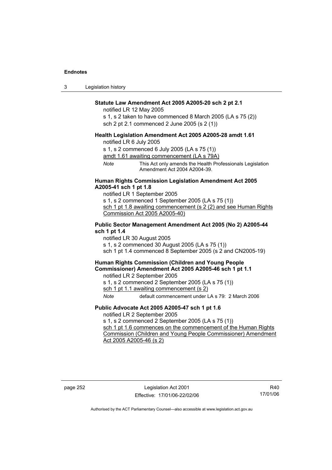3 Legislation history

#### **Statute Law Amendment Act 2005 A2005-20 sch 2 pt 2.1**

notified LR 12 May 2005

s 1, s 2 taken to have commenced 8 March 2005 (LA s 75 (2)) sch 2 pt 2.1 commenced 2 June 2005 (s 2 (1))

#### **Health Legislation Amendment Act 2005 A2005-28 amdt 1.61**

notified LR 6 July 2005

s 1, s 2 commenced 6 July 2005 (LA s 75 (1))

amdt 1.61 awaiting commencement (LA s 79A)

*Note* This Act only amends the Health Professionals Legislation Amendment Act 2004 A2004-39.

## **Human Rights Commission Legislation Amendment Act 2005 A2005-41 sch 1 pt 1.8**

notified LR 1 September 2005 s 1, s 2 commenced 1 September 2005 (LA s 75 (1)) sch 1 pt 1.8 awaiting commencement (s 2 (2) and see Human Rights Commission Act 2005 A2005-40)

#### **Public Sector Management Amendment Act 2005 (No 2) A2005-44 sch 1 pt 1.4**

notified LR 30 August 2005 s 1, s 2 commenced 30 August 2005 (LA s 75 (1)) sch 1 pt 1.4 commenced 8 September 2005 (s 2 and CN2005-19)

## **Human Rights Commission (Children and Young People Commissioner) Amendment Act 2005 A2005-46 sch 1 pt 1.1**

notified LR 2 September 2005

s 1, s 2 commenced 2 September 2005 (LA s 75 (1))

sch 1 pt 1.1 awaiting commencement (s 2)

*Note* default commencement under LA s 79: 2 March 2006

#### **Public Advocate Act 2005 A2005-47 sch 1 pt 1.6**

notified LR 2 September 2005

s 1, s 2 commenced 2 September 2005 (LA s 75 (1))

sch 1 pt 1.6 commences on the commencement of the Human Rights Commission (Children and Young People Commissioner) Amendment Act 2005 A2005-46 (s 2)

R40 17/01/06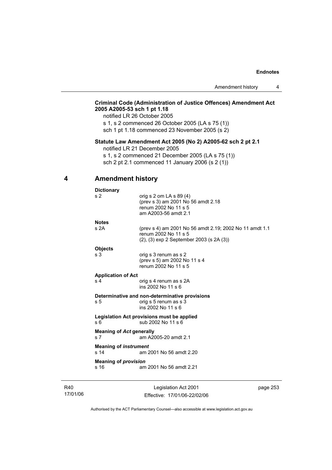## **Criminal Code (Administration of Justice Offences) Amendment Act 2005 A2005-53 sch 1 pt 1.18**

notified LR 26 October 2005

s 1, s 2 commenced 26 October 2005 (LA s 75 (1)) sch 1 pt 1.18 commenced 23 November 2005 (s 2)

## **Statute Law Amendment Act 2005 (No 2) A2005-62 sch 2 pt 2.1**

notified LR 21 December 2005

s 1, s 2 commenced 21 December 2005 (LA s 75 (1)) sch 2 pt 2.1 commenced 11 January 2006 (s 2 (1))

## **4 Amendment history**

| <b>Dictionary</b>                                                                  |                                                                                                                                     |  |
|------------------------------------------------------------------------------------|-------------------------------------------------------------------------------------------------------------------------------------|--|
| s 2                                                                                | orig s $2$ om LA s $89(4)$<br>(prev s 3) am 2001 No 56 amdt 2.18<br>renum 2002 No 11 s 5<br>am A2003-56 amdt 2.1                    |  |
| <b>Notes</b>                                                                       |                                                                                                                                     |  |
| s2A                                                                                | (prev s 4) am 2001 No 56 amdt 2.19; 2002 No 11 amdt 1.1<br>renum 2002 No 11 s 5<br>$(2)$ , $(3)$ exp 2 September 2003 (s 2A $(3)$ ) |  |
| <b>Objects</b>                                                                     |                                                                                                                                     |  |
| s 3                                                                                | orig s 3 renum as s 2<br>(prev s 5) am 2002 No 11 s 4<br>renum 2002 No 11 s 5                                                       |  |
| <b>Application of Act</b>                                                          |                                                                                                                                     |  |
| s <sub>4</sub>                                                                     | orig s 4 renum as s 2A<br>ins 2002 No 11 s 6                                                                                        |  |
| s 5                                                                                | Determinative and non-determinative provisions<br>orig s 5 renum as s 3<br>ins 2002 No 11 s 6                                       |  |
| Legislation Act provisions must be applied<br>sub 2002 No 11 s 6<br>s <sub>6</sub> |                                                                                                                                     |  |
| <b>Meaning of Act generally</b><br>s <sub>7</sub>                                  | am A2005-20 amdt 2.1                                                                                                                |  |
| <b>Meaning of instrument</b><br>s <sub>14</sub><br>am 2001 No 56 amdt 2.20         |                                                                                                                                     |  |
| <b>Meaning of provision</b>                                                        |                                                                                                                                     |  |
| s 16                                                                               | am 2001 No 56 amdt 2.21                                                                                                             |  |
|                                                                                    |                                                                                                                                     |  |

R40 17/01/06

Legislation Act 2001 Effective: 17/01/06-22/02/06 page 253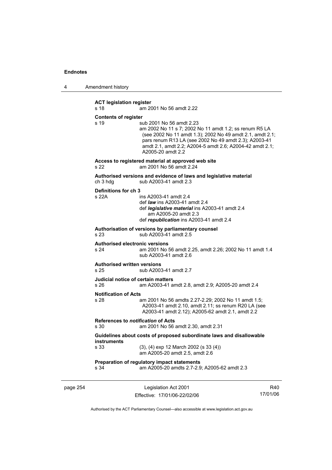4 Amendment history

**ACT legislation register**  s 18 am 2001 No 56 amdt 2.22 **Contents of register**  s 19 sub 2001 No 56 amdt 2.23 am 2002 No 11 s 7; 2002 No 11 amdt 1.2; ss renum R5 LA (see 2002 No 11 amdt 1.3); 2002 No 49 amdt 2.1, amdt 2.1; pars renum R13 LA (see 2002 No 49 amdt 2.3); A2003-41 amdt 2.1, amdt 2.2; A2004-5 amdt 2.6; A2004-42 amdt 2.1; A2005-20 amdt 2.2 **Access to registered material at approved web site**  s 22 am 2001 No 56 amdt 2.24 **Authorised versions and evidence of laws and legislative material**  ch 3 hdg sub A2003-41 amdt 2.3 **Definitions for ch 3**  s 22A ins A2003-41 amdt 2.4 def *law* ins A2003-41 amdt 2.4 def *legislative material* ins A2003-41 amdt 2.4 am A2005-20 amdt 2.3 def *republication* ins A2003-41 amdt 2.4 **Authorisation of versions by parliamentary counsel**  s 23 sub A2003-41 amdt 2.5 **Authorised electronic versions**  s 24 am 2001 No 56 amdt 2.25, amdt 2.26; 2002 No 11 amdt 1.4 sub A2003-41 amdt 2.6 **Authorised written versions**  s 25 sub A2003-41 amdt 2.7 **Judicial notice of certain matters**  s 26 am A2003-41 amdt 2.8, amdt 2.9; A2005-20 amdt 2.4 **Notification of Acts**  s 28 am 2001 No 56 amdts 2.27-2.29; 2002 No 11 amdt 1.5; A2003-41 amdt 2.10, amdt 2.11; ss renum R20 LA (see A2003-41 amdt 2.12); A2005-62 amdt 2.1, amdt 2.2 **References to** *notification* **of Acts**  s 30 am 2001 No 56 amdt 2.30, amdt 2.31 **Guidelines about costs of proposed subordinate laws and disallowable instruments**  s 33 (3), (4) exp 12 March 2002 (s 33 (4)) am A2005-20 amdt 2.5, amdt 2.6 **Preparation of regulatory impact statements**  s 34 am A2005-20 amdts 2.7-2.9; A2005-62 amdt 2.3

page 254 Legislation Act 2001 Effective: 17/01/06-22/02/06

R40 17/01/06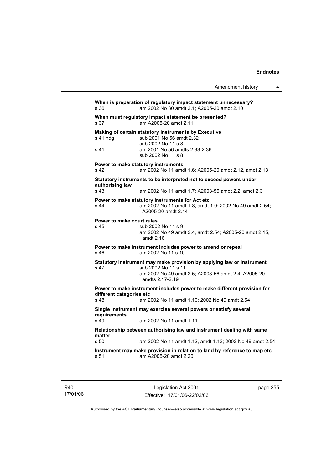Amendment history 4 **When is preparation of regulatory impact statement unnecessary?**  s 36 am 2002 No 30 amdt 2.1; A2005-20 amdt 2.10 **When must regulatory impact statement be presented?**  s 37 am A2005-20 amdt 2.11 **Making of certain statutory instruments by Executive**  s 41 hdg sub 2001 No 56 amdt 2.32 sub 2002 No 11 s 8 s 41 am 2001 No 56 amdts 2.33-2.36 sub 2002 No 11 s 8 **Power to make statutory instruments**  s 42 am 2002 No 11 amdt 1.6; A2005-20 amdt 2.12, amdt 2.13 **Statutory instruments to be interpreted not to exceed powers under**  s 43 am 2002 No 11 amdt 1.7; A2003-56 amdt 2.2, amdt 2.3 **Power to make statutory instruments for Act etc**  s 44 am 2002 No 11 amdt 1.8, amdt 1.9; 2002 No 49 amdt 2.54; A2005-20 amdt 2.14

**Power to make court rules**  s 45 sub 2002 No 11 s 9 am 2002 No 49 amdt 2.4, amdt 2.54; A2005-20 amdt 2.15, amdt 2.16 **Power to make instrument includes power to amend or repeal**  s 46 am 2002 No 11 s 10 **Statutory instrument may make provision by applying law or instrument**  s 47 sub 2002 No 11 s 11 am 2002 No 49 amdt 2.5; A2003-56 amdt 2.4; A2005-20 amdts 2.17-2.19 **Power to make instrument includes power to make different provision for different categories etc**  s 48 am 2002 No 11 amdt 1.10; 2002 No 49 amdt 2.54 **Single instrument may exercise several powers or satisfy several requirements**  s 49 am 2002 No 11 amdt 1.11 **Relationship between authorising law and instrument dealing with same matter**  s 50 am 2002 No 11 amdt 1.12, amdt 1.13; 2002 No 49 amdt 2.54

**Instrument may make provision in relation to land by reference to map etc**  s 51 am A2005-20 amdt 2.20

R40 17/01/06 **authorising law** 

page 255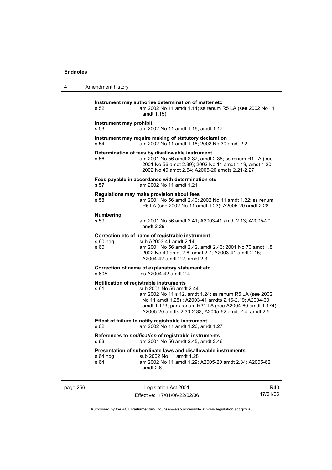| 4                                                                                                   | Amendment history                                                                                                                                                    |                                                                                                                                                                                                                                                                                                             |     |
|-----------------------------------------------------------------------------------------------------|----------------------------------------------------------------------------------------------------------------------------------------------------------------------|-------------------------------------------------------------------------------------------------------------------------------------------------------------------------------------------------------------------------------------------------------------------------------------------------------------|-----|
|                                                                                                     | s 52                                                                                                                                                                 | Instrument may authorise determination of matter etc<br>am 2002 No 11 amdt 1.14; ss renum R5 LA (see 2002 No 11<br>amdt 1.15)                                                                                                                                                                               |     |
|                                                                                                     | Instrument may prohibit<br>s 53                                                                                                                                      | am 2002 No 11 amdt 1.16, amdt 1.17                                                                                                                                                                                                                                                                          |     |
|                                                                                                     | s 54                                                                                                                                                                 | Instrument may require making of statutory declaration<br>am 2002 No 11 amdt 1.18; 2002 No 30 amdt 2.2                                                                                                                                                                                                      |     |
|                                                                                                     | s 56                                                                                                                                                                 | Determination of fees by disallowable instrument<br>am 2001 No 56 amdt 2.37, amdt 2.38; ss renum R1 LA (see<br>2001 No 56 amdt 2.39); 2002 No 11 amdt 1.19, amdt 1.20;<br>2002 No 49 amdt 2.54; A2005-20 amdts 2.21-2.27                                                                                    |     |
|                                                                                                     | s 57                                                                                                                                                                 | Fees payable in accordance with determination etc<br>am 2002 No 11 amdt 1.21                                                                                                                                                                                                                                |     |
|                                                                                                     | Regulations may make provision about fees<br>s 58<br>am 2001 No 56 amdt 2.40; 2002 No 11 amdt 1.22; ss renum<br>R5 LA (see 2002 No 11 amdt 1.23); A2005-20 amdt 2.28 |                                                                                                                                                                                                                                                                                                             |     |
|                                                                                                     | <b>Numbering</b><br>s 59                                                                                                                                             | am 2001 No 56 amdt 2.41; A2003-41 amdt 2.13; A2005-20<br>amdt 2.29                                                                                                                                                                                                                                          |     |
|                                                                                                     | $s60h$ dg<br>s 60                                                                                                                                                    | Correction etc of name of registrable instrument<br>sub A2003-41 amdt 2.14<br>am 2001 No 56 amdt 2.42, amdt 2.43; 2001 No 70 amdt 1.8;<br>2002 No 49 amdt 2.6, amdt 2.7; A2003-41 amdt 2.15;<br>A2004-42 amdt 2.2, amdt 2.3                                                                                 |     |
|                                                                                                     | Correction of name of explanatory statement etc<br>ins A2004-42 amdt 2.4<br>s 60A                                                                                    |                                                                                                                                                                                                                                                                                                             |     |
|                                                                                                     | s 61                                                                                                                                                                 | Notification of registrable instruments<br>sub 2001 No 56 amdt 2.44<br>am 2002 No 11 s 12, amdt 1.24; ss renum R5 LA (see 2002<br>No 11 amdt 1.25); A2003-41 amdts 2.16-2.19; A2004-60<br>amdt 1.173; pars renum R31 LA (see A2004-60 amdt 1.174);<br>A2005-20 amdts 2.30-2.33; A2005-62 amdt 2.4, amdt 2.5 |     |
|                                                                                                     | Effect of failure to notify registrable instrument<br>am 2002 No 11 amdt 1.26, amdt 1.27<br>s 62                                                                     |                                                                                                                                                                                                                                                                                                             |     |
| References to notification of registrable instruments<br>am 2001 No 56 amdt 2.45, amdt 2.46<br>s 63 |                                                                                                                                                                      |                                                                                                                                                                                                                                                                                                             |     |
|                                                                                                     | $s$ 64 hdg<br>s 64                                                                                                                                                   | Presentation of subordinate laws and disallowable instruments<br>sub 2002 No 11 amdt 1.28<br>am 2002 No 11 amdt 1.29; A2005-20 amdt 2.34; A2005-62<br>amdt 2.6                                                                                                                                              |     |
| page 256                                                                                            |                                                                                                                                                                      | Legislation Act 2001                                                                                                                                                                                                                                                                                        | R40 |

Authorised by the ACT Parliamentary Counsel—also accessible at www.legislation.act.gov.au

17/01/06

Effective: 17/01/06-22/02/06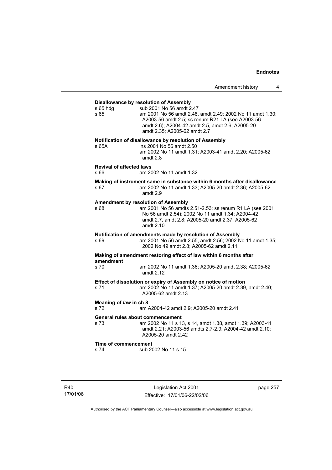## **Disallowance by resolution of Assembly**  s 65 hdg sub 2001 No 56 amdt 2.47 s 65 am 2001 No 56 amdt 2.48, amdt 2.49; 2002 No 11 amdt 1.30; A2003-56 amdt 2.5; ss renum R21 LA (see A2003-56 amdt 2.6); A2004-42 amdt 2.5, amdt 2.6; A2005-20 amdt 2.35; A2005-62 amdt 2.7 **Notification of disallowance by resolution of Assembly**  s 65A ins 2001 No 56 amdt 2.50 am 2002 No 11 amdt 1.31; A2003-41 amdt 2.20; A2005-62 amdt 2.8 **Revival of affected laws**  s 66 am 2002 No 11 amdt 1.32 **Making of instrument same in substance within 6 months after disallowance**  s 67 am 2002 No 11 amdt 1.33; A2005-20 amdt 2.36; A2005-62 amdt 2.9 **Amendment by resolution of Assembly**  s 68 am 2001 No 56 amdts 2.51-2.53; ss renum R1 LA (see 2001 No 56 amdt 2.54); 2002 No 11 amdt 1.34; A2004-42 amdt 2.7, amdt 2.8; A2005-20 amdt 2.37; A2005-62 amdt 2.10 **Notification of amendments made by resolution of Assembly**  s 69 am 2001 No 56 amdt 2.55, amdt 2.56; 2002 No 11 amdt 1.35; 2002 No 49 amdt 2.8; A2005-62 amdt 2.11 **Making of amendment restoring effect of law within 6 months after amendment**  s 70 am 2002 No 11 amdt 1.36; A2005-20 amdt 2.38; A2005-62 amdt 2.12 **Effect of dissolution or expiry of Assembly on notice of motion**  s 71 am 2002 No 11 amdt 1.37; A2005-20 amdt 2.39, amdt 2.40; A2005-62 amdt 2.13 **Meaning of** *law* **in ch 8**  s 72 am A2004-42 amdt 2.9; A2005-20 amdt 2.41 **General rules about commencement**  s 73 am 2002 No 11 s 13, s 14, amdt 1.38, amdt 1.39; A2003-41 amdt 2.21; A2003-56 amdts 2.7-2.9; A2004-42 amdt 2.10; A2005-20 amdt 2.42 **Time of commencement**  s 74 sub 2002 No 11 s 15

R40 17/01/06

Legislation Act 2001 Effective: 17/01/06-22/02/06 page 257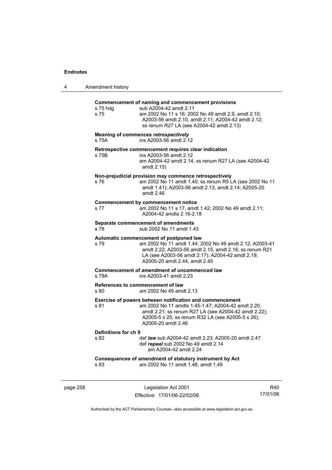| 4        | Amendment history                                                                                                                                                                                                                                         |  |  |
|----------|-----------------------------------------------------------------------------------------------------------------------------------------------------------------------------------------------------------------------------------------------------------|--|--|
|          | Commencement of naming and commencement provisions<br>s 75 hdg<br>sub A2004-42 amdt 2.11<br>s 75<br>am 2002 No 11 s 16; 2002 No 49 amdt 2.9, amdt 2.10;<br>A2003-56 amdt 2.10, amdt 2.11; A2004-42 amdt 2.12;<br>ss renum R27 LA (see A2004-42 amdt 2.13) |  |  |
|          | Meaning of commences retrospectively<br>ins A2003-56 amdt 2.12<br>s 75A                                                                                                                                                                                   |  |  |
|          | Retrospective commencement requires clear indication<br>ins A2003-56 amdt 2.12<br>s 75B<br>am A2004-42 amdt 2.14; ss renum R27 LA (see A2004-42<br>amdt 2.15)                                                                                             |  |  |
|          | Non-prejudicial provision may commence retrospectively<br>am 2002 No 11 amdt 1.40; ss renum R5 LA (see 2002 No 11<br>s 76<br>amdt 1.41); A2003-56 amdt 2.13, amdt 2.14; A2005-20<br>amdt 2.46                                                             |  |  |
|          | <b>Commencement by commencement notice</b><br>am 2002 No 11 s 17, amdt 1.42; 2002 No 49 amdt 2.11;<br>s 77<br>A2004-42 amdts 2.16-2.18                                                                                                                    |  |  |
|          | Separate commencement of amendments<br>s 78<br>sub 2002 No 11 amdt 1.43                                                                                                                                                                                   |  |  |
|          | Automatic commencement of postponed law<br>s 79<br>am 2002 No 11 amdt 1.44; 2002 No 49 amdt 2.12; A2003-41<br>amdt 2.22; A2003-56 amdt 2.15, amdt 2.16; ss renum R21<br>LA (see A2003-56 amdt 2.17); A2004-42 amdt 2.19;<br>A2005-20 amdt 2.44, amdt 2.45 |  |  |
|          | Commencement of amendment of uncommenced law<br>s 79A<br>ins A2003-41 amdt 2.23                                                                                                                                                                           |  |  |
|          | References to commencement of law<br>s 80<br>am 2002 No 49 amdt 2.13                                                                                                                                                                                      |  |  |
|          | Exercise of powers between notification and commencement<br>s 81<br>am 2002 No 11 amdts 1.45-1.47; A2004-42 amdt 2.20,<br>amdt 2.21; ss renum R27 LA (see A2004-42 amdt 2.22);<br>A2005-5 s 25; ss renum R32 LA (see A2005-5 s 26);<br>A2005-20 amdt 2.46 |  |  |
|          | Definitions for ch 9<br>s 82<br>def law sub A2004-42 amdt 2.23; A2005-20 amdt 2.47<br>def repeal sub 2002 No 49 amdt 2.14<br>am A2004-42 amdt 2.24                                                                                                        |  |  |
|          | Consequences of amendment of statutory instrument by Act<br>s 83<br>am 2002 No 11 amdt 1.48, amdt 1.49                                                                                                                                                    |  |  |
| page 258 | Legislation Act 2001<br>R40                                                                                                                                                                                                                               |  |  |

Authorised by the ACT Parliamentary Counsel—also accessible at www.legislation.act.gov.au

17/01/06

Effective: 17/01/06-22/02/06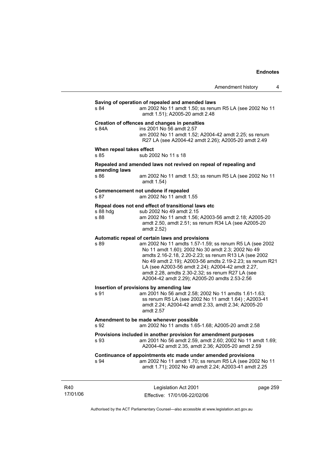## **Saving of operation of repealed and amended laws**  s 84 am 2002 No 11 amdt 1.50; ss renum R5 LA (see 2002 No 11 amdt 1.51); A2005-20 amdt 2.48 **Creation of offences and changes in penalties**  s 84A ins 2001 No 56 amdt 2.57

 am 2002 No 11 amdt 1.52; A2004-42 amdt 2.25; ss renum R27 LA (see A2004-42 amdt 2.26); A2005-20 amdt 2.49

#### **When repeal takes effect**

s 85 sub 2002 No 11 s 18

# **Repealed and amended laws not revived on repeal of repealing and amending laws**

am 2002 No 11 amdt 1.53; ss renum R5 LA (see 2002 No 11 amdt 1.54)

#### **Commencement not undone if repealed**

s 87 am 2002 No 11 amdt 1.55

#### **Repeal does not end effect of transitional laws etc**

| s 88 hda | sub 2002 No 49 amdt 2.15                              |
|----------|-------------------------------------------------------|
| s 88     | am 2002 No 11 amdt 1.56; A2003-56 amdt 2.18; A2005-20 |
|          | amdt 2.50, amdt 2.51; ss renum R34 LA (see A2005-20   |
|          | amdt 2.52)                                            |

#### **Automatic repeal of certain laws and provisions**

s 89 am 2002 No 11 amdts 1.57-1.59; ss renum R5 LA (see 2002 No 11 amdt 1.60); 2002 No 30 amdt 2.3; 2002 No 49 amdts 2.16-2.18, 2.20-2.23; ss renum R13 LA (see 2002 No 49 amdt 2.19); A2003-56 amdts 2.19-2.23; ss renum R21 LA (see A2003-56 amdt 2.24); A2004-42 amdt 2.27, amdt 2.28, amdts 2.30-2.32; ss renum R27 LA (see A2004-42 amdt 2.29); A2005-20 amdts 2.53-2.56

#### **Insertion of provisions by amending law**

s 91 am 2001 No 56 amdt 2.58; 2002 No 11 amdts 1.61-1.63; ss renum R5 LA (see 2002 No 11 amdt 1.64) ; A2003-41 amdt 2.24; A2004-42 amdt 2.33, amdt 2.34; A2005-20 amdt 2.57

#### **Amendment to be made whenever possible**

s 92 am 2002 No 11 amdts 1.65-1.68; A2005-20 amdt 2.58

#### **Provisions included in another provision for amendment purposes**  s 93 am 2001 No 56 amdt 2.59, amdt 2.60; 2002 No 11 amdt 1.69; A2004-42 amdt 2.35, amdt 2.36; A2005-20 amdt 2.59

#### **Continuance of appointments etc made under amended provisions**  s 94 am 2002 No 11 amdt 1.70; ss renum R5 LA (see 2002 No 11 amdt 1.71); 2002 No 49 amdt 2.24; A2003-41 amdt 2.25

R40 17/01/06

Legislation Act 2001 Effective: 17/01/06-22/02/06 page 259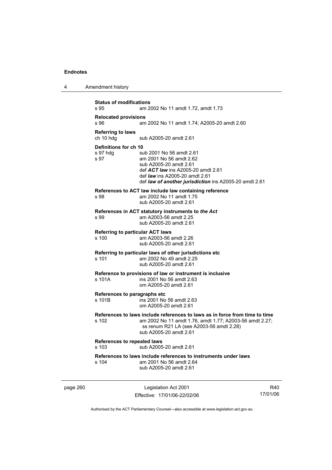| 4 | Amendment history |
|---|-------------------|
|---|-------------------|

| <b>Status of modifications</b><br>s 95           | am 2002 No 11 amdt 1.72, amdt 1.73                                                                                                                                                                                     |
|--------------------------------------------------|------------------------------------------------------------------------------------------------------------------------------------------------------------------------------------------------------------------------|
| <b>Relocated provisions</b><br>s.96              | am 2002 No 11 amdt 1.74; A2005-20 amdt 2.60                                                                                                                                                                            |
| <b>Referring to laws</b><br>ch 10 hdg            | sub A2005-20 amdt 2.61                                                                                                                                                                                                 |
| Definitions for ch 10<br>s 97 hdg<br>s 97        | sub 2001 No 56 amdt 2.61<br>am 2001 No 56 amdt 2.62<br>sub A2005-20 amdt 2.61<br>def ACT law ins A2005-20 amdt 2.61<br>def <i>law</i> ins A2005-20 amdt 2.61<br>def law of another jurisdiction ins A2005-20 amdt 2.61 |
| s 98                                             | References to ACT law include law containing reference<br>am 2002 No 11 amdt 1.75<br>sub A2005-20 amdt 2.61                                                                                                            |
| s 99                                             | References in ACT statutory instruments to the Act<br>am A2003-56 amdt 2.25<br>sub A2005-20 amdt 2.61                                                                                                                  |
| <b>Referring to particular ACT laws</b><br>s 100 | am A2003-56 amdt 2.26<br>sub A2005-20 amdt 2.61                                                                                                                                                                        |
| s 101                                            | Referring to particular laws of other jurisdictions etc<br>am 2002 No 49 amdt 2.25<br>sub A2005-20 amdt 2.61                                                                                                           |
| s 101A                                           | Reference to provisions of law or instrument is inclusive<br>ins 2001 No 56 amdt 2.63<br>om A2005-20 amdt 2.61                                                                                                         |
| References to paragraphs etc<br>s 101B           | ins 2001 No 56 amdt 2.63<br>om A2005-20 amdt 2.61                                                                                                                                                                      |
| s 102                                            | References to laws include references to laws as in force from time to time<br>am 2002 No 11 amdt 1.76, amdt 1.77; A2003-56 amdt 2.27;<br>ss renum R21 LA (see A2003-56 amdt 2.28)<br>sub A2005-20 amdt 2.61           |
| References to repealed laws<br>s 103             | sub A2005-20 amdt 2.61                                                                                                                                                                                                 |
| s 104                                            | References to laws include references to instruments under laws<br>am 2001 No 56 amdt 2.64<br>sub A2005-20 amdt 2.61                                                                                                   |

page 260 Legislation Act 2001 Effective: 17/01/06-22/02/06

R40 17/01/06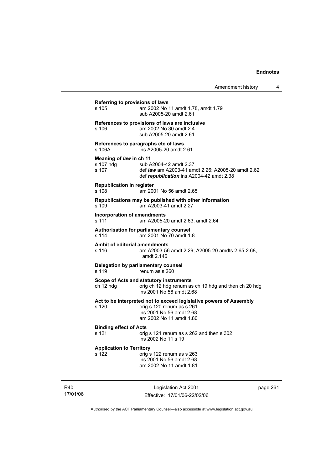# **Referring to provisions of laws**  s 105 am 2002 No 11 amdt 1.78, amdt 1.79 sub A2005-20 amdt 2.61 **References to provisions of laws are inclusive**  s 106 am 2002 No 30 amdt 2.4 sub A2005-20 amdt 2.61 **References to paragraphs etc of laws** s 106A ins A2005-20 amdt 2.61 **Meaning of** *law* **in ch 11**  s 107 hdg sub A2004-42 amdt 2.37 s 107 def *law* am A2003-41 amdt 2.26; A2005-20 amdt 2.62 def *republication* ins A2004-42 amdt 2.38 **Republication in register**  s 108 am 2001 No 56 amdt 2.65 **Republications may be published with other information**  s 109 am A2003-41 amdt 2.27 **Incorporation of amendments**  s 111 am A2005-20 amdt 2.63, amdt 2.64 **Authorisation for parliamentary counsel**  am 2001 No 70 amdt 1.8 **Ambit of editorial amendments**  s 116 am A2003-56 amdt 2.29; A2005-20 amdts 2.65-2.68, amdt 2.146 **Delegation by parliamentary counsel**<br>s 119 renum as s 260  $renum$  as s 260 **Scope of Acts and statutory instruments**  ch 12 hdg orig ch 12 hdg renum as ch 19 hdg and then ch 20 hdg ins 2001 No 56 amdt 2.68 **Act to be interpreted not to exceed legislative powers of Assembly**  s 120 orig s 120 renum as s 261 ins 2001 No 56 amdt 2.68 am 2002 No 11 amdt 1.80 **Binding effect of Acts**  s 121 orig s 121 renum as s 262 and then s 302 ins 2002 No 11 s 19 **Application to Territory**  s 122 orig s 122 renum as s 263 ins 2001 No 56 amdt 2.68 am 2002 No 11 amdt 1.81

R40 17/01/06

Legislation Act 2001 Effective: 17/01/06-22/02/06 page 261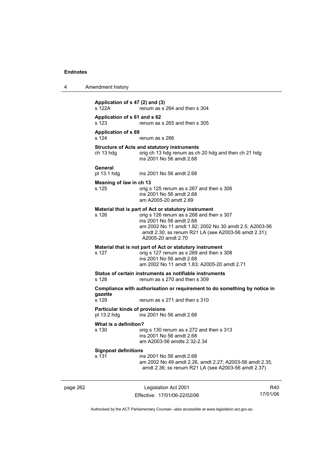| 4        | Amendment history                                    |                                                                                                                                                                                                                                                                      |                 |
|----------|------------------------------------------------------|----------------------------------------------------------------------------------------------------------------------------------------------------------------------------------------------------------------------------------------------------------------------|-----------------|
|          | Application of s 47 (2) and (3)<br>s 122A            | renum as s 264 and then s 304                                                                                                                                                                                                                                        |                 |
|          | Application of s 61 and s 62<br>s 123                | renum as s 265 and then s 305                                                                                                                                                                                                                                        |                 |
|          | Application of s 69<br>s 124                         | renum as s 266                                                                                                                                                                                                                                                       |                 |
|          | ch 13 hdg                                            | <b>Structure of Acts and statutory instruments</b><br>orig ch 13 hdg renum as ch 20 hdg and then ch 21 hdg<br>ins 2001 No 56 amdt 2.68                                                                                                                               |                 |
|          | General<br>pt 13.1 hdg                               | ins 2001 No 56 amdt 2.68                                                                                                                                                                                                                                             |                 |
|          | Meaning of law in ch 13<br>s 125                     | orig s 125 renum as s 267 and then s 306<br>ins 2001 No 56 amdt 2.68<br>am A2005-20 amdt 2.69                                                                                                                                                                        |                 |
|          | s 126                                                | Material that is part of Act or statutory instrument<br>orig s 126 renum as s 268 and then s 307<br>ins 2001 No 56 amdt 2.68<br>am 2002 No 11 amdt 1.82; 2002 No 30 amdt 2.5; A2003-56<br>amdt 2.30; ss renum R21 LA (see A2003-56 amdt 2.31);<br>A2005-20 amdt 2.70 |                 |
|          | s 127                                                | Material that is not part of Act or statutory instrument<br>orig s 127 renum as s 269 and then s 308<br>ins 2001 No 56 amdt 2.68<br>am 2002 No 11 amdt 1.83; A2005-20 amdt 2.71                                                                                      |                 |
|          | s 128                                                | Status of certain instruments as notifiable instruments<br>renum as s 270 and then s 309                                                                                                                                                                             |                 |
|          | gazette<br>s 129                                     | Compliance with authorisation or requirement to do something by notice in<br>renum as s 271 and then s 310                                                                                                                                                           |                 |
|          | <b>Particular kinds of provisions</b><br>pt 13.2 hdg | ins 2001 No 56 amdt 2.68                                                                                                                                                                                                                                             |                 |
|          | What is a definition?<br>s 130                       | orig s 130 renum as s 272 and then s 313<br>ins 2001 No 56 amdt 2.68<br>am A2003-56 amdts 2.32-2.34                                                                                                                                                                  |                 |
|          | <b>Signpost definitions</b><br>s 131                 | ins 2001 No 56 amdt 2.68<br>am 2002 No 49 amdt 2.26, amdt 2.27; A2003-56 amdt 2.35,<br>amdt 2.36; ss renum R21 LA (see A2003-56 amdt 2.37)                                                                                                                           |                 |
| page 262 |                                                      | Legislation Act 2001<br>Effective: 17/01/06-22/02/06                                                                                                                                                                                                                 | R40<br>17/01/06 |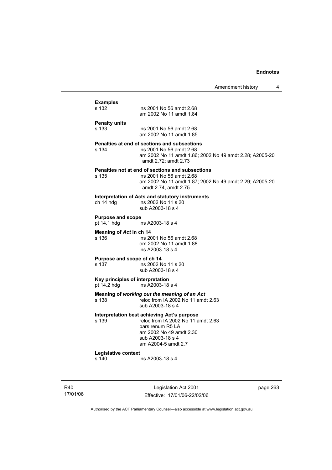Amendment history 4

## **Examples**  ins 2001 No 56 amdt 2.68 am 2002 No 11 amdt 1.84 **Penalty units**  ins 2001 No 56 amdt 2.68 am 2002 No 11 amdt 1.85 **Penalties at end of sections and subsections**  s 134 ins 2001 No 56 amdt 2.68 am 2002 No 11 amdt 1.86; 2002 No 49 amdt 2.28; A2005-20 amdt 2.72; amdt 2.73 **Penalties not at end of sections and subsections**  s 135 ins 2001 No 56 amdt 2.68 am 2002 No 11 amdt 1.87; 2002 No 49 amdt 2.29; A2005-20 amdt 2.74, amdt 2.75 **Interpretation of Acts and statutory instruments**  ch 14 hdg ins 2002 No 11 s 20 sub A2003-18 s 4 **Purpose and scope**  ins A2003-18 s 4 **Meaning of** *Act* **in ch 14**  s 136 ins 2001 No 56 amdt 2.68 om 2002 No 11 amdt 1.88 ins A2003-18 s 4 **Purpose and scope of ch 14**  s 137 ins 2002 No 11 s 20 sub A2003-18 s 4 **Key principles of interpretation**<br>pt 14.2 hdg ins A2003-18 ins A2003-18 s 4 **Meaning of** *working out the meaning of an Act* s 138 reloc from IA 2002 No 11 amdt 2.63 sub A2003-18 s 4 **Interpretation best achieving Act's purpose**  reloc from IA 2002 No 11 amdt 2.63 pars renum R5 LA am 2002 No 49 amdt 2.30 sub A2003-18 s 4 am A2004-5 amdt 2.7 **Legislative context**  s 140 ins A2003-18 s 4

R40 17/01/06

Legislation Act 2001 Effective: 17/01/06-22/02/06 page 263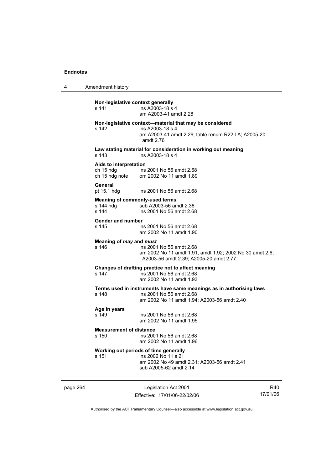4 Amendment history

| Non-legislative context generally<br>s 141 | ins A2003-18 s 4<br>am A2003-41 amdt 2.28                                                                                                       |
|--------------------------------------------|-------------------------------------------------------------------------------------------------------------------------------------------------|
| s 142                                      | Non-legislative context-material that may be considered<br>ins A2003-18 s 4<br>am A2003-41 amdt 2.29; table renum R22 LA; A2005-20<br>amdt 2.76 |
| s 143                                      | Law stating material for consideration in working out meaning<br>ins A2003-18 s 4                                                               |
| Aids to interpretation<br>ch 15 hdg        | ins 2001 No 56 amdt 2.68<br>ch 15 hdg note om 2002 No 11 amdt 1.89                                                                              |
| General<br>pt 15.1 hdg                     | ins 2001 No 56 amdt 2.68                                                                                                                        |
| s 144 hda<br>s 144                         | <b>Meaning of commonly-used terms</b><br>sub A2003-56 amdt 2.38<br>ins 2001 No 56 amdt 2.68                                                     |
| <b>Gender and number</b><br>s 145          | ins 2001 No 56 amdt 2.68<br>am 2002 No 11 amdt 1.90                                                                                             |
| Meaning of may and must<br>s 146           | ins 2001 No 56 amdt 2.68<br>am 2002 No 11 amdt 1.91, amdt 1.92; 2002 No 30 amdt 2.6;<br>A2003-56 amdt 2.39; A2005-20 amdt 2.77                  |
| s 147                                      | Changes of drafting practice not to affect meaning<br>ins 2001 No 56 amdt 2.68<br>am 2002 No 11 amdt 1.93                                       |
| s 148                                      | Terms used in instruments have same meanings as in authorising laws<br>ins 2001 No 56 amdt 2.68<br>am 2002 No 11 amdt 1.94; A2003-56 amdt 2.40  |
| Age in years<br>s 149                      | ins 2001 No 56 amdt 2.68<br>am 2002 No 11 amdt 1.95                                                                                             |
| <b>Measurement of distance</b><br>s 150    | ins 2001 No 56 amdt 2.68<br>am 2002 No 11 amdt 1.96                                                                                             |
| s 151                                      | Working out periods of time generally<br>ins 2002 No 11 s 21<br>am 2002 No 49 amdt 2.31; A2003-56 amdt 2.41<br>sub A2005-62 amdt 2.14           |

page 264 Legislation Act 2001 Effective: 17/01/06-22/02/06

R40 17/01/06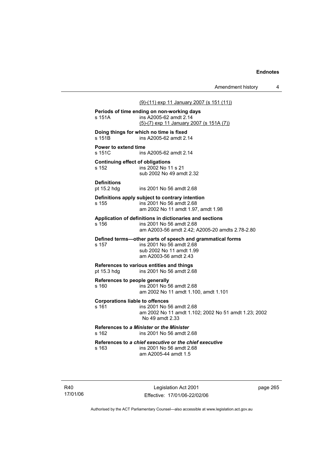# (9)-(11) exp 11 January 2007 (s 151 (11)) **Periods of time ending on non-working days**  s 151A ins A2005-62 amdt 2.14 (5)-(7) exp 11 January 2007 (s 151A (7)) **Doing things for which no time is fixed s 151B** ins A2005-62 amdt 2. ins A2005-62 amdt 2.14 **Power to extend time**  s 151C ins A2005-62 amdt 2.14 **Continuing effect of obligations**  s 152 ins 2002 No 11 s 21 sub 2002 No 49 amdt 2.32 **Definitions**  pt 15.2 hdg ins 2001 No 56 amdt 2.68 **Definitions apply subject to contrary intention**  s 155 ins 2001 No 56 amdt 2.68 am 2002 No 11 amdt 1.97, amdt 1.98 **Application of definitions in dictionaries and sections**  s 156 ins 2001 No 56 amdt 2.68 am A2003-56 amdt 2.42; A2005-20 amdts 2.78-2.80 **Defined terms—other parts of speech and grammatical forms**  s 157 ins 2001 No 56 amdt 2.68 sub 2002 No 11 amdt 1.99 am A2003-56 amdt 2.43 **References to various entities and things**  pt 15.3 hdg ins 2001 No 56 amdt 2.68 **References to people generally**

s 160 ins 2001 No 56 amdt 2.68 am 2002 No 11 amdt 1.100, amdt 1.101

#### **Corporations liable to offences**

s 161 ins 2001 No 56 amdt 2.68 am 2002 No 11 amdt 1.102; 2002 No 51 amdt 1.23; 2002 No 49 amdt 2.33

**References to** *a Minister* **or** *the Minister* s 162 ins 2001 No 56 amdt 2.68

**References to** *a chief executive* **or** *the chief executive* s 163 ins 2001 No 56 amdt 2.68

am A2005-44 amdt 1.5

R40 17/01/06

Legislation Act 2001 Effective: 17/01/06-22/02/06 page 265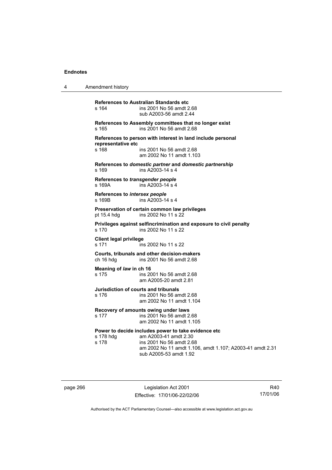4 Amendment history

**References to Australian Standards etc**  s 164 ins 2001 No 56 amdt 2.68 sub A2003-56 amdt 2.44 **References to Assembly committees that no longer exist**  s 165 ins 2001 No 56 amdt 2.68 **References to person with interest in land include personal representative etc**  s 168 ins 2001 No 56 amdt 2.68 am 2002 No 11 amdt 1.103 **References to** *domestic partner* **and** *domestic partnership*  s 169 ins A2003-14 s 4 **References to** *transgender people*  s 169A ins A2003-14 s 4 **References to** *intersex people*  s 169B ins A2003-14 s 4 **Preservation of certain common law privileges**  pt 15.4 hdg ins 2002 No 11 s 22 **Privileges against selfincrimination and exposure to civil penalty**  s 170 ins 2002 No 11 s 22 **Client legal privilege**  s 171 ins 2002 No 11 s 22 **Courts, tribunals and other decision-makers**  ch 16 hdg ins 2001 No 56 amdt 2.68 **Meaning of** *law* **in ch 16**  s 175 ins 2001 No 56 amdt 2.68 am A2005-20 amdt 2.81 **Jurisdiction of courts and tribunals**  s 176 ins 2001 No 56 amdt 2.68 am 2002 No 11 amdt 1.104 **Recovery of amounts owing under laws**  s 177 ins 2001 No 56 amdt 2.68 am 2002 No 11 amdt 1.105 **Power to decide includes power to take evidence etc**  s 178 hdg am A2003-41 amdt 2.30<br>s 178 amdt 2.6 ins 2001 No 56 amdt 2.68 am 2002 No 11 amdt 1.106, amdt 1.107; A2003-41 amdt 2.31 sub A2005-53 amdt 1.92

page 266 Legislation Act 2001 Effective: 17/01/06-22/02/06

R40 17/01/06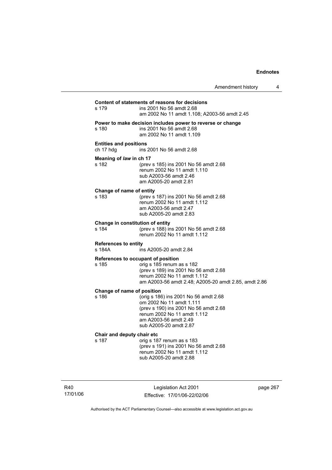| Amendment history |  |  |
|-------------------|--|--|
|-------------------|--|--|

## **Content of statements of reasons for decisions**

| s 179                                       | ins 2001 No 56 amdt 2.68<br>am 2002 No 11 amdt 1.108; A2003-56 amdt 2.45                                                                                                                     |
|---------------------------------------------|----------------------------------------------------------------------------------------------------------------------------------------------------------------------------------------------|
| s 180                                       | Power to make decision includes power to reverse or change<br>ins 2001 No 56 amdt 2.68<br>am 2002 No 11 amdt 1.109                                                                           |
| <b>Entities and positions</b><br>ch 17 hdg  | ins 2001 No 56 amdt 2.68                                                                                                                                                                     |
| Meaning of law in ch 17<br>s 182            | (prev s 185) ins 2001 No 56 amdt 2.68<br>renum 2002 No 11 amdt 1.110<br>sub A2003-56 amdt 2.46<br>am A2005-20 amdt 2.81                                                                      |
| Change of name of entity<br>s 183           | (prev s 187) ins 2001 No 56 amdt 2.68<br>renum 2002 No 11 amdt 1.112<br>am A2003-56 amdt 2.47<br>sub A2005-20 amdt 2.83                                                                      |
| Change in constitution of entity<br>s 184   | (prev s 188) ins 2001 No 56 amdt 2.68<br>renum 2002 No 11 amdt 1.112                                                                                                                         |
| <b>References to entity</b><br>s 184A       | ins A2005-20 amdt 2.84                                                                                                                                                                       |
| References to occupant of position<br>s 185 | orig s 185 renum as s 182<br>(prev s 189) ins 2001 No 56 amdt 2.68<br>renum 2002 No 11 amdt 1.112<br>am A2003-56 amdt 2.48; A2005-20 amdt 2.85, amdt 2.86                                    |
| Change of name of position<br>s 186         | (orig s 186) ins 2001 No 56 amdt 2.68<br>om 2002 No 11 amdt 1.111<br>(prev s 190) ins 2001 No 56 amdt 2.68<br>renum 2002 No 11 amdt 1.112<br>am A2003-56 amdt 2.49<br>sub A2005-20 amdt 2.87 |
| Chair and deputy chair etc<br>s 187         | orig s 187 renum as s 183<br>(prev s 191) ins 2001 No 56 amdt 2.68<br>renum 2002 No 11 amdt 1.112<br>sub A2005-20 amdt 2.88                                                                  |

R40 17/01/06

Legislation Act 2001 Effective: 17/01/06-22/02/06 page 267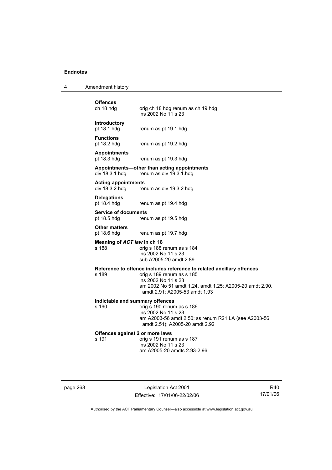4 Amendment history

# **Offences**

orig ch 18 hdg renum as ch 19 hdg ins 2002 No 11 s 23

# **Introductory**

pt 18.1 hdg renum as pt 19.1 hdg

**Functions** 

pt 18.2 hdg renum as pt 19.2 hdg

**Appointments** 

renum as pt 19.3 hdg

# **Appointments—other than acting appointments**

div 18.3.1 hdg renum as div 19.3.1.hdg

#### **Acting appointments**

div 18.3.2 hdg renum as div 19.3.2 hdg

**Delegations**  pt 18.4 hdg renum as pt 19.4 hdg

**Service of documents** 

pt 18.5 hdg renum as pt 19.5 hdg

**Other matters** 

pt 18.6 hdg renum as pt 19.7 hdg

# **Meaning of** *ACT law* **in ch 18** s 188

orig s 188 renum as s 184 ins 2002 No 11 s 23 sub A2005-20 amdt 2.89

#### **Reference to offence includes reference to related ancillary offences**

s 189 orig s 189 renum as s 185 ins 2002 No 11 s 23 am 2002 No 51 amdt 1.24, amdt 1.25; A2005-20 amdt 2.90, amdt 2.91; A2005-53 amdt 1.93

#### **Indictable and summary offences**

s 190 orig s 190 renum as s 186 ins 2002 No 11 s 23 am A2003-56 amdt 2.50; ss renum R21 LA (see A2003-56 amdt 2.51); A2005-20 amdt 2.92

# **Offences against 2 or more laws**<br>s 191 orig s 191 renu

orig s 191 renum as s 187 ins 2002 No 11 s 23 am A2005-20 amdts 2.93-2.96

page 268 Legislation Act 2001 Effective: 17/01/06-22/02/06

R40 17/01/06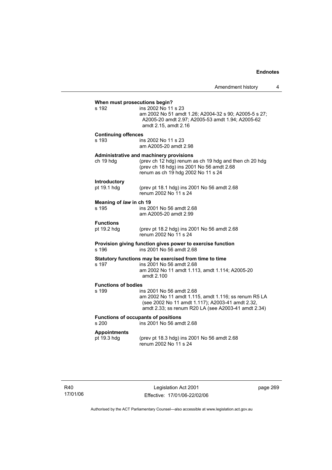| When must prosecutions begin?                                                                   |                                                                                                                                                                                             |  |  |  |
|-------------------------------------------------------------------------------------------------|---------------------------------------------------------------------------------------------------------------------------------------------------------------------------------------------|--|--|--|
| s 192                                                                                           | ins 2002 No 11 s 23<br>am 2002 No 51 amdt 1.26; A2004-32 s 90; A2005-5 s 27;<br>A2005-20 amdt 2.97; A2005-53 amdt 1.94; A2005-62<br>amdt 2.15, amdt 2.16                                    |  |  |  |
| <b>Continuing offences</b><br>s 193                                                             | ins 2002 No 11 s 23<br>am A2005-20 amdt 2.98                                                                                                                                                |  |  |  |
| ch 19 hdg                                                                                       | Administrative and machinery provisions<br>(prev ch 12 hdg) renum as ch 19 hdg and then ch 20 hdg<br>(prev ch 18 hdg) ins 2001 No 56 amdt 2.68<br>renum as ch 19 hdg 2002 No 11 s 24        |  |  |  |
| Introductory<br>pt 19.1 hdg                                                                     | (prev pt 18.1 hdg) ins 2001 No 56 amdt 2.68<br>renum 2002 No 11 s 24                                                                                                                        |  |  |  |
| Meaning of law in ch 19<br>s 195                                                                | ins 2001 No 56 amdt 2.68<br>am A2005-20 amdt 2.99                                                                                                                                           |  |  |  |
| <b>Functions</b><br>pt 19.2 hdg                                                                 | (prev pt 18.2 hdg) ins 2001 No 56 amdt 2.68<br>renum 2002 No 11 s 24                                                                                                                        |  |  |  |
| Provision giving function gives power to exercise function<br>ins 2001 No 56 amdt 2.68<br>s 196 |                                                                                                                                                                                             |  |  |  |
| s 197                                                                                           | Statutory functions may be exercised from time to time<br>ins 2001 No 56 amdt 2.68<br>am 2002 No 11 amdt 1.113, amdt 1.114; A2005-20<br>amdt 2.100                                          |  |  |  |
| <b>Functions of bodies</b><br>s 199                                                             | ins 2001 No 56 amdt 2.68<br>am 2002 No 11 amdt 1.115, amdt 1.116; ss renum R5 LA<br>(see 2002 No 11 amdt 1.117); A2003-41 amdt 2.32,<br>amdt 2.33; ss renum R20 LA (see A2003-41 amdt 2.34) |  |  |  |
| s 200                                                                                           | <b>Functions of occupants of positions</b><br>ins 2001 No 56 amdt 2.68                                                                                                                      |  |  |  |
| <b>Appointments</b><br>pt 19.3 hdg                                                              | (prev pt 18.3 hdg) ins 2001 No 56 amdt 2.68<br>renum 2002 No 11 s 24                                                                                                                        |  |  |  |

R40 17/01/06

Legislation Act 2001 Effective: 17/01/06-22/02/06 page 269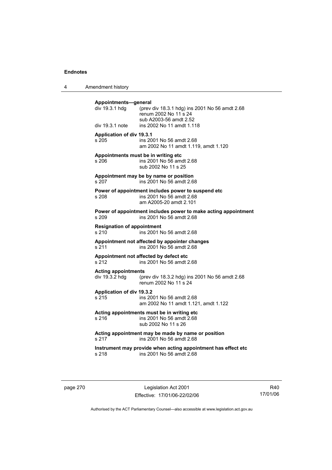4 Amendment history

| Appointments-general<br>div 19.3.1 hdg       | (prev div 18.3.1 hdg) ins 2001 No 56 amdt 2.68<br>renum 2002 No 11 s 24<br>sub A2003-56 amdt 2.52        |
|----------------------------------------------|----------------------------------------------------------------------------------------------------------|
| div 19.3.1 note                              | ins 2002 No 11 amdt 1.118                                                                                |
| <b>Application of div 19.3.1</b><br>s 205    | ins 2001 No 56 amdt 2.68<br>am 2002 No 11 amdt 1.119, amdt 1.120                                         |
| s 206                                        | Appointments must be in writing etc<br>ins 2001 No 56 amdt 2.68<br>sub 2002 No 11 s 25                   |
| s 207                                        | Appointment may be by name or position<br>ins 2001 No 56 amdt 2.68                                       |
| s 208                                        | Power of appointment includes power to suspend etc<br>ins 2001 No 56 amdt 2.68<br>am A2005-20 amdt 2.101 |
| s 209                                        | Power of appointment includes power to make acting appointment<br>ins 2001 No 56 amdt 2.68               |
| <b>Resignation of appointment</b><br>s 210   | ins 2001 No 56 amdt 2.68                                                                                 |
| s 211                                        | Appointment not affected by appointer changes<br>ins 2001 No 56 amdt 2.68                                |
| s 212                                        | Appointment not affected by defect etc<br>ins 2001 No 56 amdt 2.68                                       |
| <b>Acting appointments</b><br>div 19.3.2 hdg | (prev div 18.3.2 hdg) ins 2001 No 56 amdt 2.68<br>renum 2002 No 11 s 24                                  |
| Application of div 19.3.2<br>s 215           | ins 2001 No 56 amdt 2.68<br>am 2002 No 11 amdt 1.121, amdt 1.122                                         |
| s 216                                        | Acting appointments must be in writing etc<br>ins 2001 No 56 amdt 2.68<br>sub 2002 No 11 s 26            |
| s 217                                        | Acting appointment may be made by name or position<br>ins 2001 No 56 amdt 2.68                           |
| s 218                                        | Instrument may provide when acting appointment has effect etc<br>ins 2001 No 56 amdt 2.68                |
|                                              |                                                                                                          |

page 270 Legislation Act 2001 Effective: 17/01/06-22/02/06

R40 17/01/06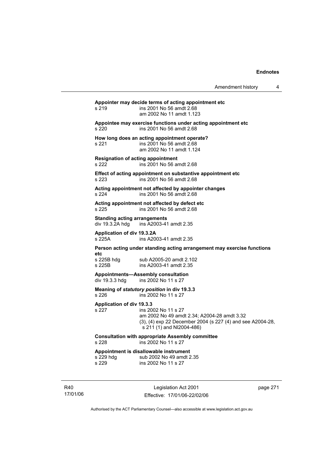# **Appointer may decide terms of acting appointment etc**  s 219 ins 2001 No 56 amdt 2.68 am 2002 No 11 amdt 1.123 **Appointee may exercise functions under acting appointment etc**  s 220 ins 2001 No 56 amdt 2.68 **How long does an acting appointment operate?**  s 221 ins 2001 No 56 amdt 2.68 am 2002 No 11 amdt 1.124 **Resignation of acting appointment**  s 222 ins 2001 No 56 amdt 2.68 **Effect of acting appointment on substantive appointment etc**  s 223 ins 2001 No 56 amdt 2.68 **Acting appointment not affected by appointer changes**  s 224 ins 2001 No 56 amdt 2.68 **Acting appointment not affected by defect etc**  s 225 ins 2001 No 56 amdt 2.68 **Standing acting arrangements**<br>div 19.3.2A hdg ins A2003-41 ins A2003-41 amdt 2.35 **Application of div 19.3.2A**  s 225A ins A2003-41 amdt 2.35 **Person acting under standing acting arrangement may exercise functions etc**  sub A2005-20 amdt 2.102 s 225B ins A2003-41 amdt 2.35 **Appointments—Assembly consultation**  div 19.3.3 hdg ins 2002 No 11 s 27 **Meaning of** *statutory position* **in div 19.3.3**  s 226 ins 2002 No 11 s 27 **Application of div 19.3.3**  s 227 ins 2002 No 11 s 27 am 2002 No 49 amdt 2.34; A2004-28 amdt 3.32 (3), (4) exp 22 December 2004 (s 227 (4) and see A2004-28, s 211 (1) and NI2004-486) **Consultation with appropriate Assembly committee**  s 228 ins 2002 No 11 s 27 **Appointment is disallowable instrument**  sub 2002 No 49 amdt 2.35 s 229 ins 2002 No 11 s 27

R40 17/01/06

Legislation Act 2001 Effective: 17/01/06-22/02/06 page 271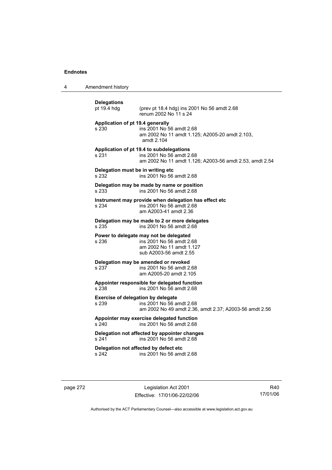4 Amendment history

| <b>Delegations</b><br>pt 19.4 hdg                  | (prev pt 18.4 hdg) ins 2001 No 56 amdt 2.68<br>renum 2002 No 11 s 24                                                            |
|----------------------------------------------------|---------------------------------------------------------------------------------------------------------------------------------|
| Application of pt 19.4 generally<br>s 230          | ins 2001 No 56 amdt 2.68<br>am 2002 No 11 amdt 1.125; A2005-20 amdt 2.103,<br>amdt 2.104                                        |
| s 231                                              | Application of pt 19.4 to subdelegations<br>ins 2001 No 56 amdt 2.68<br>am 2002 No 11 amdt 1.126; A2003-56 amdt 2.53, amdt 2.54 |
| Delegation must be in writing etc<br>s 232         | ins 2001 No 56 amdt 2.68                                                                                                        |
| s 233                                              | Delegation may be made by name or position<br>ins 2001 No 56 amdt 2.68                                                          |
| s 234                                              | Instrument may provide when delegation has effect etc<br>ins 2001 No 56 amdt 2.68<br>am A2003-41 amdt 2.36                      |
| s 235                                              | Delegation may be made to 2 or more delegates<br>ins 2001 No 56 amdt 2.68                                                       |
| s 236                                              | Power to delegate may not be delegated<br>ins 2001 No 56 amdt 2.68<br>am 2002 No 11 amdt 1.127<br>sub A2003-56 amdt 2.55        |
| s 237                                              | Delegation may be amended or revoked<br>ins 2001 No 56 amdt 2.68<br>am A2005-20 amdt 2.105                                      |
| s 238                                              | Appointer responsible for delegated function<br>ins 2001 No 56 amdt 2.68                                                        |
| <b>Exercise of delegation by delegate</b><br>s 239 | ins 2001 No 56 amdt 2.68<br>am 2002 No 49 amdt 2.36, amdt 2.37; A2003-56 amdt 2.56                                              |
| s 240                                              | Appointer may exercise delegated function<br>ins 2001 No 56 amdt 2.68                                                           |
| s 241                                              | Delegation not affected by appointer changes<br>ins 2001 No 56 amdt 2.68                                                        |
| s 242                                              | Delegation not affected by defect etc<br>ins 2001 No 56 amdt 2.68                                                               |
|                                                    |                                                                                                                                 |

page 272 Legislation Act 2001 Effective: 17/01/06-22/02/06

R40 17/01/06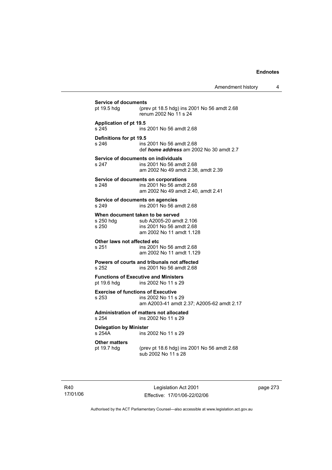| pt 19.5 hdg                               | (prev pt 18.5 hdg) ins 2001 No 56 amdt 2.68                                |
|-------------------------------------------|----------------------------------------------------------------------------|
|                                           | renum 2002 No 11 s 24                                                      |
| <b>Application of pt 19.5</b>             |                                                                            |
| s 245                                     | ins 2001 No 56 amdt 2.68                                                   |
| Definitions for pt 19.5                   |                                                                            |
| s 246                                     | ins 2001 No 56 amdt 2.68<br>def <i>home address</i> am 2002 No 30 amdt 2.7 |
|                                           | Service of documents on individuals                                        |
| s 247                                     | ins 2001 No 56 amdt 2.68<br>am 2002 No 49 amdt 2.38, amdt 2.39             |
|                                           |                                                                            |
| s 248                                     | Service of documents on corporations<br>ins 2001 No 56 amdt 2.68           |
|                                           | am 2002 No 49 amdt 2.40, amdt 2.41                                         |
| Service of documents on agencies          |                                                                            |
| s 249                                     | ins 2001 No 56 amdt 2.68                                                   |
|                                           | When document taken to be served                                           |
| s 250 hdg<br>s 250                        | sub A2005-20 amdt 2.106<br>ins 2001 No 56 amdt 2.68                        |
|                                           | am 2002 No 11 amdt 1.128                                                   |
| Other laws not affected etc               |                                                                            |
| s 251                                     | ins 2001 No 56 amdt 2.68                                                   |
|                                           | am 2002 No 11 amdt 1.129                                                   |
| s 252                                     | Powers of courts and tribunals not affected<br>ins 2001 No 56 amdt 2.68    |
|                                           |                                                                            |
| pt 19.6 hdg                               | <b>Functions of Executive and Ministers</b><br>ins 2002 No 11 s 29         |
| <b>Exercise of functions of Executive</b> |                                                                            |
| s 253                                     | ins 2002 No 11 s 29                                                        |
|                                           | am A2003-41 amdt 2.37; A2005-62 amdt 2.17                                  |
| s 254                                     | Administration of matters not allocated<br>ins 2002 No 11 s 29             |
| <b>Delegation by Minister</b>             |                                                                            |
| s 254A                                    | ins 2002 No 11 s 29                                                        |
| <b>Other matters</b><br>pt 19.7 hdg       |                                                                            |
|                                           | (prev pt 18.6 hdg) ins 2001 No 56 amdt 2.68                                |

R40 17/01/06

Legislation Act 2001 Effective: 17/01/06-22/02/06 page 273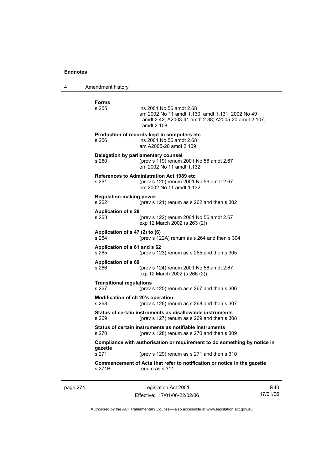4 Amendment history

**Forms**  ins 2001 No 56 amdt 2.68 am 2002 No 11 amdt 1.130, amdt 1.131; 2002 No 49 amdt 2.42; A2003-41 amdt 2.38; A2005-20 amdt 2.107, amdt 2.108 **Production of records kept in computers etc**  s 256 ins 2001 No 56 amdt 2.68 am A2005-20 amdt 2.109 **Delegation by parliamentary counsel**  s 260 (prev s 119) renum 2001 No 56 amdt 2.67 om 2002 No 11 amdt 1.132 **References to Administration Act 1989 etc**  s 261 (prev s 120) renum 2001 No 56 amdt 2.67 om 2002 No 11 amdt 1.132 **Regulation-making power**  s 262 (prev s 121) renum as s 262 and then s 302 **Application of s 28**  s 263 (prev s 122) renum 2001 No 56 amdt 2.67 exp 12 March 2002 (s 263 (2)) **Application of s 47 (2) to (6)**  s 264 (prev s 122A) renum as s 264 and then s 304 **Application of s 61 and s 62**  s 265 (prev s 123) renum as s 265 and then s 305 **Application of s 69**  s 266 (prev s 124) renum 2001 No 56 amdt 2.67 exp 12 March 2002 (s 266 (2)) **Transitional regulations**  s 267 (prev s 125) renum as s 267 and then s 306 **Modification of ch 20's operation**  s 268 (prev s 126) renum as s 268 and then s 307 **Status of certain instruments as disallowable instruments**  s 269 (prev s 127) renum as s 269 and then s 308 **Status of certain instruments as notifiable instruments**  s 270 (prev s 128) renum as s 270 and then s 309 **Compliance with authorisation or requirement to do something by notice in gazette**  s 271 (prev s 129) renum as s 271 and then s 310 **Commencement of Acts that refer to notification or notice in the gazette**  s 271B renum as s 311

page 274 Legislation Act 2001 Effective: 17/01/06-22/02/06

R40 17/01/06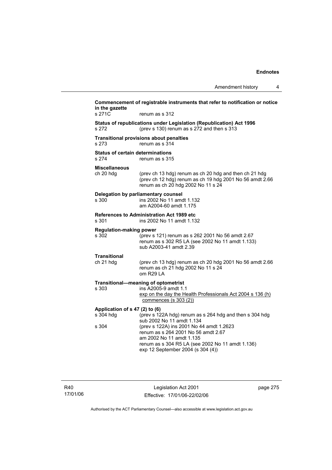Amendment history 4

|                                                  | Amendment nistory                                                                                                                                                                                    |
|--------------------------------------------------|------------------------------------------------------------------------------------------------------------------------------------------------------------------------------------------------------|
| in the gazette                                   | Commencement of registrable instruments that refer to notification or notice                                                                                                                         |
| s 271C                                           | renum as s 312                                                                                                                                                                                       |
| s 272                                            | Status of republications under Legislation (Republication) Act 1996<br>(prev s 130) renum as s 272 and then s 313                                                                                    |
| s 273                                            | <b>Transitional provisions about penalties</b><br>renum as s 314                                                                                                                                     |
| <b>Status of certain determinations</b><br>s 274 | renum as s 315                                                                                                                                                                                       |
| <b>Miscellaneous</b><br>ch 20 hdg                | (prev ch 13 hdg) renum as ch 20 hdg and then ch 21 hdg<br>(prev ch 12 hdg) renum as ch 19 hdg 2001 No 56 amdt 2.66<br>renum as ch 20 hdg 2002 No 11 s 24                                             |
| s 300                                            | Delegation by parliamentary counsel<br>ins 2002 No 11 amdt 1.132<br>am A2004-60 amdt 1.175                                                                                                           |
| s 301                                            | References to Administration Act 1989 etc<br>ins 2002 No 11 amdt 1.132                                                                                                                               |
| <b>Regulation-making power</b><br>s 302          | (prev s 121) renum as s 262 2001 No 56 amdt 2.67<br>renum as s 302 R5 LA (see 2002 No 11 amdt 1.133)<br>sub A2003-41 amdt 2.39                                                                       |
| <b>Transitional</b><br>ch 21 hdg                 | (prev ch 13 hdg) renum as ch 20 hdg 2001 No 56 amdt 2.66<br>renum as ch 21 hdg 2002 No 11 s 24<br>om R29 LA                                                                                          |
| s 303                                            | Transitional-meaning of optometrist<br>ins A2005-9 amdt 1.1<br>exp on the day the Health Professionals Act 2004 s 136 (h)<br>commences $(s 303 (2))$                                                 |
| Application of s 47 (2) to (6)<br>s 304 hdg      | (prev s 122A hdg) renum as s 264 hdg and then s 304 hdg<br>sub 2002 No 11 amdt 1.134                                                                                                                 |
| s 304                                            | (prev s 122A) ins 2001 No 44 amdt 1.2623<br>renum as s 264 2001 No 56 amdt 2.67<br>am 2002 No 11 amdt 1.135<br>renum as s 304 R5 LA (see 2002 No 11 amdt 1.136)<br>exp 12 September 2004 (s 304 (4)) |
|                                                  |                                                                                                                                                                                                      |

R40 17/01/06

Legislation Act 2001 Effective: 17/01/06-22/02/06 page 275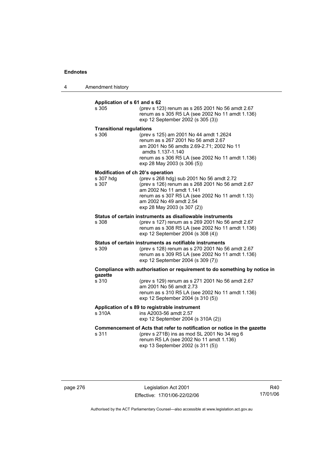4 Amendment history

#### **Application of s 61 and s 62**

| s 305                                                   | (prev s 123) renum as s 265 2001 No 56 amdt 2.67<br>renum as s 305 R5 LA (see 2002 No 11 amdt 1.136)<br>exp 12 September 2002 (s 305 (3))                                                                                              |
|---------------------------------------------------------|----------------------------------------------------------------------------------------------------------------------------------------------------------------------------------------------------------------------------------------|
| <b>Transitional regulations</b><br>s 306                | (prev s 125) am 2001 No 44 amdt 1.2624<br>renum as s 267 2001 No 56 amdt 2.67<br>am 2001 No 56 amdts 2.69-2.71; 2002 No 11<br>amdts 1.137-1.140<br>renum as s 306 R5 LA (see 2002 No 11 amdt 1.136)<br>exp 28 May 2003 (s 306 (5))     |
| Modification of ch 20's operation<br>s 307 hdg<br>s 307 | (prev s 268 hdg) sub 2001 No 56 amdt 2.72<br>(prev s 126) renum as s 268 2001 No 56 amdt 2.67<br>am 2002 No 11 amdt 1.141<br>renum as s 307 R5 LA (see 2002 No 11 amdt 1.13)<br>am 2002 No 49 amdt 2.54<br>exp 28 May 2003 (s 307 (2)) |
| s 308                                                   | Status of certain instruments as disallowable instruments<br>(prev s 127) renum as s 269 2001 No 56 amdt 2.67<br>renum as s 308 R5 LA (see 2002 No 11 amdt 1.136)<br>exp 12 September 2004 (s 308 (4))                                 |
| s 309                                                   | Status of certain instruments as notifiable instruments<br>(prev s 128) renum as s 270 2001 No 56 amdt 2.67<br>renum as s 309 R5 LA (see 2002 No 11 amdt 1.136)<br>exp 12 September 2004 (s 309 (7))                                   |
| gazette                                                 | Compliance with authorisation or requirement to do something by notice in                                                                                                                                                              |
| s 310                                                   | (prev s 129) renum as s 271 2001 No 56 amdt 2.67                                                                                                                                                                                       |

page 276 Legislation Act 2001 Effective: 17/01/06-22/02/06

am 2001 No 56 amdt 2.73

**Application of s 89 to registrable instrument**  s 310A ins A2003-56 amdt 2.57

exp 12 September 2004 (s 310 (5))

exp 12 September 2004 (s 310A (2))

**Commencement of Acts that refer to notification or notice in the gazette**<br>s 311 (prev s 271B) ins as mod SL 2001 No 34 reg 6

exp 13 September 2002 (s 311 (5))

(prev s 271B) ins as mod SL 2001 No 34 reg  $6$ renum R5 LA (see 2002 No 11 amdt 1.136)

renum as s 310 R5 LA (see 2002 No 11 amdt 1.136)

R40 17/01/06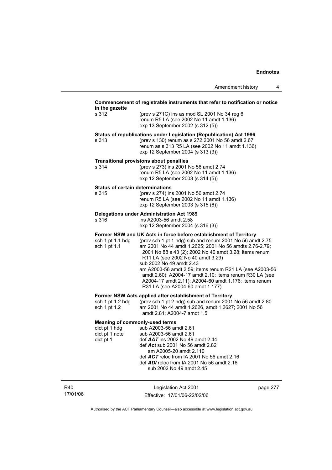#### **Commencement of registrable instruments that refer to notification or notice in**

| in the gazette                            |                                                                                                                                                                                                                                                                                                                                                                                                                                                                  |
|-------------------------------------------|------------------------------------------------------------------------------------------------------------------------------------------------------------------------------------------------------------------------------------------------------------------------------------------------------------------------------------------------------------------------------------------------------------------------------------------------------------------|
| s 312                                     | (prev s 271C) ins as mod SL 2001 No 34 reg 6<br>renum R5 LA (see 2002 No 11 amdt 1.136)<br>exp 13 September 2002 (s 312 (5))                                                                                                                                                                                                                                                                                                                                     |
| s 313                                     | Status of republications under Legislation (Republication) Act 1996<br>(prev s 130) renum as s 272 2001 No 56 amdt 2.67<br>renum as s 313 R5 LA (see 2002 No 11 amdt 1.136)<br>exp 12 September 2004 (s 313 (3))                                                                                                                                                                                                                                                 |
| s 314                                     | <b>Transitional provisions about penalties</b><br>(prev s 273) ins 2001 No 56 amdt 2.74<br>renum R5 LA (see 2002 No 11 amdt 1.136)<br>exp 12 September 2003 (s 314 (5))                                                                                                                                                                                                                                                                                          |
| Status of certain determinations<br>s 315 | (prev s 274) ins 2001 No 56 amdt 2.74<br>renum R5 LA (see 2002 No 11 amdt 1.136)<br>exp 12 September 2003 (s 315 (6))                                                                                                                                                                                                                                                                                                                                            |
| s 316                                     | Delegations under Administration Act 1989<br>ins A2003-56 amdt 2.58<br>exp 12 September 2004 (s 316 (3))                                                                                                                                                                                                                                                                                                                                                         |
|                                           | Former NSW and UK Acts in force before establishment of Territory                                                                                                                                                                                                                                                                                                                                                                                                |
| sch 1 pt 1.1 hdg<br>sch 1 pt 1.1          | (prev sch 1 pt 1 hdg) sub and renum 2001 No 56 amdt 2.75<br>am 2001 No 44 amdt 1.2625; 2001 No 56 amdts 2.76-2.79;<br>2001 No 88 s 43 (2); 2002 No 40 amdt 3.28; items renum<br>R11 LA (see 2002 No 40 amdt 3.29)<br>sub 2002 No 49 amdt 2.43<br>am A2003-56 amdt 2.59; items renum R21 LA (see A2003-56<br>amdt 2.60); A2004-17 amdt 2.10; items renum R30 LA (see<br>A2004-17 amdt 2.11); A2004-60 amdt 1.176; items renum<br>R31 LA (see A2004-60 amdt 1.177) |
|                                           | Former NSW Acts applied after establishment of Territory                                                                                                                                                                                                                                                                                                                                                                                                         |
|                                           |                                                                                                                                                                                                                                                                                                                                                                                                                                                                  |

sch 1 pt 1.2 hdg (prev sch 1 pt 2 hdg) sub and renum 2001 No 56 amdt 2.80 sch 1 pt 1.2 am 2001 No 44 amdt 1.2626, amdt 1.2627; 2001 No 56 amdt 2.81; A2004-7 amdt 1.5

#### **Meaning of commonly-used terms**

| dict pt 1 hdg  | sub A2003-56 amdt 2.61                            |
|----------------|---------------------------------------------------|
| dict pt 1 note | sub A2003-56 amdt 2.61                            |
| dict pt 1      | def $AAT$ ins 2002 No 49 amdt 2.44                |
|                | def Act sub 2001 No 56 amdt 2.82                  |
|                | am A2005-20 amdt 2.110                            |
|                | def $ACT$ reloc from IA 2001 No 56 amdt 2.16      |
|                | def <b>ADI</b> reloc from IA 2001 No 56 amdt 2.16 |
|                | sub 2002 No 49 amdt 2.45                          |
|                |                                                   |

R40 17/01/06

Legislation Act 2001 Effective: 17/01/06-22/02/06 page 277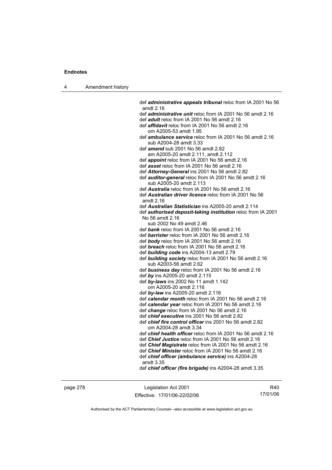4 Amendment history

 def *administrative appeals tribunal* reloc from IA 2001 No 56 amdt 2.16 def *administrative unit* reloc from IA 2001 No 56 amdt 2.16 def *adult* reloc from IA 2001 No 56 amdt 2.16 def *affidavit* reloc from IA 2001 No 56 amdt 2.16 om A2005-53 amdt 1.95 def *ambulance service* reloc from IA 2001 No 56 amdt 2.16 sub A2004-28 amdt 3.33 def *amend* sub 2001 No 56 amdt 2.82 am A2005-20 amdt 2.111, amdt 2.112 def *appoint* reloc from IA 2001 No 56 amdt 2.16 def *asset* reloc from IA 2001 No 56 amdt 2.16 def *Attorney-General* ins 2001 No 56 amdt 2.82 def *auditor-general* reloc from IA 2001 No 56 amdt 2.16 sub A2005-20 amdt 2.113 def *Australia* reloc from IA 2001 No 56 amdt 2.16 def *Australian driver licence* reloc from IA 2001 No 56 amdt 2.16 def *Australian Statistician* ins A2005-20 amdt 2.114 def *authorised deposit-taking institution* reloc from IA 2001 No 56 amdt 2.16 sub 2002 No 49 amdt 2.46 def *bank* reloc from IA 2001 No 56 amdt 2.16 def *barrister* reloc from IA 2001 No 56 amdt 2.16 def *body* reloc from IA 2001 No 56 amdt 2.16 def *breach* reloc from IA 2001 No 56 amdt 2.16 def *building code* ins A2004-13 amdt 2.79 def *building society* reloc from IA 2001 No 56 amdt 2.16 sub A2003-56 amdt 2.62 def *business day* reloc from IA 2001 No 56 amdt 2.16 def *by* ins A2005-20 amdt 2.115 def *by-laws* ins 2002 No 11 amdt 1.142 om A2005-20 amdt 2.116 def *by-law* ins A2005-20 amdt 2.116 def *calendar month* reloc from IA 2001 No 56 amdt 2.16 def *calendar year* reloc from IA 2001 No 56 amdt 2.16 def *change* reloc from IA 2001 No 56 amdt 2.16 def *chief executive* ins 2001 No 56 amdt 2.82 def *chief fire control officer* ins 2001 No 56 amdt 2.82 om A2004-28 amdt 3.34 def *chief health officer* reloc from IA 2001 No 56 amdt 2.16 def *Chief Justice* reloc from IA 2001 No 56 amdt 2.16 def *Chief Magistrate* reloc from IA 2001 No 56 amdt 2.16 def *Chief Minister* reloc from IA 2001 No 56 amdt 2.16 def *chief officer (ambulance service)* ins A2004-28 amdt 3.35 def *chief officer (fire brigade)* ins A2004-28 amdt 3.35

page 278 Legislation Act 2001 Effective: 17/01/06-22/02/06

R40 17/01/06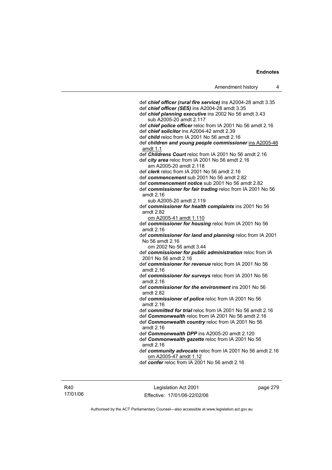def *chief officer (rural fire service)* ins A2004-28 amdt 3.35 def *chief officer (SES)* ins A2004-28 amdt 3.35 def *chief planning executive* ins 2002 No 56 amdt 3.43 sub A2005-20 amdt 2.117 def *chief police officer* reloc from IA 2001 No 56 amdt 2.16 def *chief solicitor* ins A2004-42 amdt 2.39 def *child* reloc from IA 2001 No 56 amdt 2.16 def *children and young people commissioner* ins A2005-46 amdt 1.1 def *Childrens Court* reloc from IA 2001 No 56 amdt 2.16 def *city area* reloc from IA 2001 No 56 amdt 2.16 am A2005-20 amdt 2.118 def *clerk* reloc from IA 2001 No 56 amdt 2.16 def *commencement* sub 2001 No 56 amdt 2.82 def *commencement notice* sub 2001 No 56 amdt 2.82 def *commissioner for fair trading* reloc from IA 2001 No 56 amdt 2.16 sub A2005-20 amdt 2.119 def *commissioner for health complaints* ins 2001 No 56 amdt 2.82 om A2005-41 amdt 1.110 def *commissioner for housing* reloc from IA 2001 No 56 amdt 2.16 def *commissioner for land and planning* reloc from IA 2001 No 56 amdt 2.16 om 2002 No 56 amdt 3.44 def *commissioner for public administration* reloc from IA 2001 No 56 amdt 2.16 def *commissioner for revenue* reloc from IA 2001 No 56 amdt 2.16 def *commissioner for surveys* reloc from IA 2001 No 56 amdt 2.16 def *commissioner for the environment* ins 2001 No 56 amdt 2.82 def *commissioner of police* reloc from IA 2001 No 56 amdt 2.16 def *committed for trial* reloc from IA 2001 No 56 amdt 2.16 def *Commonwealth* reloc from IA 2001 No 56 amdt 2.16 def *Commonwealth country* reloc from IA 2001 No 56 amdt 2.16 def *Commonwealth DPP* ins A2005-20 amdt 2.120 def *Commonwealth gazette* reloc from IA 2001 No 56 amdt 2.16 def *community advocate* reloc from IA 2001 No 56 amdt 2.16 om A2005-47 amdt 1.12 def *confer* reloc from IA 2001 No 56 amdt 2.16

R40 17/01/06

Legislation Act 2001 Effective: 17/01/06-22/02/06 page 279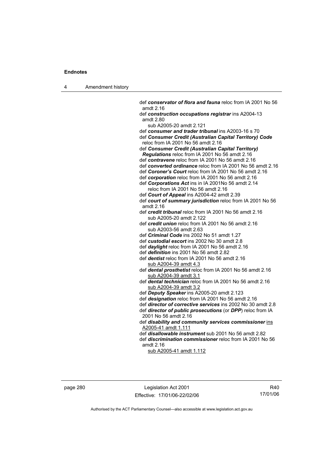| Amendment history<br>л |  |
|------------------------|--|
|------------------------|--|

 def *conservator of flora and fauna* reloc from IA 2001 No 56 amdt 2.16 def *construction occupations registrar* ins A2004-13 amdt 2.80 sub A2005-20 amdt 2.121 def *consumer and trader tribunal* ins A2003-16 s 70 def *Consumer Credit (Australian Capital Territory) Code* reloc from IA 2001 No 56 amdt 2.16 def *Consumer Credit (Australian Capital Territory) Regulations* reloc from IA 2001 No 56 amdt 2.16 def *contravene* reloc from IA 2001 No 56 amdt 2.16 def *converted ordinance* reloc from IA 2001 No 56 amdt 2.16 def *Coroner's Court* reloc from IA 2001 No 56 amdt 2.16 def *corporation* reloc from IA 2001 No 56 amdt 2.16 def *Corporations Act* ins in IA 2001No 56 amdt 2.14 reloc from IA 2001 No 56 amdt 2.16 def *Court of Appeal* ins A2004-42 amdt 2.39 def *court of summary jurisdiction* reloc from IA 2001 No 56 amdt 2.16 def *credit tribunal* reloc from IA 2001 No 56 amdt 2.16 sub A2005-20 amdt 2.122 def *credit union* reloc from IA 2001 No 56 amdt 2.16 sub A2003-56 amdt 2.63 def *Criminal Code* ins 2002 No 51 amdt 1.27 def *custodial escort* ins 2002 No 30 amdt 2.8 def *daylight* reloc from IA 2001 No 56 amdt 2.16 def *definition* ins 2001 No 56 amdt 2.82 def *dentist* reloc from IA 2001 No 56 amdt 2.16 sub A2004-39 amdt 4.3 def *dental prosthetist* reloc from IA 2001 No 56 amdt 2.16 sub A2004-39 amdt 3.1 def *dental technician* reloc from IA 2001 No 56 amdt 2.16 sub A2004-39 amdt 3.2 def *Deputy Speaker* ins A2005-20 amdt 2.123 def *designation* reloc from IA 2001 No 56 amdt 2.16 def *director of corrective services* ins 2002 No 30 amdt 2.8 def *director of public prosecutions* (or *DPP*) reloc from IA 2001 No 56 amdt 2.16 def *disability and community services commissioner* ins A2005-41 amdt 1.111 def *disallowable instrument* sub 2001 No 56 amdt 2.82 def *discrimination commissioner* reloc from IA 2001 No 56 amdt 2.16 sub A2005-41 amdt 1.112

page 280 Legislation Act 2001 Effective: 17/01/06-22/02/06

R40 17/01/06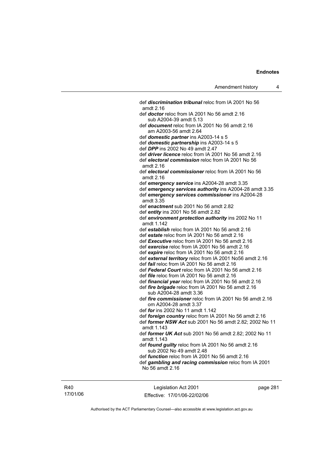def *discrimination tribunal* reloc from IA 2001 No 56 amdt 2.16 def *doctor* reloc from IA 2001 No 56 amdt 2.16 sub A2004-39 amdt 5.13 def *document* reloc from IA 2001 No 56 amdt 2.16 am A2003-56 amdt 2.64 def *domestic partner* ins A2003-14 s 5 def *domestic partnership* ins A2003-14 s 5 def *DPP* ins 2002 No 49 amdt 2.47 def *driver licence* reloc from IA 2001 No 56 amdt 2.16 def *electoral commission* reloc from IA 2001 No 56 amdt 2.16 def *electoral commissioner* reloc from IA 2001 No 56 amdt 2.16 def *emergency service* ins A2004-28 amdt 3.35 def *emergency services authority* ins A2004-28 amdt 3.35 def *emergency services commissioner* ins A2004-28 amdt 3.35 def *enactment* sub 2001 No 56 amdt 2.82 def *entity* ins 2001 No 56 amdt 2.82 def *environment protection authority* ins 2002 No 11 amdt 1.142 def *establish* reloc from IA 2001 No 56 amdt 2.16 def *estate* reloc from IA 2001 No 56 amdt 2.16 def *Executive* reloc from IA 2001 No 56 amdt 2.16 def *exercise* reloc from IA 2001 No 56 amdt 2.16 def *expire* reloc from IA 2001 No 56 amdt 2.16 def *external territory* reloc from IA 2001 No56 amdt 2.16 def *fail* reloc from IA 2001 No 56 amdt 2.16 def *Federal Court* reloc from IA 2001 No 56 amdt 2.16 def *file* reloc from IA 2001 No 56 amdt 2.16 def *financial year* reloc from IA 2001 No 56 amdt 2.16 def *fire brigade* reloc from IA 2001 No 56 amdt 2.16 sub A2004-28 amdt 3.36 def *fire commissioner* reloc from IA 2001 No 56 amdt 2.16 om A2004-28 amdt 3.37 def *for* ins 2002 No 11 amdt 1.142 def *foreign country* reloc from IA 2001 No 56 amdt 2.16 def *former NSW Act* sub 2001 No 56 amdt 2.82; 2002 No 11 amdt 1.143 def *former UK Act* sub 2001 No 56 amdt 2.82; 2002 No 11 amdt 1.143 def *found guilty* reloc from IA 2001 No 56 amdt 2.16 sub 2002 No 49 amdt 2.48 def *function* reloc from IA 2001 No 56 amdt 2.16 def *gambling and racing commission* reloc from IA 2001 No 56 amdt 2.16

R40 17/01/06

Legislation Act 2001 Effective: 17/01/06-22/02/06 page 281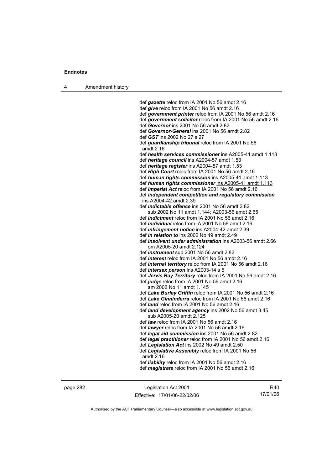4 Amendment history

 def *gazette* reloc from IA 2001 No 56 amdt 2.16 def *give* reloc from IA 2001 No 56 amdt 2.16 def *government printer* reloc from IA 2001 No 56 amdt 2.16 def *government solicitor* reloc from IA 2001 No 56 amdt 2.16 def *Governor* ins 2001 No 56 amdt 2.82 def *Governor-General* ins 2001 No 56 amdt 2.82 def *GST* ins 2002 No 27 s 27 def *guardianship tribunal* reloc from IA 2001 No 56 amdt 2.16 def *health services commissioner* ins A2005-41 amdt 1.113 def *heritage council* ins A2004-57 amdt 1.53 def *heritage register* ins A2004-57 amdt 1.53 def *High Court* reloc from IA 2001 No 56 amdt 2.16 def *human rights commission* ins A2005-41 amdt 1.113 def *human rights commissioner* ins A2005-41 amdt 1.113 def *Imperial Act* reloc from IA 2001 No 56 amdt 2.16 def *independent competition and regulatory commission*  ins A2004-42 amdt 2.39 def *indictable offence* ins 2001 No 56 amdt 2.82 sub 2002 No 11 amdt 1.144; A2003-56 amdt 2.65 def *indictment* reloc from IA 2001 No 56 amdt 2.16 def *individual* reloc from IA 2001 No 56 amdt 2.16 def *infringement notice* ins A2004-42 amdt 2.39 def *in relation to* ins 2002 No 49 amdt 2.49 def *insolvent under administration* ins A2003-56 amdt 2.66 om A2005-20 amdt 2.124 def *instrument* sub 2001 No 56 amdt 2.82 def *interest* reloc from IA 2001 No 56 amdt 2.16 def *internal territory* reloc from IA 2001 No 56 amdt 2.16 def *intersex person* ins A2003-14 s 5 def *Jervis Bay Territory* reloc from IA 2001 No 56 amdt 2.16 def *judge* reloc from IA 2001 No 56 amdt 2.16 am 2002 No 11 amdt 1.145 def *Lake Burley Griffin* reloc from IA 2001 No 56 amdt 2.16 def *Lake Ginninderra* reloc from IA 2001 No 56 amdt 2.16 def *land* reloc from IA 2001 No 56 amdt 2.16 def *land development agency* ins 2002 No 56 amdt 3.45 sub A2005-20 amdt 2.125 def *law* reloc from IA 2001 No 56 amdt 2.16 def *lawyer* reloc from IA 2001 No 56 amdt 2.16 def *legal aid commission* ins 2001 No 56 amdt 2.82 def *legal practitioner* reloc from IA 2001 No 56 amdt 2.16 def *Legislation Act* ins 2002 No 49 amdt 2.50 def *Legislative Assembly* reloc from IA 2001 No 56 amdt 2.16 def *liability* reloc from IA 2001 No 56 amdt 2.16 def *magistrate* reloc from IA 2001 No 56 amdt 2.16

page 282 Legislation Act 2001 Effective: 17/01/06-22/02/06

R40 17/01/06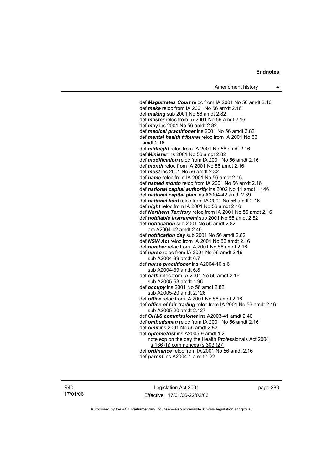def *Magistrates Court* reloc from IA 2001 No 56 amdt 2.16 def *make* reloc from IA 2001 No 56 amdt 2.16 def *making* sub 2001 No 56 amdt 2.82 def *master* reloc from IA 2001 No 56 amdt 2.16 def *may* ins 2001 No 56 amdt 2.82 def *medical practitioner* ins 2001 No 56 amdt 2.82 def *mental health tribunal* reloc from IA 2001 No 56 amdt 2.16 def *midnight* reloc from IA 2001 No 56 amdt 2.16 def *Minister* ins 2001 No 56 amdt 2.82 def *modification* reloc from IA 2001 No 56 amdt 2.16 def *month* reloc from IA 2001 No 56 amdt 2.16 def *must* ins 2001 No 56 amdt 2.82 def *name* reloc from IA 2001 No 56 amdt 2.16 def *named month* reloc from IA 2001 No 56 amdt 2.16 def *national capital authority* ins 2002 No 11 amdt 1.146 def *national capital plan* ins A2004-42 amdt 2.39 def *national land* reloc from IA 2001 No 56 amdt 2.16 def *night* reloc from IA 2001 No 56 amdt 2.16 def *Northern Territory* reloc from IA 2001 No 56 amdt 2.16 def *notifiable instrument* sub 2001 No 56 amdt 2.82 def *notification* sub 2001 No 56 amdt 2.82 am A2004-42 amdt 2.40 def *notification day* sub 2001 No 56 amdt 2.82 def *NSW Act* reloc from IA 2001 No 56 amdt 2.16 def *number* reloc from IA 2001 No 56 amdt 2.16 def *nurse* reloc from IA 2001 No 56 amdt 2.16 sub A2004-39 amdt 6.7 def *nurse practitioner* ins A2004-10 s 6 sub A2004-39 amdt 6.8 def *oath* reloc from IA 2001 No 56 amdt 2.16 sub A2005-53 amdt 1.96 def *occupy* ins 2001 No 56 amdt 2.82 sub A2005-20 amdt 2.126 def *office* reloc from IA 2001 No 56 amdt 2.16 def *office of fair trading* reloc from IA 2001 No 56 amdt 2.16 sub A2005-20 amdt 2.127 def *OH&S commissioner* ins A2003-41 amdt 2.40 def *ombudsman* reloc from IA 2001 No 56 amdt 2.16 def *omit* ins 2001 No 56 amdt 2.82 def *optometrist* ins A2005-9 amdt 1.2 note exp on the day the Health Professionals Act 2004 s 136 (h) commences (s 303 (2)) def *ordinance* reloc from IA 2001 No 56 amdt 2.16

def *parent* ins A2004-1 amdt 1.22

R40 17/01/06

Legislation Act 2001 Effective: 17/01/06-22/02/06 page 283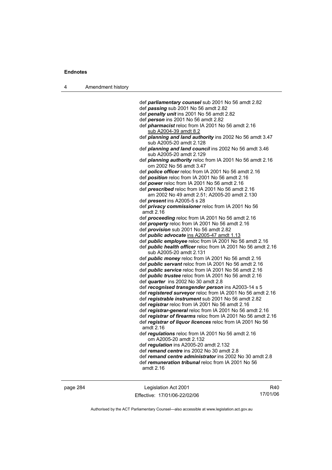| л | Amendment history |
|---|-------------------|
|---|-------------------|

- def *passing* sub 2001 No 56 amdt 2.82
- def *penalty unit* ins 2001 No 56 amdt 2.82
- def *person* ins 2001 No 56 amdt 2.82
- def *pharmacist* reloc from IA 2001 No 56 amdt 2.16 sub A2004-39 amdt 8.2
- def *planning and land authority* ins 2002 No 56 amdt 3.47 sub A2005-20 amdt 2.128
- def *planning and land council* ins 2002 No 56 amdt 3.46 sub A2005-20 amdt 2.129
- def *planning authority* reloc from IA 2001 No 56 amdt 2.16 om 2002 No 56 amdt 3.47
- def *police officer* reloc from IA 2001 No 56 amdt 2.16
- def *position* reloc from IA 2001 No 56 amdt 2.16
- def *power* reloc from IA 2001 No 56 amdt 2.16
- def *prescribed* reloc from IA 2001 No 56 amdt 2.16 am 2002 No 49 amdt 2.51; A2005-20 amdt 2.130 def *present* ins A2005-5 s 28
- def *privacy commissioner* reloc from IA 2001 No 56 amdt 2.16
- def *proceeding* reloc from IA 2001 No 56 amdt 2.16
- def *property* reloc from IA 2001 No 56 amdt 2.16
- def *provision* sub 2001 No 56 amdt 2.82
- def *public advocate* ins A2005-47 amdt 1.13
- def *public employee* reloc from IA 2001 No 56 amdt 2.16
- def *public health officer* reloc from IA 2001 No 56 amdt 2.16 sub A2005-20 amdt 2.131
- def *public money* reloc from IA 2001 No 56 amdt 2.16
- def *public servant* reloc from IA 2001 No 56 amdt 2.16
- def *public service* reloc from IA 2001 No 56 amdt 2.16
- def *public trustee* reloc from IA 2001 No 56 amdt 2.16
- def *quarter* ins 2002 No 30 amdt 2.8
- def *recognised transgender person* ins A2003-14 s 5
- def *registered surveyor* reloc from IA 2001 No 56 amdt 2.16
- def *registrable instrument* sub 2001 No 56 amdt 2.82 def *registrar* reloc from IA 2001 No 56 amdt 2.16
- def *registrar-general* reloc from IA 2001 No 56 amdt 2.16
- 
- def *registrar of firearms* reloc from IA 2001 No 56 amdt 2.16 def *registrar of liquor licences* reloc from IA 2001 No 56
- amdt 2.16
- def *regulations* reloc from IA 2001 No 56 amdt 2.16 om A2005-20 amdt 2.132
- def *regulation* ins A2005-20 amdt 2.132
- def *remand centre* ins 2002 No 30 amdt 2.8

 def *remand centre administrator* ins 2002 No 30 amdt 2.8 def *remuneration tribunal* reloc from IA 2001 No 56

amdt 2.16

page 284 Legislation Act 2001 Effective: 17/01/06-22/02/06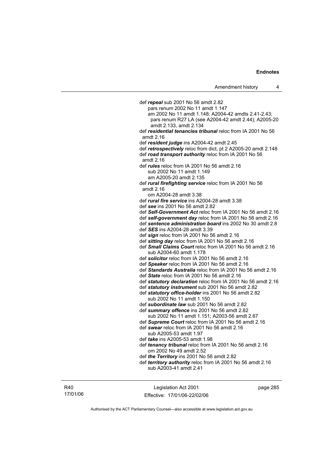def *repeal* sub 2001 No 56 amdt 2.82 pars renum 2002 No 11 amdt 1.147 am 2002 No 11 amdt 1.148; A2004-42 amdts 2.41-2.43; pars renum R27 LA (see A2004-42 amdt 2.44); A2005-20 amdt 2.133, amdt 2.134 def *residential tenancies tribunal* reloc from IA 2001 No 56 amdt 2.16 def *resident judge* ins A2004-42 amdt 2.45 def *retrospectively* reloc from dict, pt 2 A2005-20 amdt 2.148 def *road transport authority* reloc from IA 2001 No 56 amdt 2.16 def *rules* reloc from IA 2001 No 56 amdt 2.16 sub 2002 No 11 amdt 1.149 am A2005-20 amdt 2.135 def *rural firefighting service* reloc from IA 2001 No 56 amdt 2.16 om A2004-28 amdt 3.38 def *rural fire service* ins A2004-28 amdt 3.38 def *see* ins 2001 No 56 amdt 2.82 def *Self-Government Act* reloc from IA 2001 No 56 amdt 2.16 def *self-government day* reloc from IA 2001 No 56 amdt 2.16 def *sentence administration board* ins 2002 No 30 amdt 2.8 def *SES* ins A2004-28 amdt 3.39 def *sign* reloc from IA 2001 No 56 amdt 2.16 def *sitting day* reloc from IA 2001 No 56 amdt 2.16 def *Small Claims Court* reloc from IA 2001 No 56 amdt 2.16 sub A2004-60 amdt 1.178 def *solicitor* reloc from IA 2001 No 56 amdt 2.16 def *Speaker* reloc from IA 2001 No 56 amdt 2.16 def *Standards Australia* reloc from IA 2001 No 56 amdt 2.16 def *State* reloc from IA 2001 No 56 amdt 2.16 def *statutory declaration* reloc from IA 2001 No 56 amdt 2.16 def *statutory instrument* sub 2001 No 56 amdt 2.82 def *statutory office-holder* ins 2001 No 56 amdt 2.82 sub 2002 No 11 amdt 1.150 def *subordinate law* sub 2001 No 56 amdt 2.82 def *summary offence* ins 2001 No 56 amdt 2.82 sub 2002 No 11 amdt 1.151; A2003-56 amdt 2.67 def *Supreme Court* reloc from IA 2001 No 56 amdt 2.16 def *swear* reloc from IA 2001 No 56 amdt 2.16 sub A2005-53 amdt 1.97 def *take* ins A2005-53 amdt 1.98 def *tenancy tribunal* reloc from IA 2001 No 56 amdt 2.16 om 2002 No 49 amdt 2.52 def *the Territory* ins 2001 No 56 amdt 2.82 def *territory authority* reloc from IA 2001 No 56 amdt 2.16 sub A2003-41 amdt 2.41

R40 17/01/06

Legislation Act 2001 Effective: 17/01/06-22/02/06 page 285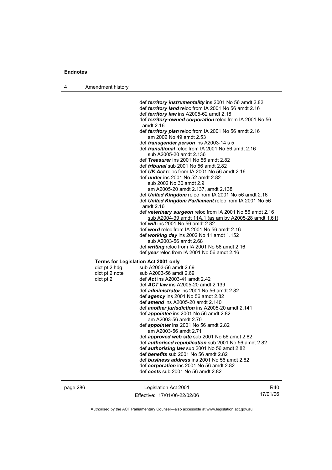| Amendment history<br>л |  |
|------------------------|--|
|------------------------|--|

 def *territory instrumentality* ins 2001 No 56 amdt 2.82 def *territory land* reloc from IA 2001 No 56 amdt 2.16 def *territory law* ins A2005-62 amdt 2.18 def *territory-owned corporation* reloc from IA 2001 No 56 amdt 2.16 def *territory plan* reloc from IA 2001 No 56 amdt 2.16 am 2002 No 49 amdt 2.53 def *transgender person* ins A2003-14 s 5 def *transitional* reloc from IA 2001 No 56 amdt 2.16 sub A2005-20 amdt 2.136 def *Treasurer* ins 2001 No 56 amdt 2.82 def *tribunal* sub 2001 No 56 amdt 2.82 def *UK Act* reloc from IA 2001 No 56 amdt 2.16 def *under* ins 2001 No 52 amdt 2.82 sub 2002 No 30 amdt 2.9 am A2005-20 amdt 2.137, amdt 2.138 def *United Kingdom* reloc from IA 2001 No 56 amdt 2.16 def *United Kingdom Parliament* reloc from IA 2001 No 56 amdt 2.16 def *veterinary surgeon* reloc from IA 2001 No 56 amdt 2.16 sub A2004-39 amdt 11A.1 (as am by A2005-28 amdt 1.61) def *will* ins 2001 No 56 amdt 2.82 def *word* reloc from IA 2001 No 56 amdt 2.16 def *working day* ins 2002 No 11 amdt 1.152 sub A2003-56 amdt 2.68 def *writing* reloc from IA 2001 No 56 amdt 2.16 def *year* reloc from IA 2001 No 56 amdt 2.16 **Terms for Legislation Act 2001 only**  dict pt  $2$  hdg sub A2003-56 amdt  $2.69$ dict pt 2 note sub A2003-56 amdt 2.69 dict pt 2 def *Act* ins A2003-41 amdt 2.42 def *ACT law* ins A2005-20 amdt 2.139 def *administrator* ins 2001 No 56 amdt 2.82 def *agency* ins 2001 No 56 amdt 2.82 def *amend* ins A2005-20 amdt 2.140 def *another jurisdiction* ins A2005-20 amdt 2.141 def *appointee* ins 2001 No 56 amdt 2.82 am A2003-56 amdt 2.70 def *appointer* ins 2001 No 56 amdt 2.82 am A2003-56 amdt 2.71 def *approved web site* sub 2001 No 56 amdt 2.82 def *authorised republication* sub 2001 No 56 amdt 2.82 def *authorising law* sub 2001 No 56 amdt 2.82 def *benefits* sub 2001 No 56 amdt 2.82 def *business address* ins 2001 No 56 amdt 2.82 def *corporation* ins 2001 No 56 amdt 2.82 def *costs* sub 2001 No 56 amdt 2.82

| page 286 |  |
|----------|--|
|----------|--|

page 286 Legislation Act 2001 Effective: 17/01/06-22/02/06

R40 17/01/06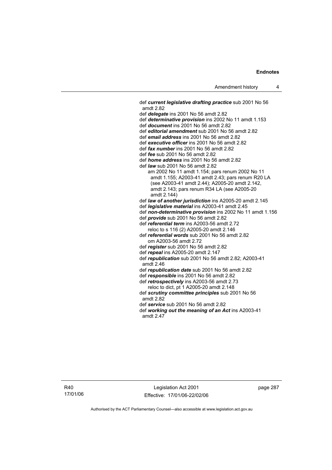def *current legislative drafting practice* sub 2001 No 56 amdt 2.82 def *delegate* ins 2001 No 56 amdt 2.82 def *determinative provision* ins 2002 No 11 amdt 1.153 def *document* ins 2001 No 56 amdt 2.82 def *editorial amendment* sub 2001 No 56 amdt 2.82 def *email address* ins 2001 No 56 amdt 2.82 def *executive officer* ins 2001 No 56 amdt 2.82 def *fax number* ins 2001 No 56 amdt 2.82 def *fee* sub 2001 No 56 amdt 2.82 def *home address* ins 2001 No 56 amdt 2.82 def *law* sub 2001 No 56 amdt 2.82 am 2002 No 11 amdt 1.154; pars renum 2002 No 11 amdt 1.155; A2003-41 amdt 2.43; pars renum R20 LA (see A2003-41 amdt 2.44); A2005-20 amdt 2.142, amdt 2.143; pars renum R34 LA (see A2005-20 amdt 2.144) def *law of another jurisdiction* ins A2005-20 amdt 2.145 def *legislative material* ins A2003-41 amdt 2.45 def *non-determinative provision* ins 2002 No 11 amdt 1.156 def *provide* sub 2001 No 56 amdt 2.82 def *referential term* ins A2003-56 amdt 2.72 reloc to s 116 (2) A2005-20 amdt 2.146 def *referential words* sub 2001 No 56 amdt 2.82 om A2003-56 amdt 2.72 def *register* sub 2001 No 56 amdt 2.82 def *repeal* ins A2005-20 amdt 2.147 def *republication* sub 2001 No 56 amdt 2.82; A2003-41 amdt 2.46 def *republication date* sub 2001 No 56 amdt 2.82 def *responsible* ins 2001 No 56 amdt 2.82 def *retrospectively* ins A2003-56 amdt 2.73 reloc to dict, pt 1 A2005-20 amdt 2.148 def *scrutiny committee principles* sub 2001 No 56 amdt 2.82 def *service* sub 2001 No 56 amdt 2.82 def *working out the meaning of an Act* ins A2003-41 amdt 2.47

R40 17/01/06

Legislation Act 2001 Effective: 17/01/06-22/02/06 page 287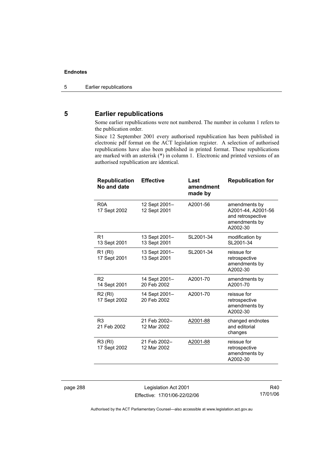### **5 Earlier republications**

Some earlier republications were not numbered. The number in column 1 refers to the publication order.

Since 12 September 2001 every authorised republication has been published in electronic pdf format on the ACT legislation register. A selection of authorised republications have also been published in printed format. These republications are marked with an asterisk (\*) in column 1. Electronic and printed versions of an authorised republication are identical.

| <b>Republication</b><br>No and date | <b>Effective</b>              | Last<br>amendment<br>made by | <b>Republication for</b>                                                              |
|-------------------------------------|-------------------------------|------------------------------|---------------------------------------------------------------------------------------|
| R <sub>0</sub> A<br>17 Sept 2002    | 12 Sept 2001-<br>12 Sept 2001 | A2001-56                     | amendments by<br>A2001-44, A2001-56<br>and retrospective<br>amendments by<br>A2002-30 |
| R <sub>1</sub><br>13 Sept 2001      | 13 Sept 2001-<br>13 Sept 2001 | SL2001-34                    | modification by<br>SL2001-34                                                          |
| R1 (RI)<br>17 Sept 2001             | 13 Sept 2001-<br>13 Sept 2001 | SL2001-34                    | reissue for<br>retrospective<br>amendments by<br>A2002-30                             |
| R <sub>2</sub><br>14 Sept 2001      | 14 Sept 2001-<br>20 Feb 2002  | A2001-70                     | amendments by<br>A2001-70                                                             |
| <b>R2 (RI)</b><br>17 Sept 2002      | 14 Sept 2001-<br>20 Feb 2002  | A2001-70                     | reissue for<br>retrospective<br>amendments by<br>A2002-30                             |
| R <sub>3</sub><br>21 Feb 2002       | 21 Feb 2002-<br>12 Mar 2002   | A2001-88                     | changed endnotes<br>and editorial<br>changes                                          |
| R3 (RI)<br>17 Sept 2002             | 21 Feb 2002-<br>12 Mar 2002   | A2001-88                     | reissue for<br>retrospective<br>amendments by<br>A2002-30                             |

page 288 Legislation Act 2001 Effective: 17/01/06-22/02/06

R40 17/01/06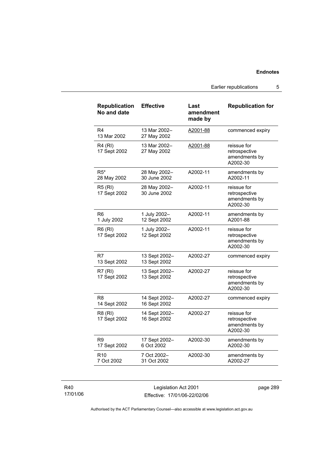Earlier republications 5

| Republication<br>No and date   | <b>Effective</b>              | Last<br>amendment<br>made by | <b>Republication for</b>                                  |
|--------------------------------|-------------------------------|------------------------------|-----------------------------------------------------------|
| R4<br>13 Mar 2002              | 13 Mar 2002-<br>27 May 2002   | A2001-88                     | commenced expiry                                          |
| R4 (RI)<br>17 Sept 2002        | 13 Mar 2002-<br>27 May 2002   | A2001-88                     | reissue for<br>retrospective<br>amendments by<br>A2002-30 |
| $R5*$<br>28 May 2002           | 28 May 2002-<br>30 June 2002  | A2002-11                     | amendments by<br>A2002-11                                 |
| <b>R5 (RI)</b><br>17 Sept 2002 | 28 May 2002-<br>30 June 2002  | A2002-11                     | reissue for<br>retrospective<br>amendments by<br>A2002-30 |
| R6<br>1 July 2002              | 1 July 2002-<br>12 Sept 2002  | A2002-11                     | amendments by<br>A2001-88                                 |
| R6 (RI)<br>17 Sept 2002        | 1 July 2002-<br>12 Sept 2002  | A2002-11                     | reissue for<br>retrospective<br>amendments by<br>A2002-30 |
| R7<br>13 Sept 2002             | 13 Sept 2002-<br>13 Sept 2002 | A2002-27                     | commenced expiry                                          |
| R7(RI)<br>17 Sept 2002         | 13 Sept 2002-<br>13 Sept 2002 | A2002-27                     | reissue for<br>retrospective<br>amendments by<br>A2002-30 |
| R8<br>14 Sept 2002             | 14 Sept 2002-<br>16 Sept 2002 | A2002-27                     | commenced expiry                                          |
| R8 (RI)<br>17 Sept 2002        | 14 Sept 2002-<br>16 Sept 2002 | A2002-27                     | reissue for<br>retrospective<br>amendments by<br>A2002-30 |
| R9<br>17 Sept 2002             | 17 Sept 2002-<br>6 Oct 2002   | A2002-30                     | amendments by<br>A2002-30                                 |
| R <sub>10</sub><br>7 Oct 2002  | 7 Oct 2002-<br>31 Oct 2002    | A2002-30                     | amendments by<br>A2002-27                                 |

| R40      |  |
|----------|--|
| 17/01/06 |  |

Legislation Act 2001 Effective: 17/01/06-22/02/06 page 289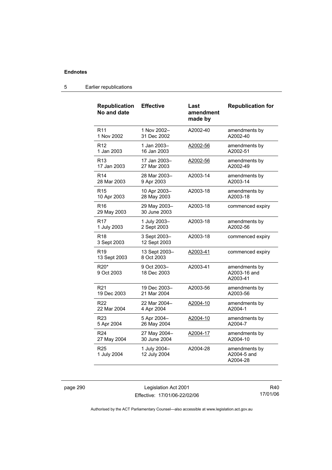| <b>Republication</b><br>No and date | <b>Effective</b>             | Last<br>amendment<br>made by | <b>Republication for</b>                  |
|-------------------------------------|------------------------------|------------------------------|-------------------------------------------|
| R <sub>11</sub>                     | 1 Nov 2002-                  | A2002-40                     | amendments by                             |
| 1 Nov 2002                          | 31 Dec 2002                  |                              | A2002-40                                  |
| R12                                 | 1 Jan 2003-                  | A2002-56                     | amendments by                             |
| 1 Jan 2003                          | 16 Jan 2003                  |                              | A2002-51                                  |
| R <sub>13</sub>                     | 17 Jan 2003-                 | A2002-56                     | amendments by                             |
| 17 Jan 2003                         | 27 Mar 2003                  |                              | A2002-49                                  |
| R <sub>14</sub>                     | 28 Mar 2003-                 | A2003-14                     | amendments by                             |
| 28 Mar 2003                         | 9 Apr 2003                   |                              | A2003-14                                  |
| R <sub>15</sub>                     | 10 Apr 2003-                 | A2003-18                     | amendments by                             |
| 10 Apr 2003                         | 28 May 2003                  |                              | A2003-18                                  |
| R <sub>16</sub><br>29 May 2003      | 29 May 2003-<br>30 June 2003 | A2003-18                     | commenced expiry                          |
| <b>R17</b>                          | 1 July 2003-                 | A2003-18                     | amendments by                             |
| 1 July 2003                         | 2 Sept 2003                  |                              | A2002-56                                  |
| R18<br>3 Sept 2003                  | 3 Sept 2003-<br>12 Sept 2003 | A2003-18                     | commenced expiry                          |
| R <sub>19</sub><br>13 Sept 2003     | 13 Sept 2003-<br>8 Oct 2003  | A2003-41                     | commenced expiry                          |
| R20*<br>9 Oct 2003                  | 9 Oct 2003-<br>18 Dec 2003   | A2003-41                     | amendments by<br>A2003-16 and<br>A2003-41 |
| R <sub>21</sub>                     | 19 Dec 2003-                 | A2003-56                     | amendments by                             |
| 19 Dec 2003                         | 21 Mar 2004                  |                              | A2003-56                                  |
| R22                                 | 22 Mar 2004-                 | A2004-10                     | amendments by                             |
| 22 Mar 2004                         | 4 Apr 2004                   |                              | A2004-1                                   |
| R <sub>23</sub>                     | 5 Apr 2004-                  | A2004-10                     | amendments by                             |
| 5 Apr 2004                          | 26 May 2004                  |                              | A2004-7                                   |
| R <sub>24</sub>                     | 27 May 2004-                 | A2004-17                     | amendments by                             |
| 27 May 2004                         | 30 June 2004                 |                              | A2004-10                                  |
| R <sub>25</sub><br>1 July 2004      | 1 July 2004-<br>12 July 2004 | A2004-28                     | amendments by<br>A2004-5 and<br>A2004-28  |

### 5 Earlier republications

page 290 Legislation Act 2001 Effective: 17/01/06-22/02/06

R40 17/01/06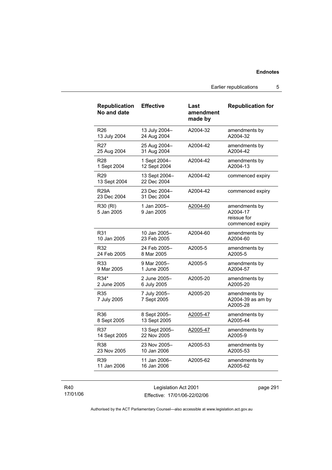Earlier republications 5

| <b>Republication</b><br>No and date | <b>Effective</b>             | Last<br>amendment<br>made by | <b>Republication for</b>                                     |
|-------------------------------------|------------------------------|------------------------------|--------------------------------------------------------------|
| R <sub>26</sub>                     | 13 July 2004-                | A2004-32                     | amendments by                                                |
| 13 July 2004                        | 24 Aug 2004                  |                              | A2004-32                                                     |
| R <sub>27</sub>                     | 25 Aug 2004-                 | A2004-42                     | amendments by                                                |
| 25 Aug 2004                         | 31 Aug 2004                  |                              | A2004-42                                                     |
| R <sub>28</sub>                     | 1 Sept 2004-                 | A2004-42                     | amendments by                                                |
| 1 Sept 2004                         | 12 Sept 2004                 |                              | A2004-13                                                     |
| R <sub>29</sub><br>13 Sept 2004     | 13 Sept 2004-<br>22 Dec 2004 | A2004-42                     | commenced expiry                                             |
| <b>R29A</b><br>23 Dec 2004          | 23 Dec 2004-<br>31 Dec 2004  | A2004-42                     | commenced expiry                                             |
| R30 (RI)<br>5 Jan 2005              | 1 Jan 2005-<br>9 Jan 2005    | A2004-60                     | amendments by<br>A2004-17<br>reissue for<br>commenced expiry |
| R31                                 | 10 Jan 2005-                 | A2004-60                     | amendments by                                                |
| 10 Jan 2005                         | 23 Feb 2005                  |                              | A2004-60                                                     |
| R32                                 | 24 Feb 2005-                 | A2005-5                      | amendments by                                                |
| 24 Feb 2005                         | 8 Mar 2005                   |                              | A2005-5                                                      |
| R33                                 | 9 Mar 2005–                  | A2005-5                      | amendments by                                                |
| 9 Mar 2005                          | 1 June 2005                  |                              | A2004-57                                                     |
| R34*                                | 2 June 2005-                 | A2005-20                     | amendments by                                                |
| 2 June 2005                         | 6 July 2005                  |                              | A2005-20                                                     |
| R35<br>7 July 2005                  | 7 July 2005-<br>7 Sept 2005  | A2005-20                     | amendments by<br>A2004-39 as am by<br>A2005-28               |
| R36                                 | 8 Sept 2005-                 | A2005-47                     | amendments by                                                |
| 8 Sept 2005                         | 13 Sept 2005                 |                              | A2005-44                                                     |
| R37                                 | 13 Sept 2005-                | A2005-47                     | amendments by                                                |
| 14 Sept 2005                        | 22 Nov 2005                  |                              | A2005-9                                                      |
| R38                                 | 23 Nov 2005-                 | A2005-53                     | amendments by                                                |
| 23 Nov 2005                         | 10 Jan 2006                  |                              | A2005-53                                                     |
| R39                                 | 11 Jan 2006-                 | A2005-62                     | amendments by                                                |
| 11 Jan 2006                         | 16 Jan 2006                  |                              | A2005-62                                                     |

R40 17/01/06

Legislation Act 2001 Effective: 17/01/06-22/02/06 page 291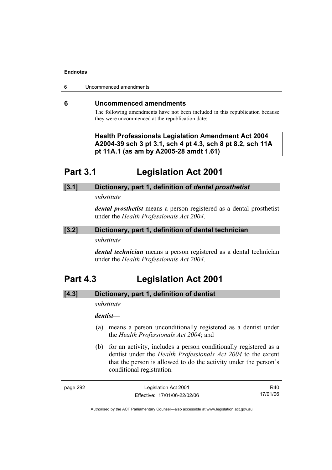6 Uncommenced amendments

### **6 Uncommenced amendments**

The following amendments have not been included in this republication because they were uncommenced at the republication date:

### **Health Professionals Legislation Amendment Act 2004 A2004-39 sch 3 pt 3.1, sch 4 pt 4.3, sch 8 pt 8.2, sch 11A pt 11A.1 (as am by A2005-28 amdt 1.61)**

## **Part 3.1 Legislation Act 2001**

## **[3.1] Dictionary, part 1, definition of** *dental prosthetist*

*substitute* 

*dental prosthetist* means a person registered as a dental prosthetist under the *Health Professionals Act 2004*.

### **[3.2] Dictionary, part 1, definition of dental technician**

### *substitute*

*dental technician* means a person registered as a dental technician under the *Health Professionals Act 2004*.

## **Part 4.3 Legislation Act 2001**

### **[4.3] Dictionary, part 1, definition of dentist**

*substitute* 

### *dentist***—**

- (a) means a person unconditionally registered as a dentist under the *Health Professionals Act 2004*; and
- (b) for an activity, includes a person conditionally registered as a dentist under the *Health Professionals Act 2004* to the extent that the person is allowed to do the activity under the person's conditional registration.

| page | - כמי |
|------|-------|
|------|-------|

Legislation Act 2001 Effective: 17/01/06-22/02/06

R40 17/01/06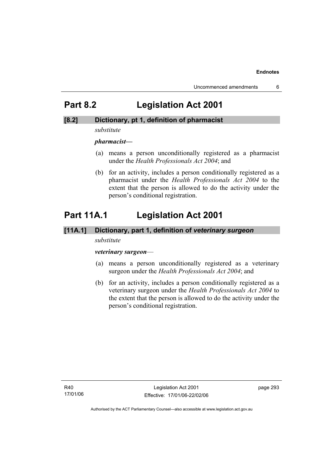## **Part 8.2 Legislation Act 2001**

### **[8.2] Dictionary, pt 1, definition of pharmacist**

### *substitute*

*pharmacist***—**

- (a) means a person unconditionally registered as a pharmacist under the *Health Professionals Act 2004*; and
- (b) for an activity, includes a person conditionally registered as a pharmacist under the *Health Professionals Act 2004* to the extent that the person is allowed to do the activity under the person's conditional registration.

# **Part 11A.1 Legislation Act 2001**

### **[11A.1] Dictionary, part 1, definition of** *veterinary surgeon*

### *substitute*

### *veterinary surgeon*—

- (a) means a person unconditionally registered as a veterinary surgeon under the *Health Professionals Act 2004*; and
- (b) for an activity, includes a person conditionally registered as a veterinary surgeon under the *Health Professionals Act 2004* to the extent that the person is allowed to do the activity under the person's conditional registration.

R40 17/01/06 page 293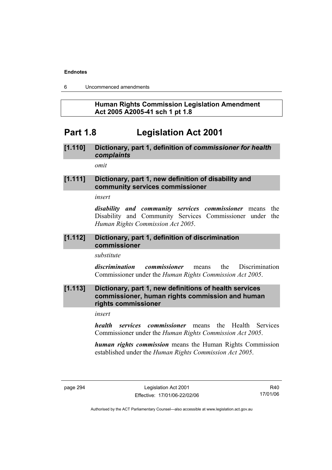6 Uncommenced amendments

### **Human Rights Commission Legislation Amendment Act 2005 A2005-41 sch 1 pt 1.8**

## **Part 1.8 Legislation Act 2001**

## **[1.110] Dictionary, part 1, definition of** *commissioner for health complaints*

*omit* 

### **[1.111] Dictionary, part 1, new definition of disability and community services commissioner**

*insert* 

*disability and community services commissioner* means the Disability and Community Services Commissioner under the *Human Rights Commission Act 2005*.

### **[1.112] Dictionary, part 1, definition of discrimination commissioner**

*substitute* 

*discrimination commissioner* means the Discrimination Commissioner under the *Human Rights Commission Act 2005*.

### **[1.113] Dictionary, part 1, new definitions of health services commissioner, human rights commission and human rights commissioner**

*insert* 

*health services commissioner* means the Health Services Commissioner under the *Human Rights Commission Act 2005*.

*human rights commission* means the Human Rights Commission established under the *Human Rights Commission Act 2005*.

R40 17/01/06